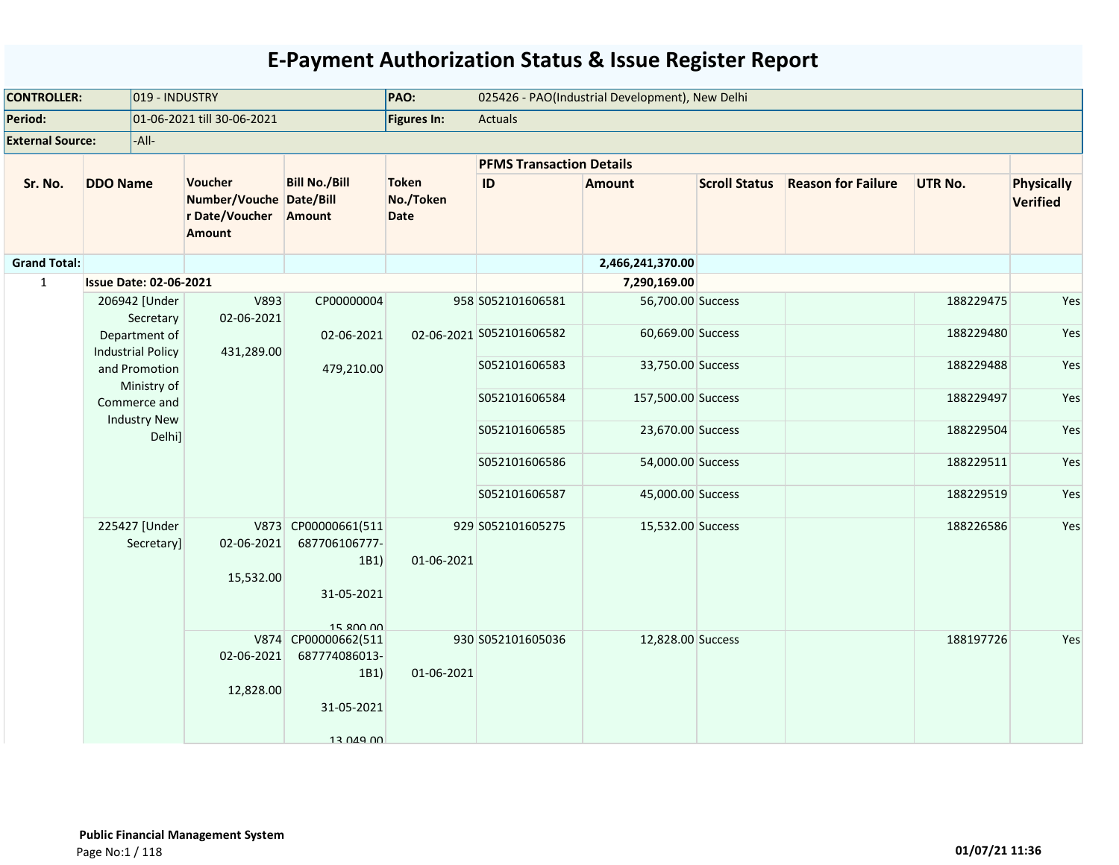| <b>CONTROLLER:</b>      |                               | 019 - INDUSTRY                            |                                                                       |                                                                                      | PAO:                                     |                                 | 025426 - PAO(Industrial Development), New Delhi |                      |                           |                |                                      |
|-------------------------|-------------------------------|-------------------------------------------|-----------------------------------------------------------------------|--------------------------------------------------------------------------------------|------------------------------------------|---------------------------------|-------------------------------------------------|----------------------|---------------------------|----------------|--------------------------------------|
| Period:                 |                               |                                           | 01-06-2021 till 30-06-2021                                            |                                                                                      | Figures In:                              | Actuals                         |                                                 |                      |                           |                |                                      |
| <b>External Source:</b> |                               | -All-                                     |                                                                       |                                                                                      |                                          |                                 |                                                 |                      |                           |                |                                      |
|                         |                               |                                           |                                                                       |                                                                                      |                                          | <b>PFMS Transaction Details</b> |                                                 |                      |                           |                |                                      |
| Sr. No.                 | <b>DDO Name</b>               |                                           | Voucher<br>Number/Vouche Date/Bill<br>r Date/Voucher<br><b>Amount</b> | <b>Bill No./Bill</b><br>Amount                                                       | <b>Token</b><br>No./Token<br><b>Date</b> | ID                              | <b>Amount</b>                                   | <b>Scroll Status</b> | <b>Reason for Failure</b> | <b>UTR No.</b> | <b>Physically</b><br><b>Verified</b> |
| <b>Grand Total:</b>     |                               |                                           |                                                                       |                                                                                      |                                          |                                 | 2,466,241,370.00                                |                      |                           |                |                                      |
| $\mathbf{1}$            | <b>Issue Date: 02-06-2021</b> |                                           |                                                                       |                                                                                      |                                          |                                 | 7,290,169.00                                    |                      |                           |                |                                      |
|                         |                               | 206942 [Under<br>Secretary                | V893<br>02-06-2021                                                    | CP00000004                                                                           |                                          | 958 S052101606581               | 56,700.00 Success                               |                      |                           | 188229475      | Yes                                  |
|                         |                               | Department of<br><b>Industrial Policy</b> | 431,289.00                                                            | 02-06-2021                                                                           |                                          | 02-06-2021 S052101606582        | 60,669.00 Success                               |                      |                           | 188229480      | Yes                                  |
|                         |                               | and Promotion<br>Ministry of              |                                                                       | 479,210.00                                                                           |                                          | S052101606583                   | 33,750.00 Success                               |                      |                           | 188229488      | Yes                                  |
|                         |                               | Commerce and<br><b>Industry New</b>       |                                                                       | S052101606584                                                                        | 157,500.00 Success                       |                                 |                                                 | 188229497            | Yes                       |                |                                      |
|                         |                               | Delhi]                                    |                                                                       |                                                                                      |                                          | S052101606585                   | 23,670.00 Success                               |                      |                           | 188229504      | Yes                                  |
|                         |                               |                                           |                                                                       |                                                                                      |                                          | S052101606586                   | 54,000.00 Success                               |                      |                           | 188229511      | Yes                                  |
|                         |                               |                                           |                                                                       |                                                                                      |                                          | S052101606587                   | 45,000.00 Success                               |                      |                           | 188229519      | Yes                                  |
|                         |                               | 225427 [Under<br>Secretary]               | 02-06-2021<br>15,532.00                                               | V873 CP00000661(511<br>687706106777-<br>1B1)<br>31-05-2021                           | 01-06-2021                               | 929 S052101605275               | 15,532.00 Success                               |                      |                           | 188226586      | Yes                                  |
|                         |                               |                                           | 02-06-2021<br>12,828.00                                               | 15 800 00<br>V874 CP00000662(511<br>687774086013-<br>1B1)<br>31-05-2021<br>13 049 00 | 01-06-2021                               | 930 S052101605036               | 12,828.00 Success                               |                      |                           | 188197726      | Yes                                  |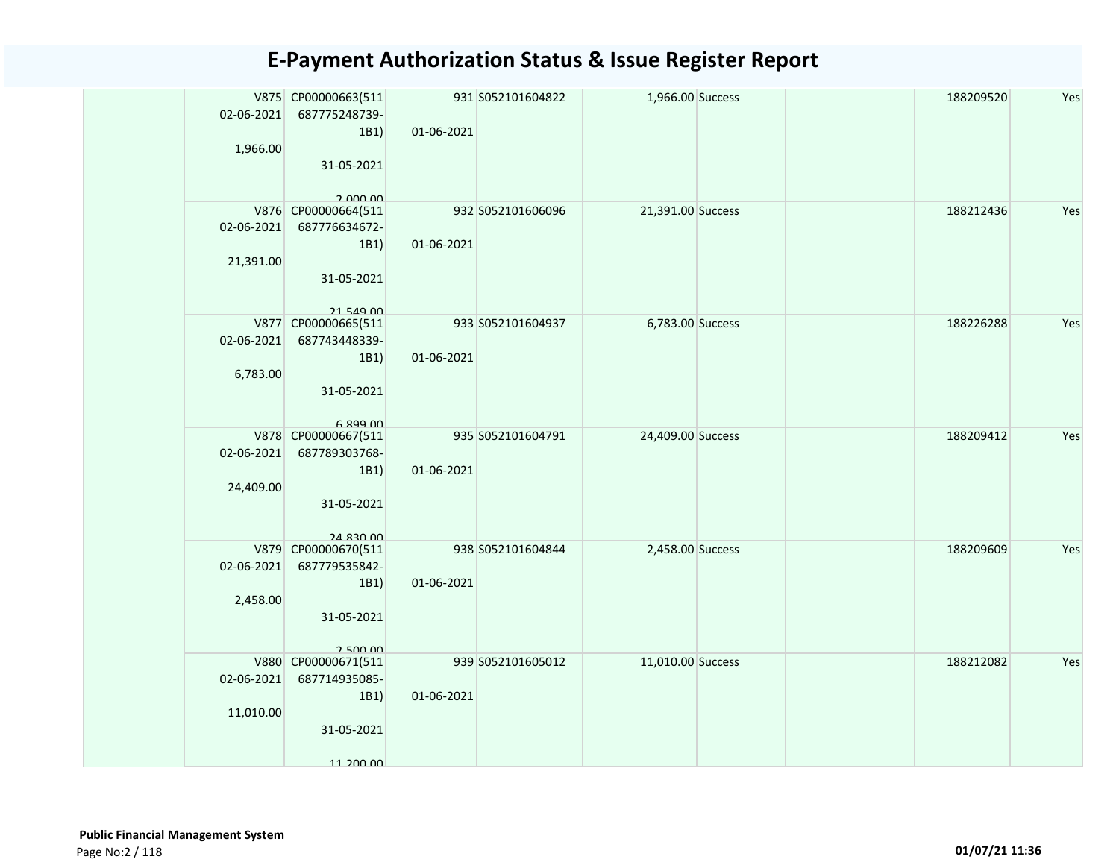| 02-06-2021<br>1,966.00  | V875 CP00000663(511<br>687775248739-<br>1B1)<br>31-05-2021<br>2.000.00         | 01-06-2021 | 931 S052101604822 | 1,966.00 Success  |  | 188209520 | Yes |
|-------------------------|--------------------------------------------------------------------------------|------------|-------------------|-------------------|--|-----------|-----|
| 02-06-2021<br>21,391.00 | V876 CP00000664(511<br>687776634672-<br>1B1)<br>31-05-2021<br>21 549 00        | 01-06-2021 | 932 S052101606096 | 21,391.00 Success |  | 188212436 | Yes |
| 02-06-2021<br>6,783.00  | V877 CP00000665(511<br>687743448339-<br>1B1)<br>31-05-2021<br>$6.899$ $00$     | 01-06-2021 | 933 S052101604937 | 6,783.00 Success  |  | 188226288 | Yes |
| 02-06-2021<br>24,409.00 | V878 CP00000667(511<br>687789303768-<br>1B1)<br>31-05-2021<br><b>24 830 00</b> | 01-06-2021 | 935 S052101604791 | 24,409.00 Success |  | 188209412 | Yes |
| 02-06-2021<br>2,458.00  | V879 CP00000670(511<br>687779535842-<br>1B1)<br>31-05-2021<br>250000           | 01-06-2021 | 938 S052101604844 | 2,458.00 Success  |  | 188209609 | Yes |
| 02-06-2021<br>11,010.00 | V880 CP00000671(511<br>687714935085-<br>1B1)<br>31-05-2021<br>11 200 00        | 01-06-2021 | 939 S052101605012 | 11,010.00 Success |  | 188212082 | Yes |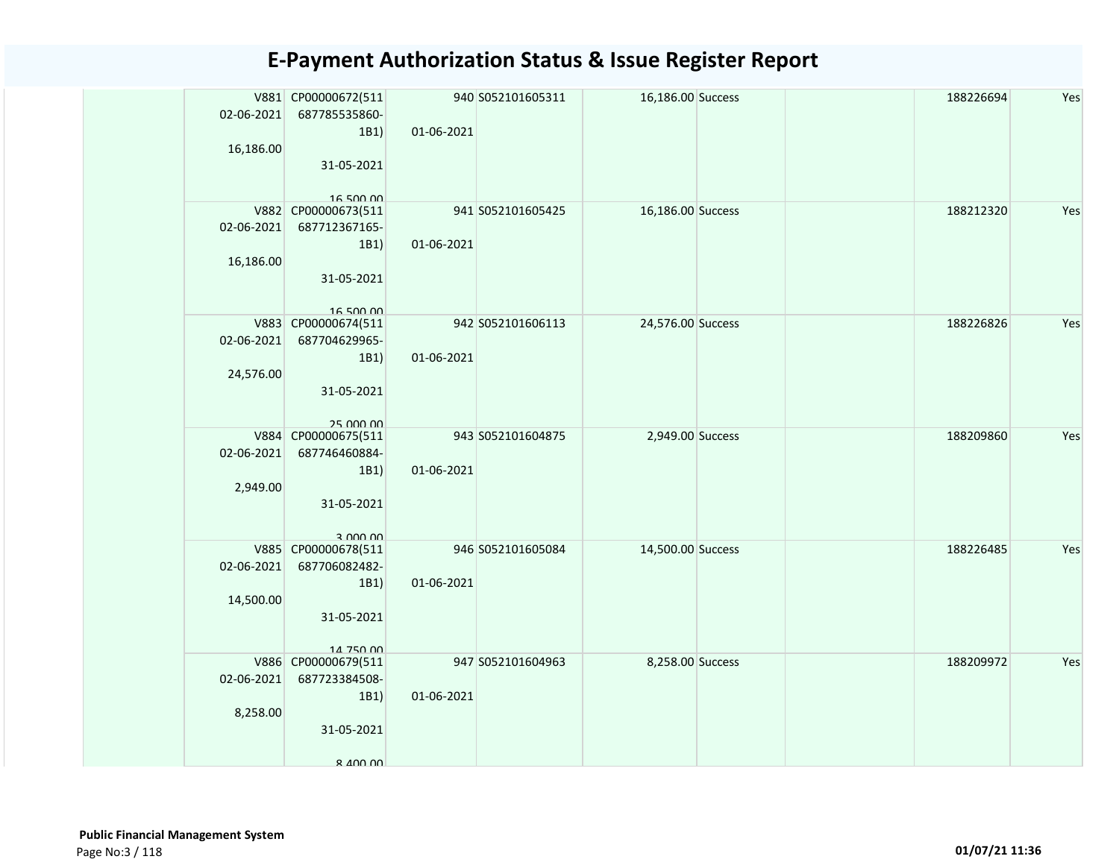| 02-06-2021<br>16,186.00 | V881 CP00000672(511<br>687785535860-<br>1B1<br>31-05-2021<br>16.500.00  | 01-06-2021 | 940 S052101605311 | 16,186.00 Success |  | 188226694 | Yes |
|-------------------------|-------------------------------------------------------------------------|------------|-------------------|-------------------|--|-----------|-----|
| 02-06-2021<br>16,186.00 | V882 CP00000673(511<br>687712367165-<br>1B1<br>31-05-2021<br>16 500 00  | 01-06-2021 | 941 S052101605425 | 16,186.00 Success |  | 188212320 | Yes |
| 02-06-2021<br>24,576.00 | V883 CP00000674(511<br>687704629965-<br>1B1<br>31-05-2021<br>25 000 00  | 01-06-2021 | 942 S052101606113 | 24,576.00 Success |  | 188226826 | Yes |
| 02-06-2021<br>2,949.00  | V884 CP00000675(511<br>687746460884-<br>1B1)<br>31-05-2021<br>3 UUU UU  | 01-06-2021 | 943 S052101604875 | 2,949.00 Success  |  | 188209860 | Yes |
| 02-06-2021<br>14,500.00 | V885 CP00000678(511<br>687706082482-<br>1B1)<br>31-05-2021<br>14 750 00 | 01-06-2021 | 946 S052101605084 | 14,500.00 Success |  | 188226485 | Yes |
| 02-06-2021<br>8,258.00  | V886 CP00000679(511<br>687723384508-<br>1B1<br>31-05-2021<br>8 400 00   | 01-06-2021 | 947 S052101604963 | 8,258.00 Success  |  | 188209972 | Yes |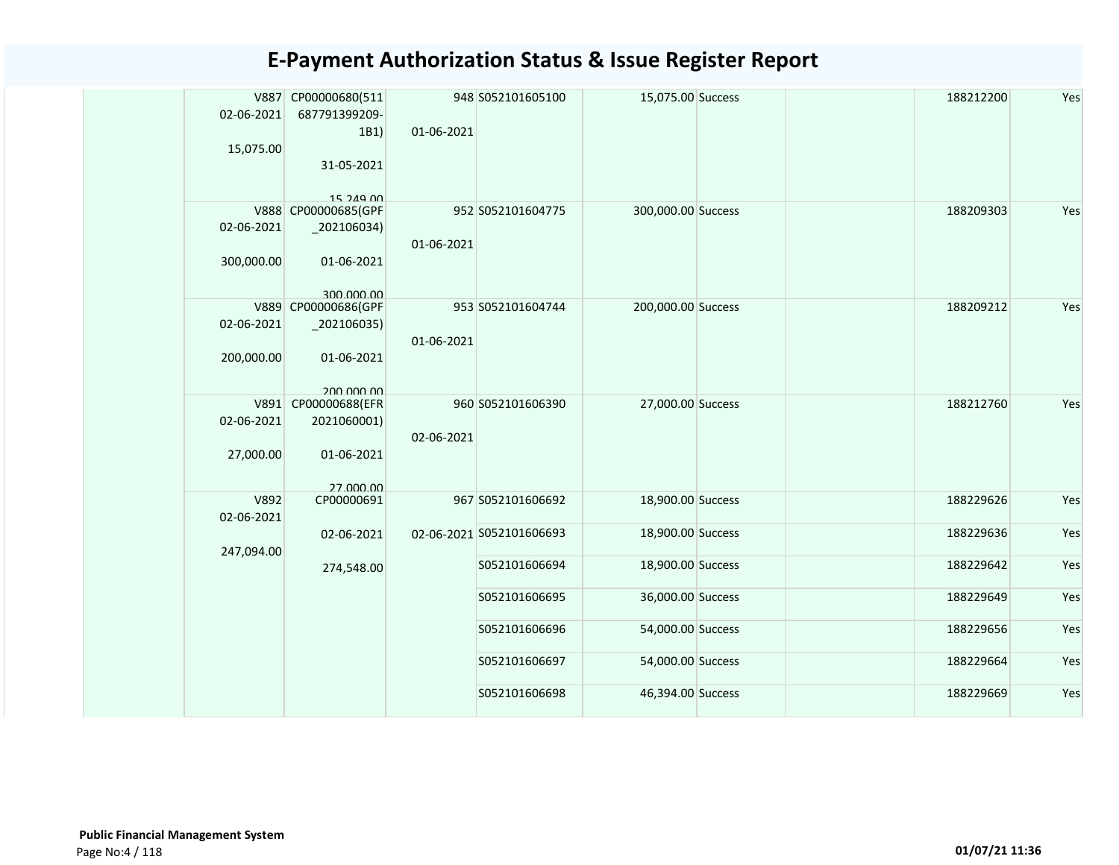|  | 02-06-2021                            | V887 CP00000680(511<br>687791399209-<br>1B1)                  | 01-06-2021    | 948 S052101605100        | 15,075.00 Success  |           | 188212200 | Yes |
|--|---------------------------------------|---------------------------------------------------------------|---------------|--------------------------|--------------------|-----------|-----------|-----|
|  | 15,075.00                             | 31-05-2021<br>15 249 00                                       |               |                          |                    |           |           |     |
|  | 02-06-2021<br>300,000.00              | V888 CP00000685(GPF<br>202106034)<br>01-06-2021               | 01-06-2021    | 952 S052101604775        | 300,000.00 Success |           | 188209303 | Yes |
|  |                                       | 300,000,00                                                    |               |                          |                    |           |           |     |
|  | 02-06-2021                            | V889 CP00000686(GPF<br>$_2$ 02106035)                         | 01-06-2021    | 953 S052101604744        | 200,000.00 Success |           | 188209212 | Yes |
|  | 200,000.00<br>02-06-2021<br>27,000.00 | 01-06-2021<br>200,000,00                                      |               |                          |                    |           |           |     |
|  |                                       | V891 CP00000688(EFR<br>2021060001)<br>01-06-2021<br>27 000 00 | 02-06-2021    | 960 S052101606390        | 27,000.00 Success  |           | 188212760 | Yes |
|  | V892<br>02-06-2021                    | CP00000691                                                    |               | 967 S052101606692        | 18,900.00 Success  |           | 188229626 | Yes |
|  | 247,094.00                            | 02-06-2021                                                    |               | 02-06-2021 S052101606693 | 18,900.00 Success  |           | 188229636 | Yes |
|  |                                       | 274,548.00                                                    |               | S052101606694            | 18,900.00 Success  |           | 188229642 | Yes |
|  |                                       |                                                               |               | S052101606695            | 36,000.00 Success  |           | 188229649 | Yes |
|  |                                       |                                                               | S052101606696 | 54,000.00 Success        |                    | 188229656 | Yes       |     |
|  |                                       |                                                               |               | S052101606697            | 54,000.00 Success  |           | 188229664 | Yes |
|  |                                       |                                                               |               | S052101606698            | 46,394.00 Success  |           | 188229669 | Yes |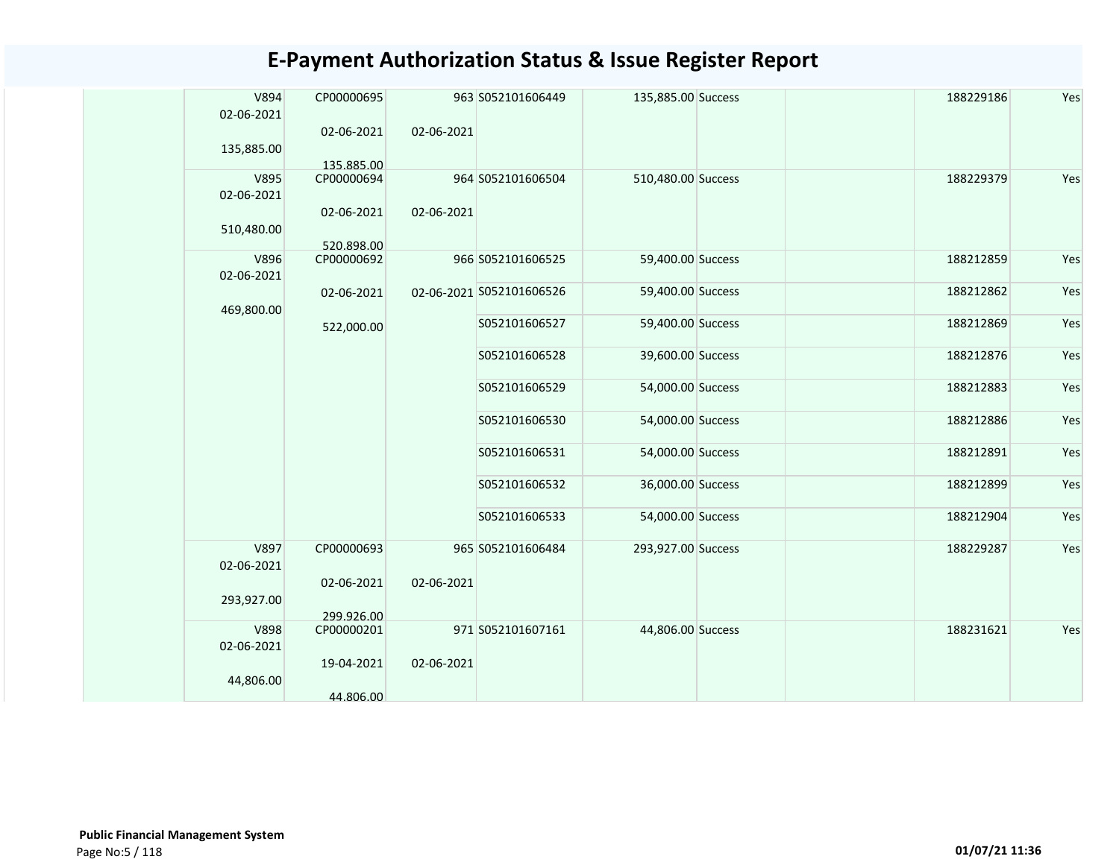| V894        | CP00000695 |            | 963 S052101606449        | 135,885.00 Success | 188229186 | Yes |
|-------------|------------|------------|--------------------------|--------------------|-----------|-----|
| 02-06-2021  |            |            |                          |                    |           |     |
|             | 02-06-2021 | 02-06-2021 |                          |                    |           |     |
| 135,885.00  | 135.885.00 |            |                          |                    |           |     |
| V895        | CP00000694 |            | 964 S052101606504        | 510,480.00 Success | 188229379 | Yes |
| 02-06-2021  |            |            |                          |                    |           |     |
|             | 02-06-2021 | 02-06-2021 |                          |                    |           |     |
| 510,480.00  | 520.898.00 |            |                          |                    |           |     |
| V896        | CP00000692 |            | 966 S052101606525        | 59,400.00 Success  | 188212859 | Yes |
| 02-06-2021  |            |            |                          |                    |           |     |
|             | 02-06-2021 |            | 02-06-2021 S052101606526 | 59,400.00 Success  | 188212862 | Yes |
| 469,800.00  | 522,000.00 |            | S052101606527            | 59,400.00 Success  | 188212869 | Yes |
|             |            |            |                          |                    |           |     |
|             |            |            | S052101606528            | 39,600.00 Success  | 188212876 | Yes |
|             |            |            | S052101606529            | 54,000.00 Success  | 188212883 | Yes |
|             |            |            | S052101606530            | 54,000.00 Success  | 188212886 | Yes |
|             |            |            | S052101606531            | 54,000.00 Success  | 188212891 | Yes |
|             |            |            | S052101606532            | 36,000.00 Success  | 188212899 | Yes |
|             |            |            | S052101606533            | 54,000.00 Success  | 188212904 | Yes |
| V897        | CP00000693 |            | 965 S052101606484        | 293,927.00 Success | 188229287 | Yes |
| 02-06-2021  |            |            |                          |                    |           |     |
|             | 02-06-2021 | 02-06-2021 |                          |                    |           |     |
| 293,927.00  | 299.926.00 |            |                          |                    |           |     |
| <b>V898</b> | CP00000201 |            | 971 S052101607161        | 44,806.00 Success  | 188231621 | Yes |
| 02-06-2021  |            |            |                          |                    |           |     |
|             | 19-04-2021 | 02-06-2021 |                          |                    |           |     |
| 44,806.00   | 44.806.00  |            |                          |                    |           |     |
|             |            |            |                          |                    |           |     |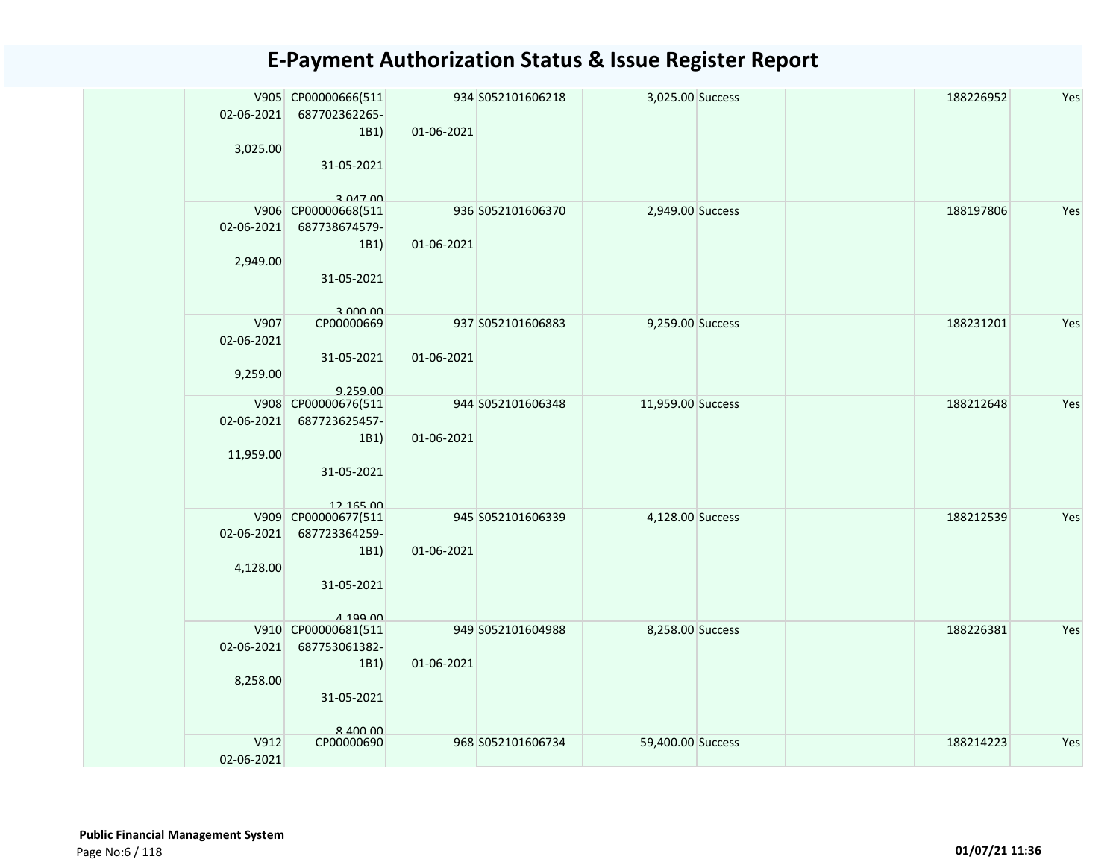| 02-06-2021<br>3,025.00         | V905 CP00000666(511<br>687702362265-<br>1B1)<br>31-05-2021                                                                                | 01-06-2021 | 934 S052101606218 | 3,025.00 Success  |  | 188226952 | Yes |
|--------------------------------|-------------------------------------------------------------------------------------------------------------------------------------------|------------|-------------------|-------------------|--|-----------|-----|
| 02-06-2021<br>2,949.00         | 3 047 00<br>V906 CP00000668(511<br>687738674579-<br>1B1)<br>31-05-2021<br>3.000,00                                                        | 01-06-2021 | 936 S052101606370 | 2,949.00 Success  |  | 188197806 | Yes |
| V907<br>02-06-2021<br>9,259.00 | CP00000669<br>31-05-2021<br>9.259.00                                                                                                      | 01-06-2021 | 937 S052101606883 | 9,259.00 Success  |  | 188231201 | Yes |
| 02-06-2021<br>11,959.00        | V908 CP00000676(511<br>687723625457-<br>1B1)<br>31-05-2021<br>12 165 00                                                                   | 01-06-2021 | 944 S052101606348 | 11,959.00 Success |  | 188212648 | Yes |
| 02-06-2021<br>4,128.00         | V909 CP00000677(511<br>687723364259-<br>1B1)<br>31-05-2021<br>419900                                                                      | 01-06-2021 | 945 S052101606339 | 4,128.00 Success  |  | 188212539 | Yes |
| 02-06-2021<br>8,258.00         | V910 CP00000681(511<br>687753061382-<br>1B1)<br>31-05-2021<br>$R$ $\triangle$ $\triangle$ $\triangle$ $\triangle$ $\triangle$ $\triangle$ | 01-06-2021 | 949 S052101604988 | 8,258.00 Success  |  | 188226381 | Yes |
| V912<br>02-06-2021             | CP00000690                                                                                                                                |            | 968 S052101606734 | 59,400.00 Success |  | 188214223 | Yes |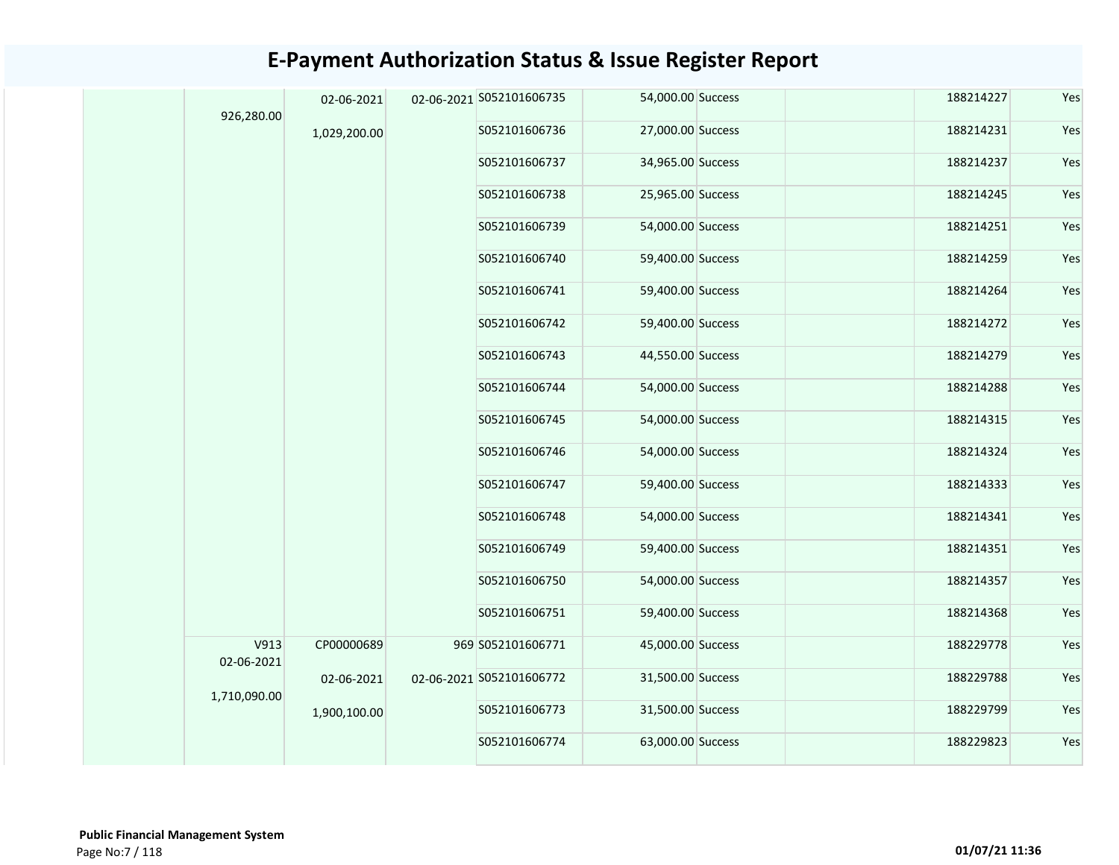|  | 926,280.00                         | 02-06-2021   |  | 02-06-2021 S052101606735 | 54,000.00 Success | 188214227         | Yes       |     |
|--|------------------------------------|--------------|--|--------------------------|-------------------|-------------------|-----------|-----|
|  |                                    | 1,029,200.00 |  | S052101606736            | 27,000.00 Success | 188214231         | Yes       |     |
|  |                                    |              |  | S052101606737            | 34,965.00 Success | 188214237         | Yes       |     |
|  |                                    |              |  | S052101606738            | 25,965.00 Success | 188214245         | Yes       |     |
|  |                                    |              |  | S052101606739            | 54,000.00 Success | 188214251         | Yes       |     |
|  |                                    |              |  | S052101606740            | 59,400.00 Success | 188214259         | Yes       |     |
|  |                                    |              |  | S052101606741            | 59,400.00 Success | 188214264         | Yes       |     |
|  |                                    |              |  | S052101606742            | 59,400.00 Success | 188214272         | Yes       |     |
|  |                                    |              |  | S052101606743            | 44,550.00 Success | 188214279         | Yes       |     |
|  |                                    |              |  |                          | S052101606744     | 54,000.00 Success | 188214288 | Yes |
|  |                                    |              |  |                          | S052101606745     | 54,000.00 Success | 188214315 | Yes |
|  |                                    |              |  |                          | S052101606746     | 54,000.00 Success | 188214324 | Yes |
|  |                                    |              |  | S052101606747            | 59,400.00 Success | 188214333         | Yes       |     |
|  |                                    |              |  | S052101606748            | 54,000.00 Success | 188214341         | Yes       |     |
|  | V913<br>02-06-2021<br>1,710,090.00 |              |  | S052101606749            | 59,400.00 Success | 188214351         | Yes       |     |
|  |                                    |              |  | S052101606750            | 54,000.00 Success | 188214357         | Yes       |     |
|  |                                    |              |  | S052101606751            | 59,400.00 Success | 188214368         | Yes       |     |
|  |                                    | CP00000689   |  | 969 S052101606771        | 45,000.00 Success | 188229778         | Yes       |     |
|  |                                    | 02-06-2021   |  | 02-06-2021 S052101606772 | 31,500.00 Success | 188229788         | Yes       |     |
|  |                                    | 1,900,100.00 |  | S052101606773            | 31,500.00 Success | 188229799         | Yes       |     |
|  |                                    |              |  | S052101606774            | 63,000.00 Success | 188229823         | Yes       |     |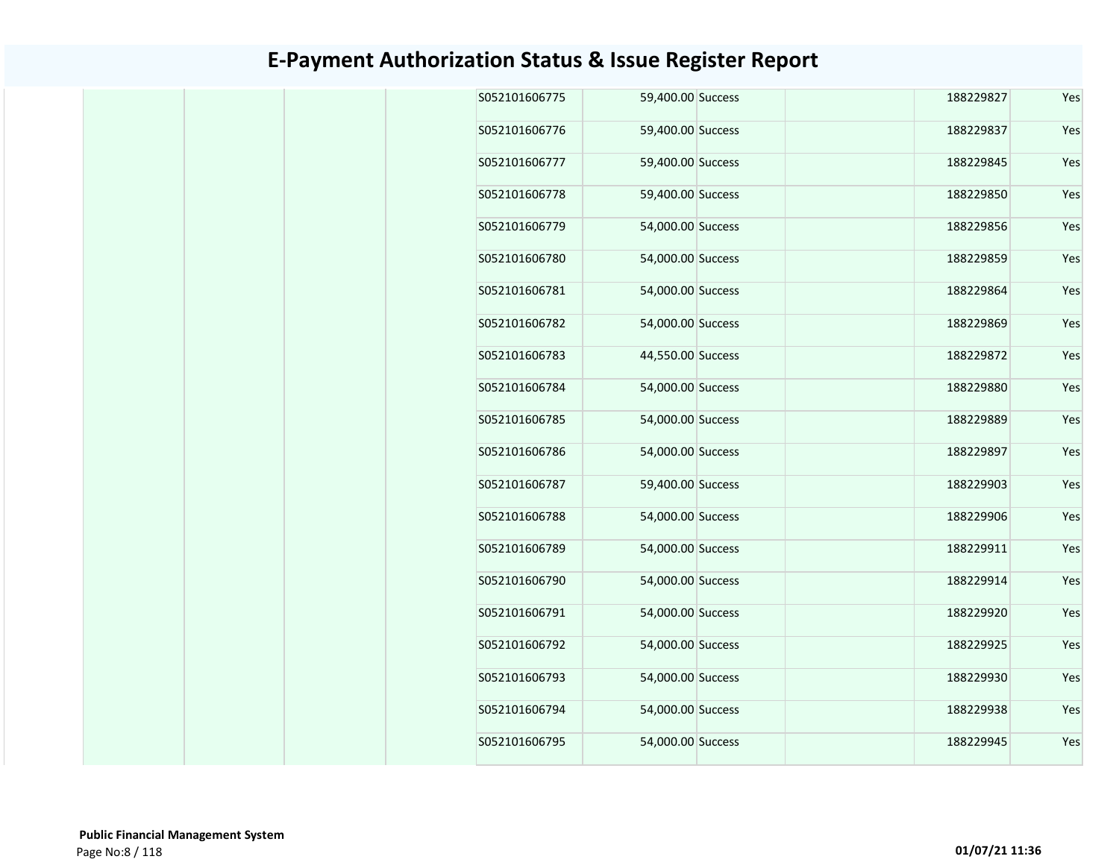|  | S052101606775 | 59,400.00 Success | 188229827 | Yes |
|--|---------------|-------------------|-----------|-----|
|  | S052101606776 | 59,400.00 Success | 188229837 | Yes |
|  | S052101606777 | 59,400.00 Success | 188229845 | Yes |
|  | S052101606778 | 59,400.00 Success | 188229850 | Yes |
|  | S052101606779 | 54,000.00 Success | 188229856 | Yes |
|  | S052101606780 | 54,000.00 Success | 188229859 | Yes |
|  | S052101606781 | 54,000.00 Success | 188229864 | Yes |
|  | S052101606782 | 54,000.00 Success | 188229869 | Yes |
|  | S052101606783 | 44,550.00 Success | 188229872 | Yes |
|  | S052101606784 | 54,000.00 Success | 188229880 | Yes |
|  | S052101606785 | 54,000.00 Success | 188229889 | Yes |
|  | S052101606786 | 54,000.00 Success | 188229897 | Yes |
|  | S052101606787 | 59,400.00 Success | 188229903 | Yes |
|  | S052101606788 | 54,000.00 Success | 188229906 | Yes |
|  | S052101606789 | 54,000.00 Success | 188229911 | Yes |
|  | S052101606790 | 54,000.00 Success | 188229914 | Yes |
|  | S052101606791 | 54,000.00 Success | 188229920 | Yes |
|  | S052101606792 | 54,000.00 Success | 188229925 | Yes |
|  | S052101606793 | 54,000.00 Success | 188229930 | Yes |
|  | S052101606794 | 54,000.00 Success | 188229938 | Yes |
|  | S052101606795 | 54,000.00 Success | 188229945 | Yes |
|  |               |                   |           |     |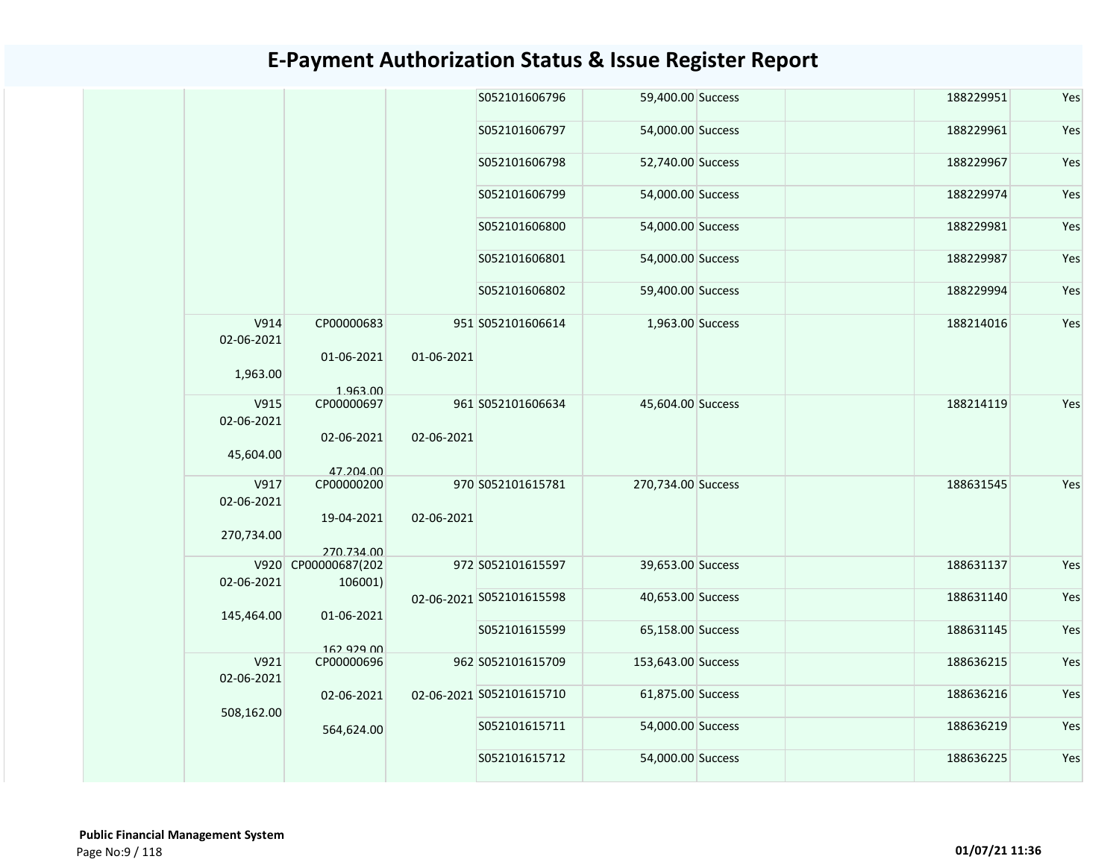|                    |                                |            | S052101606796            | 59,400.00 Success  | 188229951 | Yes |
|--------------------|--------------------------------|------------|--------------------------|--------------------|-----------|-----|
|                    |                                |            | S052101606797            | 54,000.00 Success  | 188229961 | Yes |
|                    |                                |            | S052101606798            | 52,740.00 Success  | 188229967 | Yes |
|                    |                                |            | S052101606799            | 54,000.00 Success  | 188229974 | Yes |
|                    |                                |            | S052101606800            | 54,000.00 Success  | 188229981 | Yes |
|                    |                                |            | S052101606801            | 54,000.00 Success  | 188229987 | Yes |
|                    |                                |            | S052101606802            | 59,400.00 Success  | 188229994 | Yes |
| V914<br>02-06-2021 | CP00000683                     |            | 951 S052101606614        | 1,963.00 Success   | 188214016 | Yes |
| 1,963.00           | 01-06-2021<br>1.963.00         | 01-06-2021 |                          |                    |           |     |
| V915<br>02-06-2021 | CP00000697                     |            | 961 S052101606634        | 45,604.00 Success  | 188214119 | Yes |
| 45,604.00          | 02-06-2021<br>47.204.00        | 02-06-2021 |                          |                    |           |     |
| V917               | CP00000200                     |            | 970 S052101615781        | 270,734.00 Success | 188631545 | Yes |
| 02-06-2021         | 19-04-2021                     | 02-06-2021 |                          |                    |           |     |
| 270,734.00         | 270.734.00                     |            |                          |                    |           |     |
| 02-06-2021         | V920 CP00000687(202<br>106001) |            | 972 S052101615597        | 39,653.00 Success  | 188631137 | Yes |
|                    |                                |            | 02-06-2021 S052101615598 | 40,653.00 Success  | 188631140 | Yes |
| 145,464.00         | 01-06-2021                     |            | S052101615599            | 65,158.00 Success  | 188631145 | Yes |
| V921               | 162 929 00<br>CP00000696       |            | 962 S052101615709        | 153,643.00 Success | 188636215 | Yes |
| 02-06-2021         |                                |            |                          |                    |           |     |
| 508,162.00         | 02-06-2021                     |            | 02-06-2021 S052101615710 | 61,875.00 Success  | 188636216 | Yes |
|                    | 564,624.00                     |            | S052101615711            | 54,000.00 Success  | 188636219 | Yes |
|                    |                                |            | S052101615712            | 54,000.00 Success  | 188636225 | Yes |
|                    |                                |            |                          |                    |           |     |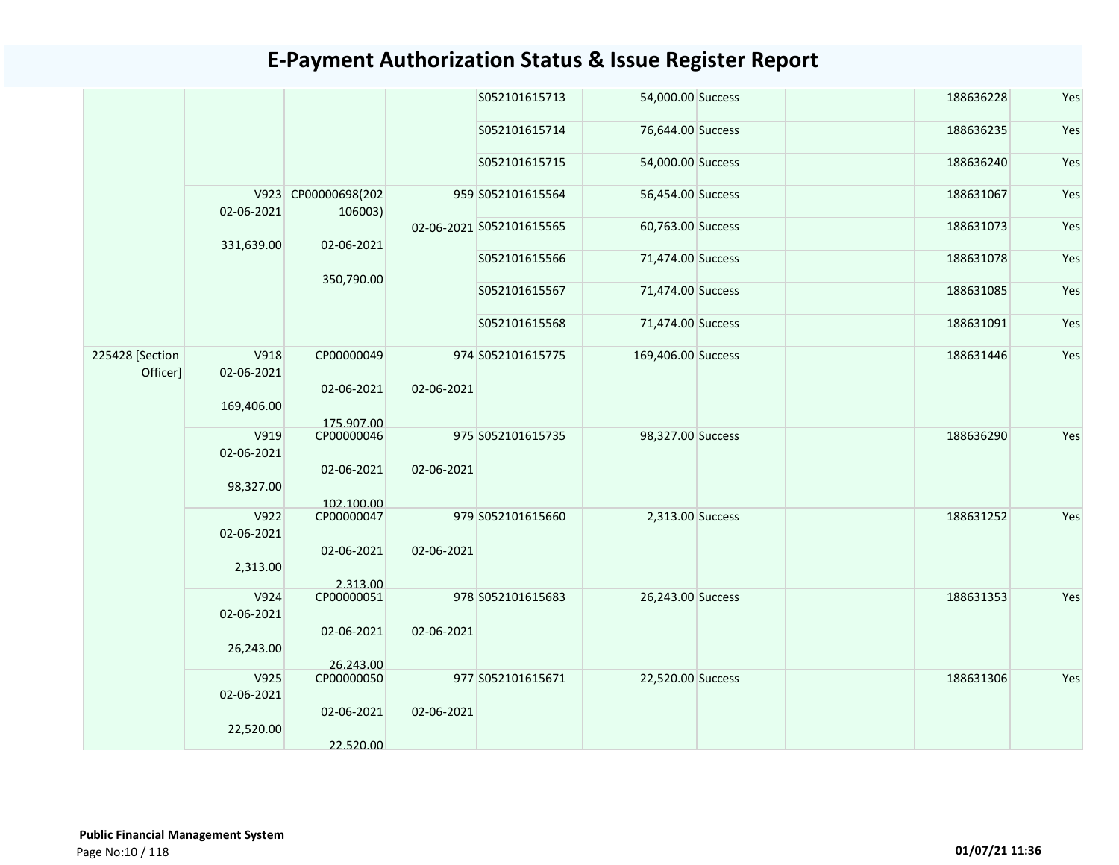|                             |                    |                                |            | S052101615713            | 54,000.00 Success  | 188636228 | Yes |
|-----------------------------|--------------------|--------------------------------|------------|--------------------------|--------------------|-----------|-----|
|                             |                    |                                |            | S052101615714            | 76,644.00 Success  | 188636235 | Yes |
|                             |                    |                                |            | S052101615715            | 54,000.00 Success  | 188636240 | Yes |
|                             | 02-06-2021         | V923 CP00000698(202<br>106003) |            | 959 S052101615564        | 56,454.00 Success  | 188631067 | Yes |
|                             | 331,639.00         | 02-06-2021                     |            | 02-06-2021 S052101615565 | 60,763.00 Success  | 188631073 | Yes |
|                             |                    |                                |            | S052101615566            | 71,474.00 Success  | 188631078 | Yes |
|                             |                    | 350,790.00                     |            | S052101615567            | 71,474.00 Success  | 188631085 | Yes |
| 225428 [Section<br>Officer] | V918               |                                |            | S052101615568            | 71,474.00 Success  | 188631091 | Yes |
|                             | 02-06-2021         | CP00000049                     |            | 974 S052101615775        | 169,406.00 Success | 188631446 | Yes |
|                             | 169,406.00         | 02-06-2021<br>175.907.00       | 02-06-2021 |                          |                    |           |     |
|                             | V919<br>02-06-2021 | CP00000046                     |            | 975 S052101615735        | 98,327.00 Success  | 188636290 | Yes |
|                             | 98,327.00          | 02-06-2021<br>102.100.00       | 02-06-2021 |                          |                    |           |     |
|                             | V922<br>02-06-2021 | CP00000047                     |            | 979 S052101615660        | 2,313.00 Success   | 188631252 | Yes |
|                             | 2,313.00           | 02-06-2021<br>2.313.00         | 02-06-2021 |                          |                    |           |     |
|                             | V924<br>02-06-2021 | CP00000051                     |            | 978 S052101615683        | 26,243.00 Success  | 188631353 | Yes |
|                             | 26,243.00          | 02-06-2021                     | 02-06-2021 |                          |                    |           |     |
|                             | V925<br>02-06-2021 | 26.243.00<br>CP00000050        |            | 977 S052101615671        | 22,520.00 Success  | 188631306 | Yes |
|                             | 22,520.00          | 02-06-2021<br>22.520.00        | 02-06-2021 |                          |                    |           |     |
|                             |                    |                                |            |                          |                    |           |     |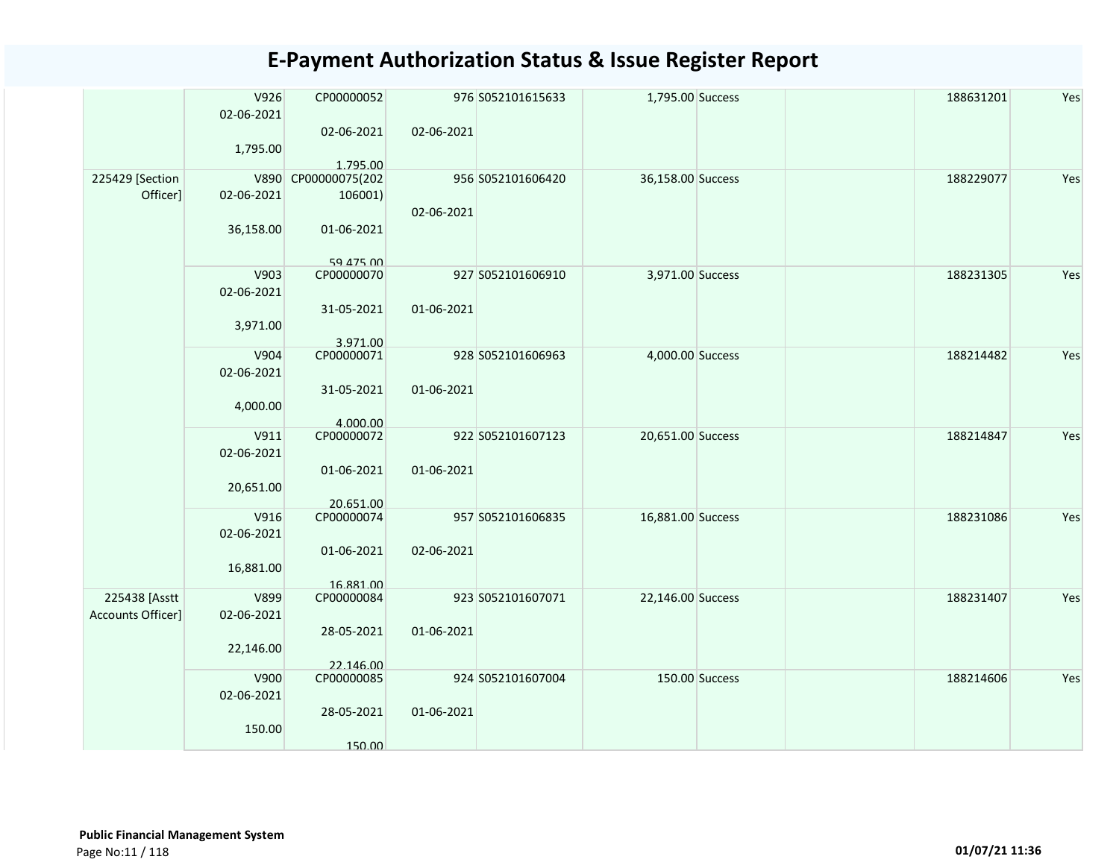|                   | V926<br>02-06-2021<br>1,795.00 | CP00000052<br>02-06-2021 | 02-06-2021 | 976 S052101615633 | 1,795.00 Success  |                | 188631201 | Yes |
|-------------------|--------------------------------|--------------------------|------------|-------------------|-------------------|----------------|-----------|-----|
|                   |                                | 1.795.00                 |            |                   |                   |                |           |     |
| 225429 [Section   |                                | V890 CP00000075(202      |            | 956 S052101606420 | 36,158.00 Success |                | 188229077 | Yes |
| Officer]          | 02-06-2021                     | 106001)                  |            |                   |                   |                |           |     |
|                   |                                |                          | 02-06-2021 |                   |                   |                |           |     |
|                   | 36,158.00                      | 01-06-2021               |            |                   |                   |                |           |     |
|                   |                                | 59 475 00                |            |                   |                   |                |           |     |
|                   | V903                           | CP00000070               |            | 927 S052101606910 | 3,971.00 Success  |                | 188231305 | Yes |
|                   | 02-06-2021                     |                          |            |                   |                   |                |           |     |
|                   |                                | 31-05-2021               | 01-06-2021 |                   |                   |                |           |     |
|                   |                                |                          |            |                   |                   |                |           |     |
|                   | 3,971.00                       |                          |            |                   |                   |                |           |     |
|                   |                                | 3.971.00                 |            |                   |                   |                |           |     |
|                   | V904                           | CP00000071               |            | 928 S052101606963 | 4,000.00 Success  |                | 188214482 | Yes |
|                   | 02-06-2021                     |                          |            |                   |                   |                |           |     |
|                   |                                | 31-05-2021               | 01-06-2021 |                   |                   |                |           |     |
|                   | 4,000.00                       |                          |            |                   |                   |                |           |     |
|                   |                                | 4.000.00                 |            |                   |                   |                |           |     |
|                   | V911                           | CP00000072               |            | 922 S052101607123 | 20,651.00 Success |                | 188214847 | Yes |
|                   | 02-06-2021                     |                          |            |                   |                   |                |           |     |
|                   |                                | 01-06-2021               | 01-06-2021 |                   |                   |                |           |     |
|                   | 20,651.00                      |                          |            |                   |                   |                |           |     |
|                   |                                | 20.651.00                |            |                   |                   |                |           |     |
|                   | V916                           | CP00000074               |            | 957 S052101606835 | 16,881.00 Success |                | 188231086 | Yes |
|                   | 02-06-2021                     |                          |            |                   |                   |                |           |     |
|                   |                                | 01-06-2021               | 02-06-2021 |                   |                   |                |           |     |
|                   | 16,881.00                      |                          |            |                   |                   |                |           |     |
|                   |                                | 16.881.00                |            |                   |                   |                |           |     |
| 225438 [Asstt     | V899                           | CP00000084               |            | 923 S052101607071 | 22,146.00 Success |                | 188231407 | Yes |
| Accounts Officer] | 02-06-2021                     |                          |            |                   |                   |                |           |     |
|                   |                                |                          |            |                   |                   |                |           |     |
|                   |                                | 28-05-2021               | 01-06-2021 |                   |                   |                |           |     |
|                   | 22,146.00                      |                          |            |                   |                   |                |           |     |
|                   |                                | 22.146.00                |            |                   |                   |                |           |     |
|                   | V900                           | CP00000085               |            | 924 S052101607004 |                   | 150.00 Success | 188214606 | Yes |
|                   | 02-06-2021                     |                          |            |                   |                   |                |           |     |
|                   |                                | 28-05-2021               | 01-06-2021 |                   |                   |                |           |     |
|                   | 150.00                         |                          |            |                   |                   |                |           |     |
|                   |                                | 150.00                   |            |                   |                   |                |           |     |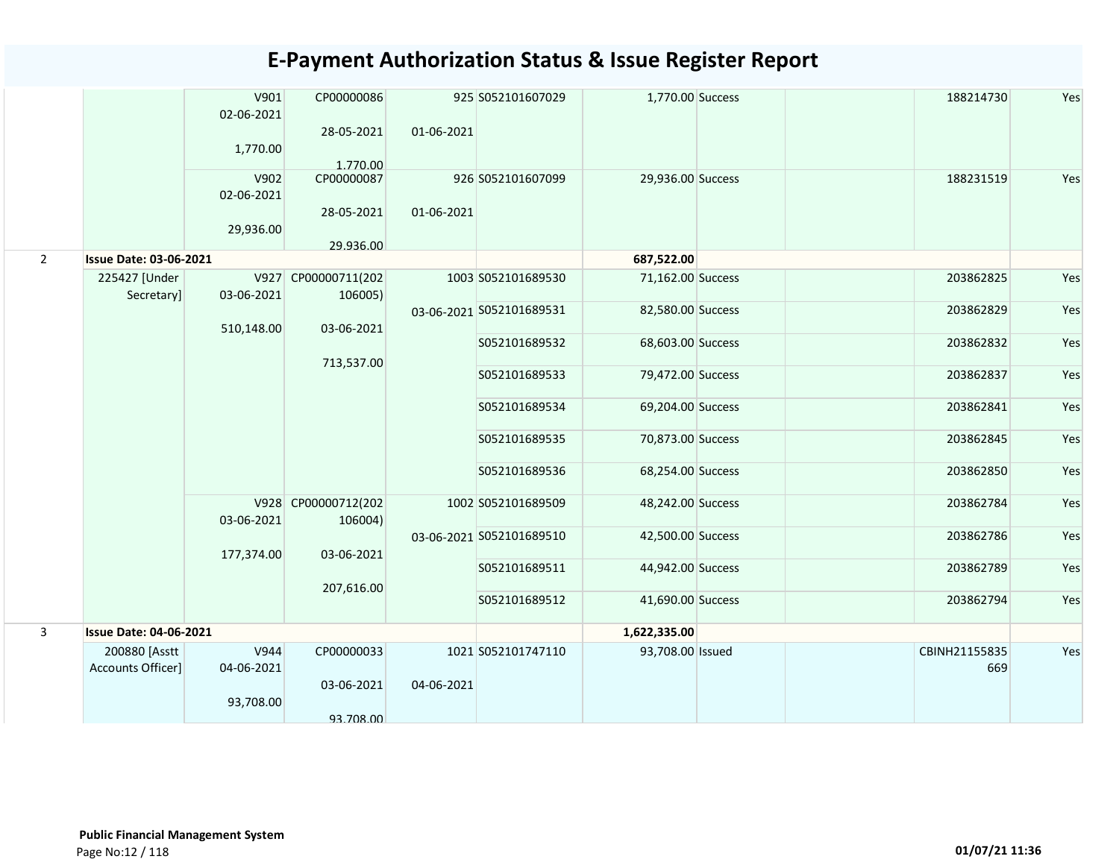|                |                                    | V901<br>02-06-2021 | CP00000086                     |            | 925 S052101607029        | 1,770.00 Success  | 188214730            | Yes |
|----------------|------------------------------------|--------------------|--------------------------------|------------|--------------------------|-------------------|----------------------|-----|
|                |                                    | 1,770.00           | 28-05-2021                     | 01-06-2021 |                          |                   |                      |     |
|                |                                    | V902<br>02-06-2021 | 1.770.00<br>CP00000087         |            | 926 S052101607099        | 29,936.00 Success | 188231519            | Yes |
|                |                                    | 29,936.00          | 28-05-2021                     | 01-06-2021 |                          |                   |                      |     |
| $\overline{2}$ | <b>Issue Date: 03-06-2021</b>      |                    | 29.936.00                      |            |                          | 687,522.00        |                      |     |
|                | 225427 [Under<br>Secretary]        | 03-06-2021         | V927 CP00000711(202<br>106005) |            | 1003 S052101689530       | 71,162.00 Success | 203862825            | Yes |
|                |                                    | 510,148.00         | 03-06-2021                     |            | 03-06-2021 S052101689531 | 82,580.00 Success | 203862829            | Yes |
|                |                                    |                    | 713,537.00                     |            | S052101689532            | 68,603.00 Success | 203862832            | Yes |
|                |                                    |                    |                                |            | S052101689533            | 79,472.00 Success | 203862837            | Yes |
|                |                                    |                    |                                |            | S052101689534            | 69,204.00 Success | 203862841            | Yes |
|                |                                    |                    |                                |            | S052101689535            | 70,873.00 Success | 203862845            | Yes |
|                |                                    |                    |                                |            | S052101689536            | 68,254.00 Success | 203862850            | Yes |
|                |                                    | 03-06-2021         | V928 CP00000712(202<br>106004) |            | 1002 S052101689509       | 48,242.00 Success | 203862784            | Yes |
|                |                                    | 177,374.00         | 03-06-2021                     |            | 03-06-2021 S052101689510 | 42,500.00 Success | 203862786            | Yes |
|                |                                    |                    | 207,616.00                     |            | S052101689511            | 44,942.00 Success | 203862789            | Yes |
|                |                                    |                    |                                |            | S052101689512            | 41,690.00 Success | 203862794            | Yes |
| $\overline{3}$ | <b>Issue Date: 04-06-2021</b>      |                    |                                |            |                          | 1,622,335.00      |                      |     |
|                | 200880 [Asstt<br>Accounts Officer] | V944<br>04-06-2021 | CP00000033                     |            | 1021 S052101747110       | 93,708.00 Issued  | CBINH21155835<br>669 | Yes |
|                |                                    | 93,708.00          | 03-06-2021                     | 04-06-2021 |                          |                   |                      |     |
|                |                                    |                    | 93.708.00                      |            |                          |                   |                      |     |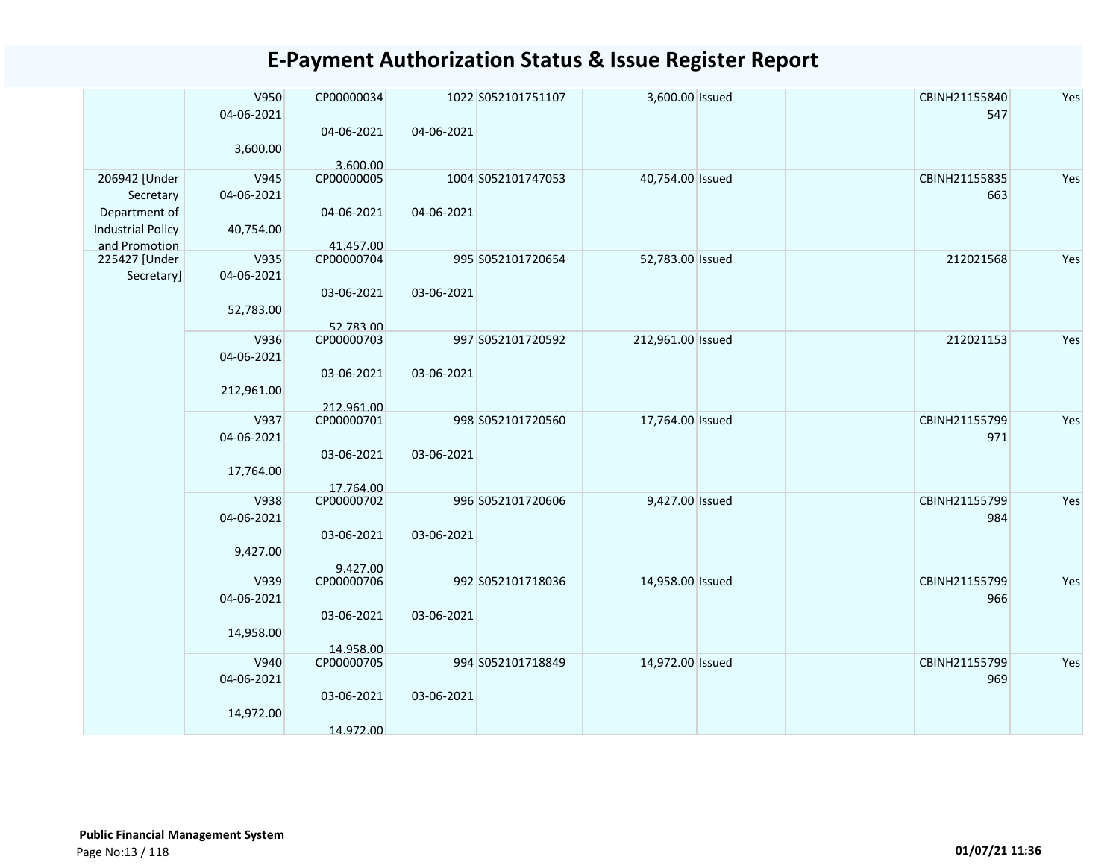| 3,600.00<br>3.600.00<br>206942 [Under<br>V945<br>CP00000005<br>1004 S052101747053<br>40,754.00 Issued<br>CBINH21155835<br>Yes<br>04-06-2021<br>663<br>Secretary<br>Department of<br>04-06-2021<br>04-06-2021<br><b>Industrial Policy</b><br>40,754.00<br>and Promotion<br>41.457.00<br>V935<br>CP00000704<br>52,783.00 Issued<br>212021568<br>225427 [Under<br>995 S052101720654<br>04-06-2021<br>Secretary]<br>03-06-2021<br>03-06-2021<br>52,783.00 | V950<br>04-06-2021 | CP00000034 |            | 1022 S052101751107 | 3,600.00 Issued | CBINH21155840<br>547 | Yes |
|-------------------------------------------------------------------------------------------------------------------------------------------------------------------------------------------------------------------------------------------------------------------------------------------------------------------------------------------------------------------------------------------------------------------------------------------------------|--------------------|------------|------------|--------------------|-----------------|----------------------|-----|
|                                                                                                                                                                                                                                                                                                                                                                                                                                                       |                    | 04-06-2021 | 04-06-2021 |                    |                 |                      |     |
|                                                                                                                                                                                                                                                                                                                                                                                                                                                       |                    |            |            |                    |                 |                      |     |
|                                                                                                                                                                                                                                                                                                                                                                                                                                                       |                    |            |            |                    |                 |                      |     |
|                                                                                                                                                                                                                                                                                                                                                                                                                                                       |                    |            |            |                    |                 |                      |     |
|                                                                                                                                                                                                                                                                                                                                                                                                                                                       |                    |            |            |                    |                 |                      |     |
|                                                                                                                                                                                                                                                                                                                                                                                                                                                       |                    |            |            |                    |                 |                      |     |
|                                                                                                                                                                                                                                                                                                                                                                                                                                                       |                    |            |            |                    |                 |                      | Yes |
|                                                                                                                                                                                                                                                                                                                                                                                                                                                       |                    |            |            |                    |                 |                      |     |
|                                                                                                                                                                                                                                                                                                                                                                                                                                                       |                    |            |            |                    |                 |                      |     |
|                                                                                                                                                                                                                                                                                                                                                                                                                                                       |                    |            |            |                    |                 |                      |     |
|                                                                                                                                                                                                                                                                                                                                                                                                                                                       |                    | 52.783.00  |            |                    |                 |                      |     |
| V936<br>CP00000703<br>997 S052101720592<br>212,961.00 Issued<br>212021153                                                                                                                                                                                                                                                                                                                                                                             |                    |            |            |                    |                 |                      | Yes |
| 04-06-2021                                                                                                                                                                                                                                                                                                                                                                                                                                            |                    |            |            |                    |                 |                      |     |
| 03-06-2021<br>03-06-2021                                                                                                                                                                                                                                                                                                                                                                                                                              |                    |            |            |                    |                 |                      |     |
| 212,961.00                                                                                                                                                                                                                                                                                                                                                                                                                                            |                    |            |            |                    |                 |                      |     |
| 212.961.00<br>V937<br>CP00000701<br>998 S052101720560<br>17,764.00 Issued<br>CBINH21155799                                                                                                                                                                                                                                                                                                                                                            |                    |            |            |                    |                 |                      | Yes |
| 04-06-2021<br>971                                                                                                                                                                                                                                                                                                                                                                                                                                     |                    |            |            |                    |                 |                      |     |
| 03-06-2021<br>03-06-2021                                                                                                                                                                                                                                                                                                                                                                                                                              |                    |            |            |                    |                 |                      |     |
| 17,764.00                                                                                                                                                                                                                                                                                                                                                                                                                                             |                    |            |            |                    |                 |                      |     |
| 17.764.00                                                                                                                                                                                                                                                                                                                                                                                                                                             |                    |            |            |                    |                 |                      |     |
| V938<br>CP00000702<br>CBINH21155799<br>996 S052101720606<br>9,427.00 Issued                                                                                                                                                                                                                                                                                                                                                                           |                    |            |            |                    |                 |                      | Yes |
| 04-06-2021<br>984                                                                                                                                                                                                                                                                                                                                                                                                                                     |                    |            |            |                    |                 |                      |     |
| 03-06-2021<br>03-06-2021                                                                                                                                                                                                                                                                                                                                                                                                                              |                    |            |            |                    |                 |                      |     |
| 9,427.00                                                                                                                                                                                                                                                                                                                                                                                                                                              |                    |            |            |                    |                 |                      |     |
| 9.427.00                                                                                                                                                                                                                                                                                                                                                                                                                                              |                    |            |            |                    |                 |                      |     |
| 992 S052101718036<br>CBINH21155799<br>V939<br>CP00000706<br>14,958.00 Issued                                                                                                                                                                                                                                                                                                                                                                          |                    |            |            |                    |                 |                      | Yes |
| 04-06-2021<br>966                                                                                                                                                                                                                                                                                                                                                                                                                                     |                    |            |            |                    |                 |                      |     |
| 03-06-2021<br>03-06-2021                                                                                                                                                                                                                                                                                                                                                                                                                              |                    |            |            |                    |                 |                      |     |
| 14,958.00                                                                                                                                                                                                                                                                                                                                                                                                                                             |                    |            |            |                    |                 |                      |     |
| 14.958.00<br>CBINH21155799<br>V940<br>CP00000705<br>994 S052101718849<br>14,972.00 Issued                                                                                                                                                                                                                                                                                                                                                             |                    |            |            |                    |                 |                      | Yes |
| 04-06-2021<br>969                                                                                                                                                                                                                                                                                                                                                                                                                                     |                    |            |            |                    |                 |                      |     |
| 03-06-2021<br>03-06-2021                                                                                                                                                                                                                                                                                                                                                                                                                              |                    |            |            |                    |                 |                      |     |
| 14,972.00                                                                                                                                                                                                                                                                                                                                                                                                                                             |                    |            |            |                    |                 |                      |     |
| 14.972.00                                                                                                                                                                                                                                                                                                                                                                                                                                             |                    |            |            |                    |                 |                      |     |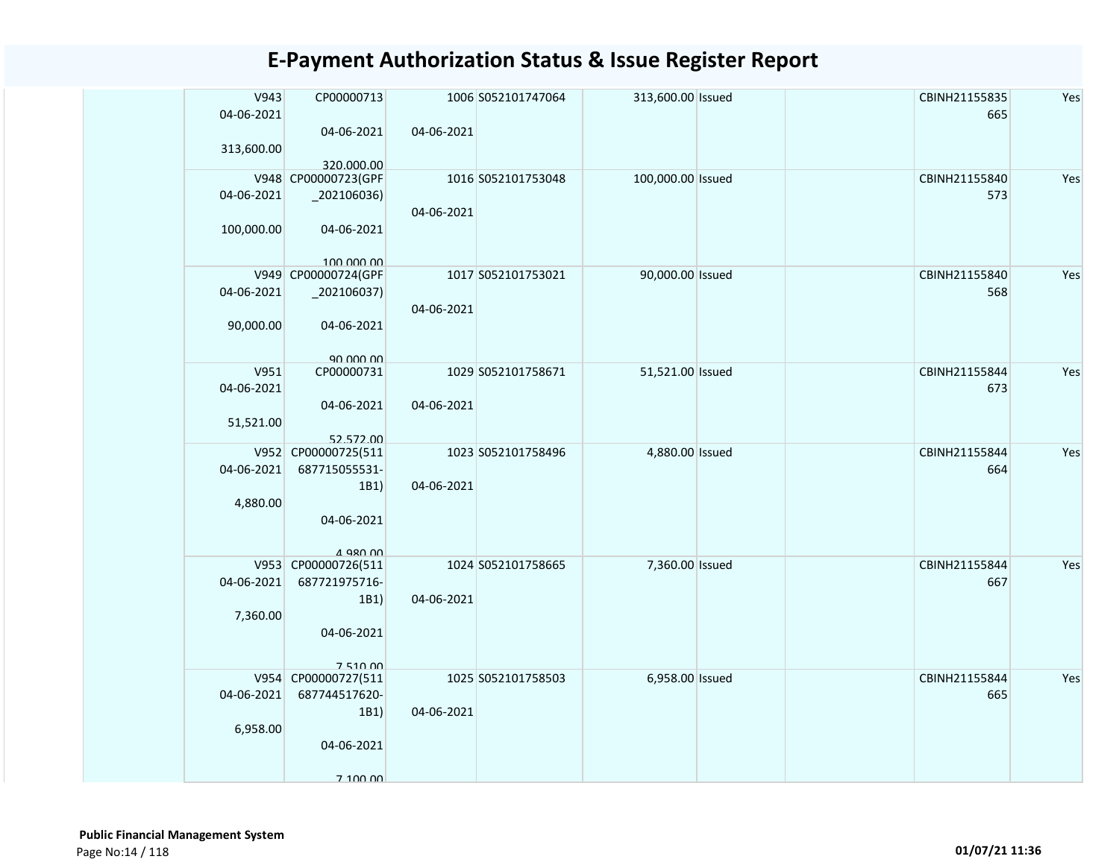| V943<br>04-06-2021<br>313,600.00 | CP00000713<br>04-06-2021                                                             | 04-06-2021 | 1006 S052101747064 | 313,600.00 Issued |  | CBINH21155835<br>665 | Yes |
|----------------------------------|--------------------------------------------------------------------------------------|------------|--------------------|-------------------|--|----------------------|-----|
| 04-06-2021                       | 320.000.00<br>V948 CP00000723(GPF<br>$_2$ 02106036)                                  | 04-06-2021 | 1016 S052101753048 | 100,000.00 Issued |  | CBINH21155840<br>573 | Yes |
| 100,000.00                       | 04-06-2021<br>100,000,00                                                             |            |                    |                   |  |                      |     |
| 04-06-2021<br>90,000.00          | V949 CP00000724(GPF<br>$_2$ 02106037)<br>04-06-2021                                  | 04-06-2021 | 1017 S052101753021 | 90,000.00 Issued  |  | CBINH21155840<br>568 | Yes |
| V951<br>04-06-2021<br>51,521.00  | 90,000,00<br>CP00000731<br>04-06-2021<br>52.572.00                                   | 04-06-2021 | 1029 S052101758671 | 51,521.00 Issued  |  | CBINH21155844<br>673 | Yes |
| 04-06-2021<br>4,880.00           | V952 CP00000725(511<br>687715055531-<br>1B1)<br>04-06-2021                           | 04-06-2021 | 1023 S052101758496 | 4,880.00 Issued   |  | CBINH21155844<br>664 | Yes |
| 04-06-2021<br>7,360.00           | $4$ 980 00<br>V953 CP00000726(511<br>687721975716-<br>1B1)<br>04-06-2021<br>7 510 00 | 04-06-2021 | 1024 S052101758665 | 7,360.00 Issued   |  | CBINH21155844<br>667 | Yes |
| 04-06-2021<br>6,958.00           | V954 CP00000727(511<br>687744517620-<br>1B1)<br>04-06-2021<br>7 100 00               | 04-06-2021 | 1025 S052101758503 | 6,958.00 Issued   |  | CBINH21155844<br>665 | Yes |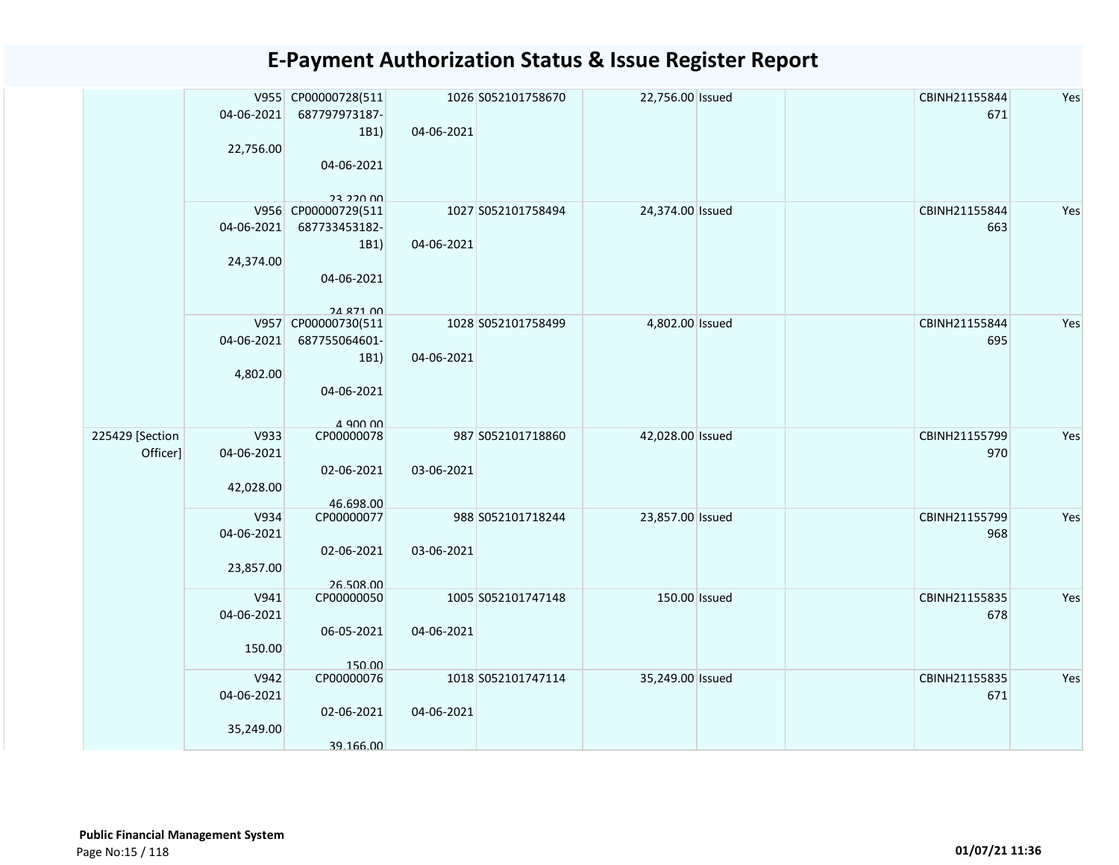|                             | 04-06-2021<br>22,756.00         | V955 CP00000728(511<br>687797973187-<br>1B1)<br>04-06-2021<br>23.220.00        | 04-06-2021 | 1026 S052101758670 | 22,756.00 Issued | CBINH21155844<br>671 | Yes |
|-----------------------------|---------------------------------|--------------------------------------------------------------------------------|------------|--------------------|------------------|----------------------|-----|
|                             | 04-06-2021<br>24,374.00         | V956 CP00000729(511<br>687733453182-<br>1B1)<br>04-06-2021<br><b>24 871 00</b> | 04-06-2021 | 1027 S052101758494 | 24,374.00 Issued | CBINH21155844<br>663 | Yes |
|                             | 04-06-2021<br>4,802.00          | V957 CP00000730(511<br>687755064601-<br>1B1)<br>04-06-2021<br>$A$ ann nn       | 04-06-2021 | 1028 S052101758499 | 4,802.00 Issued  | CBINH21155844<br>695 | Yes |
| 225429 [Section<br>Officer] | V933<br>04-06-2021<br>42,028.00 | CP00000078<br>02-06-2021<br>46.698.00                                          | 03-06-2021 | 987 S052101718860  | 42,028.00 Issued | CBINH21155799<br>970 | Yes |
|                             | V934<br>04-06-2021<br>23,857.00 | CP00000077<br>02-06-2021<br>26.508.00                                          | 03-06-2021 | 988 S052101718244  | 23,857.00 Issued | CBINH21155799<br>968 | Yes |
|                             | V941<br>04-06-2021<br>150.00    | CP00000050<br>06-05-2021<br>150.00                                             | 04-06-2021 | 1005 S052101747148 | 150.00 Issued    | CBINH21155835<br>678 | Yes |
|                             | V942<br>04-06-2021<br>35,249.00 | CP00000076<br>02-06-2021<br>39.166.00                                          | 04-06-2021 | 1018 S052101747114 | 35,249.00 Issued | CBINH21155835<br>671 | Yes |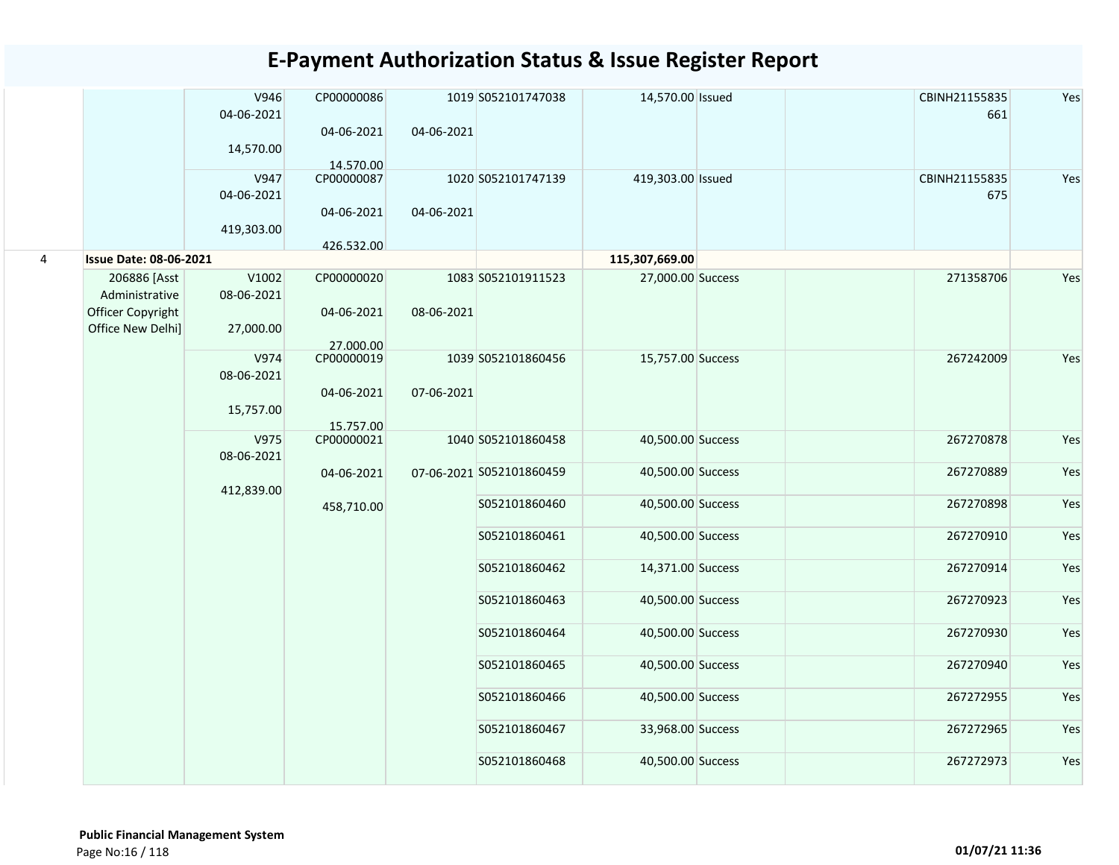|   |                                        | V946<br>04-06-2021<br>14,570.00  | CP00000086<br>04-06-2021              | 04-06-2021 | 1019 S052101747038       | 14,570.00 Issued  |  | CBINH21155835<br>661 | Yes |
|---|----------------------------------------|----------------------------------|---------------------------------------|------------|--------------------------|-------------------|--|----------------------|-----|
|   |                                        | V947<br>04-06-2021<br>419,303.00 | 14.570.00<br>CP00000087<br>04-06-2021 | 04-06-2021 | 1020 S052101747139       | 419,303.00 Issued |  | CBINH21155835<br>675 | Yes |
|   |                                        |                                  | 426.532.00                            |            |                          |                   |  |                      |     |
| 4 | <b>Issue Date: 08-06-2021</b>          |                                  |                                       |            |                          | 115,307,669.00    |  |                      |     |
|   | 206886 [Asst<br>Administrative         | V1002<br>08-06-2021              | CP00000020                            |            | 1083 S052101911523       | 27,000.00 Success |  | 271358706            | Yes |
|   | Officer Copyright<br>Office New Delhi] | 27,000.00                        | 04-06-2021<br>27.000.00               | 08-06-2021 |                          |                   |  |                      |     |
|   |                                        | V974<br>08-06-2021               | CP00000019<br>04-06-2021              | 07-06-2021 | 1039 S052101860456       | 15,757.00 Success |  | 267242009            | Yes |
|   |                                        | 15,757.00                        | 15.757.00                             |            |                          |                   |  |                      |     |
|   |                                        | V975<br>08-06-2021               | CP00000021                            |            | 1040 S052101860458       | 40,500.00 Success |  | 267270878            | Yes |
|   |                                        | 412,839.00                       | 04-06-2021                            |            | 07-06-2021 S052101860459 | 40,500.00 Success |  | 267270889            | Yes |
|   |                                        |                                  | 458,710.00                            |            | S052101860460            | 40,500.00 Success |  | 267270898            | Yes |
|   |                                        |                                  |                                       |            | S052101860461            | 40,500.00 Success |  | 267270910            | Yes |
|   |                                        |                                  |                                       |            | S052101860462            | 14,371.00 Success |  | 267270914            | Yes |
|   |                                        |                                  |                                       |            | S052101860463            | 40,500.00 Success |  | 267270923            | Yes |
|   |                                        |                                  |                                       |            | S052101860464            | 40,500.00 Success |  | 267270930            | Yes |
|   |                                        |                                  |                                       |            | S052101860465            | 40,500.00 Success |  | 267270940            | Yes |
|   |                                        |                                  |                                       |            | S052101860466            | 40,500.00 Success |  | 267272955            | Yes |
|   |                                        |                                  |                                       |            | S052101860467            | 33,968.00 Success |  | 267272965            | Yes |
|   |                                        |                                  |                                       |            | S052101860468            | 40,500.00 Success |  | 267272973            | Yes |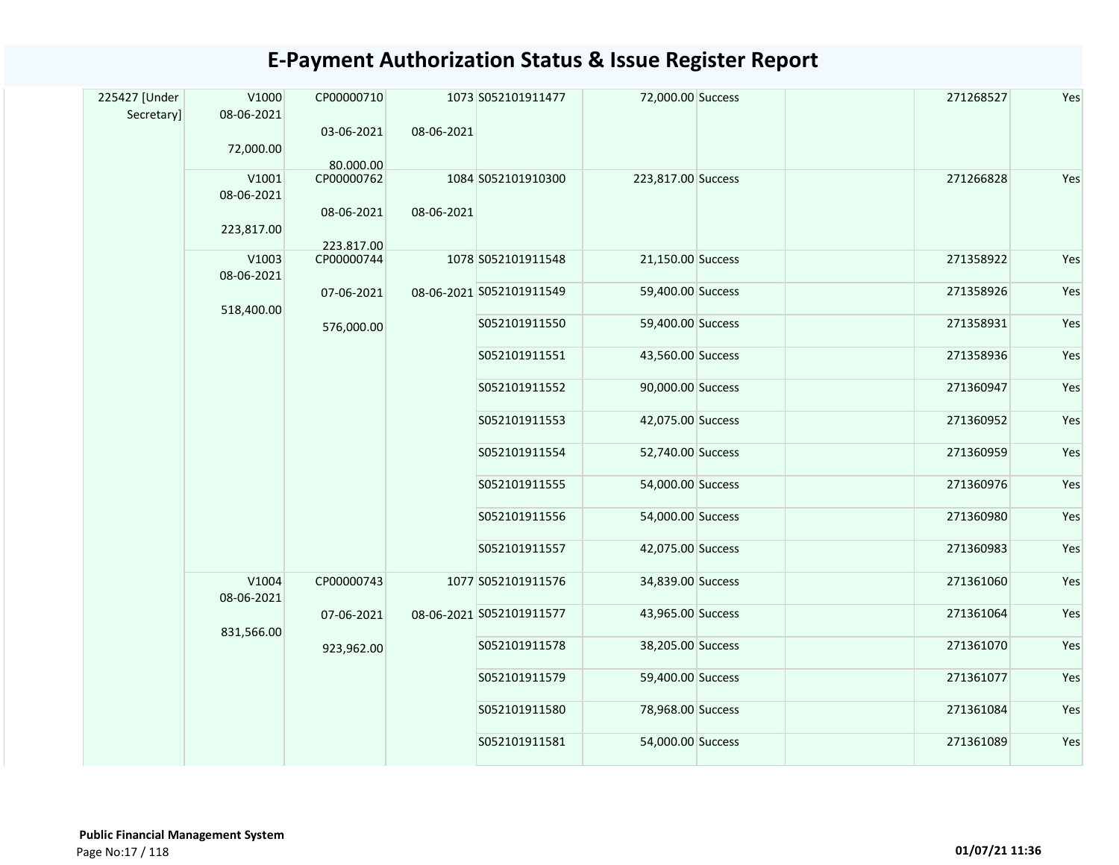| 225427 [Under<br>Secretary] | V1000<br>08-06-2021 | CP00000710               |            | 1073 S052101911477       | 72,000.00 Success  | 271268527 | Yes |
|-----------------------------|---------------------|--------------------------|------------|--------------------------|--------------------|-----------|-----|
|                             | 72,000.00           | 03-06-2021<br>80.000.00  | 08-06-2021 |                          |                    |           |     |
|                             | V1001<br>08-06-2021 | CP00000762               |            | 1084 S052101910300       | 223,817.00 Success | 271266828 | Yes |
|                             | 223,817.00          | 08-06-2021<br>223.817.00 | 08-06-2021 |                          |                    |           |     |
|                             | V1003<br>08-06-2021 | CP00000744               |            | 1078 S052101911548       | 21,150.00 Success  | 271358922 | Yes |
|                             | 518,400.00          | 07-06-2021               |            | 08-06-2021 S052101911549 | 59,400.00 Success  | 271358926 | Yes |
|                             |                     | 576,000.00               |            | S052101911550            | 59,400.00 Success  | 271358931 | Yes |
|                             |                     |                          |            | S052101911551            | 43,560.00 Success  | 271358936 | Yes |
|                             |                     |                          |            | S052101911552            | 90,000.00 Success  | 271360947 | Yes |
|                             |                     |                          |            | S052101911553            | 42,075.00 Success  | 271360952 | Yes |
|                             |                     |                          |            | S052101911554            | 52,740.00 Success  | 271360959 | Yes |
|                             |                     |                          |            | S052101911555            | 54,000.00 Success  | 271360976 | Yes |
|                             |                     |                          |            | S052101911556            | 54,000.00 Success  | 271360980 | Yes |
|                             |                     |                          |            | S052101911557            | 42,075.00 Success  | 271360983 | Yes |
|                             | V1004<br>08-06-2021 | CP00000743               |            | 1077 S052101911576       | 34,839.00 Success  | 271361060 | Yes |
|                             | 831,566.00          | 07-06-2021               |            | 08-06-2021 S052101911577 | 43,965.00 Success  | 271361064 | Yes |
|                             |                     | 923,962.00               |            | S052101911578            | 38,205.00 Success  | 271361070 | Yes |
|                             |                     |                          |            | S052101911579            | 59,400.00 Success  | 271361077 | Yes |
|                             |                     |                          |            | S052101911580            | 78,968.00 Success  | 271361084 | Yes |
|                             |                     |                          |            | S052101911581            | 54,000.00 Success  | 271361089 | Yes |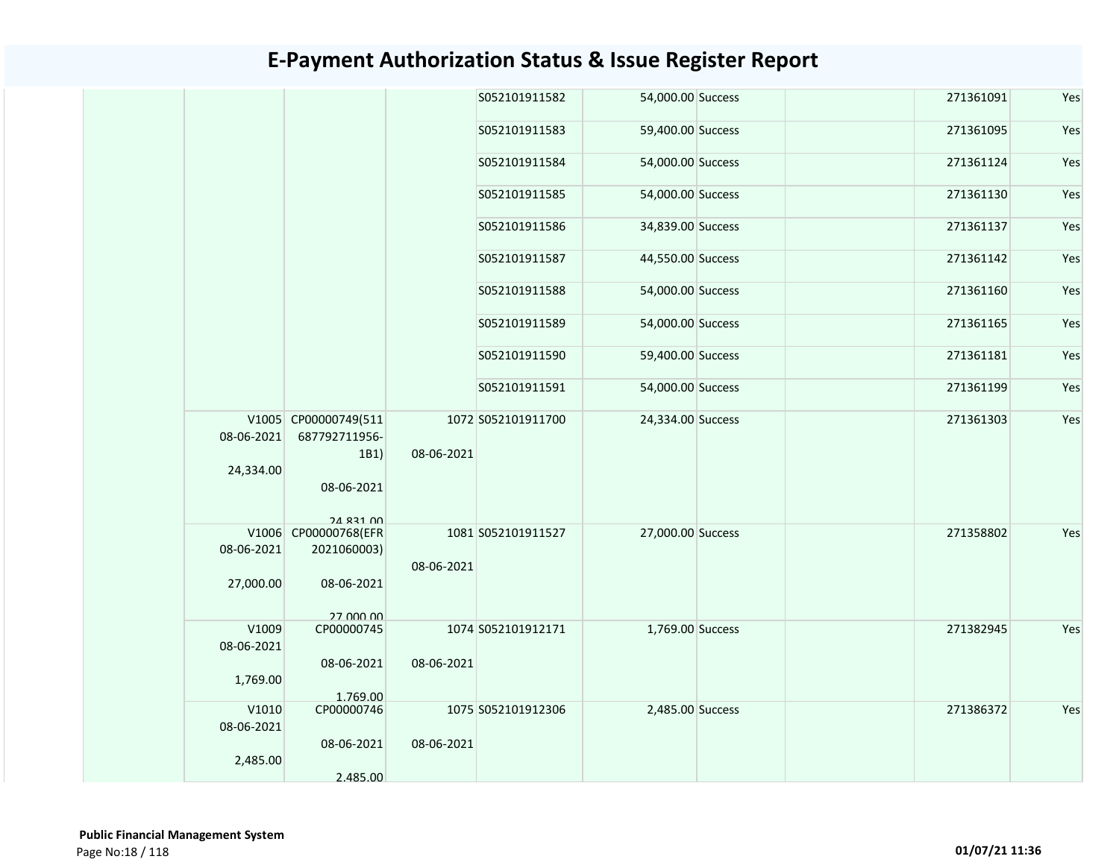|  |                     |                                               |            | S052101911582      | 54,000.00 Success |  | 271361091 | Yes |
|--|---------------------|-----------------------------------------------|------------|--------------------|-------------------|--|-----------|-----|
|  |                     |                                               |            | S052101911583      | 59,400.00 Success |  | 271361095 | Yes |
|  |                     |                                               |            | S052101911584      | 54,000.00 Success |  | 271361124 | Yes |
|  |                     |                                               |            | S052101911585      | 54,000.00 Success |  | 271361130 | Yes |
|  |                     |                                               |            | S052101911586      | 34,839.00 Success |  | 271361137 | Yes |
|  |                     |                                               |            | S052101911587      | 44,550.00 Success |  | 271361142 | Yes |
|  |                     |                                               |            | S052101911588      | 54,000.00 Success |  | 271361160 | Yes |
|  |                     |                                               |            | S052101911589      | 54,000.00 Success |  | 271361165 | Yes |
|  |                     |                                               |            | S052101911590      | 59,400.00 Success |  | 271361181 | Yes |
|  |                     |                                               |            | S052101911591      | 54,000.00 Success |  | 271361199 | Yes |
|  | 08-06-2021          | V1005 CP00000749(511<br>687792711956-<br>1B1) | 08-06-2021 | 1072 S052101911700 | 24,334.00 Success |  | 271361303 | Yes |
|  | 24,334.00           | 08-06-2021                                    |            |                    |                   |  |           |     |
|  |                     | 24 831 00                                     |            |                    |                   |  |           |     |
|  | 08-06-2021          | V1006 CP00000768(EFR<br>2021060003)           |            | 1081 S052101911527 | 27,000.00 Success |  | 271358802 | Yes |
|  | 27,000.00           | 08-06-2021                                    | 08-06-2021 |                    |                   |  |           |     |
|  |                     | 27 000 00                                     |            |                    |                   |  |           |     |
|  | V1009<br>08-06-2021 | CP00000745                                    |            | 1074 S052101912171 | 1,769.00 Success  |  | 271382945 | Yes |
|  | 1,769.00            | 08-06-2021                                    | 08-06-2021 |                    |                   |  |           |     |
|  |                     | 1.769.00                                      |            |                    |                   |  |           |     |
|  | V1010<br>08-06-2021 | CP00000746                                    |            | 1075 S052101912306 | 2,485.00 Success  |  | 271386372 | Yes |
|  |                     | 08-06-2021                                    | 08-06-2021 |                    |                   |  |           |     |
|  | 2,485.00            |                                               |            |                    |                   |  |           |     |
|  |                     | 2.485.00                                      |            |                    |                   |  |           |     |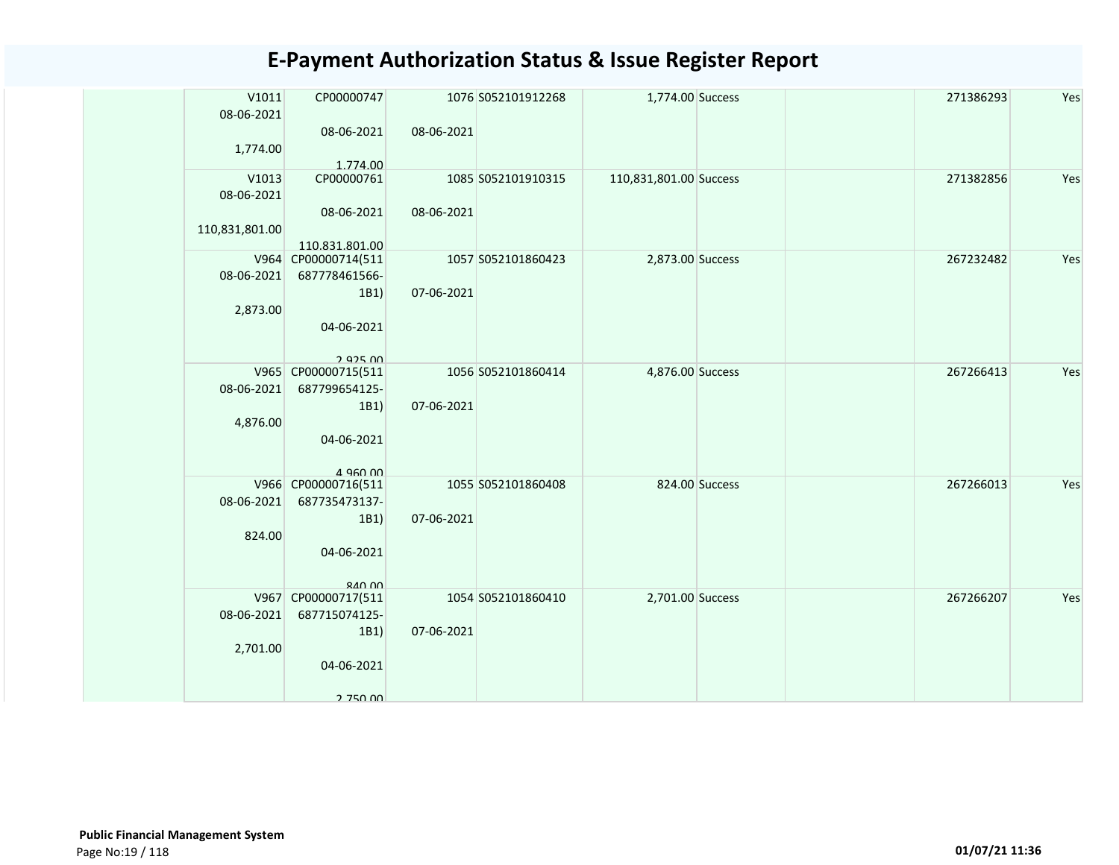| V1011<br>08-06-2021    | CP00000747                                 |            | 1076 S052101912268 | 1,774.00 Success       |                | 271386293 | Yes |
|------------------------|--------------------------------------------|------------|--------------------|------------------------|----------------|-----------|-----|
| 1,774.00               | 08-06-2021<br>1.774.00                     | 08-06-2021 |                    |                        |                |           |     |
| V1013<br>08-06-2021    | CP00000761<br>08-06-2021                   | 08-06-2021 | 1085 S052101910315 | 110,831,801.00 Success |                | 271382856 | Yes |
| 110,831,801.00         | 110.831.801.00                             |            |                    |                        |                |           |     |
| 08-06-2021             | V964 CP00000714(511<br>687778461566-       |            | 1057 S052101860423 | 2,873.00 Success       |                | 267232482 | Yes |
| 2,873.00               | 1B1<br>04-06-2021<br>292500                | 07-06-2021 |                    |                        |                |           |     |
| 08-06-2021             | V965 CP00000715(511<br>687799654125-       |            | 1056 S052101860414 | 4,876.00 Success       |                | 267266413 | Yes |
| 4,876.00               | 1B1<br>04-06-2021<br>$4$ 960 00            | 07-06-2021 |                    |                        |                |           |     |
| 08-06-2021             | V966 CP00000716(511<br>687735473137-       |            | 1055 S052101860408 |                        | 824.00 Success | 267266013 | Yes |
| 824.00                 | 1B1<br>04-06-2021<br>$R$ <sub>40</sub> $n$ | 07-06-2021 |                    |                        |                |           |     |
|                        | V967 CP00000717(511                        |            | 1054 S052101860410 | 2,701.00 Success       |                | 267266207 | Yes |
| 08-06-2021<br>2,701.00 | 687715074125-<br>1B1                       | 07-06-2021 |                    |                        |                |           |     |
|                        | 04-06-2021<br>2 750 00                     |            |                    |                        |                |           |     |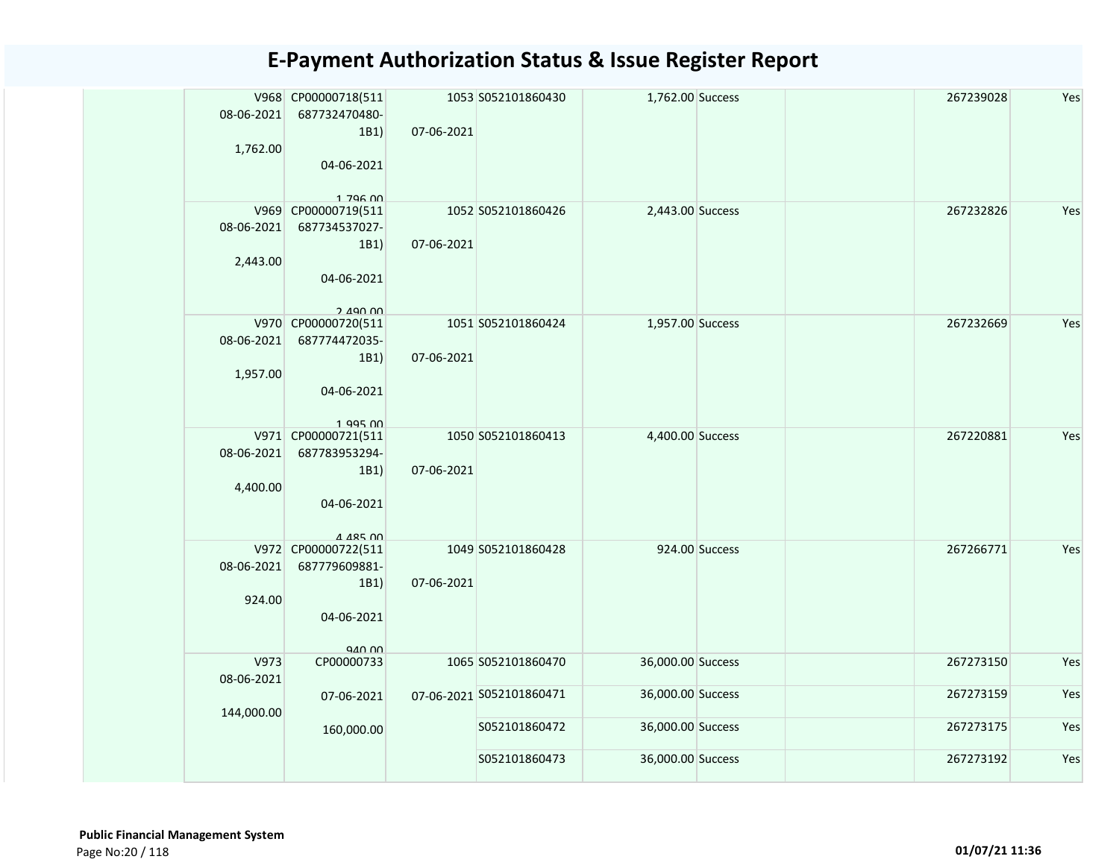| 08-06-2021<br>1,762.00 | V968 CP00000718(511<br>687732470480-<br>1B1)<br>04-06-2021<br>$1.796$ $00$ | 07-06-2021 | 1053 S052101860430       | 1,762.00 Success  |                | 267239028 | Yes |
|------------------------|----------------------------------------------------------------------------|------------|--------------------------|-------------------|----------------|-----------|-----|
| 08-06-2021<br>2,443.00 | V969 CP00000719(511<br>687734537027-<br>1B1)<br>04-06-2021<br>2.490.00     | 07-06-2021 | 1052 S052101860426       | 2,443.00 Success  |                | 267232826 | Yes |
| 08-06-2021<br>1,957.00 | V970 CP00000720(511<br>687774472035-<br>1B1)<br>04-06-2021<br>$1$ QQ5 $n$  | 07-06-2021 | 1051 S052101860424       | 1,957.00 Success  |                | 267232669 | Yes |
| 08-06-2021<br>4,400.00 | V971 CP00000721(511<br>687783953294-<br>1B1)<br>04-06-2021<br>A AR5 00     | 07-06-2021 | 1050 S052101860413       | 4,400.00 Success  |                | 267220881 | Yes |
| 08-06-2021<br>924.00   | V972 CP00000722(511<br>687779609881-<br>1B1)<br>04-06-2021<br>940.00       | 07-06-2021 | 1049 S052101860428       |                   | 924.00 Success | 267266771 | Yes |
| V973<br>08-06-2021     | CP00000733                                                                 |            | 1065 S052101860470       | 36,000.00 Success |                | 267273150 | Yes |
| 144,000.00             | 07-06-2021                                                                 |            | 07-06-2021 S052101860471 | 36,000.00 Success |                | 267273159 | Yes |
|                        | 160,000.00                                                                 |            | S052101860472            | 36,000.00 Success |                | 267273175 | Yes |
|                        |                                                                            |            | S052101860473            | 36,000.00 Success |                | 267273192 | Yes |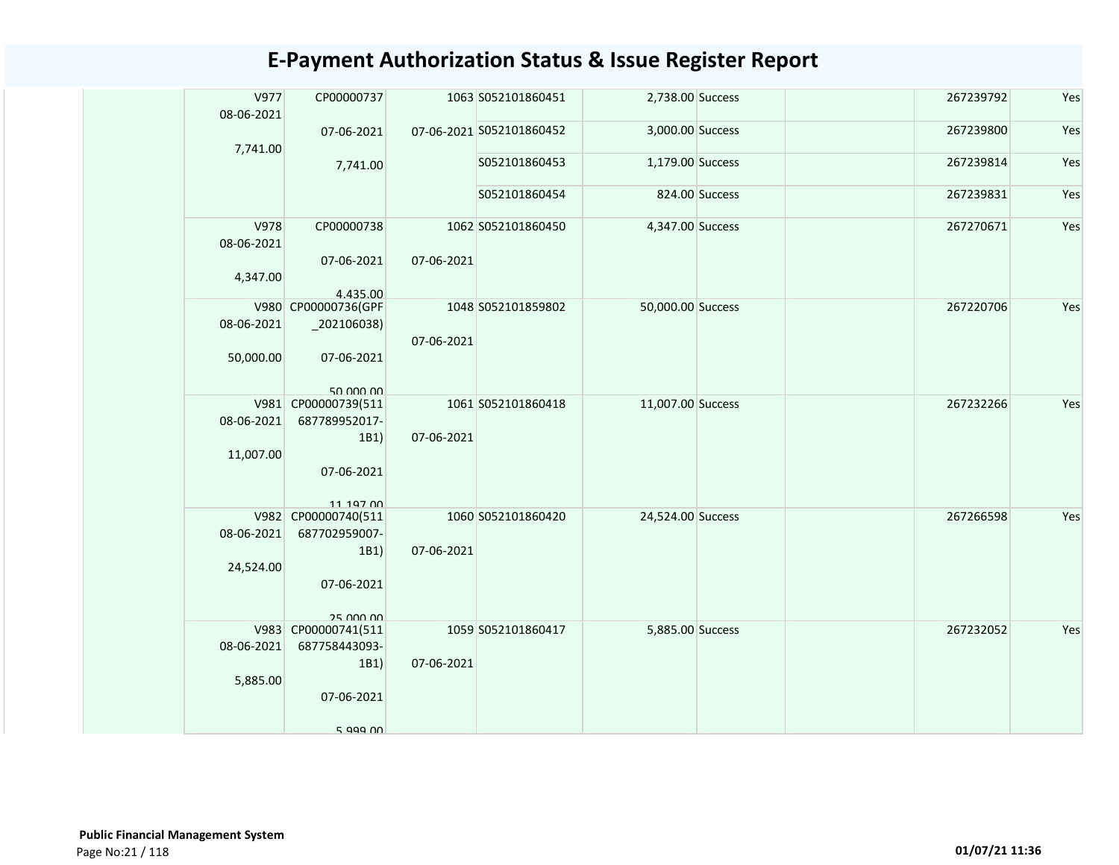| V977<br>08-06-2021      | CP00000737                                       |            | 1063 S052101860451       | 2,738.00 Success  |                | 267239792 | Yes |
|-------------------------|--------------------------------------------------|------------|--------------------------|-------------------|----------------|-----------|-----|
| 7,741.00                | 07-06-2021                                       |            | 07-06-2021 S052101860452 | 3,000.00 Success  |                | 267239800 | Yes |
|                         | 7,741.00                                         |            | S052101860453            | 1,179.00 Success  |                | 267239814 | Yes |
|                         |                                                  |            | S052101860454            |                   | 824.00 Success | 267239831 | Yes |
| V978<br>08-06-2021      | CP00000738                                       |            | 1062 S052101860450       | 4,347.00 Success  |                | 267270671 | Yes |
| 4,347.00                | 07-06-2021<br>4.435.00                           | 07-06-2021 |                          |                   |                |           |     |
| 08-06-2021              | V980 CP00000736(GPF<br>$_2$ 02106038)            |            | 1048 S052101859802       | 50,000.00 Success |                | 267220706 | Yes |
| 50,000.00               | 07-06-2021                                       | 07-06-2021 |                          |                   |                |           |     |
|                         | 50.000.00<br>V981 CP00000739(511                 |            | 1061 S052101860418       | 11,007.00 Success |                | 267232266 | Yes |
| 08-06-2021<br>11,007.00 | 687789952017-<br>1B1)<br>07-06-2021              | 07-06-2021 |                          |                   |                |           |     |
|                         | 11 197 00<br>V982 CP00000740(511                 |            | 1060 S052101860420       | 24,524.00 Success |                | 267266598 | Yes |
| 08-06-2021<br>24,524.00 | 687702959007-<br>1B1)<br>07-06-2021<br>25 000 00 | 07-06-2021 |                          |                   |                |           |     |
|                         | V983 CP00000741(511                              |            | 1059 S052101860417       | 5,885.00 Success  |                | 267232052 | Yes |
| 08-06-2021<br>5,885.00  | 687758443093-<br>1B1)                            | 07-06-2021 |                          |                   |                |           |     |
|                         | 07-06-2021                                       |            |                          |                   |                |           |     |
|                         | $5$ agg $0$                                      |            |                          |                   |                |           |     |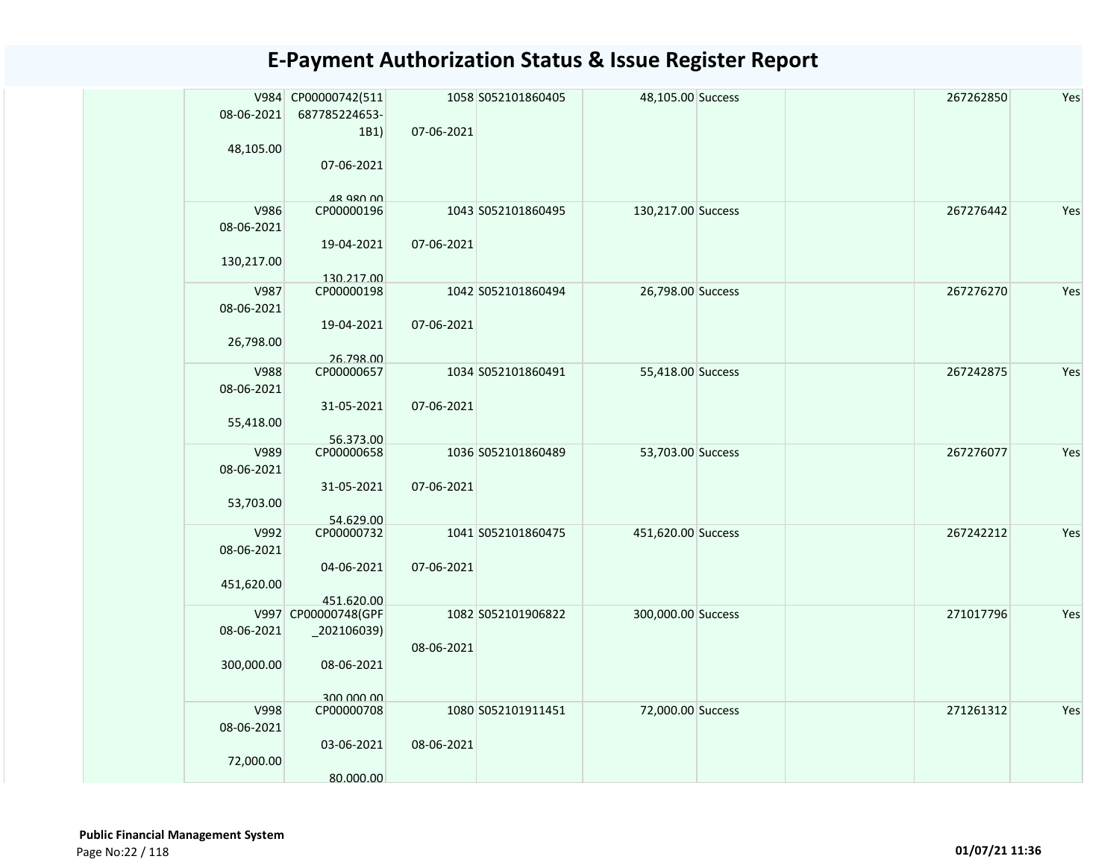| 08-06-2021<br>687785224653-<br>07-06-2021<br>1B1)<br>48,105.00<br>07-06-2021<br>18 QRN 00<br>V986<br>CP00000196<br>130,217.00 Success<br>267276442<br>Yes<br>1043 S052101860495<br>08-06-2021<br>19-04-2021<br>07-06-2021<br>130,217.00<br>130.217.00<br>V987<br>CP00000198<br>1042 S052101860494<br>26,798.00 Success<br>267276270<br>Yes<br>08-06-2021<br>07-06-2021<br>19-04-2021<br>26,798.00<br>26.798.00<br><b>V988</b><br>CP00000657<br>1034 S052101860491<br>55,418.00 Success<br>267242875<br>Yes<br>08-06-2021<br>31-05-2021<br>07-06-2021<br>55,418.00<br>56.373.00<br>CP00000658<br>267276077<br>Yes<br>V989<br>1036 S052101860489<br>53,703.00 Success<br>08-06-2021<br>31-05-2021<br>07-06-2021<br>53,703.00<br>54.629.00<br>V992<br>CP00000732<br>1041 S052101860475<br>451,620.00 Success<br>267242212<br>Yes<br>08-06-2021<br>04-06-2021<br>07-06-2021<br>451,620.00<br>451.620.00<br>V997 CP00000748(GPF<br>1082 S052101906822<br>300,000.00 Success<br>271017796<br>Yes<br>08-06-2021<br>_202106039)<br>08-06-2021 |  | V984 CP00000742(511 | 1058 S052101860405 | 48,105.00 Success |  | 267262850 | Yes |
|---------------------------------------------------------------------------------------------------------------------------------------------------------------------------------------------------------------------------------------------------------------------------------------------------------------------------------------------------------------------------------------------------------------------------------------------------------------------------------------------------------------------------------------------------------------------------------------------------------------------------------------------------------------------------------------------------------------------------------------------------------------------------------------------------------------------------------------------------------------------------------------------------------------------------------------------------------------------------------------------------------------------------------------|--|---------------------|--------------------|-------------------|--|-----------|-----|
|                                                                                                                                                                                                                                                                                                                                                                                                                                                                                                                                                                                                                                                                                                                                                                                                                                                                                                                                                                                                                                       |  |                     |                    |                   |  |           |     |
|                                                                                                                                                                                                                                                                                                                                                                                                                                                                                                                                                                                                                                                                                                                                                                                                                                                                                                                                                                                                                                       |  |                     |                    |                   |  |           |     |
|                                                                                                                                                                                                                                                                                                                                                                                                                                                                                                                                                                                                                                                                                                                                                                                                                                                                                                                                                                                                                                       |  |                     |                    |                   |  |           |     |
|                                                                                                                                                                                                                                                                                                                                                                                                                                                                                                                                                                                                                                                                                                                                                                                                                                                                                                                                                                                                                                       |  |                     |                    |                   |  |           |     |
|                                                                                                                                                                                                                                                                                                                                                                                                                                                                                                                                                                                                                                                                                                                                                                                                                                                                                                                                                                                                                                       |  |                     |                    |                   |  |           |     |
|                                                                                                                                                                                                                                                                                                                                                                                                                                                                                                                                                                                                                                                                                                                                                                                                                                                                                                                                                                                                                                       |  |                     |                    |                   |  |           |     |
|                                                                                                                                                                                                                                                                                                                                                                                                                                                                                                                                                                                                                                                                                                                                                                                                                                                                                                                                                                                                                                       |  |                     |                    |                   |  |           |     |
|                                                                                                                                                                                                                                                                                                                                                                                                                                                                                                                                                                                                                                                                                                                                                                                                                                                                                                                                                                                                                                       |  |                     |                    |                   |  |           |     |
|                                                                                                                                                                                                                                                                                                                                                                                                                                                                                                                                                                                                                                                                                                                                                                                                                                                                                                                                                                                                                                       |  |                     |                    |                   |  |           |     |
|                                                                                                                                                                                                                                                                                                                                                                                                                                                                                                                                                                                                                                                                                                                                                                                                                                                                                                                                                                                                                                       |  |                     |                    |                   |  |           |     |
|                                                                                                                                                                                                                                                                                                                                                                                                                                                                                                                                                                                                                                                                                                                                                                                                                                                                                                                                                                                                                                       |  |                     |                    |                   |  |           |     |
|                                                                                                                                                                                                                                                                                                                                                                                                                                                                                                                                                                                                                                                                                                                                                                                                                                                                                                                                                                                                                                       |  |                     |                    |                   |  |           |     |
|                                                                                                                                                                                                                                                                                                                                                                                                                                                                                                                                                                                                                                                                                                                                                                                                                                                                                                                                                                                                                                       |  |                     |                    |                   |  |           |     |
|                                                                                                                                                                                                                                                                                                                                                                                                                                                                                                                                                                                                                                                                                                                                                                                                                                                                                                                                                                                                                                       |  |                     |                    |                   |  |           |     |
|                                                                                                                                                                                                                                                                                                                                                                                                                                                                                                                                                                                                                                                                                                                                                                                                                                                                                                                                                                                                                                       |  |                     |                    |                   |  |           |     |
|                                                                                                                                                                                                                                                                                                                                                                                                                                                                                                                                                                                                                                                                                                                                                                                                                                                                                                                                                                                                                                       |  |                     |                    |                   |  |           |     |
|                                                                                                                                                                                                                                                                                                                                                                                                                                                                                                                                                                                                                                                                                                                                                                                                                                                                                                                                                                                                                                       |  |                     |                    |                   |  |           |     |
|                                                                                                                                                                                                                                                                                                                                                                                                                                                                                                                                                                                                                                                                                                                                                                                                                                                                                                                                                                                                                                       |  |                     |                    |                   |  |           |     |
|                                                                                                                                                                                                                                                                                                                                                                                                                                                                                                                                                                                                                                                                                                                                                                                                                                                                                                                                                                                                                                       |  |                     |                    |                   |  |           |     |
|                                                                                                                                                                                                                                                                                                                                                                                                                                                                                                                                                                                                                                                                                                                                                                                                                                                                                                                                                                                                                                       |  |                     |                    |                   |  |           |     |
|                                                                                                                                                                                                                                                                                                                                                                                                                                                                                                                                                                                                                                                                                                                                                                                                                                                                                                                                                                                                                                       |  |                     |                    |                   |  |           |     |
|                                                                                                                                                                                                                                                                                                                                                                                                                                                                                                                                                                                                                                                                                                                                                                                                                                                                                                                                                                                                                                       |  |                     |                    |                   |  |           |     |
|                                                                                                                                                                                                                                                                                                                                                                                                                                                                                                                                                                                                                                                                                                                                                                                                                                                                                                                                                                                                                                       |  |                     |                    |                   |  |           |     |
|                                                                                                                                                                                                                                                                                                                                                                                                                                                                                                                                                                                                                                                                                                                                                                                                                                                                                                                                                                                                                                       |  |                     |                    |                   |  |           |     |
|                                                                                                                                                                                                                                                                                                                                                                                                                                                                                                                                                                                                                                                                                                                                                                                                                                                                                                                                                                                                                                       |  |                     |                    |                   |  |           |     |
|                                                                                                                                                                                                                                                                                                                                                                                                                                                                                                                                                                                                                                                                                                                                                                                                                                                                                                                                                                                                                                       |  |                     |                    |                   |  |           |     |
|                                                                                                                                                                                                                                                                                                                                                                                                                                                                                                                                                                                                                                                                                                                                                                                                                                                                                                                                                                                                                                       |  |                     |                    |                   |  |           |     |
|                                                                                                                                                                                                                                                                                                                                                                                                                                                                                                                                                                                                                                                                                                                                                                                                                                                                                                                                                                                                                                       |  |                     |                    |                   |  |           |     |
|                                                                                                                                                                                                                                                                                                                                                                                                                                                                                                                                                                                                                                                                                                                                                                                                                                                                                                                                                                                                                                       |  |                     |                    |                   |  |           |     |
|                                                                                                                                                                                                                                                                                                                                                                                                                                                                                                                                                                                                                                                                                                                                                                                                                                                                                                                                                                                                                                       |  |                     |                    |                   |  |           |     |
|                                                                                                                                                                                                                                                                                                                                                                                                                                                                                                                                                                                                                                                                                                                                                                                                                                                                                                                                                                                                                                       |  |                     |                    |                   |  |           |     |
|                                                                                                                                                                                                                                                                                                                                                                                                                                                                                                                                                                                                                                                                                                                                                                                                                                                                                                                                                                                                                                       |  |                     |                    |                   |  |           |     |
|                                                                                                                                                                                                                                                                                                                                                                                                                                                                                                                                                                                                                                                                                                                                                                                                                                                                                                                                                                                                                                       |  |                     |                    |                   |  |           |     |
| 300,000.00<br>08-06-2021                                                                                                                                                                                                                                                                                                                                                                                                                                                                                                                                                                                                                                                                                                                                                                                                                                                                                                                                                                                                              |  |                     |                    |                   |  |           |     |
|                                                                                                                                                                                                                                                                                                                                                                                                                                                                                                                                                                                                                                                                                                                                                                                                                                                                                                                                                                                                                                       |  |                     |                    |                   |  |           |     |
| 300,000,00<br>72,000.00 Success<br>V998<br>CP00000708<br>1080 S052101911451<br>271261312<br>Yes                                                                                                                                                                                                                                                                                                                                                                                                                                                                                                                                                                                                                                                                                                                                                                                                                                                                                                                                       |  |                     |                    |                   |  |           |     |
| 08-06-2021                                                                                                                                                                                                                                                                                                                                                                                                                                                                                                                                                                                                                                                                                                                                                                                                                                                                                                                                                                                                                            |  |                     |                    |                   |  |           |     |
| 08-06-2021<br>03-06-2021                                                                                                                                                                                                                                                                                                                                                                                                                                                                                                                                                                                                                                                                                                                                                                                                                                                                                                                                                                                                              |  |                     |                    |                   |  |           |     |
| 72,000.00                                                                                                                                                                                                                                                                                                                                                                                                                                                                                                                                                                                                                                                                                                                                                                                                                                                                                                                                                                                                                             |  |                     |                    |                   |  |           |     |
| 80.000.00                                                                                                                                                                                                                                                                                                                                                                                                                                                                                                                                                                                                                                                                                                                                                                                                                                                                                                                                                                                                                             |  |                     |                    |                   |  |           |     |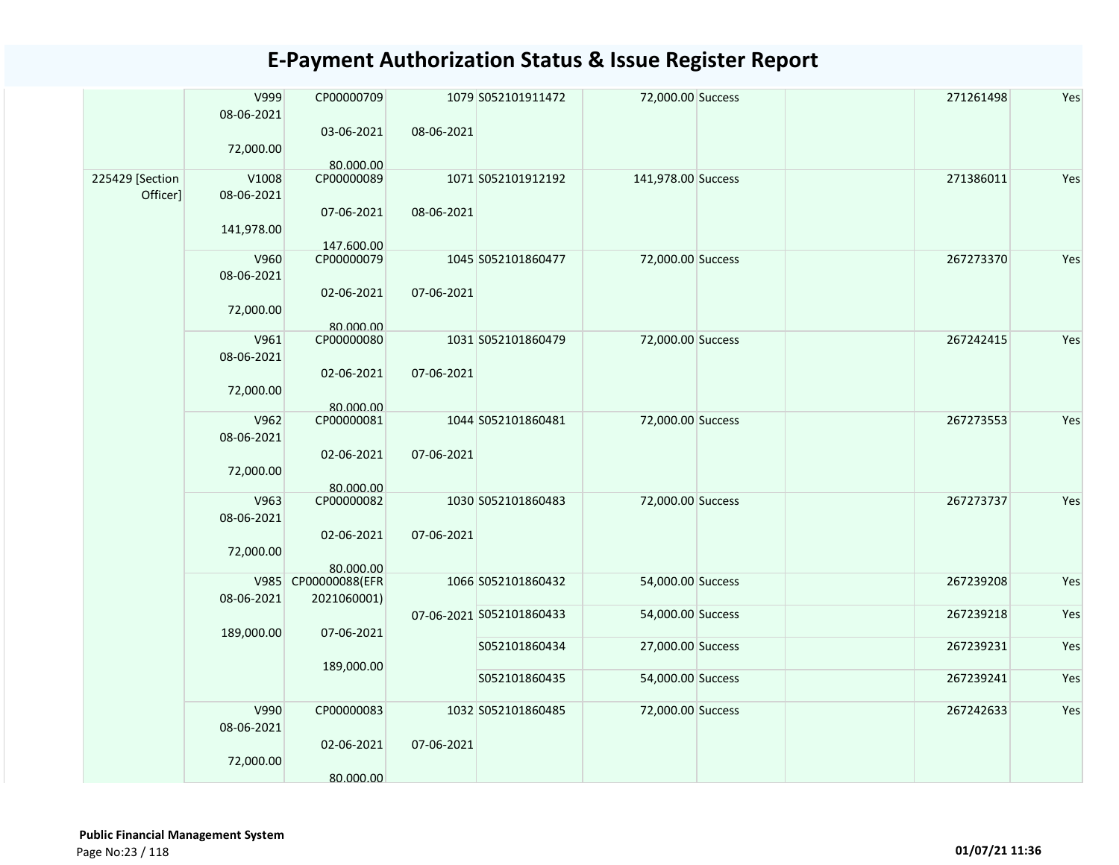| 03-06-2021<br>08-06-2021<br>72,000.00<br>80.000.00<br>225429 [Section<br>V1008<br>CP00000089<br>1071 S052101912192<br>141,978.00 Success<br>271386011<br>Yes<br>Officer]<br>08-06-2021<br>08-06-2021<br>07-06-2021<br>141,978.00<br>147.600.00 |
|------------------------------------------------------------------------------------------------------------------------------------------------------------------------------------------------------------------------------------------------|
|                                                                                                                                                                                                                                                |
|                                                                                                                                                                                                                                                |
|                                                                                                                                                                                                                                                |
| CP00000079<br>Yes<br>V960<br>1045 S052101860477<br>72,000.00 Success<br>267273370                                                                                                                                                              |
| 08-06-2021                                                                                                                                                                                                                                     |
| 02-06-2021<br>07-06-2021                                                                                                                                                                                                                       |
| 72,000.00                                                                                                                                                                                                                                      |
| 80.000.00<br>V961<br>CP00000080<br>Yes<br>1031 S052101860479<br>72,000.00 Success<br>267242415                                                                                                                                                 |
| 08-06-2021                                                                                                                                                                                                                                     |
| 02-06-2021<br>07-06-2021                                                                                                                                                                                                                       |
| 72,000.00<br>80.000.00                                                                                                                                                                                                                         |
| V962<br>Yes<br>CP00000081<br>1044 S052101860481<br>72,000.00 Success<br>267273553                                                                                                                                                              |
| 08-06-2021                                                                                                                                                                                                                                     |
| 02-06-2021<br>07-06-2021                                                                                                                                                                                                                       |
| 72,000.00                                                                                                                                                                                                                                      |
| 80.000.00                                                                                                                                                                                                                                      |
| V963<br>CP00000082<br>1030 S052101860483<br>72,000.00 Success<br>267273737<br>Yes                                                                                                                                                              |
| 08-06-2021                                                                                                                                                                                                                                     |
| 02-06-2021<br>07-06-2021                                                                                                                                                                                                                       |
| 72,000.00                                                                                                                                                                                                                                      |
| 80.000.00                                                                                                                                                                                                                                      |
| CP00000088(EFR<br>V985<br>1066 S052101860432<br>Yes<br>54,000.00 Success<br>267239208                                                                                                                                                          |
| 08-06-2021<br>2021060001)                                                                                                                                                                                                                      |
| Yes<br>07-06-2021 S052101860433<br>54,000.00 Success<br>267239218                                                                                                                                                                              |
| 189,000.00<br>07-06-2021                                                                                                                                                                                                                       |
| Yes<br>S052101860434<br>267239231<br>27,000.00 Success                                                                                                                                                                                         |
| 189,000.00                                                                                                                                                                                                                                     |
| S052101860435<br>267239241<br>Yes<br>54,000.00 Success                                                                                                                                                                                         |
| V990<br>CP00000083<br>1032 S052101860485<br>Yes<br>72,000.00 Success<br>267242633                                                                                                                                                              |
| 08-06-2021                                                                                                                                                                                                                                     |
| 07-06-2021<br>02-06-2021                                                                                                                                                                                                                       |
| 72,000.00                                                                                                                                                                                                                                      |
| 80.000.00                                                                                                                                                                                                                                      |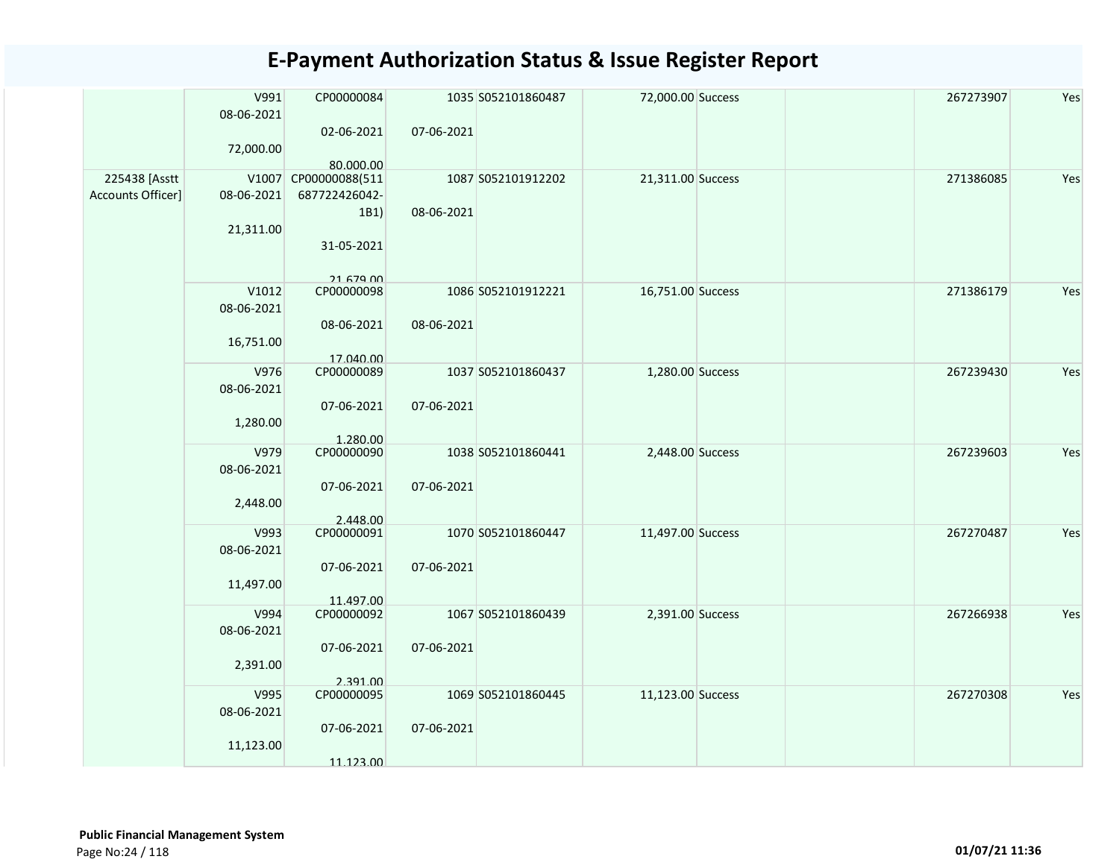|                                    | V991<br>08-06-2021<br>72,000.00  | CP00000084<br>02-06-2021                                                | 07-06-2021 | 1035 S052101860487 | 72,000.00 Success | 267273907 | Yes |
|------------------------------------|----------------------------------|-------------------------------------------------------------------------|------------|--------------------|-------------------|-----------|-----|
| 225438 [Asstt<br>Accounts Officer] | 08-06-2021<br>21,311.00          | 80.000.00<br>V1007 CP00000088(511<br>687722426042-<br>1B1<br>31-05-2021 | 08-06-2021 | 1087 S052101912202 | 21,311.00 Success | 271386085 | Yes |
|                                    | V1012<br>08-06-2021<br>16,751.00 | 21 679 00<br>CP00000098<br>08-06-2021<br>17.040.00                      | 08-06-2021 | 1086 S052101912221 | 16,751.00 Success | 271386179 | Yes |
|                                    | V976<br>08-06-2021<br>1,280.00   | CP00000089<br>07-06-2021<br>1.280.00                                    | 07-06-2021 | 1037 S052101860437 | 1,280.00 Success  | 267239430 | Yes |
|                                    | V979<br>08-06-2021<br>2,448.00   | CP00000090<br>07-06-2021<br>2.448.00                                    | 07-06-2021 | 1038 S052101860441 | 2,448.00 Success  | 267239603 | Yes |
|                                    | V993<br>08-06-2021<br>11,497.00  | CP00000091<br>07-06-2021<br>11.497.00                                   | 07-06-2021 | 1070 S052101860447 | 11,497.00 Success | 267270487 | Yes |
|                                    | V994<br>08-06-2021<br>2,391.00   | CP00000092<br>07-06-2021<br>2.391.00                                    | 07-06-2021 | 1067 S052101860439 | 2,391.00 Success  | 267266938 | Yes |
|                                    | V995<br>08-06-2021<br>11,123.00  | CP00000095<br>07-06-2021<br>11.123.00                                   | 07-06-2021 | 1069 S052101860445 | 11,123.00 Success | 267270308 | Yes |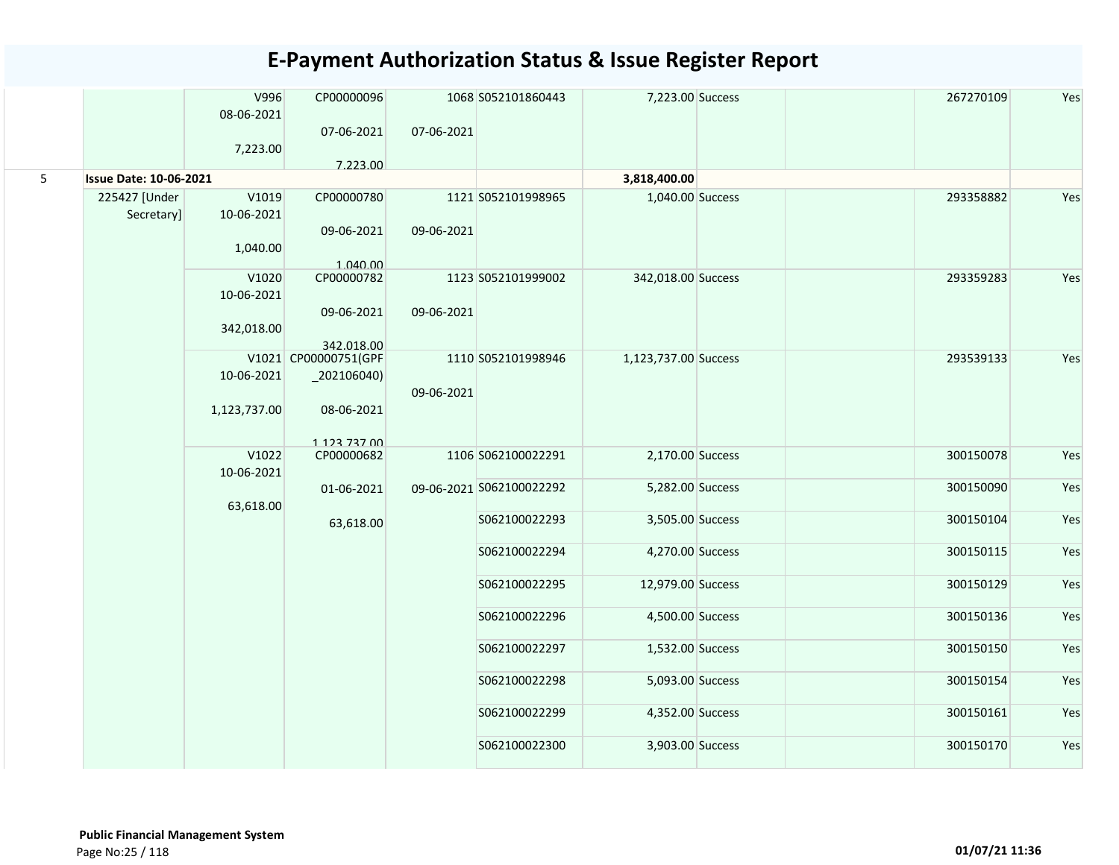|   |                               | V996<br>08-06-2021 | CP00000096<br>07-06-2021        | 07-06-2021 | 1068 S052101860443       | 7,223.00 Success     | 267270109 | Yes |
|---|-------------------------------|--------------------|---------------------------------|------------|--------------------------|----------------------|-----------|-----|
|   |                               | 7,223.00           |                                 |            |                          |                      |           |     |
| 5 | <b>Issue Date: 10-06-2021</b> |                    | 7.223.00                        |            |                          | 3,818,400.00         |           |     |
|   | 225427 [Under                 | V1019              | CP00000780                      |            | 1121 S052101998965       | 1,040.00 Success     | 293358882 | Yes |
|   | Secretary]                    | 10-06-2021         |                                 |            |                          |                      |           |     |
|   |                               |                    | 09-06-2021                      | 09-06-2021 |                          |                      |           |     |
|   |                               | 1,040.00           |                                 |            |                          |                      |           |     |
|   |                               |                    | 1.040.00                        |            |                          |                      |           |     |
|   |                               | V1020              | CP00000782                      |            | 1123 S052101999002       | 342,018.00 Success   | 293359283 | Yes |
|   |                               | 10-06-2021         | 09-06-2021                      | 09-06-2021 |                          |                      |           |     |
|   |                               | 342,018.00         |                                 |            |                          |                      |           |     |
|   |                               |                    | 342.018.00                      |            |                          |                      |           |     |
|   |                               |                    | V1021 CP00000751(GPF            |            | 1110 S052101998946       | 1,123,737.00 Success | 293539133 | Yes |
|   |                               | 10-06-2021         | $_202106040$                    |            |                          |                      |           |     |
|   |                               |                    |                                 | 09-06-2021 |                          |                      |           |     |
|   |                               | 1,123,737.00       | 08-06-2021                      |            |                          |                      |           |     |
|   |                               |                    |                                 |            |                          |                      |           |     |
|   |                               | V1022              | 1 1 2 7 7 2 7 0 0<br>CP00000682 |            | 1106 S062100022291       | 2,170.00 Success     | 300150078 | Yes |
|   |                               | 10-06-2021         |                                 |            |                          |                      |           |     |
|   |                               |                    | 01-06-2021                      |            | 09-06-2021 S062100022292 | 5,282.00 Success     | 300150090 | Yes |
|   |                               | 63,618.00          |                                 |            |                          |                      |           |     |
|   |                               |                    | 63,618.00                       |            | S062100022293            | 3,505.00 Success     | 300150104 | Yes |
|   |                               |                    |                                 |            | S062100022294            | 4,270.00 Success     | 300150115 | Yes |
|   |                               |                    |                                 |            |                          |                      |           |     |
|   |                               |                    |                                 |            | S062100022295            | 12,979.00 Success    | 300150129 | Yes |
|   |                               |                    |                                 |            |                          |                      |           |     |
|   |                               |                    |                                 |            | S062100022296            | 4,500.00 Success     | 300150136 | Yes |
|   |                               |                    |                                 |            |                          |                      |           |     |
|   |                               |                    |                                 |            | S062100022297            | 1,532.00 Success     | 300150150 | Yes |
|   |                               |                    |                                 |            | S062100022298            | 5,093.00 Success     | 300150154 | Yes |
|   |                               |                    |                                 |            |                          |                      |           |     |
|   |                               |                    |                                 |            | S062100022299            | 4,352.00 Success     | 300150161 | Yes |
|   |                               |                    |                                 |            | S062100022300            | 3,903.00 Success     | 300150170 | Yes |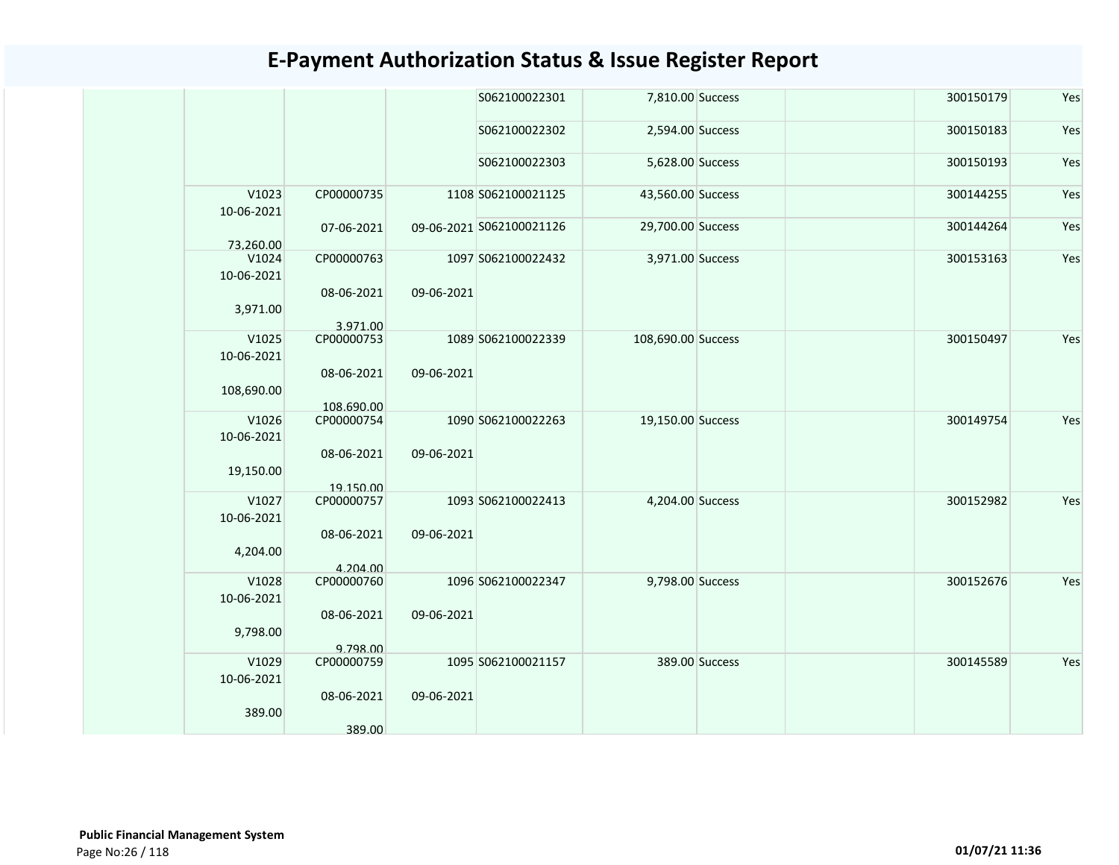|                          |                          |            | S062100022301            | 7,810.00 Success   |                | 300150179 | Yes |
|--------------------------|--------------------------|------------|--------------------------|--------------------|----------------|-----------|-----|
|                          |                          |            | S062100022302            | 2,594.00 Success   |                | 300150183 | Yes |
|                          |                          |            | S062100022303            | 5,628.00 Success   |                | 300150193 | Yes |
| V1023<br>10-06-2021      | CP00000735               |            | 1108 S062100021125       | 43,560.00 Success  |                | 300144255 | Yes |
| 73.260.00                | 07-06-2021               |            | 09-06-2021 S062100021126 | 29,700.00 Success  |                | 300144264 | Yes |
| V1024<br>10-06-2021      | CP00000763               |            | 1097 S062100022432       | 3,971.00 Success   |                | 300153163 | Yes |
| 3,971.00                 | 08-06-2021               | 09-06-2021 |                          |                    |                |           |     |
| V1025                    | 3.971.00<br>CP00000753   |            | 1089 S062100022339       | 108,690.00 Success |                | 300150497 | Yes |
| 10-06-2021<br>108,690.00 | 08-06-2021               | 09-06-2021 |                          |                    |                |           |     |
| V1026                    | 108.690.00<br>CP00000754 |            | 1090 S062100022263       | 19,150.00 Success  |                | 300149754 | Yes |
| 10-06-2021<br>19,150.00  | 08-06-2021               | 09-06-2021 |                          |                    |                |           |     |
|                          | 19.150.00                |            |                          |                    |                |           |     |
| V1027<br>10-06-2021      | CP00000757<br>08-06-2021 | 09-06-2021 | 1093 S062100022413       | 4,204.00 Success   |                | 300152982 | Yes |
| 4,204.00                 | 4.204.00                 |            |                          |                    |                |           |     |
| V1028<br>10-06-2021      | CP00000760               |            | 1096 S062100022347       | 9,798.00 Success   |                | 300152676 | Yes |
| 9,798.00                 | 08-06-2021               | 09-06-2021 |                          |                    |                |           |     |
| V1029                    | 9.798.00<br>CP00000759   |            | 1095 S062100021157       |                    | 389.00 Success | 300145589 | Yes |
| 10-06-2021               |                          |            |                          |                    |                |           |     |
| 389.00                   | 08-06-2021<br>389.00     | 09-06-2021 |                          |                    |                |           |     |
|                          |                          |            |                          |                    |                |           |     |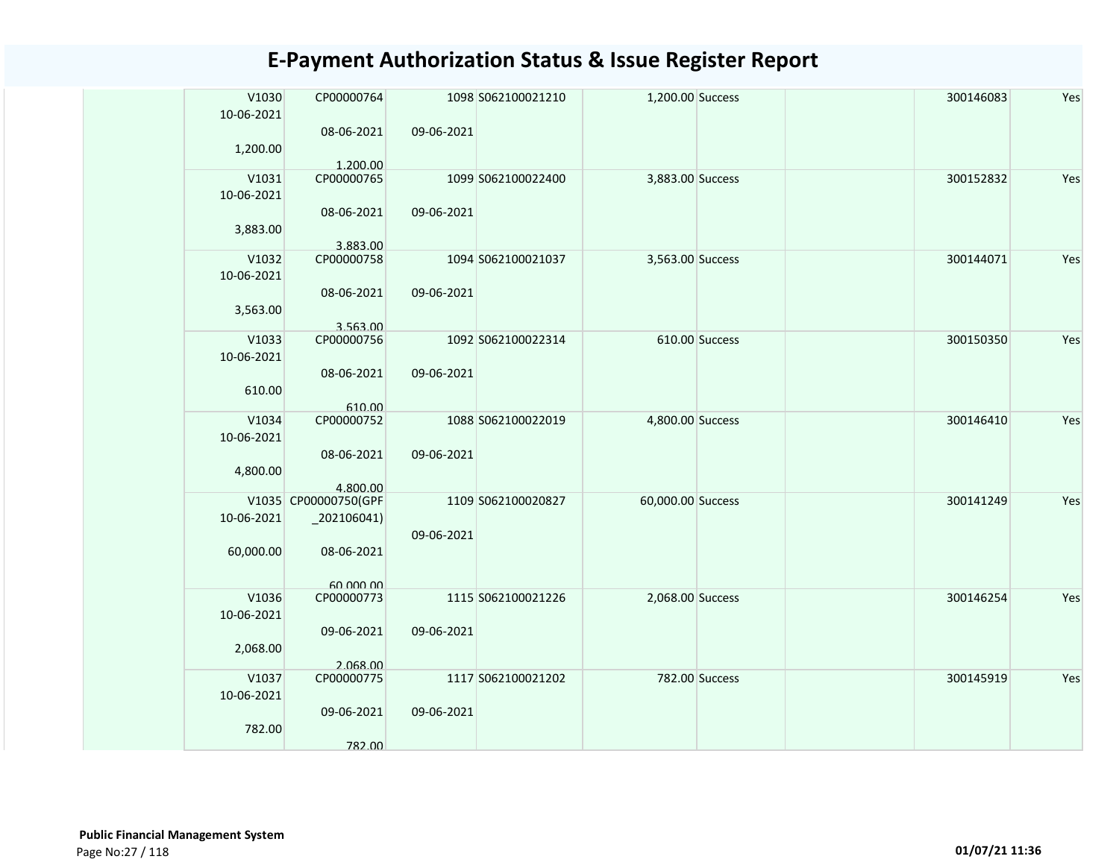| V1030<br>10-06-2021 | CP00000764                       |            | 1098 S062100021210 | 1,200.00 Success  |                | 300146083 | Yes |
|---------------------|----------------------------------|------------|--------------------|-------------------|----------------|-----------|-----|
| 1,200.00            | 08-06-2021                       | 09-06-2021 |                    |                   |                |           |     |
| V1031               | 1.200.00<br>CP00000765           |            | 1099 S062100022400 | 3,883.00 Success  |                | 300152832 | Yes |
| 10-06-2021          |                                  |            |                    |                   |                |           |     |
|                     | 08-06-2021                       | 09-06-2021 |                    |                   |                |           |     |
| 3,883.00            |                                  |            |                    |                   |                |           |     |
| V1032               | 3.883.00<br>CP00000758           |            | 1094 S062100021037 | 3,563.00 Success  |                | 300144071 | Yes |
| 10-06-2021          |                                  |            |                    |                   |                |           |     |
|                     | 08-06-2021                       | 09-06-2021 |                    |                   |                |           |     |
| 3,563.00            |                                  |            |                    |                   |                |           |     |
| V1033               | 3.563.00<br>CP00000756           |            | 1092 S062100022314 |                   | 610.00 Success | 300150350 | Yes |
| 10-06-2021          |                                  |            |                    |                   |                |           |     |
|                     | 08-06-2021                       | 09-06-2021 |                    |                   |                |           |     |
| 610.00              |                                  |            |                    |                   |                |           |     |
|                     | 610.00                           |            |                    |                   |                |           |     |
| V1034               | CP00000752                       |            | 1088 S062100022019 | 4,800.00 Success  |                | 300146410 | Yes |
| 10-06-2021          |                                  |            |                    |                   |                |           |     |
|                     | 08-06-2021                       | 09-06-2021 |                    |                   |                |           |     |
| 4,800.00            |                                  |            |                    |                   |                |           |     |
|                     | 4.800.00<br>V1035 CP00000750(GPF |            | 1109 S062100020827 | 60,000.00 Success |                | 300141249 | Yes |
| 10-06-2021          | $_2$ 02106041)                   |            |                    |                   |                |           |     |
|                     |                                  | 09-06-2021 |                    |                   |                |           |     |
| 60,000.00           | 08-06-2021                       |            |                    |                   |                |           |     |
|                     |                                  |            |                    |                   |                |           |     |
|                     | 60,000,00                        |            |                    |                   |                |           |     |
| V1036               | CP00000773                       |            | 1115 S062100021226 | 2,068.00 Success  |                | 300146254 | Yes |
| 10-06-2021          |                                  |            |                    |                   |                |           |     |
|                     | 09-06-2021                       | 09-06-2021 |                    |                   |                |           |     |
| 2,068.00            |                                  |            |                    |                   |                |           |     |
| V1037               | 2.068.00<br>CP00000775           |            | 1117 S062100021202 |                   | 782.00 Success | 300145919 | Yes |
| 10-06-2021          |                                  |            |                    |                   |                |           |     |
|                     | 09-06-2021                       | 09-06-2021 |                    |                   |                |           |     |
| 782.00              |                                  |            |                    |                   |                |           |     |
|                     | 782.00                           |            |                    |                   |                |           |     |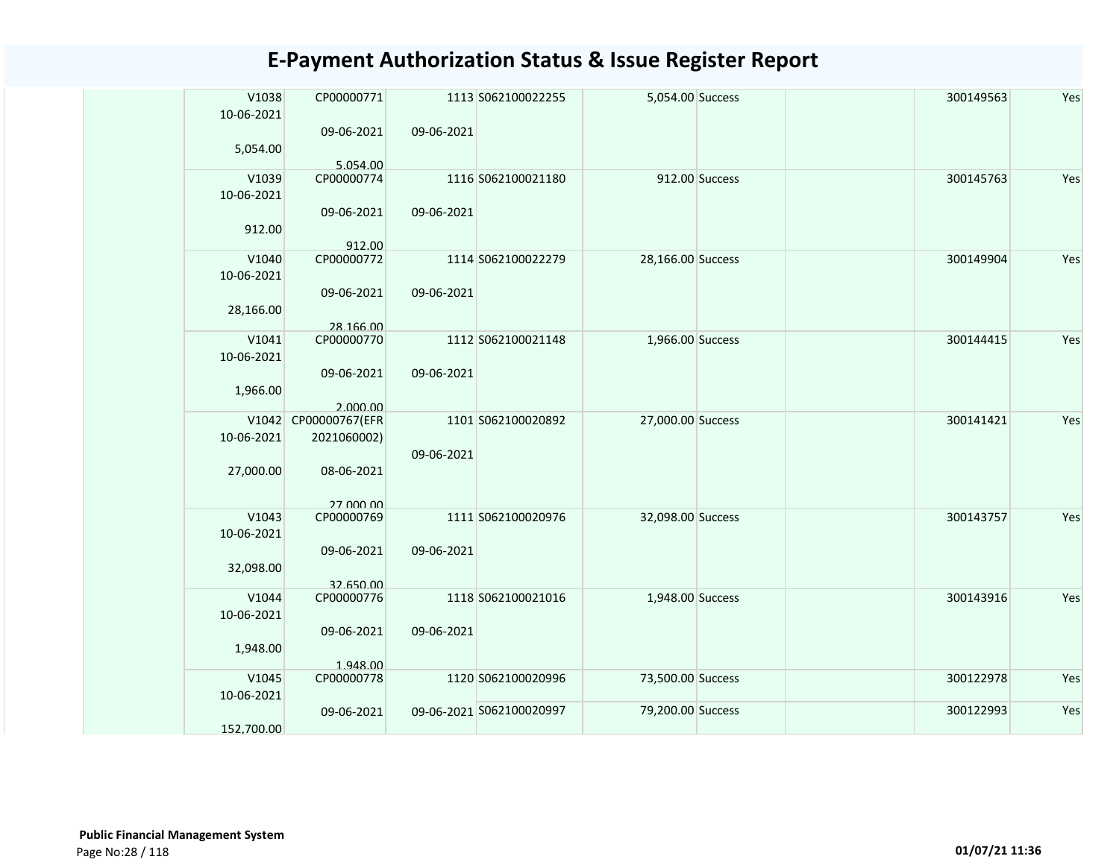| V1038<br>10-06-2021 | CP00000771                 |            | 1113 S062100022255       | 5,054.00 Success  |                | 300149563 | Yes |
|---------------------|----------------------------|------------|--------------------------|-------------------|----------------|-----------|-----|
|                     |                            |            |                          |                   |                |           |     |
|                     | 09-06-2021                 | 09-06-2021 |                          |                   |                |           |     |
| 5,054.00            | 5.054.00                   |            |                          |                   |                |           |     |
| V1039               | CP00000774                 |            | 1116 S062100021180       |                   | 912.00 Success | 300145763 | Yes |
| 10-06-2021          |                            |            |                          |                   |                |           |     |
|                     | 09-06-2021                 | 09-06-2021 |                          |                   |                |           |     |
| 912.00              |                            |            |                          |                   |                |           |     |
|                     | 912.00                     |            |                          |                   |                |           |     |
| V1040               | CP00000772                 |            | 1114 S062100022279       | 28,166.00 Success |                | 300149904 | Yes |
| 10-06-2021          |                            |            |                          |                   |                |           |     |
|                     | 09-06-2021                 | 09-06-2021 |                          |                   |                |           |     |
| 28,166.00           |                            |            |                          |                   |                |           |     |
|                     | 28.166.00                  |            |                          |                   |                |           |     |
| V1041               | CP00000770                 |            | 1112 S062100021148       | 1,966.00 Success  |                | 300144415 | Yes |
| 10-06-2021          |                            |            |                          |                   |                |           |     |
|                     | 09-06-2021                 | 09-06-2021 |                          |                   |                |           |     |
| 1,966.00            |                            |            |                          |                   |                |           |     |
| V1042               | 2.000.00<br>CP00000767(EFR |            | 1101 S062100020892       | 27,000.00 Success |                | 300141421 | Yes |
| 10-06-2021          | 2021060002)                |            |                          |                   |                |           |     |
|                     |                            | 09-06-2021 |                          |                   |                |           |     |
| 27,000.00           | 08-06-2021                 |            |                          |                   |                |           |     |
|                     |                            |            |                          |                   |                |           |     |
|                     | 27,000,00                  |            |                          |                   |                |           |     |
| V1043               | CP00000769                 |            | 1111 S062100020976       | 32,098.00 Success |                | 300143757 | Yes |
| 10-06-2021          |                            |            |                          |                   |                |           |     |
|                     | 09-06-2021                 | 09-06-2021 |                          |                   |                |           |     |
| 32,098.00           |                            |            |                          |                   |                |           |     |
|                     | 32.650.00                  |            |                          |                   |                |           |     |
| V1044               | CP00000776                 |            | 1118 S062100021016       | 1,948.00 Success  |                | 300143916 | Yes |
| 10-06-2021          |                            |            |                          |                   |                |           |     |
|                     | 09-06-2021                 | 09-06-2021 |                          |                   |                |           |     |
| 1,948.00            |                            |            |                          |                   |                |           |     |
| V1045               | 1.948.00<br>CP00000778     |            | 1120 S062100020996       | 73,500.00 Success |                | 300122978 | Yes |
| 10-06-2021          |                            |            |                          |                   |                |           |     |
|                     | 09-06-2021                 |            | 09-06-2021 S062100020997 | 79,200.00 Success |                | 300122993 | Yes |
| 152.700.00          |                            |            |                          |                   |                |           |     |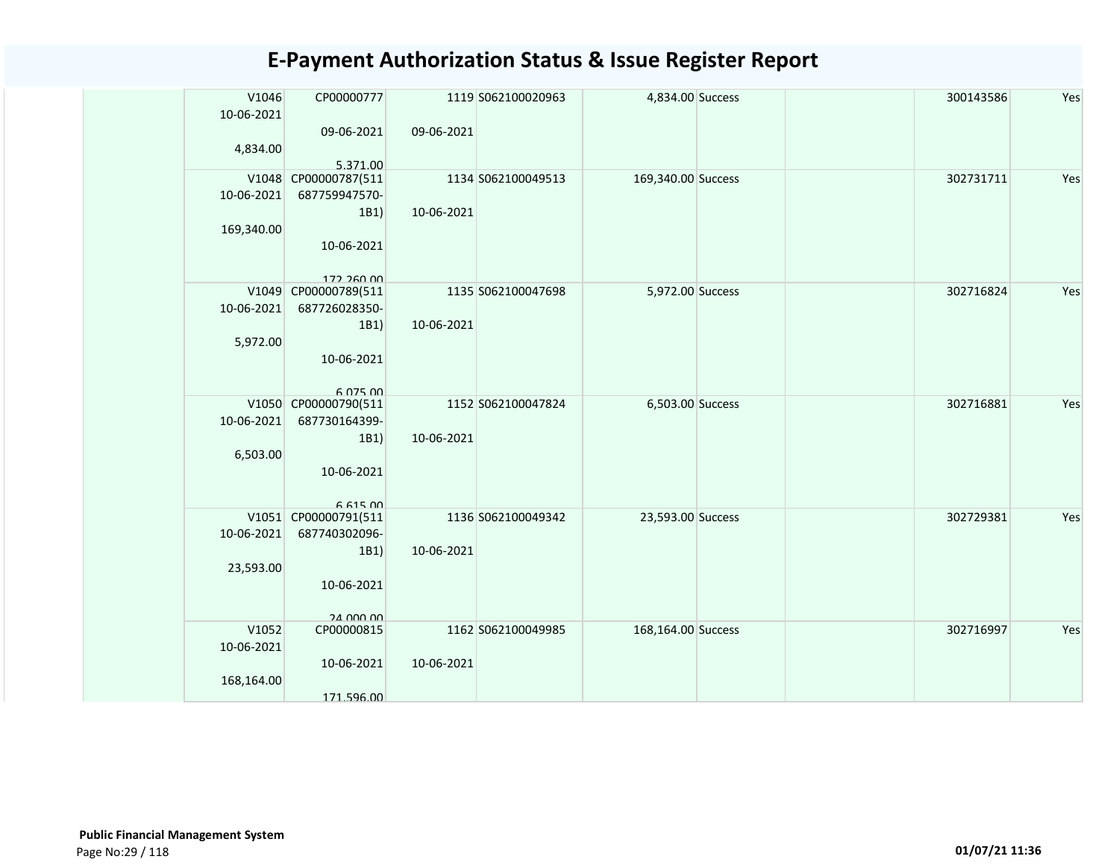| V1046<br>10-06-2021<br>4,834.00   | CP00000777<br>09-06-2021                                                              | 09-06-2021 | 1119 S062100020963 | 4,834.00 Success   |  | 300143586 | Yes |
|-----------------------------------|---------------------------------------------------------------------------------------|------------|--------------------|--------------------|--|-----------|-----|
| 10-06-2021<br>169,340.00          | 5.371.00<br>V1048 CP00000787(511<br>687759947570-<br>1B1)<br>10-06-2021<br>172.260.00 | 10-06-2021 | 1134 S062100049513 | 169,340.00 Success |  | 302731711 | Yes |
| 10-06-2021<br>5,972.00            | V1049 CP00000789(511<br>687726028350-<br>1B1)<br>10-06-2021<br>6.075.00               | 10-06-2021 | 1135 S062100047698 | 5,972.00 Success   |  | 302716824 | Yes |
| 10-06-2021<br>6,503.00            | V1050 CP00000790(511<br>687730164399-<br>1B1)<br>10-06-2021<br>6 615 00               | 10-06-2021 | 1152 S062100047824 | 6,503.00 Success   |  | 302716881 | Yes |
| 10-06-2021<br>23,593.00           | V1051 CP00000791(511<br>687740302096-<br>1B1)<br>10-06-2021<br>24 000 00              | 10-06-2021 | 1136 S062100049342 | 23,593.00 Success  |  | 302729381 | Yes |
| V1052<br>10-06-2021<br>168,164.00 | CP00000815<br>10-06-2021<br>171.596.00                                                | 10-06-2021 | 1162 S062100049985 | 168,164.00 Success |  | 302716997 | Yes |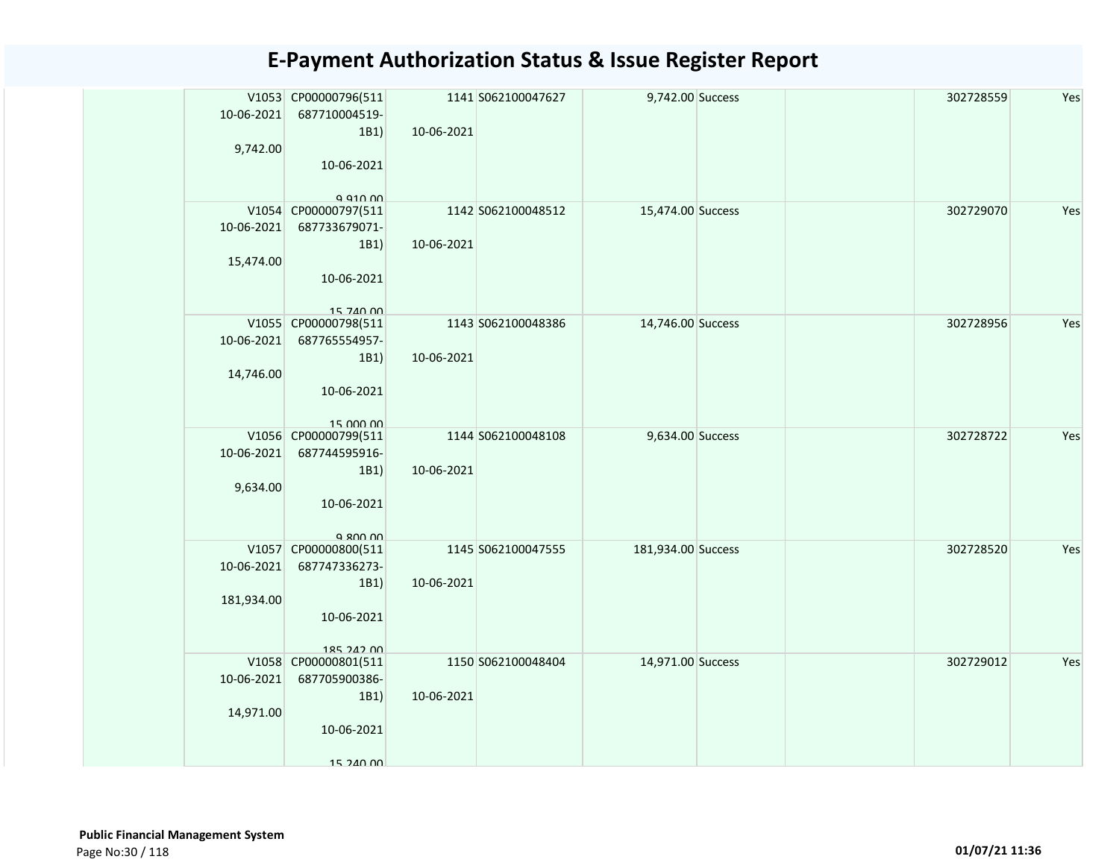| 10-06-2021<br>9,742.00   | V1053 CP00000796(511<br>687710004519-<br>1B1)<br>10-06-2021<br>$Q$ $Q$ 10 $Q$ | 10-06-2021 | 1141 S062100047627 | 9,742.00 Success   |  | 302728559 | Yes |
|--------------------------|-------------------------------------------------------------------------------|------------|--------------------|--------------------|--|-----------|-----|
| 10-06-2021<br>15,474.00  | V1054 CP00000797(511<br>687733679071-<br>1B1)<br>10-06-2021<br>15 740 00      | 10-06-2021 | 1142 S062100048512 | 15,474.00 Success  |  | 302729070 | Yes |
| 10-06-2021<br>14,746.00  | V1055 CP00000798(511<br>687765554957-<br>1B1)<br>10-06-2021<br>15 000 00      | 10-06-2021 | 1143 S062100048386 | 14,746.00 Success  |  | 302728956 | Yes |
| 10-06-2021<br>9,634.00   | V1056 CP00000799(511<br>687744595916-<br>1B1)<br>10-06-2021<br>Q 800 00       | 10-06-2021 | 1144 S062100048108 | 9,634.00 Success   |  | 302728722 | Yes |
| 10-06-2021<br>181,934.00 | V1057 CP00000800(511<br>687747336273-<br>1B1)<br>10-06-2021<br>185 242 00     | 10-06-2021 | 1145 S062100047555 | 181,934.00 Success |  | 302728520 | Yes |
| 10-06-2021<br>14,971.00  | V1058 CP00000801(511<br>687705900386-<br>1B1)<br>10-06-2021<br>15 240 00      | 10-06-2021 | 1150 S062100048404 | 14,971.00 Success  |  | 302729012 | Yes |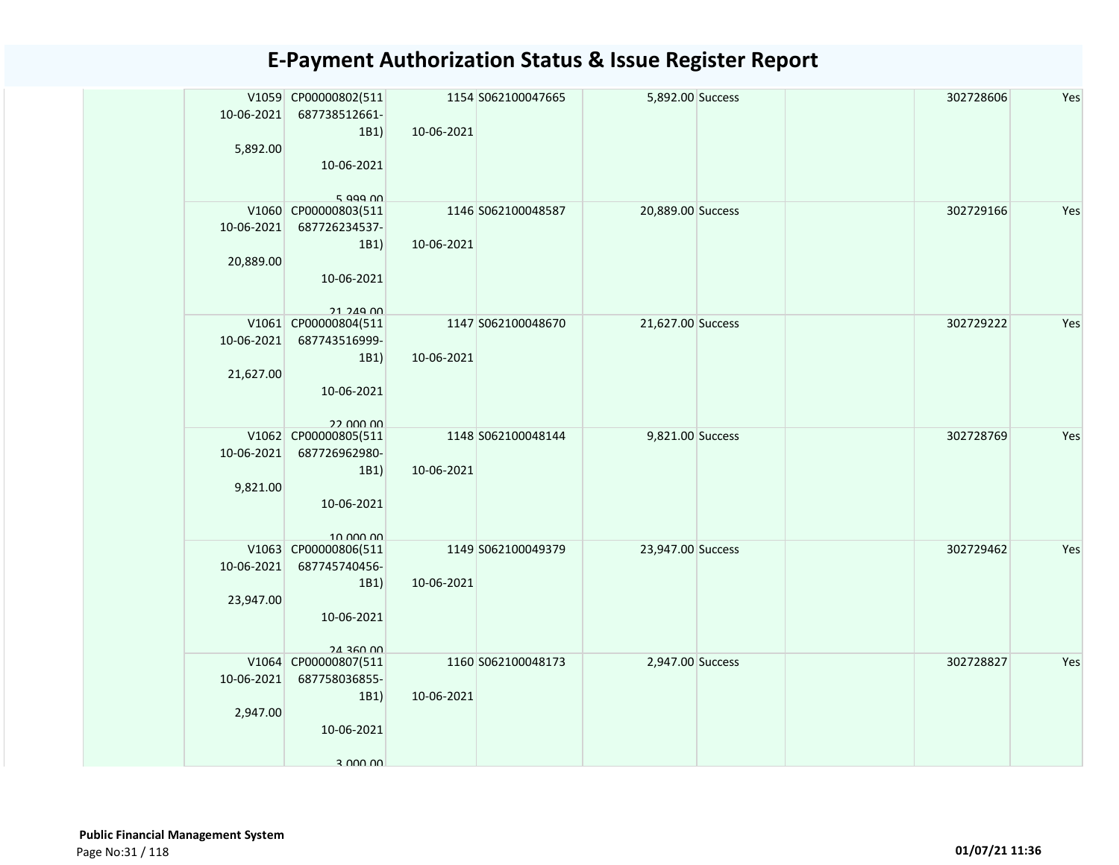| 10-06-2021<br>5,892.00  | V1059 CP00000802(511<br>687738512661-<br>1B1)<br>10-06-2021<br>$5$ agg $n$ | 10-06-2021 | 1154 S062100047665 | 5,892.00 Success  |  | 302728606 | Yes |
|-------------------------|----------------------------------------------------------------------------|------------|--------------------|-------------------|--|-----------|-----|
| 10-06-2021<br>20,889.00 | V1060 CP00000803(511<br>687726234537-<br>1B1)<br>10-06-2021<br>21 249 00   | 10-06-2021 | 1146 S062100048587 | 20,889.00 Success |  | 302729166 | Yes |
| 10-06-2021<br>21,627.00 | V1061 CP00000804(511<br>687743516999-<br>1B1)<br>10-06-2021<br>22 DOO OO   | 10-06-2021 | 1147 S062100048670 | 21,627.00 Success |  | 302729222 | Yes |
| 10-06-2021<br>9,821.00  | V1062 CP00000805(511<br>687726962980-<br>1B1)<br>10-06-2021<br>10.000.00   | 10-06-2021 | 1148 S062100048144 | 9,821.00 Success  |  | 302728769 | Yes |
| 10-06-2021<br>23,947.00 | V1063 CP00000806(511<br>687745740456-<br>1B1)<br>10-06-2021<br>24 360 00   | 10-06-2021 | 1149 S062100049379 | 23,947.00 Success |  | 302729462 | Yes |
| 10-06-2021<br>2,947.00  | V1064 CP00000807(511<br>687758036855-<br>1B1)<br>10-06-2021<br>3 000 00    | 10-06-2021 | 1160 S062100048173 | 2,947.00 Success  |  | 302728827 | Yes |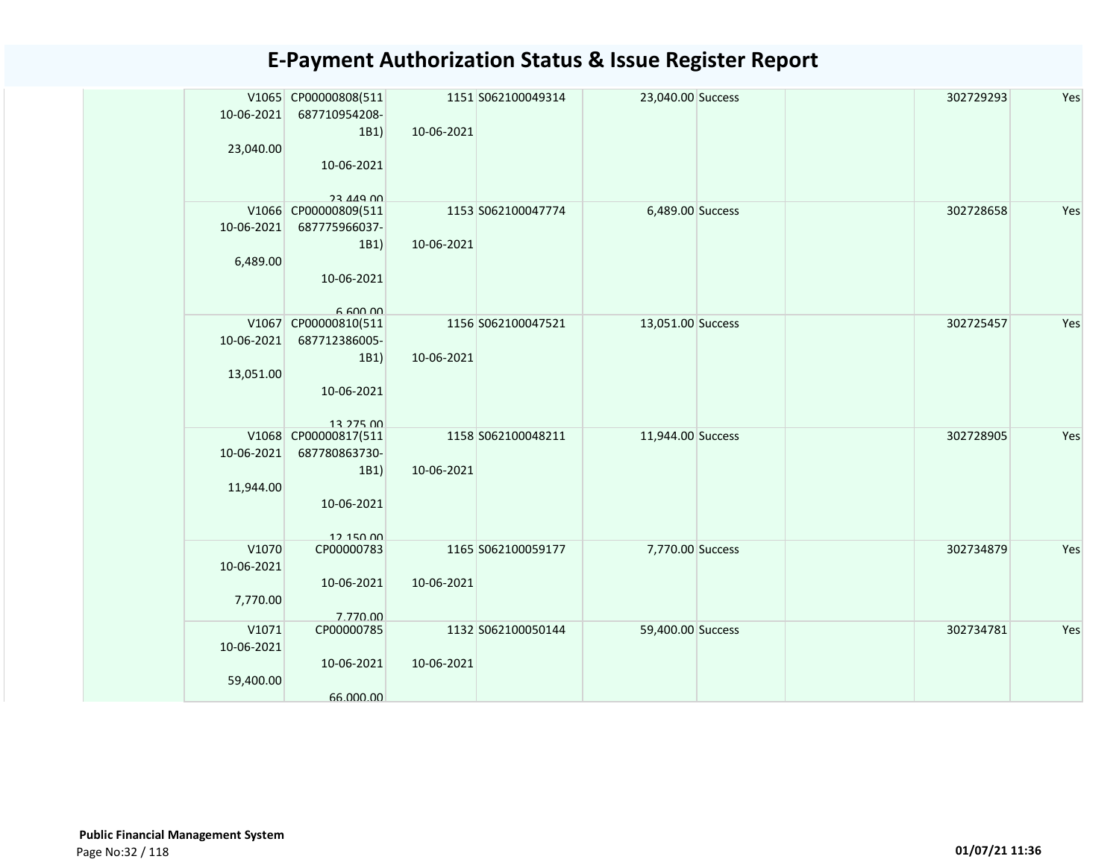| 10-06-2021<br>23,040.00          | V1065 CP00000808(511<br>687710954208-<br>1B1)<br>10-06-2021                                | 10-06-2021 | 1151 S062100049314 | 23,040.00 Success |  | 302729293 | Yes |
|----------------------------------|--------------------------------------------------------------------------------------------|------------|--------------------|-------------------|--|-----------|-----|
| 10-06-2021<br>6,489.00           | <b>23 449 00</b><br>V1066 CP00000809(511<br>687775966037-<br>1B1)<br>10-06-2021<br>6.60000 | 10-06-2021 | 1153 S062100047774 | 6,489.00 Success  |  | 302728658 | Yes |
| 10-06-2021<br>13,051.00          | V1067 CP00000810(511<br>687712386005-<br>1B1)<br>10-06-2021<br>13 275 00                   | 10-06-2021 | 1156 S062100047521 | 13,051.00 Success |  | 302725457 | Yes |
| 10-06-2021<br>11,944.00          | V1068 CP00000817(511<br>687780863730-<br>1B1)<br>10-06-2021<br>12 150 00                   | 10-06-2021 | 1158 S062100048211 | 11,944.00 Success |  | 302728905 | Yes |
| V1070<br>10-06-2021<br>7,770.00  | CP00000783<br>10-06-2021<br>7.770.00                                                       | 10-06-2021 | 1165 S062100059177 | 7,770.00 Success  |  | 302734879 | Yes |
| V1071<br>10-06-2021<br>59,400.00 | CP00000785<br>10-06-2021<br>66.000.00                                                      | 10-06-2021 | 1132 S062100050144 | 59,400.00 Success |  | 302734781 | Yes |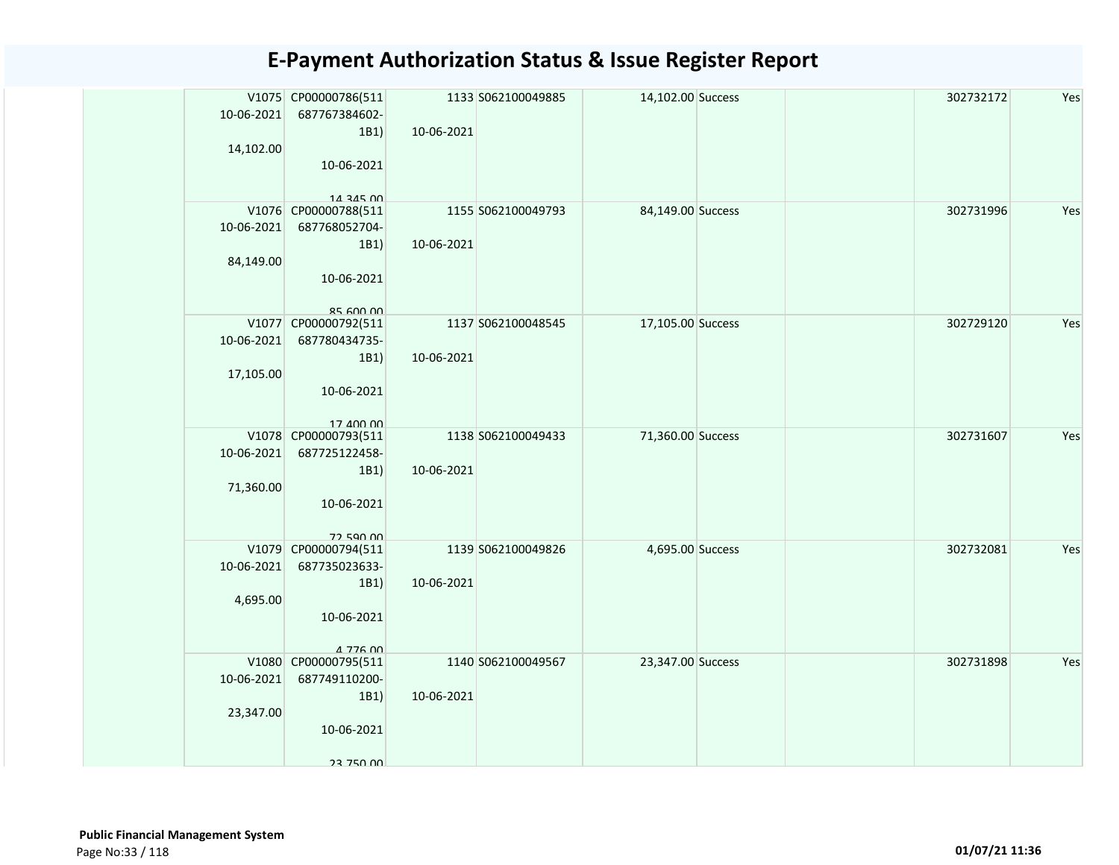| 10-06-2021 | V1075 CP00000786(511<br>687767384602- |            | 1133 S062100049885 | 14,102.00 Success |  | 302732172 | Yes |
|------------|---------------------------------------|------------|--------------------|-------------------|--|-----------|-----|
| 14,102.00  | 1B1)                                  | 10-06-2021 |                    |                   |  |           |     |
|            | 10-06-2021                            |            |                    |                   |  |           |     |
|            | 14 345 00                             |            |                    |                   |  |           |     |
|            | V1076 CP00000788(511                  |            | 1155 S062100049793 | 84,149.00 Success |  | 302731996 | Yes |
| 10-06-2021 | 687768052704-                         |            |                    |                   |  |           |     |
|            | 1B1)                                  | 10-06-2021 |                    |                   |  |           |     |
| 84,149.00  |                                       |            |                    |                   |  |           |     |
|            | 10-06-2021                            |            |                    |                   |  |           |     |
|            | $85$ 600 00                           |            |                    |                   |  |           |     |
|            | V1077 CP00000792(511                  |            | 1137 S062100048545 | 17,105.00 Success |  | 302729120 | Yes |
| 10-06-2021 | 687780434735-                         |            |                    |                   |  |           |     |
|            | 1B1)                                  | 10-06-2021 |                    |                   |  |           |     |
| 17,105.00  | 10-06-2021                            |            |                    |                   |  |           |     |
|            |                                       |            |                    |                   |  |           |     |
|            | 17 400 00                             |            |                    |                   |  |           |     |
|            | V1078 CP00000793(511                  |            | 1138 S062100049433 | 71,360.00 Success |  | 302731607 | Yes |
| 10-06-2021 | 687725122458-                         |            |                    |                   |  |           |     |
| 71,360.00  | 1B1)                                  | 10-06-2021 |                    |                   |  |           |     |
|            | 10-06-2021                            |            |                    |                   |  |           |     |
|            |                                       |            |                    |                   |  |           |     |
|            | 72 590 00                             |            |                    |                   |  |           |     |
| 10-06-2021 | V1079 CP00000794(511<br>687735023633- |            | 1139 S062100049826 | 4,695.00 Success  |  | 302732081 | Yes |
|            | 1B1)                                  | 10-06-2021 |                    |                   |  |           |     |
| 4,695.00   |                                       |            |                    |                   |  |           |     |
|            | 10-06-2021                            |            |                    |                   |  |           |     |
|            |                                       |            |                    |                   |  |           |     |
|            | 4 776 00<br>V1080 CP00000795(511      |            | 1140 S062100049567 | 23,347.00 Success |  | 302731898 | Yes |
| 10-06-2021 | 687749110200-                         |            |                    |                   |  |           |     |
|            | 1B1)                                  | 10-06-2021 |                    |                   |  |           |     |
| 23,347.00  |                                       |            |                    |                   |  |           |     |
|            | 10-06-2021                            |            |                    |                   |  |           |     |
|            |                                       |            |                    |                   |  |           |     |
|            | 23 750 00                             |            |                    |                   |  |           |     |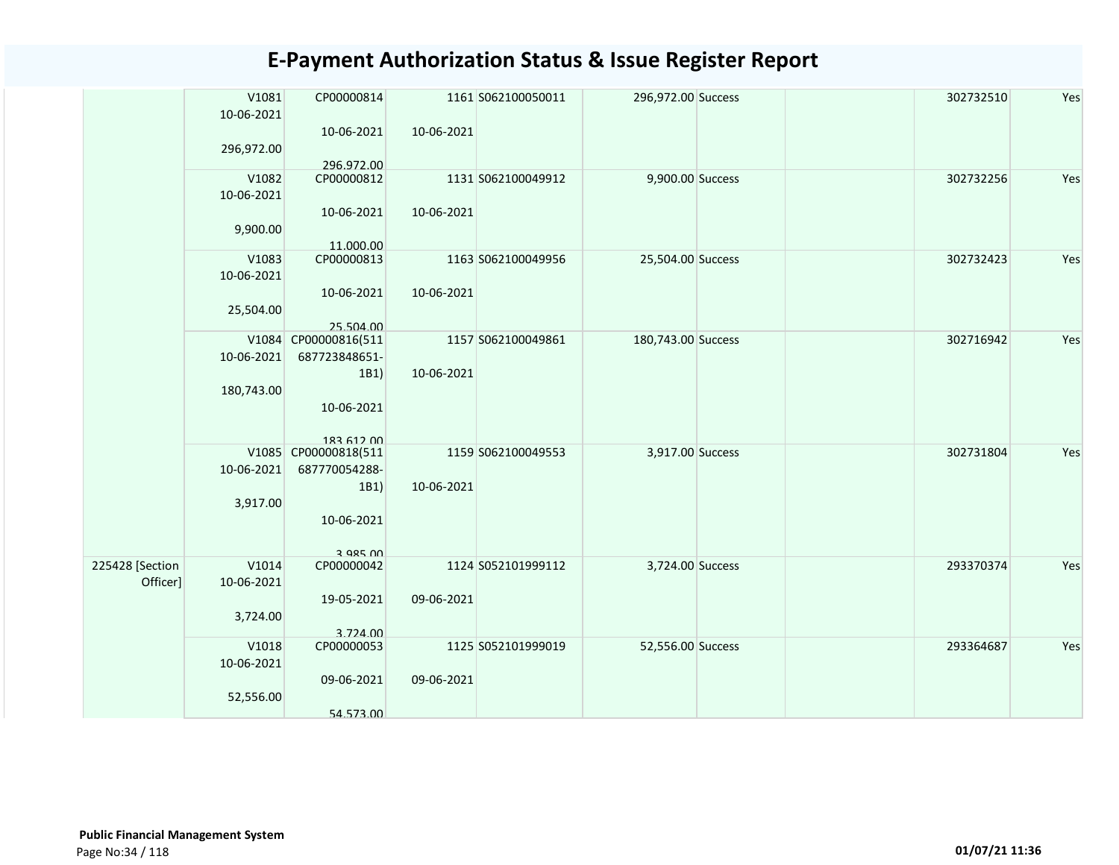| 10-06-2021<br>10-06-2021<br>10-06-2021<br>296,972.00<br>296.972.00<br>V1082<br>9,900.00 Success<br>302732256<br>Yes<br>CP00000812<br>1131 S062100049912<br>10-06-2021<br>10-06-2021<br>10-06-2021<br>9,900.00<br>11.000.00<br>CP00000813<br>V1083<br>1163 S062100049956<br>25,504.00 Success<br>302732423<br>10-06-2021<br>10-06-2021<br>10-06-2021<br>25,504.00<br>25.504.00<br>302716942<br>V1084 CP00000816(511<br>1157 S062100049861<br>180,743.00 Success<br>10-06-2021<br>687723848651-<br>10-06-2021<br>1B1)<br>180,743.00<br>10-06-2021<br>183 612 00<br>V1085 CP00000818(511<br>1159 S062100049553<br>3,917.00 Success<br>302731804<br>10-06-2021<br>687770054288-<br>10-06-2021<br>1B1)<br>3,917.00<br>10-06-2021<br>3 QR5 UU<br>225428 [Section<br>V1014<br>CP00000042<br>1124 S052101999112<br>3,724.00 Success<br>293370374<br>Officer]<br>10-06-2021<br>09-06-2021<br>19-05-2021<br>3,724.00<br>3.724.00<br>V1018<br>CP00000053<br>293364687<br>1125 S052101999019<br>52,556.00 Success<br>10-06-2021<br>09-06-2021<br>09-06-2021 | V1081 | CP00000814 | 1161 S062100050011 | 296,972.00 Success | 302732510 | Yes |
|-------------------------------------------------------------------------------------------------------------------------------------------------------------------------------------------------------------------------------------------------------------------------------------------------------------------------------------------------------------------------------------------------------------------------------------------------------------------------------------------------------------------------------------------------------------------------------------------------------------------------------------------------------------------------------------------------------------------------------------------------------------------------------------------------------------------------------------------------------------------------------------------------------------------------------------------------------------------------------------------------------------------------------------------------|-------|------------|--------------------|--------------------|-----------|-----|
|                                                                                                                                                                                                                                                                                                                                                                                                                                                                                                                                                                                                                                                                                                                                                                                                                                                                                                                                                                                                                                                 |       |            |                    |                    |           |     |
|                                                                                                                                                                                                                                                                                                                                                                                                                                                                                                                                                                                                                                                                                                                                                                                                                                                                                                                                                                                                                                                 |       |            |                    |                    |           |     |
|                                                                                                                                                                                                                                                                                                                                                                                                                                                                                                                                                                                                                                                                                                                                                                                                                                                                                                                                                                                                                                                 |       |            |                    |                    |           |     |
|                                                                                                                                                                                                                                                                                                                                                                                                                                                                                                                                                                                                                                                                                                                                                                                                                                                                                                                                                                                                                                                 |       |            |                    |                    |           |     |
|                                                                                                                                                                                                                                                                                                                                                                                                                                                                                                                                                                                                                                                                                                                                                                                                                                                                                                                                                                                                                                                 |       |            |                    |                    |           |     |
|                                                                                                                                                                                                                                                                                                                                                                                                                                                                                                                                                                                                                                                                                                                                                                                                                                                                                                                                                                                                                                                 |       |            |                    |                    |           |     |
|                                                                                                                                                                                                                                                                                                                                                                                                                                                                                                                                                                                                                                                                                                                                                                                                                                                                                                                                                                                                                                                 |       |            |                    |                    |           |     |
| Yes<br>Yes<br>Yes<br>Yes<br>Yes                                                                                                                                                                                                                                                                                                                                                                                                                                                                                                                                                                                                                                                                                                                                                                                                                                                                                                                                                                                                                 |       |            |                    |                    |           |     |
|                                                                                                                                                                                                                                                                                                                                                                                                                                                                                                                                                                                                                                                                                                                                                                                                                                                                                                                                                                                                                                                 |       |            |                    |                    |           |     |
|                                                                                                                                                                                                                                                                                                                                                                                                                                                                                                                                                                                                                                                                                                                                                                                                                                                                                                                                                                                                                                                 |       |            |                    |                    |           |     |
|                                                                                                                                                                                                                                                                                                                                                                                                                                                                                                                                                                                                                                                                                                                                                                                                                                                                                                                                                                                                                                                 |       |            |                    |                    |           |     |
|                                                                                                                                                                                                                                                                                                                                                                                                                                                                                                                                                                                                                                                                                                                                                                                                                                                                                                                                                                                                                                                 |       |            |                    |                    |           |     |
|                                                                                                                                                                                                                                                                                                                                                                                                                                                                                                                                                                                                                                                                                                                                                                                                                                                                                                                                                                                                                                                 |       |            |                    |                    |           |     |
|                                                                                                                                                                                                                                                                                                                                                                                                                                                                                                                                                                                                                                                                                                                                                                                                                                                                                                                                                                                                                                                 |       |            |                    |                    |           |     |
|                                                                                                                                                                                                                                                                                                                                                                                                                                                                                                                                                                                                                                                                                                                                                                                                                                                                                                                                                                                                                                                 |       |            |                    |                    |           |     |
|                                                                                                                                                                                                                                                                                                                                                                                                                                                                                                                                                                                                                                                                                                                                                                                                                                                                                                                                                                                                                                                 |       |            |                    |                    |           |     |
|                                                                                                                                                                                                                                                                                                                                                                                                                                                                                                                                                                                                                                                                                                                                                                                                                                                                                                                                                                                                                                                 |       |            |                    |                    |           |     |
|                                                                                                                                                                                                                                                                                                                                                                                                                                                                                                                                                                                                                                                                                                                                                                                                                                                                                                                                                                                                                                                 |       |            |                    |                    |           |     |
|                                                                                                                                                                                                                                                                                                                                                                                                                                                                                                                                                                                                                                                                                                                                                                                                                                                                                                                                                                                                                                                 |       |            |                    |                    |           |     |
|                                                                                                                                                                                                                                                                                                                                                                                                                                                                                                                                                                                                                                                                                                                                                                                                                                                                                                                                                                                                                                                 |       |            |                    |                    |           |     |
|                                                                                                                                                                                                                                                                                                                                                                                                                                                                                                                                                                                                                                                                                                                                                                                                                                                                                                                                                                                                                                                 |       |            |                    |                    |           |     |
|                                                                                                                                                                                                                                                                                                                                                                                                                                                                                                                                                                                                                                                                                                                                                                                                                                                                                                                                                                                                                                                 |       |            |                    |                    |           |     |
|                                                                                                                                                                                                                                                                                                                                                                                                                                                                                                                                                                                                                                                                                                                                                                                                                                                                                                                                                                                                                                                 |       |            |                    |                    |           |     |
|                                                                                                                                                                                                                                                                                                                                                                                                                                                                                                                                                                                                                                                                                                                                                                                                                                                                                                                                                                                                                                                 |       |            |                    |                    |           |     |
|                                                                                                                                                                                                                                                                                                                                                                                                                                                                                                                                                                                                                                                                                                                                                                                                                                                                                                                                                                                                                                                 |       |            |                    |                    |           |     |
|                                                                                                                                                                                                                                                                                                                                                                                                                                                                                                                                                                                                                                                                                                                                                                                                                                                                                                                                                                                                                                                 |       |            |                    |                    |           |     |
|                                                                                                                                                                                                                                                                                                                                                                                                                                                                                                                                                                                                                                                                                                                                                                                                                                                                                                                                                                                                                                                 |       |            |                    |                    |           |     |
|                                                                                                                                                                                                                                                                                                                                                                                                                                                                                                                                                                                                                                                                                                                                                                                                                                                                                                                                                                                                                                                 |       |            |                    |                    |           |     |
|                                                                                                                                                                                                                                                                                                                                                                                                                                                                                                                                                                                                                                                                                                                                                                                                                                                                                                                                                                                                                                                 |       |            |                    |                    |           |     |
|                                                                                                                                                                                                                                                                                                                                                                                                                                                                                                                                                                                                                                                                                                                                                                                                                                                                                                                                                                                                                                                 |       |            |                    |                    |           |     |
|                                                                                                                                                                                                                                                                                                                                                                                                                                                                                                                                                                                                                                                                                                                                                                                                                                                                                                                                                                                                                                                 |       |            |                    |                    |           |     |
|                                                                                                                                                                                                                                                                                                                                                                                                                                                                                                                                                                                                                                                                                                                                                                                                                                                                                                                                                                                                                                                 |       |            |                    |                    |           |     |
|                                                                                                                                                                                                                                                                                                                                                                                                                                                                                                                                                                                                                                                                                                                                                                                                                                                                                                                                                                                                                                                 |       |            |                    |                    |           |     |
| 52,556.00                                                                                                                                                                                                                                                                                                                                                                                                                                                                                                                                                                                                                                                                                                                                                                                                                                                                                                                                                                                                                                       |       |            |                    |                    |           |     |
| 54.573.00                                                                                                                                                                                                                                                                                                                                                                                                                                                                                                                                                                                                                                                                                                                                                                                                                                                                                                                                                                                                                                       |       |            |                    |                    |           |     |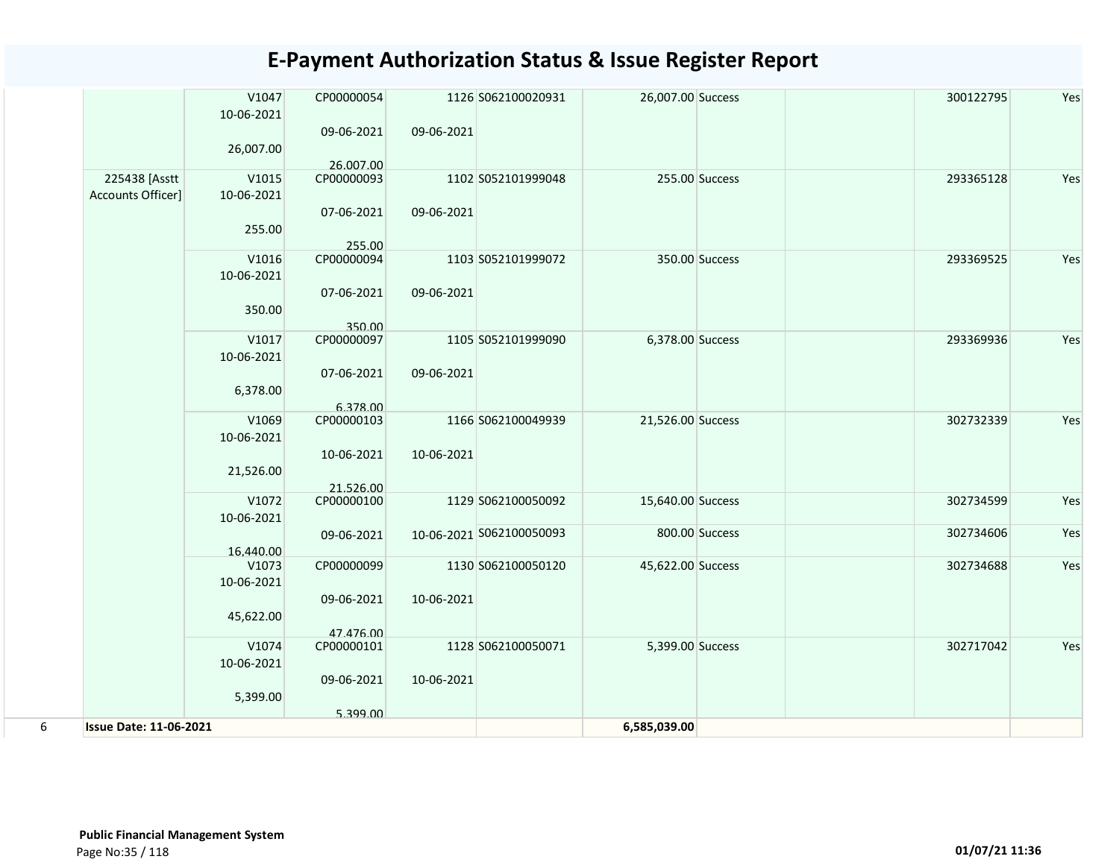|                               | V1047      | CP00000054 |            | 1126 S062100020931       | 26,007.00 Success |                | 300122795 | Yes |
|-------------------------------|------------|------------|------------|--------------------------|-------------------|----------------|-----------|-----|
|                               | 10-06-2021 |            |            |                          |                   |                |           |     |
|                               |            | 09-06-2021 | 09-06-2021 |                          |                   |                |           |     |
|                               | 26,007.00  |            |            |                          |                   |                |           |     |
|                               |            | 26.007.00  |            |                          |                   |                |           |     |
| 225438 [Asstt                 | V1015      | CP00000093 |            | 1102 S052101999048       |                   | 255.00 Success | 293365128 | Yes |
| Accounts Officer]             | 10-06-2021 |            |            |                          |                   |                |           |     |
|                               |            | 07-06-2021 | 09-06-2021 |                          |                   |                |           |     |
|                               | 255.00     |            |            |                          |                   |                |           |     |
|                               |            | 255.00     |            |                          |                   |                |           |     |
|                               | V1016      | CP00000094 |            | 1103 S052101999072       |                   | 350.00 Success | 293369525 | Yes |
|                               | 10-06-2021 |            |            |                          |                   |                |           |     |
|                               |            | 07-06-2021 | 09-06-2021 |                          |                   |                |           |     |
|                               | 350.00     |            |            |                          |                   |                |           |     |
|                               |            | 350.00     |            |                          |                   |                |           |     |
|                               | V1017      | CP00000097 |            | 1105 S052101999090       | 6,378.00 Success  |                | 293369936 | Yes |
|                               | 10-06-2021 |            |            |                          |                   |                |           |     |
|                               |            | 07-06-2021 | 09-06-2021 |                          |                   |                |           |     |
|                               | 6,378.00   |            |            |                          |                   |                |           |     |
|                               |            | 6.378.00   |            |                          |                   |                |           |     |
|                               | V1069      | CP00000103 |            | 1166 S062100049939       | 21,526.00 Success |                | 302732339 | Yes |
|                               | 10-06-2021 |            |            |                          |                   |                |           |     |
|                               |            | 10-06-2021 | 10-06-2021 |                          |                   |                |           |     |
|                               | 21,526.00  |            |            |                          |                   |                |           |     |
|                               |            | 21.526.00  |            |                          |                   |                |           |     |
|                               | V1072      | CP00000100 |            | 1129 S062100050092       | 15,640.00 Success |                | 302734599 | Yes |
|                               | 10-06-2021 |            |            |                          |                   |                |           |     |
|                               |            | 09-06-2021 |            | 10-06-2021 S062100050093 |                   | 800.00 Success | 302734606 | Yes |
|                               | 16.440.00  |            |            |                          |                   |                |           |     |
|                               | V1073      | CP00000099 |            | 1130 S062100050120       | 45,622.00 Success |                | 302734688 | Yes |
|                               | 10-06-2021 |            |            |                          |                   |                |           |     |
|                               |            | 09-06-2021 | 10-06-2021 |                          |                   |                |           |     |
|                               | 45,622.00  |            |            |                          |                   |                |           |     |
|                               |            | 47.476.00  |            |                          |                   |                |           |     |
|                               | V1074      | CP00000101 |            | 1128 S062100050071       | 5,399.00 Success  |                | 302717042 | Yes |
|                               | 10-06-2021 |            |            |                          |                   |                |           |     |
|                               |            | 09-06-2021 | 10-06-2021 |                          |                   |                |           |     |
|                               | 5,399.00   |            |            |                          |                   |                |           |     |
|                               |            | 5.399.00   |            |                          |                   |                |           |     |
| <b>Issue Date: 11-06-2021</b> |            |            |            |                          | 6,585,039.00      |                |           |     |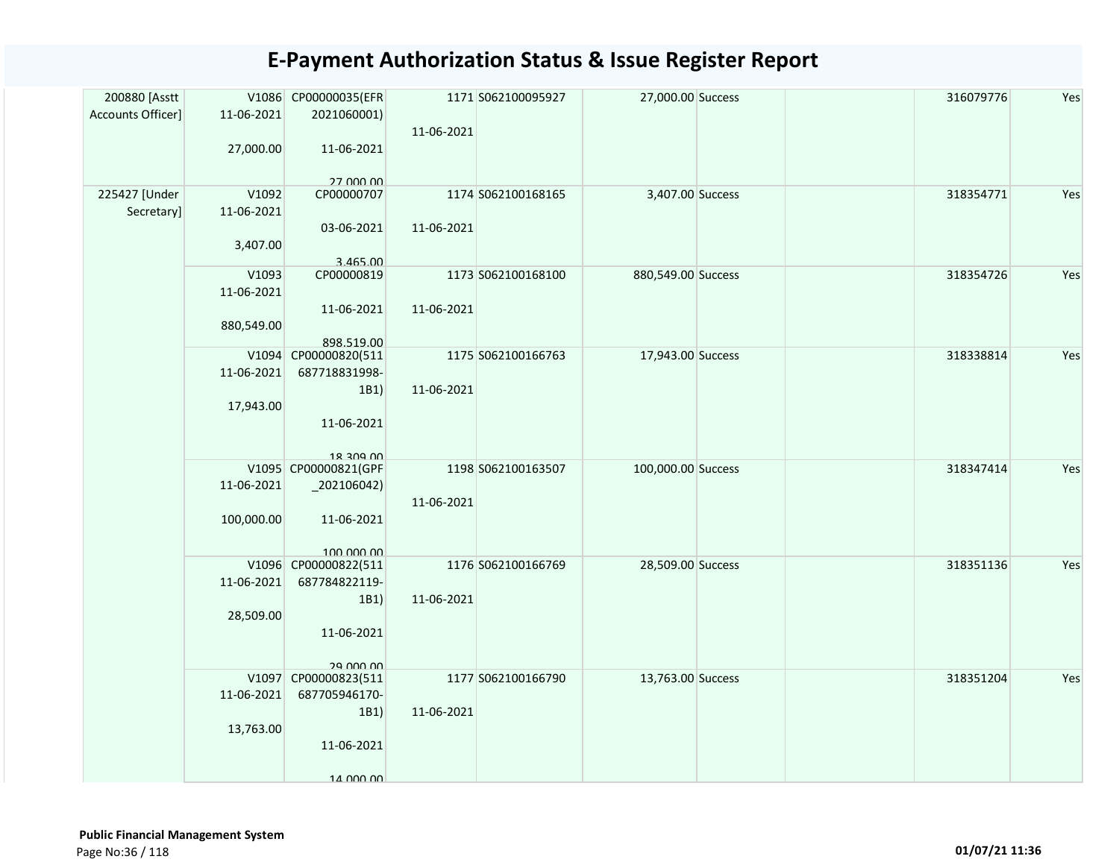| 200880 [Asstt     |            | V1086 CP00000035(EFR    |            | 1171 S062100095927 | 27,000.00 Success  | 316079776 | Yes |
|-------------------|------------|-------------------------|------------|--------------------|--------------------|-----------|-----|
| Accounts Officer] | 11-06-2021 | 2021060001)             |            |                    |                    |           |     |
|                   |            |                         | 11-06-2021 |                    |                    |           |     |
|                   | 27,000.00  | 11-06-2021              |            |                    |                    |           |     |
|                   |            |                         |            |                    |                    |           |     |
| 225427 [Under     | V1092      | 27 000 00<br>CP00000707 |            | 1174 S062100168165 | 3,407.00 Success   | 318354771 | Yes |
| Secretary]        | 11-06-2021 |                         |            |                    |                    |           |     |
|                   |            | 03-06-2021              | 11-06-2021 |                    |                    |           |     |
|                   | 3,407.00   |                         |            |                    |                    |           |     |
|                   |            | 3.465.00                |            |                    |                    |           |     |
|                   | V1093      | CP00000819              |            | 1173 S062100168100 | 880,549.00 Success | 318354726 | Yes |
|                   | 11-06-2021 |                         |            |                    |                    |           |     |
|                   |            | 11-06-2021              | 11-06-2021 |                    |                    |           |     |
|                   | 880,549.00 |                         |            |                    |                    |           |     |
|                   |            | 898.519.00              |            |                    |                    |           |     |
|                   | V1094      | CP00000820(511          |            | 1175 S062100166763 | 17,943.00 Success  | 318338814 | Yes |
|                   | 11-06-2021 | 687718831998-           |            |                    |                    |           |     |
|                   |            | 1B1)                    | 11-06-2021 |                    |                    |           |     |
|                   | 17,943.00  |                         |            |                    |                    |           |     |
|                   |            | 11-06-2021              |            |                    |                    |           |     |
|                   |            | 18 200 00               |            |                    |                    |           |     |
|                   |            | V1095 CP00000821(GPF    |            | 1198 S062100163507 | 100,000.00 Success | 318347414 | Yes |
|                   | 11-06-2021 | $_2$ 02106042)          |            |                    |                    |           |     |
|                   |            |                         | 11-06-2021 |                    |                    |           |     |
|                   | 100,000.00 | 11-06-2021              |            |                    |                    |           |     |
|                   |            |                         |            |                    |                    |           |     |
|                   |            | 100,000,00              |            |                    |                    |           |     |
|                   |            | V1096 CP00000822(511    |            | 1176 S062100166769 | 28,509.00 Success  | 318351136 | Yes |
|                   | 11-06-2021 | 687784822119-           |            |                    |                    |           |     |
|                   |            | 1B1)                    | 11-06-2021 |                    |                    |           |     |
|                   | 28,509.00  |                         |            |                    |                    |           |     |
|                   |            | 11-06-2021              |            |                    |                    |           |     |
|                   |            | 29 UUU UU               |            |                    |                    |           |     |
|                   |            | V1097 CP00000823(511    |            | 1177 S062100166790 | 13,763.00 Success  | 318351204 | Yes |
|                   | 11-06-2021 | 687705946170-           |            |                    |                    |           |     |
|                   |            | 1B1)                    | 11-06-2021 |                    |                    |           |     |
|                   | 13,763.00  |                         |            |                    |                    |           |     |
|                   |            | 11-06-2021              |            |                    |                    |           |     |
|                   |            |                         |            |                    |                    |           |     |
|                   |            | 14 000 00               |            |                    |                    |           |     |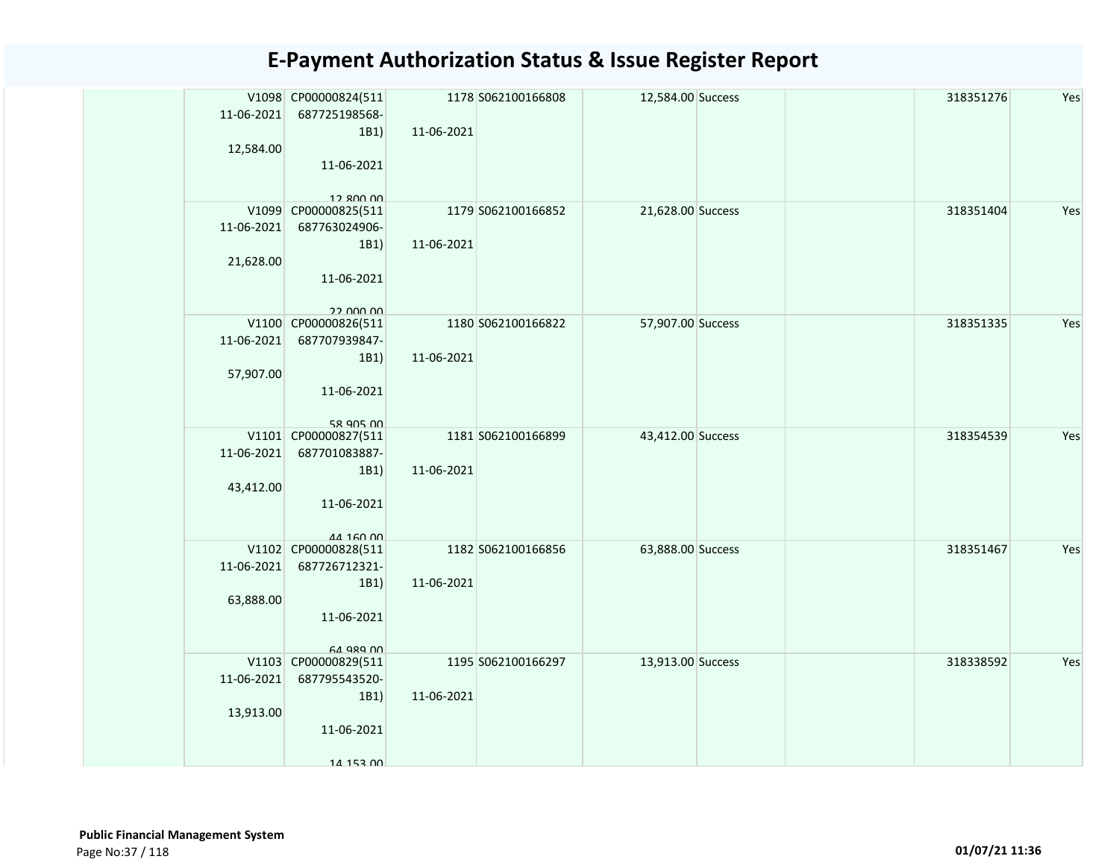| 11-06-2021 | V1098 CP00000824(511<br>687725198568- |            | 1178 S062100166808 | 12,584.00 Success |  | 318351276 | Yes |
|------------|---------------------------------------|------------|--------------------|-------------------|--|-----------|-----|
|            | 1B1)                                  | 11-06-2021 |                    |                   |  |           |     |
| 12,584.00  | 11-06-2021                            |            |                    |                   |  |           |     |
|            |                                       |            |                    |                   |  |           |     |
|            | $12$ 800 00<br>V1099 CP00000825(511   |            | 1179 S062100166852 | 21,628.00 Success |  | 318351404 | Yes |
| 11-06-2021 | 687763024906-                         |            |                    |                   |  |           |     |
|            | 1B1)                                  | 11-06-2021 |                    |                   |  |           |     |
| 21,628.00  |                                       |            |                    |                   |  |           |     |
|            | 11-06-2021                            |            |                    |                   |  |           |     |
|            | 22 DOO OO                             |            |                    |                   |  |           |     |
|            | V1100 CP00000826(511                  |            | 1180 S062100166822 | 57,907.00 Success |  | 318351335 | Yes |
| 11-06-2021 | 687707939847-                         |            |                    |                   |  |           |     |
|            | 1B1)                                  | 11-06-2021 |                    |                   |  |           |     |
| 57,907.00  | 11-06-2021                            |            |                    |                   |  |           |     |
|            |                                       |            |                    |                   |  |           |     |
|            | 58 905 00                             |            |                    |                   |  |           |     |
| 11-06-2021 | V1101 CP00000827(511<br>687701083887- |            | 1181 S062100166899 | 43,412.00 Success |  | 318354539 | Yes |
|            | 1B1)                                  | 11-06-2021 |                    |                   |  |           |     |
| 43,412.00  |                                       |            |                    |                   |  |           |     |
|            | 11-06-2021                            |            |                    |                   |  |           |     |
|            | 44 160 00                             |            |                    |                   |  |           |     |
|            | V1102 CP00000828(511                  |            | 1182 S062100166856 | 63,888.00 Success |  | 318351467 | Yes |
| 11-06-2021 | 687726712321-                         |            |                    |                   |  |           |     |
|            | 1B1)                                  | 11-06-2021 |                    |                   |  |           |     |
| 63,888.00  | 11-06-2021                            |            |                    |                   |  |           |     |
|            |                                       |            |                    |                   |  |           |     |
|            | 64 989 00<br>V1103 CP00000829(511     |            | 1195 S062100166297 | 13,913.00 Success |  | 318338592 | Yes |
| 11-06-2021 | 687795543520-                         |            |                    |                   |  |           |     |
|            | 1B1)                                  | 11-06-2021 |                    |                   |  |           |     |
| 13,913.00  |                                       |            |                    |                   |  |           |     |
|            | 11-06-2021                            |            |                    |                   |  |           |     |
|            | 14 153 00                             |            |                    |                   |  |           |     |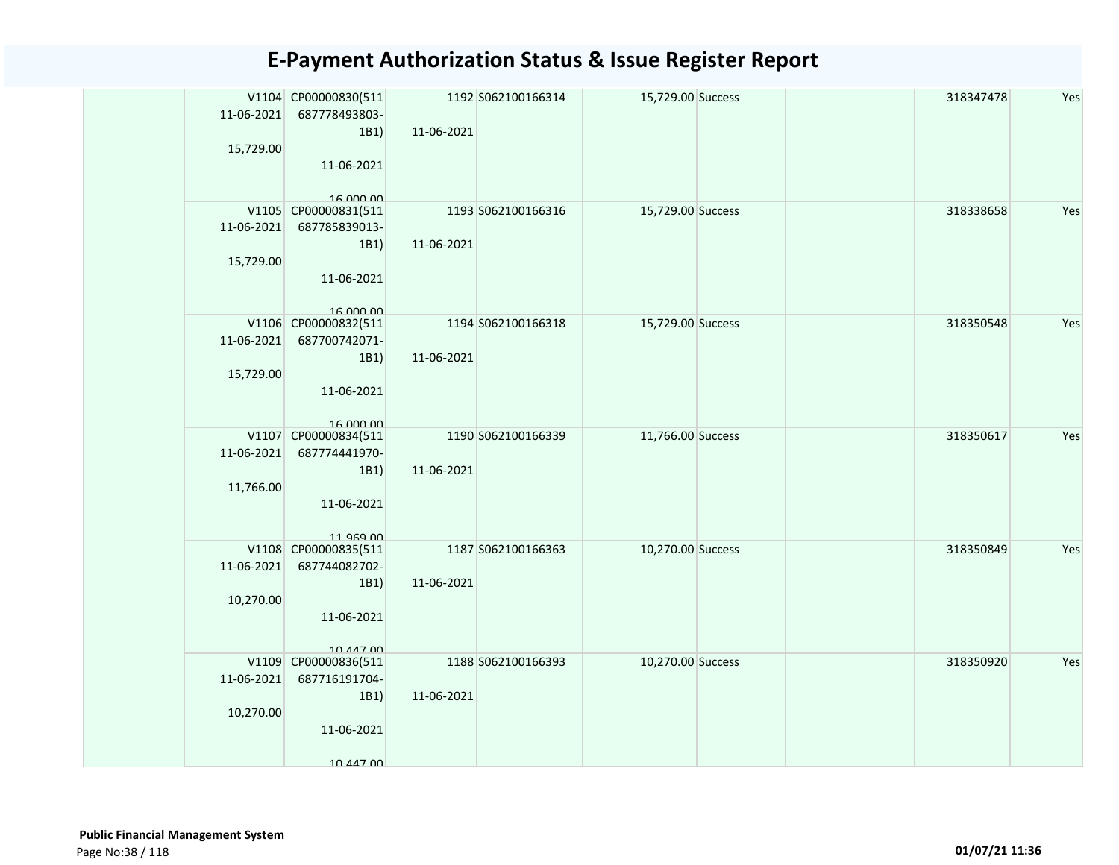| 11-06-2021 | V1104 CP00000830(511<br>687778493803- |            | 1192 S062100166314 | 15,729.00 Success |  | 318347478 | Yes |
|------------|---------------------------------------|------------|--------------------|-------------------|--|-----------|-----|
|            | 1B1)                                  | 11-06-2021 |                    |                   |  |           |     |
| 15,729.00  |                                       |            |                    |                   |  |           |     |
|            | 11-06-2021                            |            |                    |                   |  |           |     |
|            |                                       |            |                    |                   |  |           |     |
|            | 16.000.00<br>V1105 CP00000831(511     |            | 1193 S062100166316 | 15,729.00 Success |  | 318338658 | Yes |
| 11-06-2021 | 687785839013-                         |            |                    |                   |  |           |     |
|            | 1B1)                                  | 11-06-2021 |                    |                   |  |           |     |
| 15,729.00  |                                       |            |                    |                   |  |           |     |
|            | 11-06-2021                            |            |                    |                   |  |           |     |
|            |                                       |            |                    |                   |  |           |     |
|            | 16.000.00<br>V1106 CP00000832(511     |            | 1194 S062100166318 | 15,729.00 Success |  | 318350548 | Yes |
| 11-06-2021 | 687700742071-                         |            |                    |                   |  |           |     |
|            | 1B1)                                  | 11-06-2021 |                    |                   |  |           |     |
| 15,729.00  |                                       |            |                    |                   |  |           |     |
|            | 11-06-2021                            |            |                    |                   |  |           |     |
|            |                                       |            |                    |                   |  |           |     |
|            | 16.000.00<br>V1107 CP00000834(511     |            | 1190 S062100166339 | 11,766.00 Success |  | 318350617 | Yes |
| 11-06-2021 | 687774441970-                         |            |                    |                   |  |           |     |
|            | 1B1)                                  | 11-06-2021 |                    |                   |  |           |     |
| 11,766.00  |                                       |            |                    |                   |  |           |     |
|            | 11-06-2021                            |            |                    |                   |  |           |     |
|            |                                       |            |                    |                   |  |           |     |
|            | 11 969 00<br>V1108 CP00000835(511     |            | 1187 S062100166363 | 10,270.00 Success |  | 318350849 | Yes |
| 11-06-2021 | 687744082702-                         |            |                    |                   |  |           |     |
|            | 1B1)                                  | 11-06-2021 |                    |                   |  |           |     |
| 10,270.00  |                                       |            |                    |                   |  |           |     |
|            | 11-06-2021                            |            |                    |                   |  |           |     |
|            |                                       |            |                    |                   |  |           |     |
|            | 10 447 00<br>V1109 CP00000836(511     |            | 1188 S062100166393 | 10,270.00 Success |  | 318350920 | Yes |
| 11-06-2021 | 687716191704-                         |            |                    |                   |  |           |     |
|            | 1B1)                                  | 11-06-2021 |                    |                   |  |           |     |
| 10,270.00  |                                       |            |                    |                   |  |           |     |
|            | 11-06-2021                            |            |                    |                   |  |           |     |
|            |                                       |            |                    |                   |  |           |     |
|            | 10 447 00                             |            |                    |                   |  |           |     |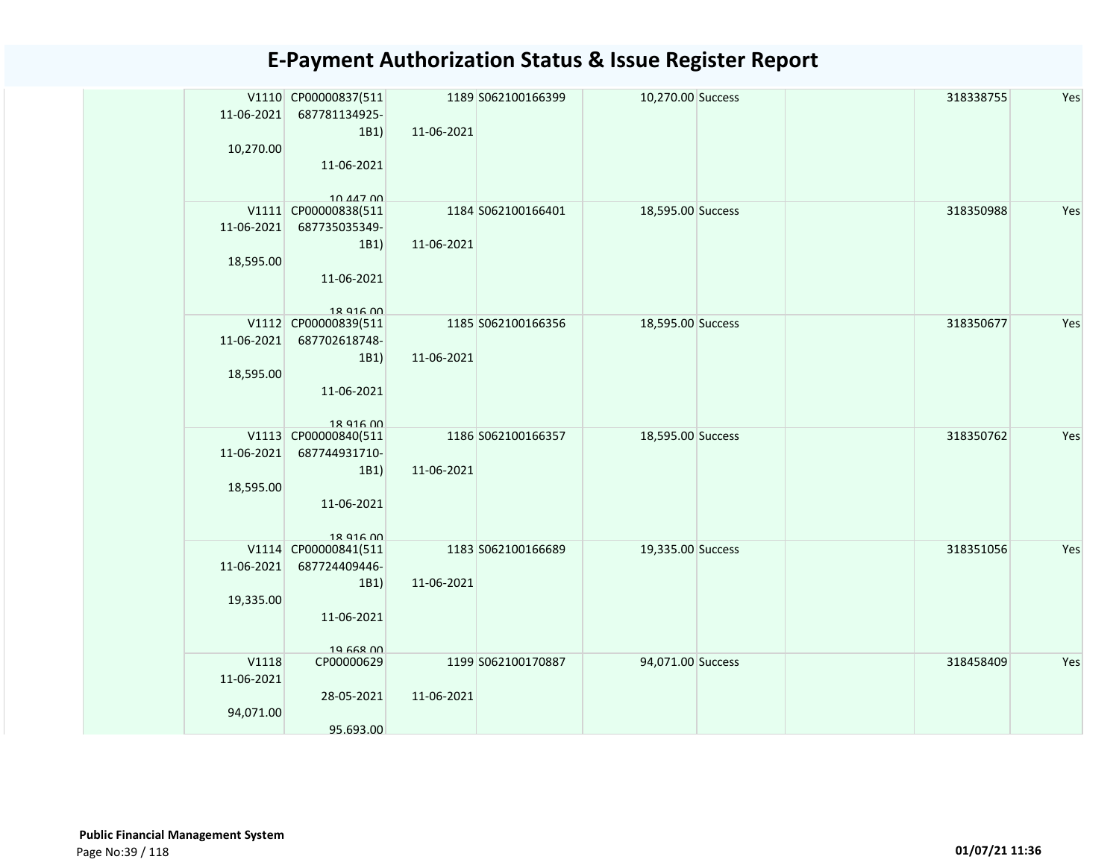| 11-06-2021<br>10,270.00          | V1110 CP00000837(511<br>687781134925-<br>1B1)<br>11-06-2021                           | 11-06-2021 | 1189 S062100166399 | 10,270.00 Success |  | 318338755 | Yes |
|----------------------------------|---------------------------------------------------------------------------------------|------------|--------------------|-------------------|--|-----------|-----|
| 11-06-2021<br>18,595.00          | 10.44700<br>V1111 CP00000838(511<br>687735035349-<br>1B1)<br>11-06-2021               | 11-06-2021 | 1184 S062100166401 | 18,595.00 Success |  | 318350988 | Yes |
| 11-06-2021<br>18,595.00          | 18 916 00<br>V1112 CP00000839(511<br>687702618748-<br>1B1)<br>11-06-2021              | 11-06-2021 | 1185 S062100166356 | 18,595.00 Success |  | 318350677 | Yes |
| 11-06-2021<br>18,595.00          | 18 916 00<br>V1113 CP00000840(511<br>687744931710-<br>1B1)<br>11-06-2021<br>18 916 00 | 11-06-2021 | 1186 S062100166357 | 18,595.00 Success |  | 318350762 | Yes |
| 11-06-2021<br>19,335.00          | V1114 CP00000841(511<br>687724409446-<br>1B1)<br>11-06-2021<br>19 668 00              | 11-06-2021 | 1183 S062100166689 | 19,335.00 Success |  | 318351056 | Yes |
| V1118<br>11-06-2021<br>94,071.00 | CP00000629<br>28-05-2021<br>95.693.00                                                 | 11-06-2021 | 1199 S062100170887 | 94,071.00 Success |  | 318458409 | Yes |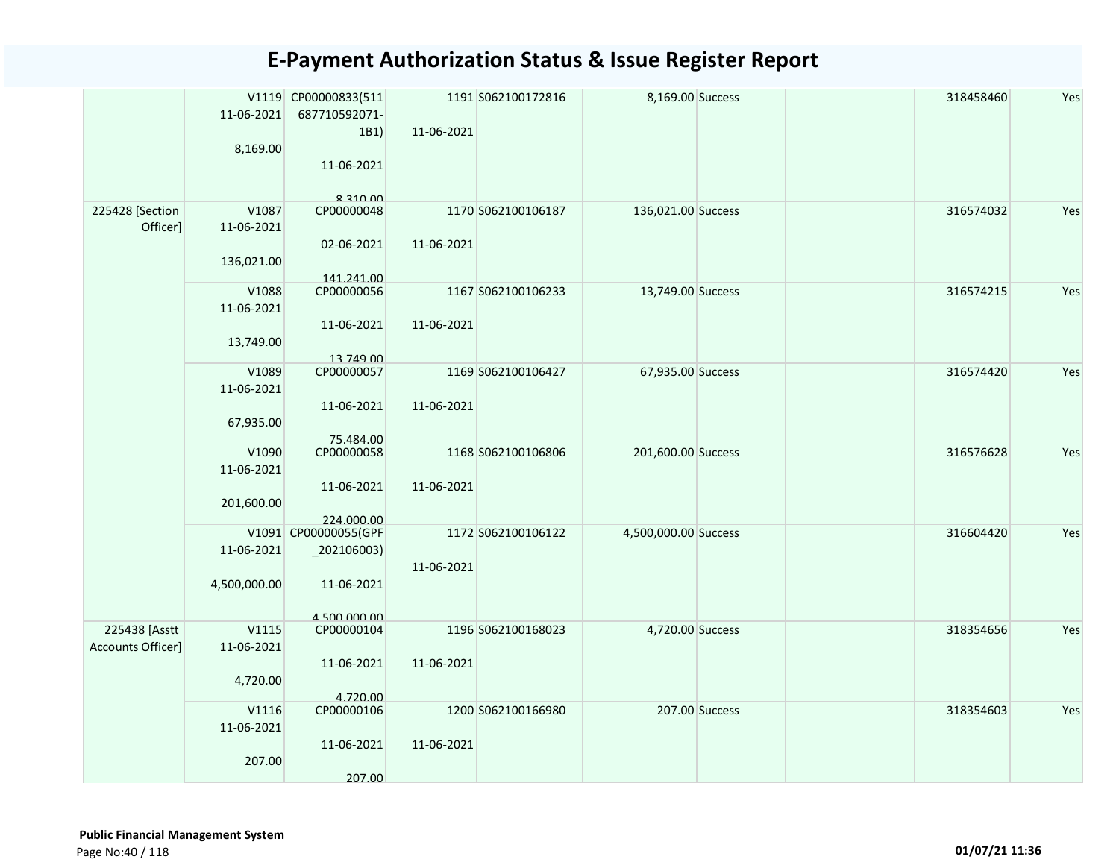|                   |              | V1119 CP00000833(511       |            | 1191 S062100172816 | 8,169.00 Success     |                | 318458460 | Yes |
|-------------------|--------------|----------------------------|------------|--------------------|----------------------|----------------|-----------|-----|
|                   | 11-06-2021   | 687710592071-              |            |                    |                      |                |           |     |
|                   |              | 1B1)                       | 11-06-2021 |                    |                      |                |           |     |
|                   | 8,169.00     |                            |            |                    |                      |                |           |     |
|                   |              | 11-06-2021                 |            |                    |                      |                |           |     |
|                   |              |                            |            |                    |                      |                |           |     |
|                   |              | $R$ 210 00                 |            |                    |                      |                |           |     |
| 225428 [Section   | V1087        | CP00000048                 |            | 1170 S062100106187 | 136,021.00 Success   |                | 316574032 | Yes |
| Officer]          | 11-06-2021   |                            |            |                    |                      |                |           |     |
|                   |              | 02-06-2021                 | 11-06-2021 |                    |                      |                |           |     |
|                   | 136,021.00   |                            |            |                    |                      |                |           |     |
|                   |              | 141.241.00                 |            |                    |                      |                |           |     |
|                   | V1088        | CP00000056                 |            | 1167 S062100106233 | 13,749.00 Success    |                | 316574215 | Yes |
|                   | 11-06-2021   |                            |            |                    |                      |                |           |     |
|                   |              | 11-06-2021                 | 11-06-2021 |                    |                      |                |           |     |
|                   | 13,749.00    |                            |            |                    |                      |                |           |     |
|                   |              | 13.749.00                  |            |                    |                      |                |           |     |
|                   | V1089        | CP00000057                 |            | 1169 S062100106427 | 67,935.00 Success    |                | 316574420 | Yes |
|                   | 11-06-2021   |                            |            |                    |                      |                |           |     |
|                   |              | 11-06-2021                 | 11-06-2021 |                    |                      |                |           |     |
|                   | 67,935.00    |                            |            |                    |                      |                |           |     |
|                   |              | 75.484.00                  |            |                    |                      |                |           |     |
|                   | V1090        | CP00000058                 |            | 1168 S062100106806 | 201,600.00 Success   |                | 316576628 | Yes |
|                   | 11-06-2021   |                            |            |                    |                      |                |           |     |
|                   |              | 11-06-2021                 | 11-06-2021 |                    |                      |                |           |     |
|                   | 201,600.00   |                            |            |                    |                      |                |           |     |
|                   |              | 224.000.00                 |            |                    |                      |                |           |     |
|                   |              | V1091 CP00000055(GPF       |            | 1172 S062100106122 | 4,500,000.00 Success |                | 316604420 | Yes |
|                   | 11-06-2021   | $_2$ 02106003)             |            |                    |                      |                |           |     |
|                   |              |                            | 11-06-2021 |                    |                      |                |           |     |
|                   | 4,500,000.00 | 11-06-2021                 |            |                    |                      |                |           |     |
|                   |              |                            |            |                    |                      |                |           |     |
| 225438 [Asstt     | V1115        | 4 500 000 00<br>CP00000104 |            | 1196 S062100168023 | 4,720.00 Success     |                | 318354656 | Yes |
| Accounts Officer] | 11-06-2021   |                            |            |                    |                      |                |           |     |
|                   |              | 11-06-2021                 | 11-06-2021 |                    |                      |                |           |     |
|                   | 4,720.00     |                            |            |                    |                      |                |           |     |
|                   |              | 4.720.00                   |            |                    |                      |                |           |     |
|                   | V1116        | CP00000106                 |            | 1200 S062100166980 |                      | 207.00 Success | 318354603 | Yes |
|                   | 11-06-2021   |                            |            |                    |                      |                |           |     |
|                   |              | 11-06-2021                 | 11-06-2021 |                    |                      |                |           |     |
|                   | 207.00       |                            |            |                    |                      |                |           |     |
|                   |              | 207.00                     |            |                    |                      |                |           |     |
|                   |              |                            |            |                    |                      |                |           |     |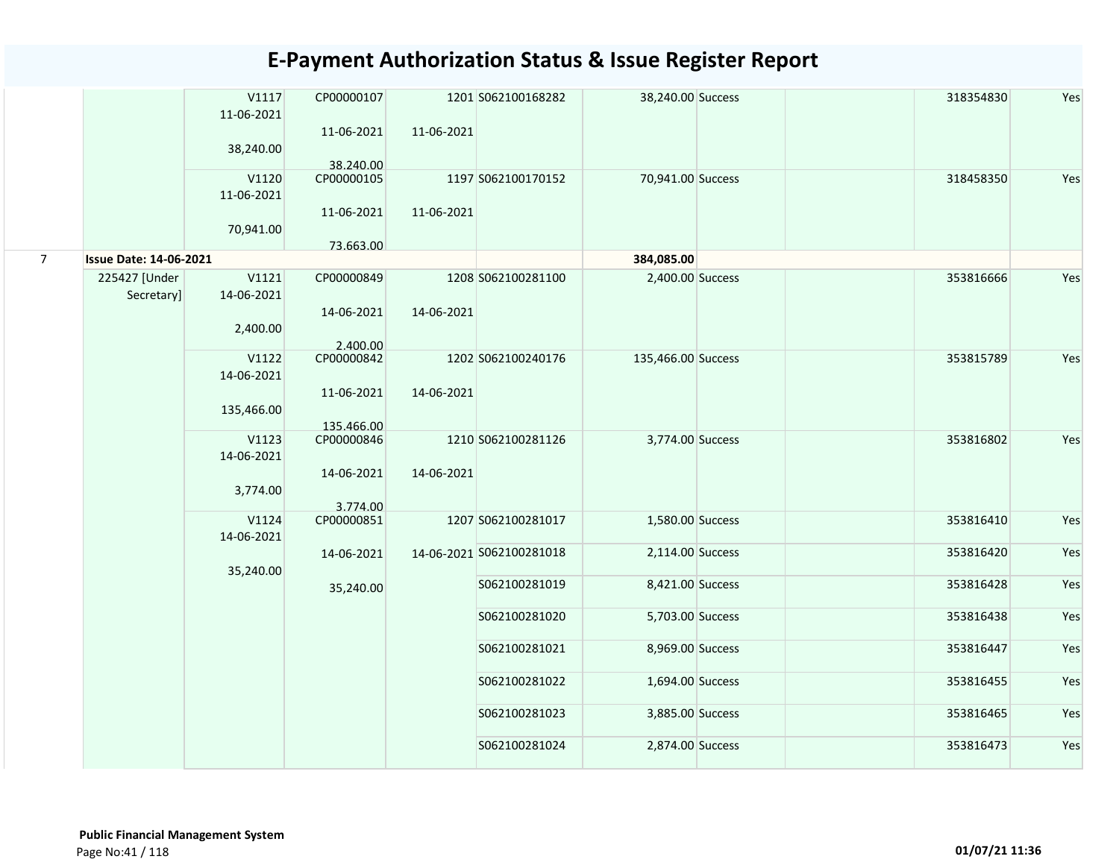|                |                               | V1117<br>11-06-2021             | CP00000107<br>11-06-2021 | 11-06-2021 | 1201 S062100168282       | 38,240.00 Success  | 318354830 | Yes |
|----------------|-------------------------------|---------------------------------|--------------------------|------------|--------------------------|--------------------|-----------|-----|
|                |                               | 38,240.00                       | 38.240.00                |            |                          |                    |           |     |
|                |                               | V1120<br>11-06-2021             | CP00000105<br>11-06-2021 | 11-06-2021 | 1197 S062100170152       | 70,941.00 Success  | 318458350 | Yes |
|                |                               | 70,941.00                       | 73.663.00                |            |                          |                    |           |     |
| $\overline{7}$ | <b>Issue Date: 14-06-2021</b> |                                 |                          |            |                          | 384,085.00         |           |     |
|                | 225427 [Under<br>Secretary]   | V1121<br>14-06-2021             | CP00000849               |            | 1208 S062100281100       | 2,400.00 Success   | 353816666 | Yes |
|                |                               | 2,400.00                        | 14-06-2021<br>2.400.00   | 14-06-2021 |                          |                    |           |     |
|                |                               | V1122<br>14-06-2021             | CP00000842<br>11-06-2021 | 14-06-2021 | 1202 S062100240176       | 135,466.00 Success | 353815789 | Yes |
|                |                               | 135,466.00                      | 135.466.00               |            |                          |                    |           |     |
|                |                               | V1123<br>14-06-2021<br>3,774.00 | CP00000846<br>14-06-2021 | 14-06-2021 | 1210 S062100281126       | 3,774.00 Success   | 353816802 | Yes |
|                |                               |                                 | 3.774.00                 |            |                          |                    |           |     |
|                |                               | V1124<br>14-06-2021             | CP00000851               |            | 1207 S062100281017       | 1,580.00 Success   | 353816410 | Yes |
|                |                               | 35,240.00                       | 14-06-2021               |            | 14-06-2021 S062100281018 | 2,114.00 Success   | 353816420 | Yes |
|                |                               |                                 | 35,240.00                |            | S062100281019            | 8,421.00 Success   | 353816428 | Yes |
|                |                               |                                 |                          |            | S062100281020            | 5,703.00 Success   | 353816438 | Yes |
|                |                               |                                 |                          |            | S062100281021            | 8,969.00 Success   | 353816447 | Yes |
|                |                               |                                 |                          |            | S062100281022            | 1,694.00 Success   | 353816455 | Yes |
|                |                               |                                 |                          |            | S062100281023            | 3,885.00 Success   | 353816465 | Yes |
|                |                               |                                 |                          |            | S062100281024            | 2,874.00 Success   | 353816473 | Yes |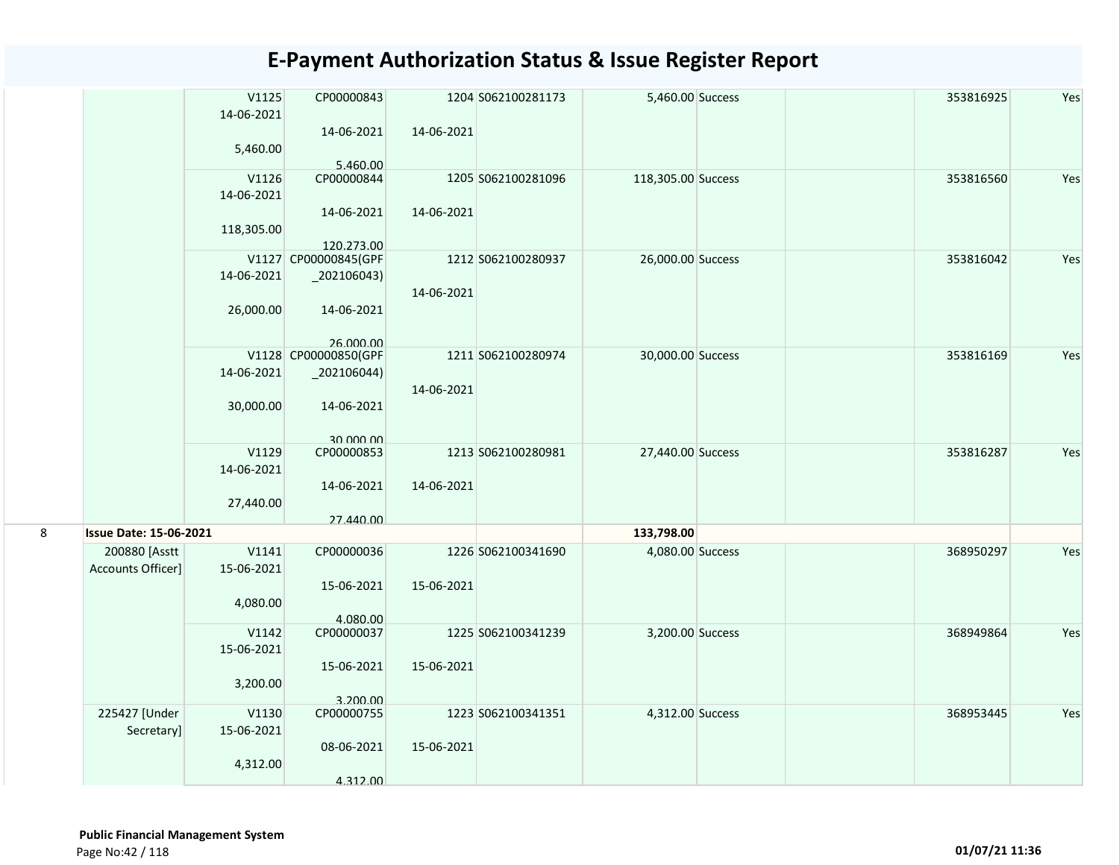|   |                               | V1125                                       | CP00000843                                                     |                          | 1204 S062100281173 | 5,460.00 Success   |  | 353816925 | Yes |
|---|-------------------------------|---------------------------------------------|----------------------------------------------------------------|--------------------------|--------------------|--------------------|--|-----------|-----|
|   |                               | 14-06-2021                                  |                                                                |                          |                    |                    |  |           |     |
|   |                               |                                             | 14-06-2021                                                     | 14-06-2021               |                    |                    |  |           |     |
|   |                               | 5,460.00                                    |                                                                |                          |                    |                    |  |           |     |
|   |                               |                                             | 5.460.00                                                       |                          |                    |                    |  |           |     |
|   |                               | V1126                                       | CP00000844                                                     |                          | 1205 S062100281096 | 118,305.00 Success |  | 353816560 | Yes |
|   |                               | 14-06-2021                                  |                                                                |                          |                    |                    |  |           |     |
|   |                               |                                             | 14-06-2021                                                     | 14-06-2021               |                    |                    |  |           |     |
|   |                               | 118,305.00                                  |                                                                |                          |                    |                    |  |           |     |
|   |                               |                                             | 120.273.00<br>V1127 CP00000845(GPF                             |                          | 1212 S062100280937 | 26,000.00 Success  |  | 353816042 | Yes |
|   |                               | 14-06-2021                                  | $\left[202106043\right)$                                       |                          |                    |                    |  |           |     |
|   |                               |                                             |                                                                | 14-06-2021               |                    |                    |  |           |     |
|   |                               | 26,000.00                                   | 14-06-2021                                                     |                          |                    |                    |  |           |     |
|   |                               |                                             |                                                                |                          |                    |                    |  |           |     |
|   |                               |                                             | 26,000,00                                                      |                          |                    |                    |  |           |     |
|   |                               |                                             | V1128 CP00000850(GPF                                           |                          | 1211 S062100280974 | 30,000.00 Success  |  | 353816169 | Yes |
|   |                               | 14-06-2021                                  | $_2$ 02106044)                                                 |                          |                    |                    |  |           |     |
|   |                               |                                             |                                                                | 14-06-2021               |                    |                    |  |           |     |
|   |                               | 30,000.00                                   | 14-06-2021                                                     |                          |                    |                    |  |           |     |
|   |                               |                                             |                                                                |                          |                    |                    |  |           |     |
|   |                               | V1129                                       | 30 000 00<br>CP00000853                                        |                          | 1213 S062100280981 | 27,440.00 Success  |  | 353816287 | Yes |
|   |                               | 14-06-2021                                  |                                                                |                          |                    |                    |  |           |     |
|   |                               |                                             | 14-06-2021                                                     | 14-06-2021               |                    |                    |  |           |     |
|   |                               | 27,440.00                                   |                                                                |                          |                    |                    |  |           |     |
|   |                               |                                             | 27.440.00                                                      |                          |                    |                    |  |           |     |
| 8 | <b>Issue Date: 15-06-2021</b> |                                             |                                                                |                          |                    | 133,798.00         |  |           |     |
|   | 200880 [Asstt                 | V1141                                       | CP00000036                                                     |                          | 1226 S062100341690 | 4,080.00 Success   |  | 368950297 | Yes |
|   | Accounts Officer]             | 15-06-2021                                  |                                                                |                          |                    |                    |  |           |     |
|   |                               |                                             | 15-06-2021                                                     | 15-06-2021               |                    |                    |  |           |     |
|   |                               | 4,080.00                                    |                                                                |                          |                    |                    |  |           |     |
|   |                               |                                             | 4.080.00                                                       |                          |                    |                    |  |           |     |
|   |                               | V1142                                       | CP00000037                                                     |                          | 1225 S062100341239 | 3,200.00 Success   |  | 368949864 | Yes |
|   |                               | 15-06-2021                                  |                                                                |                          |                    |                    |  |           |     |
|   |                               |                                             |                                                                |                          |                    |                    |  |           |     |
|   |                               |                                             |                                                                |                          |                    |                    |  |           |     |
|   |                               |                                             |                                                                |                          |                    |                    |  |           |     |
|   |                               |                                             |                                                                |                          |                    |                    |  |           |     |
|   |                               |                                             |                                                                |                          |                    |                    |  |           |     |
|   |                               |                                             |                                                                |                          |                    |                    |  |           |     |
|   |                               |                                             |                                                                |                          |                    |                    |  |           |     |
|   | 225427 [Under<br>Secretary]   | 3,200.00<br>V1130<br>15-06-2021<br>4,312.00 | 15-06-2021<br>3.200.00<br>CP00000755<br>08-06-2021<br>4.312.00 | 15-06-2021<br>15-06-2021 | 1223 S062100341351 | 4,312.00 Success   |  | 368953445 | Yes |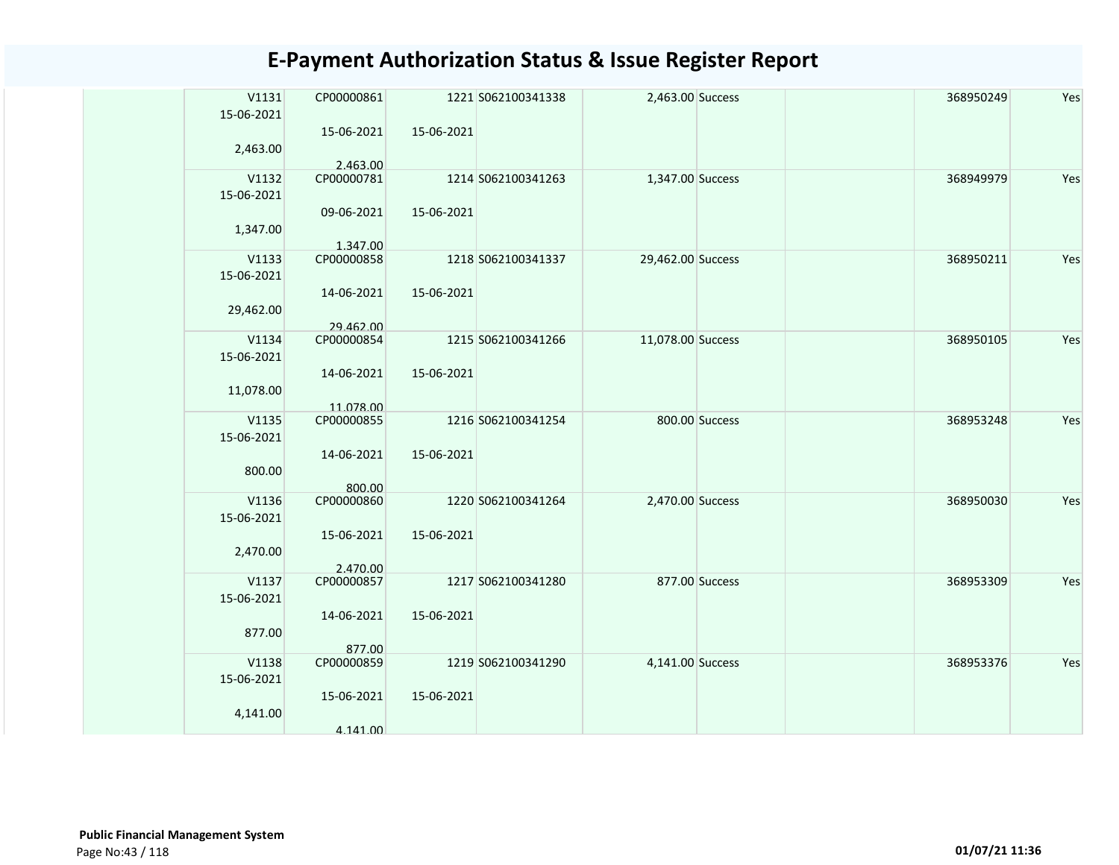| V1131               | CP00000861              |            | 1221 S062100341338 | 2,463.00 Success  |                | 368950249 | Yes |
|---------------------|-------------------------|------------|--------------------|-------------------|----------------|-----------|-----|
| 15-06-2021          | 15-06-2021              | 15-06-2021 |                    |                   |                |           |     |
| 2,463.00            |                         |            |                    |                   |                |           |     |
|                     | 2.463.00                |            |                    |                   |                |           |     |
| V1132               | CP00000781              |            | 1214 S062100341263 | 1,347.00 Success  |                | 368949979 | Yes |
| 15-06-2021          |                         |            |                    |                   |                |           |     |
|                     | 09-06-2021              | 15-06-2021 |                    |                   |                |           |     |
| 1,347.00            |                         |            |                    |                   |                |           |     |
| V1133               | 1.347.00<br>CP00000858  |            | 1218 S062100341337 |                   |                | 368950211 | Yes |
| 15-06-2021          |                         |            |                    | 29,462.00 Success |                |           |     |
|                     | 14-06-2021              | 15-06-2021 |                    |                   |                |           |     |
| 29,462.00           |                         |            |                    |                   |                |           |     |
|                     | 29.462.00               |            |                    |                   |                |           |     |
| V1134               | CP00000854              |            | 1215 S062100341266 | 11,078.00 Success |                | 368950105 | Yes |
| 15-06-2021          |                         |            |                    |                   |                |           |     |
|                     | 14-06-2021              | 15-06-2021 |                    |                   |                |           |     |
| 11,078.00           |                         |            |                    |                   |                |           |     |
| V1135               | 11.078.00<br>CP00000855 |            | 1216 S062100341254 |                   | 800.00 Success | 368953248 | Yes |
| 15-06-2021          |                         |            |                    |                   |                |           |     |
|                     | 14-06-2021              | 15-06-2021 |                    |                   |                |           |     |
| 800.00              |                         |            |                    |                   |                |           |     |
|                     | 800.00                  |            |                    |                   |                |           |     |
| V1136               | CP00000860              |            | 1220 S062100341264 | 2,470.00 Success  |                | 368950030 | Yes |
| 15-06-2021          |                         |            |                    |                   |                |           |     |
|                     | 15-06-2021              | 15-06-2021 |                    |                   |                |           |     |
| 2,470.00            | 2.470.00                |            |                    |                   |                |           |     |
| V1137               | CP00000857              |            | 1217 S062100341280 |                   | 877.00 Success | 368953309 | Yes |
| 15-06-2021          |                         |            |                    |                   |                |           |     |
|                     | 14-06-2021              | 15-06-2021 |                    |                   |                |           |     |
| 877.00              |                         |            |                    |                   |                |           |     |
|                     | 877.00                  |            |                    |                   |                |           | Yes |
| V1138<br>15-06-2021 | CP00000859              |            | 1219 S062100341290 | 4,141.00 Success  |                | 368953376 |     |
|                     | 15-06-2021              | 15-06-2021 |                    |                   |                |           |     |
| 4,141.00            |                         |            |                    |                   |                |           |     |
|                     | 4.141.00                |            |                    |                   |                |           |     |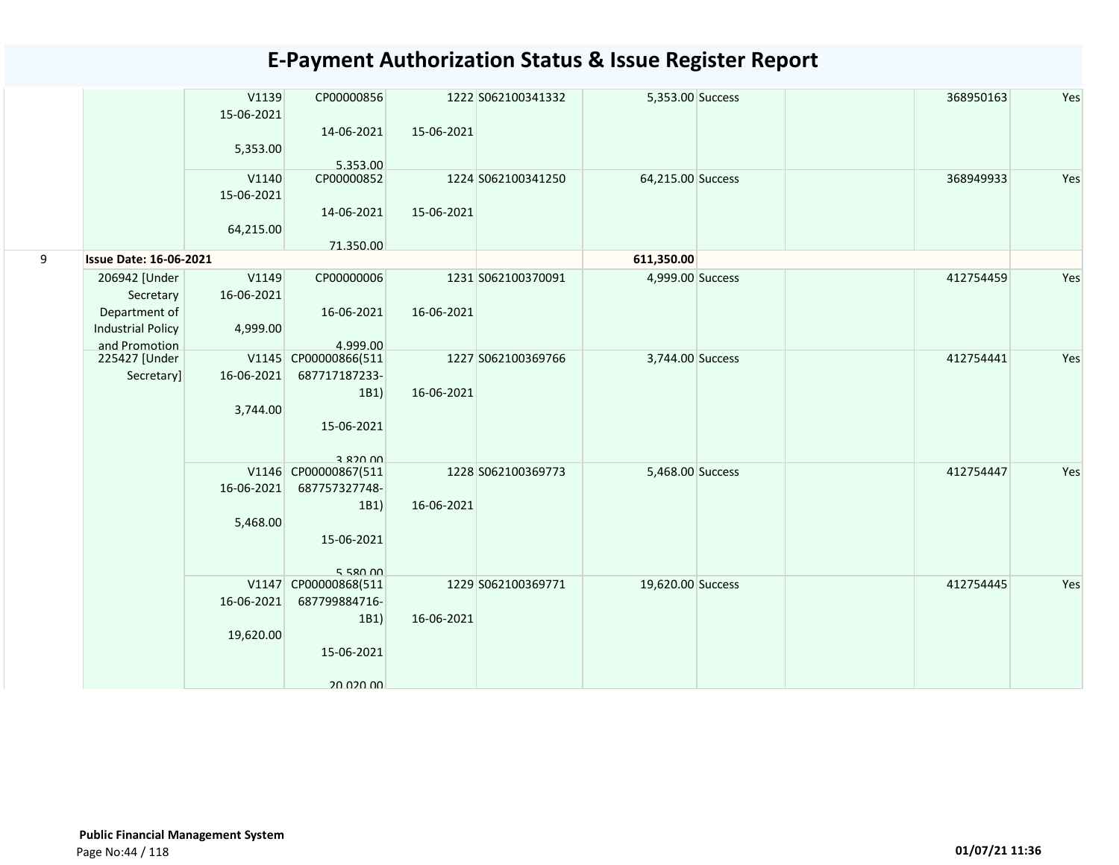|   |                                           | V1139<br>15-06-2021 | CP00000856              |            | 1222 S062100341332 | 5,353.00 Success  |  | Yes<br>368950163 |
|---|-------------------------------------------|---------------------|-------------------------|------------|--------------------|-------------------|--|------------------|
|   |                                           | 5,353.00            | 14-06-2021<br>5.353.00  | 15-06-2021 |                    |                   |  |                  |
|   |                                           | V1140<br>15-06-2021 | CP00000852              |            | 1224 S062100341250 | 64,215.00 Success |  | Yes<br>368949933 |
|   |                                           | 64,215.00           | 14-06-2021<br>71.350.00 | 15-06-2021 |                    |                   |  |                  |
| 9 | <b>Issue Date: 16-06-2021</b>             |                     |                         |            |                    | 611,350.00        |  |                  |
|   | 206942 [Under<br>Secretary                | V1149<br>16-06-2021 | CP00000006              |            | 1231 S062100370091 | 4,999.00 Success  |  | Yes<br>412754459 |
|   | Department of<br><b>Industrial Policy</b> | 4,999.00            | 16-06-2021              | 16-06-2021 |                    |                   |  |                  |
|   | and Promotion                             |                     | 4.999.00                |            |                    |                   |  |                  |
|   | 225427 [Under                             |                     | V1145 CP00000866(511    |            | 1227 S062100369766 | 3,744.00 Success  |  | 412754441<br>Yes |
|   | Secretary]                                | 16-06-2021          | 687717187233-           |            |                    |                   |  |                  |
|   |                                           |                     | 1B1)                    | 16-06-2021 |                    |                   |  |                  |
|   |                                           | 3,744.00            |                         |            |                    |                   |  |                  |
|   |                                           |                     | 15-06-2021              |            |                    |                   |  |                  |
|   |                                           |                     | 3 820 00                |            |                    |                   |  |                  |
|   |                                           |                     | V1146 CP00000867(511    |            | 1228 S062100369773 | 5,468.00 Success  |  | 412754447<br>Yes |
|   |                                           | 16-06-2021          | 687757327748-<br>1B1)   | 16-06-2021 |                    |                   |  |                  |
|   |                                           | 5,468.00            |                         |            |                    |                   |  |                  |
|   |                                           |                     | 15-06-2021              |            |                    |                   |  |                  |
|   |                                           |                     | 55000                   |            |                    |                   |  | Yes              |
|   |                                           | 16-06-2021          | V1147 CP00000868(511    |            | 1229 S062100369771 | 19,620.00 Success |  | 412754445        |
|   |                                           |                     | 687799884716-<br>1B1)   | 16-06-2021 |                    |                   |  |                  |
|   |                                           | 19,620.00           |                         |            |                    |                   |  |                  |
|   |                                           |                     | 15-06-2021              |            |                    |                   |  |                  |
|   |                                           |                     | <u>20 USU UU</u>        |            |                    |                   |  |                  |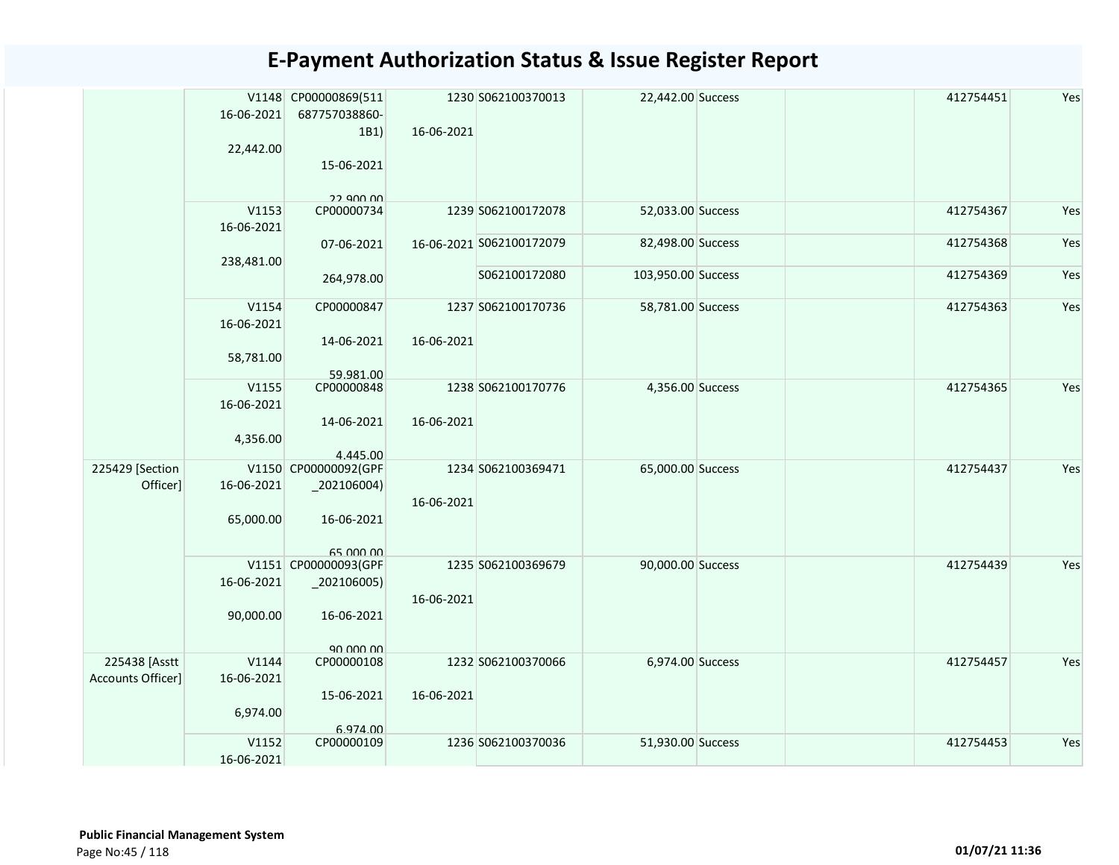|                                    | 16-06-2021<br>22,442.00          | V1148 CP00000869(511<br>687757038860-<br>1B1)<br>15-06-2021<br>22 QNO 00      | 16-06-2021 | 1230 S062100370013       | 22,442.00 Success  | 412754451 | Yes |
|------------------------------------|----------------------------------|-------------------------------------------------------------------------------|------------|--------------------------|--------------------|-----------|-----|
|                                    | V1153<br>16-06-2021              | CP00000734                                                                    |            | 1239 S062100172078       | 52,033.00 Success  | 412754367 | Yes |
|                                    | 238,481.00                       | 07-06-2021                                                                    |            | 16-06-2021 S062100172079 | 82,498.00 Success  | 412754368 | Yes |
|                                    |                                  | 264,978.00                                                                    |            | S062100172080            | 103,950.00 Success | 412754369 | Yes |
|                                    | V1154<br>16-06-2021<br>58,781.00 | CP00000847<br>14-06-2021                                                      | 16-06-2021 | 1237 S062100170736       | 58,781.00 Success  | 412754363 | Yes |
|                                    | V1155<br>16-06-2021<br>4,356.00  | 59.981.00<br>CP00000848<br>14-06-2021                                         | 16-06-2021 | 1238 S062100170776       | 4,356.00 Success   | 412754365 | Yes |
| 225429 [Section<br>Officer]        | 16-06-2021<br>65,000.00          | 4.445.00<br>V1150 CP00000092(GPF<br>$_2$ 02106004)<br>16-06-2021<br>65,000,00 | 16-06-2021 | 1234 S062100369471       | 65,000.00 Success  | 412754437 | Yes |
|                                    | 16-06-2021<br>90,000.00          | V1151 CP00000093(GPF<br>$_2$ 02106005)<br>16-06-2021<br>90,000,00             | 16-06-2021 | 1235 S062100369679       | 90,000.00 Success  | 412754439 | Yes |
| 225438 [Asstt<br>Accounts Officer] | V1144<br>16-06-2021<br>6,974.00  | CP00000108<br>15-06-2021<br>6.974.00                                          | 16-06-2021 | 1232 S062100370066       | 6,974.00 Success   | 412754457 | Yes |
|                                    | V1152<br>16-06-2021              | CP00000109                                                                    |            | 1236 S062100370036       | 51,930.00 Success  | 412754453 | Yes |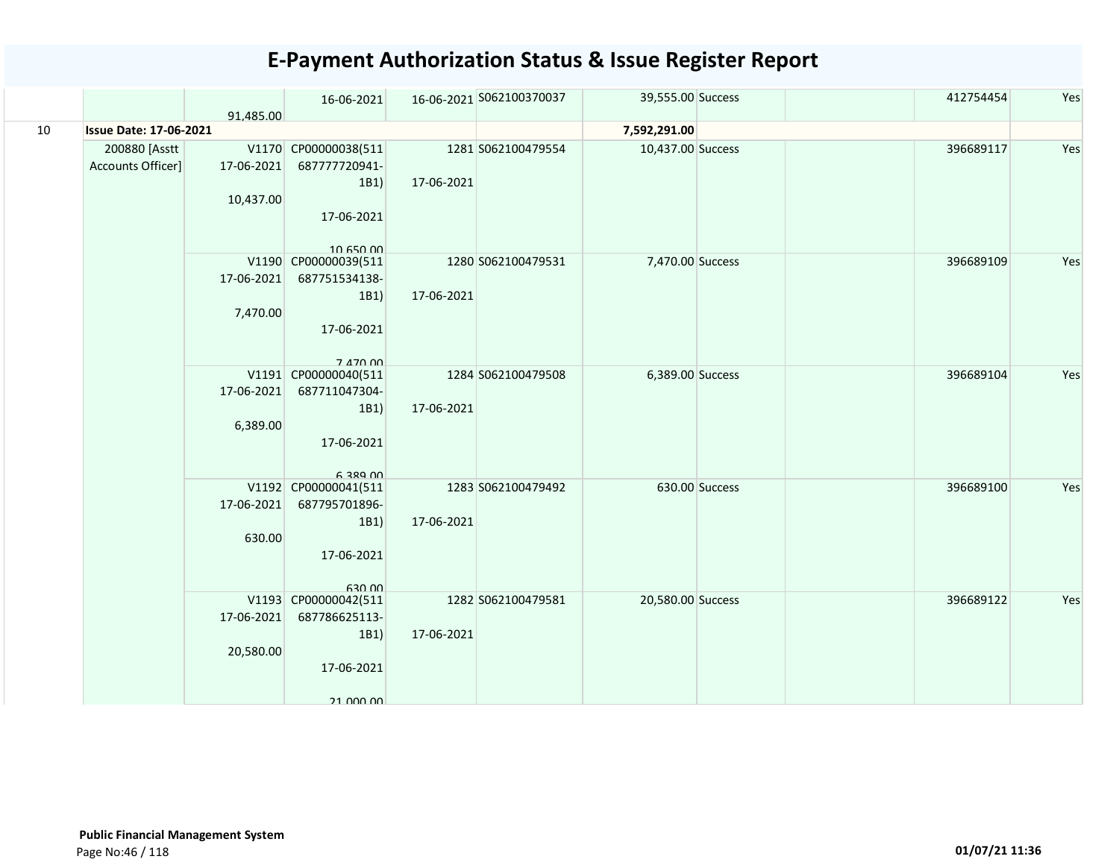|    |                               |            | 16-06-2021           |            | 16-06-2021 S062100370037 | 39,555.00 Success |                | 412754454 | Yes |
|----|-------------------------------|------------|----------------------|------------|--------------------------|-------------------|----------------|-----------|-----|
|    |                               | 91.485.00  |                      |            |                          |                   |                |           |     |
| 10 | <b>Issue Date: 17-06-2021</b> |            |                      |            |                          | 7,592,291.00      |                |           |     |
|    | 200880 [Asstt                 |            | V1170 CP00000038(511 |            | 1281 S062100479554       | 10,437.00 Success |                | 396689117 | Yes |
|    | Accounts Officer]             | 17-06-2021 | 687777720941-        |            |                          |                   |                |           |     |
|    |                               |            | 1B1)                 | 17-06-2021 |                          |                   |                |           |     |
|    |                               | 10,437.00  |                      |            |                          |                   |                |           |     |
|    |                               |            | 17-06-2021           |            |                          |                   |                |           |     |
|    |                               |            |                      |            |                          |                   |                |           |     |
|    |                               |            | 10.650.00            |            |                          |                   |                |           |     |
|    |                               |            | V1190 CP00000039(511 |            | 1280 S062100479531       | 7,470.00 Success  |                | 396689109 | Yes |
|    |                               | 17-06-2021 | 687751534138-        |            |                          |                   |                |           |     |
|    |                               |            | 1B1)                 | 17-06-2021 |                          |                   |                |           |     |
|    |                               | 7,470.00   |                      |            |                          |                   |                |           |     |
|    |                               |            | 17-06-2021           |            |                          |                   |                |           |     |
|    |                               |            | 7 470 00             |            |                          |                   |                |           |     |
|    |                               |            | V1191 CP00000040(511 |            | 1284 S062100479508       | 6,389.00 Success  |                | 396689104 | Yes |
|    |                               | 17-06-2021 | 687711047304-        |            |                          |                   |                |           |     |
|    |                               |            | 1B1)                 | 17-06-2021 |                          |                   |                |           |     |
|    |                               | 6,389.00   |                      |            |                          |                   |                |           |     |
|    |                               |            | 17-06-2021           |            |                          |                   |                |           |     |
|    |                               |            |                      |            |                          |                   |                |           |     |
|    |                               |            | <b>6 389 NO</b>      |            |                          |                   |                |           |     |
|    |                               |            | V1192 CP00000041(511 |            | 1283 S062100479492       |                   | 630.00 Success | 396689100 | Yes |
|    |                               | 17-06-2021 | 687795701896-        |            |                          |                   |                |           |     |
|    |                               |            | 1B1)                 | 17-06-2021 |                          |                   |                |           |     |
|    |                               | 630.00     |                      |            |                          |                   |                |           |     |
|    |                               |            | 17-06-2021           |            |                          |                   |                |           |     |
|    |                               |            | 630.00               |            |                          |                   |                |           |     |
|    |                               |            | V1193 CP00000042(511 |            | 1282 S062100479581       | 20,580.00 Success |                | 396689122 | Yes |
|    |                               | 17-06-2021 | 687786625113-        |            |                          |                   |                |           |     |
|    |                               |            | 1B1)                 | 17-06-2021 |                          |                   |                |           |     |
|    |                               | 20,580.00  |                      |            |                          |                   |                |           |     |
|    |                               |            | 17-06-2021           |            |                          |                   |                |           |     |
|    |                               |            |                      |            |                          |                   |                |           |     |
|    |                               |            | 21 000 00            |            |                          |                   |                |           |     |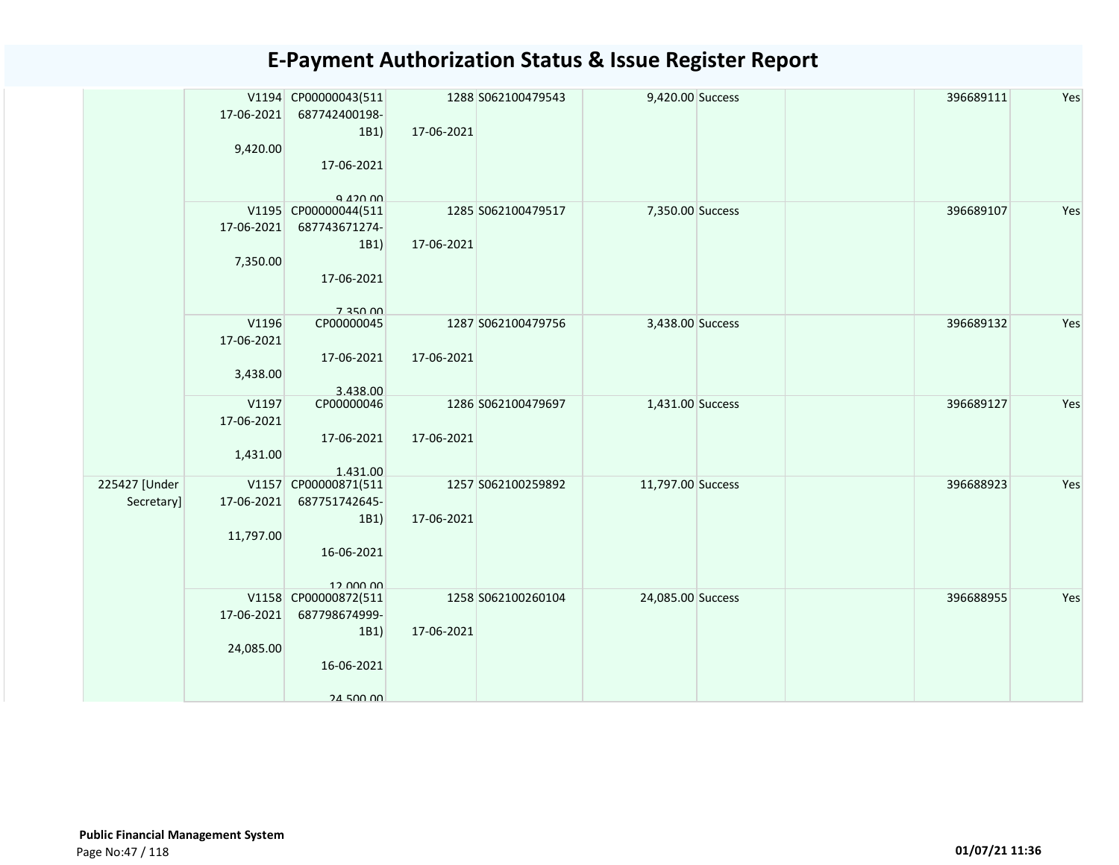|               | 17-06-2021<br>9,420.00 | V1194 CP00000043(511<br>687742400198-<br>1B1) | 17-06-2021 | 1288 S062100479543 | 9,420.00 Success  | 396689111 | Yes |
|---------------|------------------------|-----------------------------------------------|------------|--------------------|-------------------|-----------|-----|
|               |                        | 17-06-2021<br>Q 420 00                        |            |                    |                   |           |     |
|               |                        | V1195 CP00000044(511                          |            | 1285 S062100479517 | 7,350.00 Success  | 396689107 | Yes |
|               | 17-06-2021             | 687743671274-                                 |            |                    |                   |           |     |
|               |                        | 1B1)                                          | 17-06-2021 |                    |                   |           |     |
|               | 7,350.00               | 17-06-2021                                    |            |                    |                   |           |     |
|               |                        | 7 350 DD                                      |            |                    |                   |           |     |
|               | V1196                  | CP00000045                                    |            | 1287 S062100479756 | 3,438.00 Success  | 396689132 | Yes |
|               | 17-06-2021             |                                               |            |                    |                   |           |     |
|               | 3,438.00               | 17-06-2021                                    | 17-06-2021 |                    |                   |           |     |
|               |                        | 3.438.00                                      |            |                    |                   |           |     |
|               | V1197                  | CP00000046                                    |            | 1286 S062100479697 | 1,431.00 Success  | 396689127 | Yes |
|               | 17-06-2021             |                                               |            |                    |                   |           |     |
|               |                        | 17-06-2021                                    | 17-06-2021 |                    |                   |           |     |
|               | 1,431.00               |                                               |            |                    |                   |           |     |
| 225427 [Under |                        | 1.431.00<br>V1157 CP00000871(511              |            | 1257 S062100259892 | 11,797.00 Success | 396688923 | Yes |
| Secretary]    | 17-06-2021             | 687751742645-                                 |            |                    |                   |           |     |
|               |                        | 1B1)                                          | 17-06-2021 |                    |                   |           |     |
|               | 11,797.00              |                                               |            |                    |                   |           |     |
|               |                        | 16-06-2021                                    |            |                    |                   |           |     |
|               |                        | 12.000.00                                     |            |                    |                   |           |     |
|               |                        | V1158 CP00000872(511                          |            | 1258 S062100260104 | 24,085.00 Success | 396688955 | Yes |
|               | 17-06-2021             | 687798674999-                                 |            |                    |                   |           |     |
|               |                        | 1B1)                                          | 17-06-2021 |                    |                   |           |     |
|               | 24,085.00              | 16-06-2021                                    |            |                    |                   |           |     |
|               |                        |                                               |            |                    |                   |           |     |
|               |                        | 24 500 00                                     |            |                    |                   |           |     |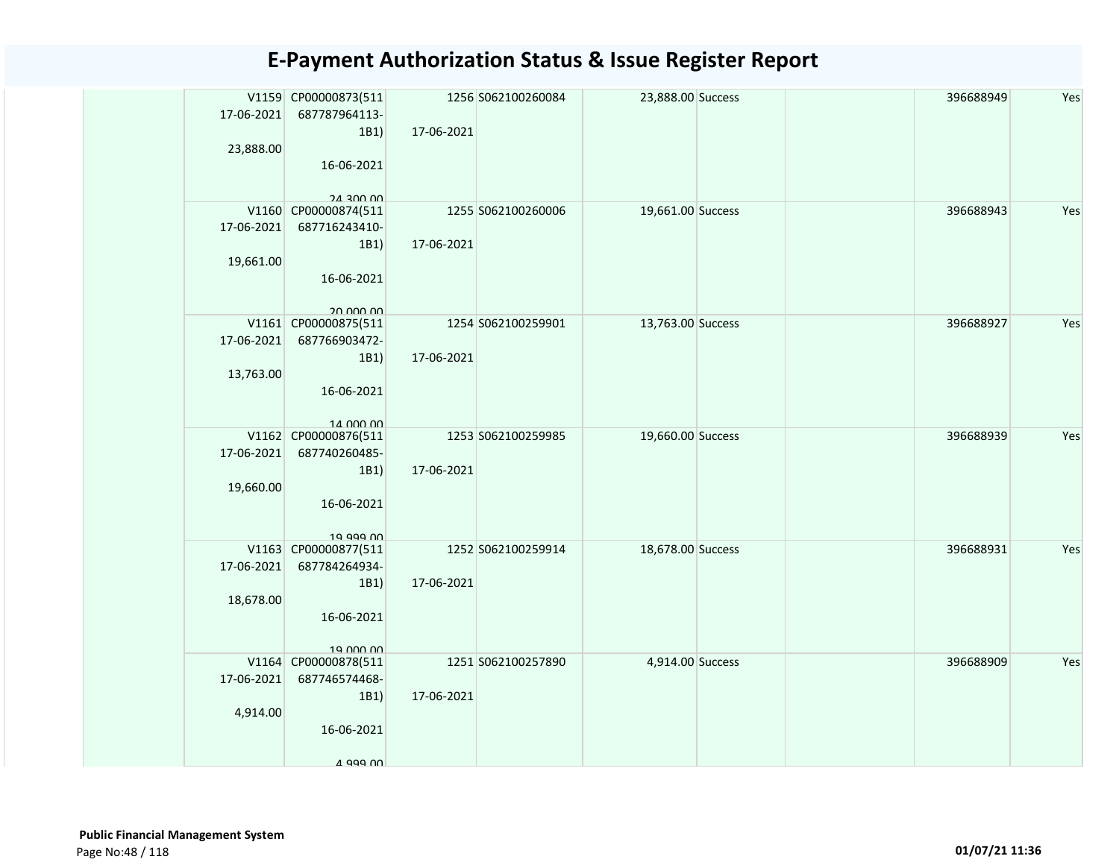|            | V1159 CP00000873(511                  |            | 1256 S062100260084 | 23,888.00 Success |  | 396688949 | Yes |
|------------|---------------------------------------|------------|--------------------|-------------------|--|-----------|-----|
| 17-06-2021 | 687787964113-                         |            |                    |                   |  |           |     |
|            | 1B1                                   | 17-06-2021 |                    |                   |  |           |     |
| 23,888.00  |                                       |            |                    |                   |  |           |     |
|            | 16-06-2021                            |            |                    |                   |  |           |     |
|            | 24 300 00                             |            |                    |                   |  |           |     |
|            | V1160 CP00000874(511                  |            | 1255 S062100260006 | 19,661.00 Success |  | 396688943 | Yes |
| 17-06-2021 | 687716243410-                         |            |                    |                   |  |           |     |
|            | 1B1)                                  | 17-06-2021 |                    |                   |  |           |     |
| 19,661.00  |                                       |            |                    |                   |  |           |     |
|            | 16-06-2021                            |            |                    |                   |  |           |     |
|            |                                       |            |                    |                   |  |           |     |
|            | 20 000 00                             |            |                    |                   |  |           | Yes |
| 17-06-2021 | V1161 CP00000875(511<br>687766903472- |            | 1254 S062100259901 | 13,763.00 Success |  | 396688927 |     |
|            | 1B1)                                  | 17-06-2021 |                    |                   |  |           |     |
| 13,763.00  |                                       |            |                    |                   |  |           |     |
|            | 16-06-2021                            |            |                    |                   |  |           |     |
|            |                                       |            |                    |                   |  |           |     |
|            | 14 000 00                             |            |                    |                   |  |           |     |
|            | V1162 CP00000876(511                  |            | 1253 S062100259985 | 19,660.00 Success |  | 396688939 | Yes |
| 17-06-2021 | 687740260485-                         |            |                    |                   |  |           |     |
|            | 1B1)                                  | 17-06-2021 |                    |                   |  |           |     |
| 19,660.00  | 16-06-2021                            |            |                    |                   |  |           |     |
|            |                                       |            |                    |                   |  |           |     |
|            | 19 999 00                             |            |                    |                   |  |           |     |
|            | V1163 CP00000877(511                  |            | 1252 S062100259914 | 18,678.00 Success |  | 396688931 | Yes |
| 17-06-2021 | 687784264934-                         |            |                    |                   |  |           |     |
|            | 1B1)                                  | 17-06-2021 |                    |                   |  |           |     |
| 18,678.00  |                                       |            |                    |                   |  |           |     |
|            | 16-06-2021                            |            |                    |                   |  |           |     |
|            | 19 000 00                             |            |                    |                   |  |           |     |
|            | V1164 CP00000878(511                  |            | 1251 S062100257890 | 4,914.00 Success  |  | 396688909 | Yes |
| 17-06-2021 | 687746574468-                         |            |                    |                   |  |           |     |
|            | 1B1)                                  | 17-06-2021 |                    |                   |  |           |     |
| 4,914.00   |                                       |            |                    |                   |  |           |     |
|            | 16-06-2021                            |            |                    |                   |  |           |     |
|            |                                       |            |                    |                   |  |           |     |
|            | 4 999 NO                              |            |                    |                   |  |           |     |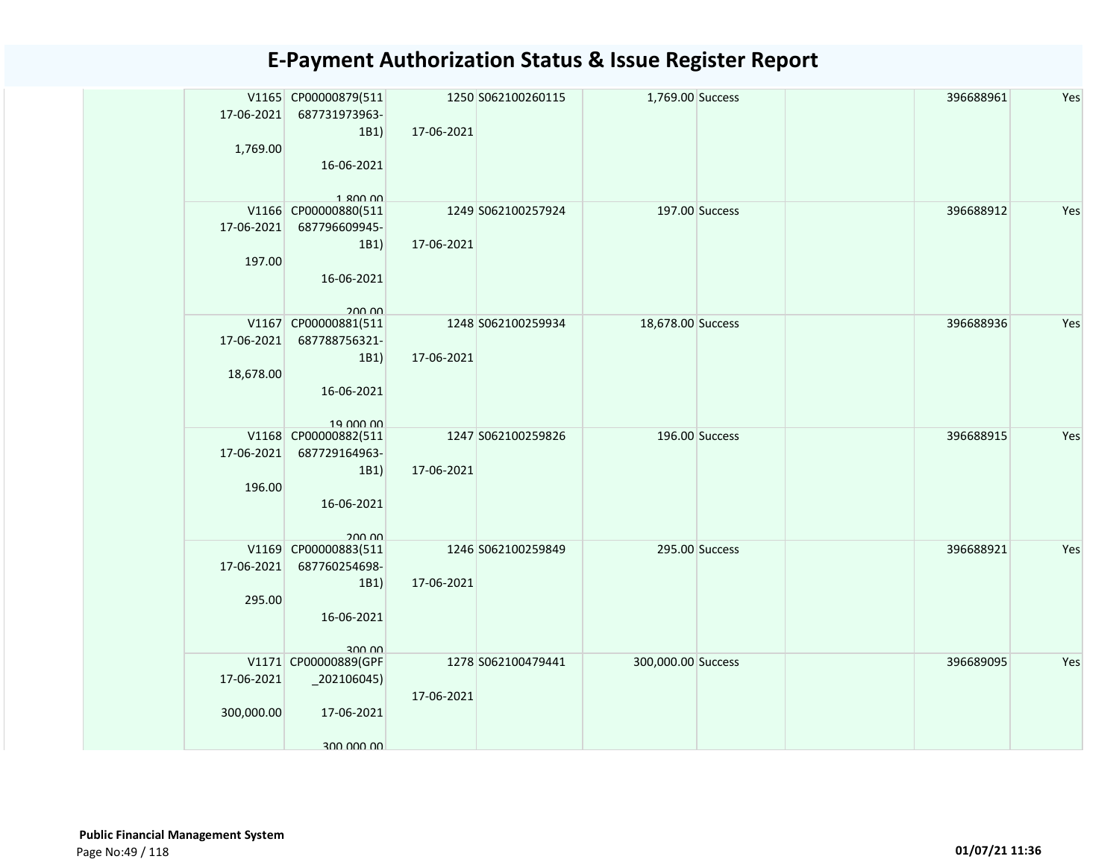| 17-06-2021<br>1,769.00   | V1165 CP00000879(511<br>687731973963-<br>1B1)<br>16-06-2021                        | 17-06-2021 | 1250 S062100260115 | 1,769.00 Success   |                | 396688961 | Yes |
|--------------------------|------------------------------------------------------------------------------------|------------|--------------------|--------------------|----------------|-----------|-----|
| 17-06-2021<br>197.00     | 1.800.00<br>V1166 CP00000880(511<br>687796609945-<br>1B1)<br>16-06-2021            | 17-06-2021 | 1249 S062100257924 |                    | 197.00 Success | 396688912 | Yes |
| 17-06-2021<br>18,678.00  | 200.00<br>V1167 CP00000881(511<br>687788756321-<br>1B1)<br>16-06-2021<br>19 000 00 | 17-06-2021 | 1248 S062100259934 | 18,678.00 Success  |                | 396688936 | Yes |
| 17-06-2021<br>196.00     | V1168 CP00000882(511<br>687729164963-<br>1B1)<br>16-06-2021<br>20000               | 17-06-2021 | 1247 S062100259826 |                    | 196.00 Success | 396688915 | Yes |
| 17-06-2021<br>295.00     | V1169 CP00000883(511<br>687760254698-<br>1B1)<br>16-06-2021<br>300.00              | 17-06-2021 | 1246 S062100259849 |                    | 295.00 Success | 396688921 | Yes |
| 17-06-2021<br>300,000.00 | V1171 CP00000889(GPF<br>$_2$ 202106045)<br>17-06-2021<br>300,000,00                | 17-06-2021 | 1278 S062100479441 | 300,000.00 Success |                | 396689095 | Yes |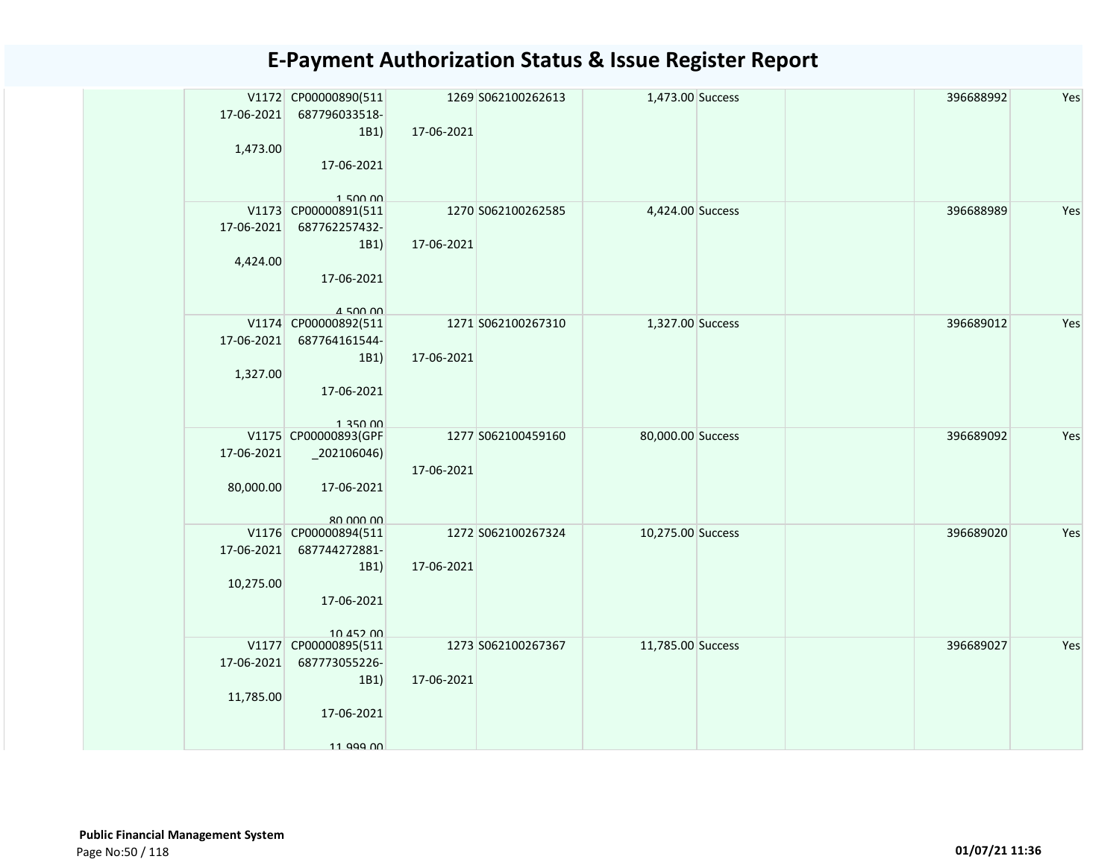|            | V1172 CP00000890(511             |            | 1269 S062100262613 | 1,473.00 Success  |  | 396688992 | Yes |
|------------|----------------------------------|------------|--------------------|-------------------|--|-----------|-----|
| 17-06-2021 | 687796033518-<br>1B1)            | 17-06-2021 |                    |                   |  |           |     |
| 1,473.00   |                                  |            |                    |                   |  |           |     |
|            | 17-06-2021                       |            |                    |                   |  |           |     |
|            |                                  |            |                    |                   |  |           |     |
|            | 150000                           |            |                    |                   |  |           |     |
|            | V1173 CP00000891(511             |            | 1270 S062100262585 | 4,424.00 Success  |  | 396688989 | Yes |
| 17-06-2021 | 687762257432-                    |            |                    |                   |  |           |     |
|            | 1B1)                             | 17-06-2021 |                    |                   |  |           |     |
| 4,424.00   |                                  |            |                    |                   |  |           |     |
|            | 17-06-2021                       |            |                    |                   |  |           |     |
|            | $A$ 500 00                       |            |                    |                   |  |           |     |
|            | V1174 CP00000892(511             |            | 1271 S062100267310 | 1,327.00 Success  |  | 396689012 | Yes |
| 17-06-2021 | 687764161544-                    |            |                    |                   |  |           |     |
|            | 1B1)                             | 17-06-2021 |                    |                   |  |           |     |
| 1,327.00   |                                  |            |                    |                   |  |           |     |
|            | 17-06-2021                       |            |                    |                   |  |           |     |
|            |                                  |            |                    |                   |  |           |     |
|            | 1 350 00<br>V1175 CP00000893(GPF |            | 1277 S062100459160 | 80,000.00 Success |  | 396689092 | Yes |
| 17-06-2021 | $_2$ 202106046)                  |            |                    |                   |  |           |     |
|            |                                  | 17-06-2021 |                    |                   |  |           |     |
| 80,000.00  | 17-06-2021                       |            |                    |                   |  |           |     |
|            |                                  |            |                    |                   |  |           |     |
|            | 80.000.00                        |            |                    |                   |  |           |     |
|            | V1176 CP00000894(511             |            | 1272 S062100267324 | 10,275.00 Success |  | 396689020 | Yes |
| 17-06-2021 | 687744272881-                    |            |                    |                   |  |           |     |
|            | 1B1)                             | 17-06-2021 |                    |                   |  |           |     |
| 10,275.00  |                                  |            |                    |                   |  |           |     |
|            | 17-06-2021                       |            |                    |                   |  |           |     |
|            | 10 452 00                        |            |                    |                   |  |           |     |
|            | V1177 CP00000895(511             |            | 1273 S062100267367 | 11,785.00 Success |  | 396689027 | Yes |
| 17-06-2021 | 687773055226-                    |            |                    |                   |  |           |     |
|            | 1B1)                             | 17-06-2021 |                    |                   |  |           |     |
| 11,785.00  |                                  |            |                    |                   |  |           |     |
|            | 17-06-2021                       |            |                    |                   |  |           |     |
|            |                                  |            |                    |                   |  |           |     |
|            | 11 999 00                        |            |                    |                   |  |           |     |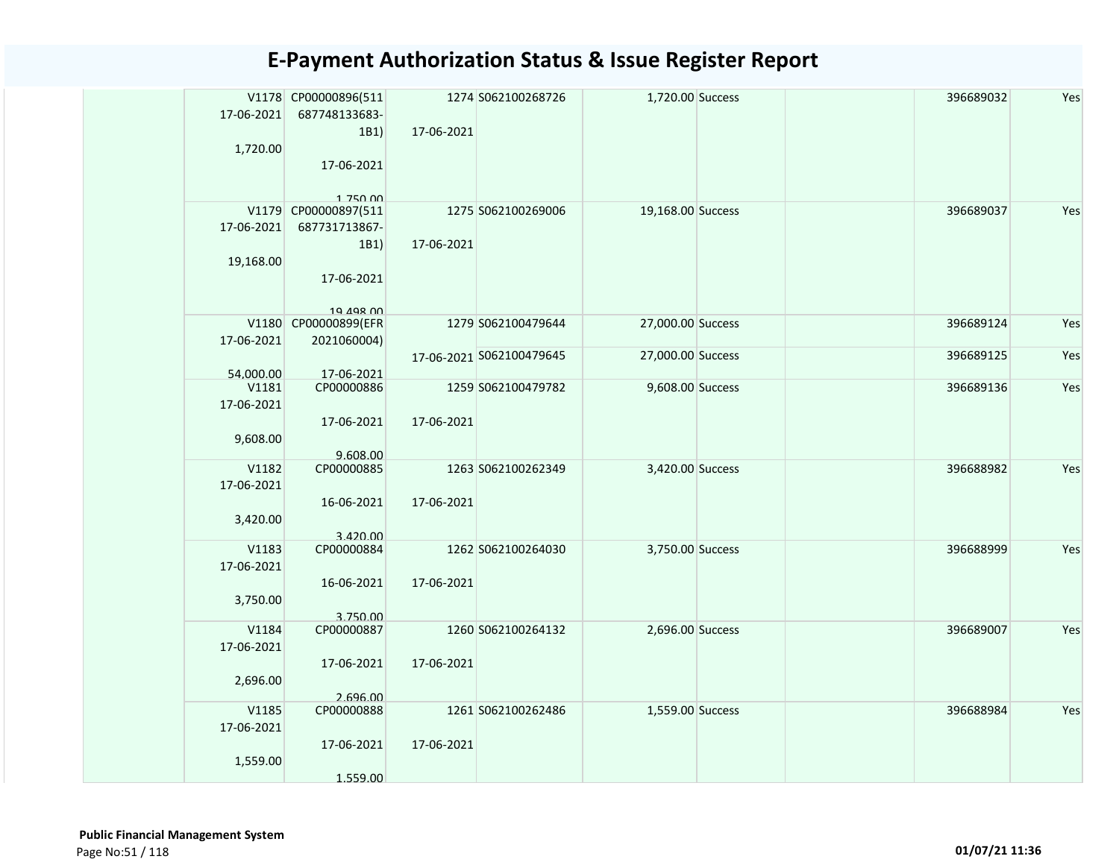| 17-06-2021              | V1178 CP00000896(511<br>687748133683-                                   |            | 1274 S062100268726       | 1,720.00 Success  |  | 396689032 | Yes |
|-------------------------|-------------------------------------------------------------------------|------------|--------------------------|-------------------|--|-----------|-----|
| 1,720.00                | 1B1)<br>17-06-2021                                                      | 17-06-2021 |                          |                   |  |           |     |
|                         |                                                                         |            |                          |                   |  |           |     |
| 17-06-2021<br>19,168.00 | 1 750 00<br>V1179 CP00000897(511<br>687731713867-<br>1B1)<br>17-06-2021 | 17-06-2021 | 1275 S062100269006       | 19,168.00 Success |  | 396689037 | Yes |
|                         | 19 198 00                                                               |            |                          |                   |  |           |     |
| 17-06-2021              | V1180 CP00000899(EFR<br>2021060004)                                     |            | 1279 S062100479644       | 27,000.00 Success |  | 396689124 | Yes |
|                         |                                                                         |            | 17-06-2021 S062100479645 | 27,000.00 Success |  | 396689125 | Yes |
| 54.000.00               | 17-06-2021<br>CP00000886<br>V1181                                       |            | 1259 S062100479782       | 9,608.00 Success  |  | 396689136 | Yes |
| 17-06-2021<br>9,608.00  | 17-06-2021<br>9.608.00                                                  | 17-06-2021 |                          |                   |  |           |     |
| 17-06-2021<br>3,420.00  | V1182<br>CP00000885<br>16-06-2021                                       | 17-06-2021 | 1263 S062100262349       | 3,420.00 Success  |  | 396688982 | Yes |
|                         | 3.420.00                                                                |            |                          |                   |  |           |     |
| 17-06-2021<br>3,750.00  | V1183<br>CP00000884<br>16-06-2021<br>3.750.00                           | 17-06-2021 | 1262 S062100264030       | 3,750.00 Success  |  | 396688999 | Yes |
| 17-06-2021<br>2,696.00  | V1184<br>CP00000887<br>17-06-2021                                       | 17-06-2021 | 1260 S062100264132       | 2,696.00 Success  |  | 396689007 | Yes |
| 17-06-2021<br>1,559.00  | 2.696.00<br>V1185<br>CP00000888<br>17-06-2021<br>1.559.00               | 17-06-2021 | 1261 S062100262486       | 1,559.00 Success  |  | 396688984 | Yes |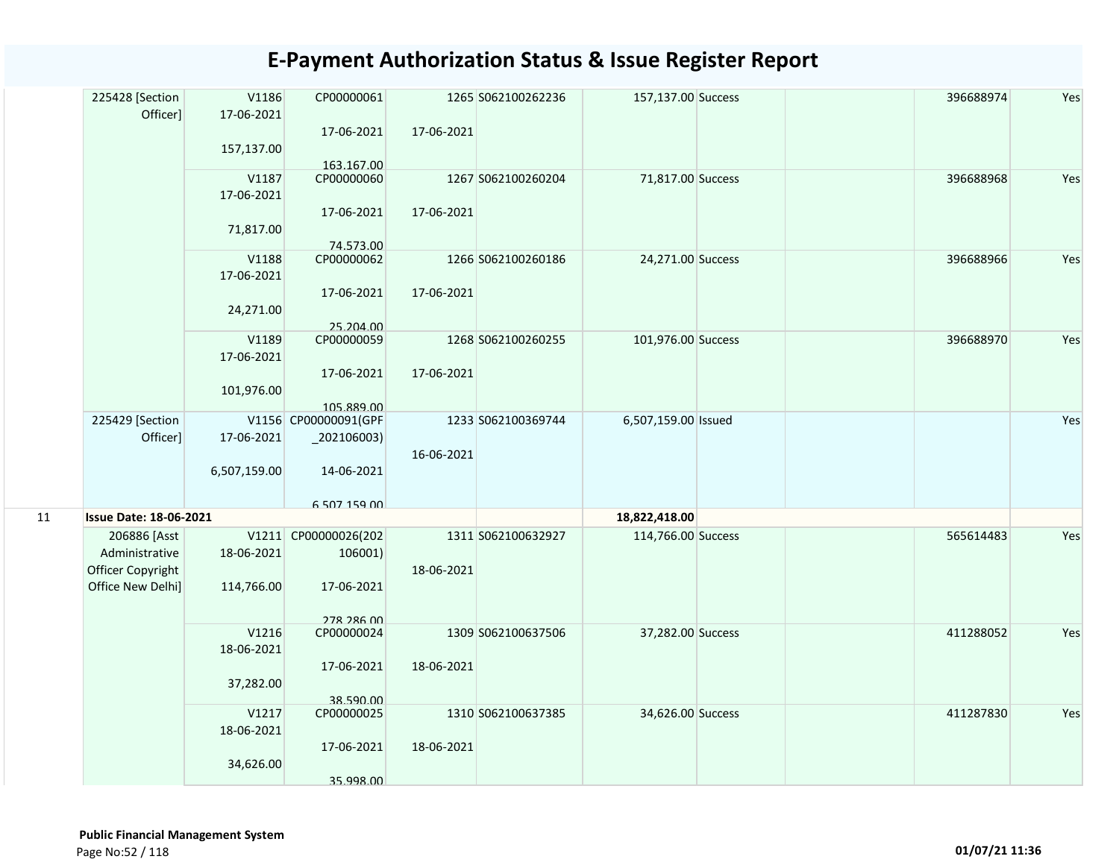|    | 225428 [Section<br>Officer]                                              | V1186<br>17-06-2021<br>157,137.00 | CP00000061<br>17-06-2021                                    | 17-06-2021 | 1265 S062100262236 | 157,137.00 Success  |  | 396688974 | Yes |
|----|--------------------------------------------------------------------------|-----------------------------------|-------------------------------------------------------------|------------|--------------------|---------------------|--|-----------|-----|
|    |                                                                          | V1187<br>17-06-2021<br>71,817.00  | 163.167.00<br>CP00000060<br>17-06-2021<br>74.573.00         | 17-06-2021 | 1267 S062100260204 | 71,817.00 Success   |  | 396688968 | Yes |
|    |                                                                          | V1188<br>17-06-2021<br>24,271.00  | CP00000062<br>17-06-2021<br>25.204.00                       | 17-06-2021 | 1266 S062100260186 | 24,271.00 Success   |  | 396688966 | Yes |
|    |                                                                          | V1189<br>17-06-2021<br>101,976.00 | CP00000059<br>17-06-2021<br>105.889.00                      | 17-06-2021 | 1268 S062100260255 | 101,976.00 Success  |  | 396688970 | Yes |
|    | 225429 [Section<br>Officer]                                              | 17-06-2021<br>6,507,159.00        | V1156 CP00000091(GPF<br>$_2$ 02106003)<br>14-06-2021        | 16-06-2021 | 1233 S062100369744 | 6,507,159.00 Issued |  |           | Yes |
| 11 | <b>Issue Date: 18-06-2021</b>                                            |                                   | 6 507 159 00                                                |            |                    | 18,822,418.00       |  |           |     |
|    | 206886 [Asst<br>Administrative<br>Officer Copyright<br>Office New Delhi] | 18-06-2021<br>114,766.00          | V1211 CP00000026(202<br>106001)<br>17-06-2021<br>278 286 00 | 18-06-2021 | 1311 S062100632927 | 114,766.00 Success  |  | 565614483 | Yes |
|    |                                                                          | V1216<br>18-06-2021<br>37,282.00  | CP00000024<br>17-06-2021<br>38.590.00                       | 18-06-2021 | 1309 S062100637506 | 37,282.00 Success   |  | 411288052 | Yes |
|    |                                                                          | V1217<br>18-06-2021<br>34,626.00  | CP00000025<br>17-06-2021<br>35.998.00                       | 18-06-2021 | 1310 S062100637385 | 34,626.00 Success   |  | 411287830 | Yes |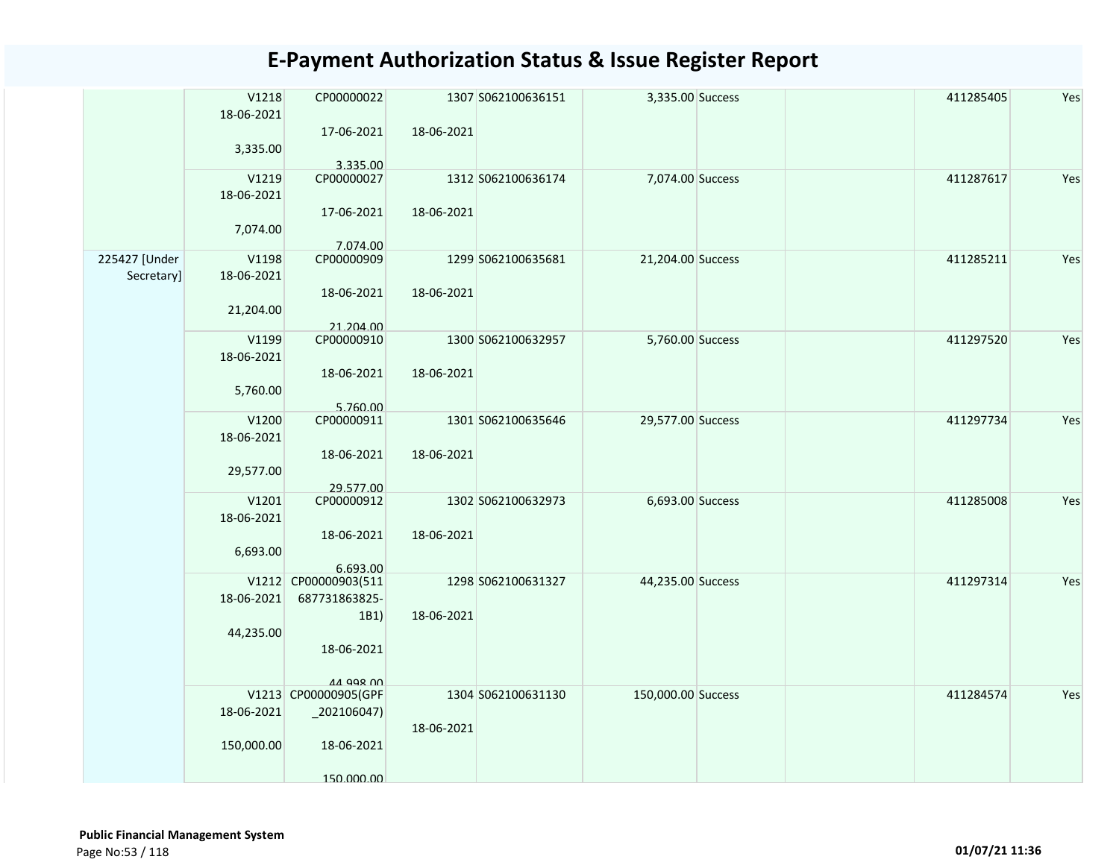|                             | V1218<br>18-06-2021<br>3,335.00  | CP00000022<br>17-06-2021<br>3.335.00                                            | 18-06-2021 | 1307 S062100636151 | 3,335.00 Success   | 411285405 | Yes |
|-----------------------------|----------------------------------|---------------------------------------------------------------------------------|------------|--------------------|--------------------|-----------|-----|
|                             | V1219<br>18-06-2021<br>7,074.00  | CP00000027<br>17-06-2021<br>7.074.00                                            | 18-06-2021 | 1312 S062100636174 | 7,074.00 Success   | 411287617 | Yes |
| 225427 [Under<br>Secretary] | V1198<br>18-06-2021<br>21,204.00 | CP00000909<br>18-06-2021<br>21.204.00                                           | 18-06-2021 | 1299 S062100635681 | 21,204.00 Success  | 411285211 | Yes |
|                             | V1199<br>18-06-2021<br>5,760.00  | CP00000910<br>18-06-2021<br>5.760.00                                            | 18-06-2021 | 1300 S062100632957 | 5,760.00 Success   | 411297520 | Yes |
|                             | V1200<br>18-06-2021<br>29,577.00 | CP00000911<br>18-06-2021<br>29.577.00                                           | 18-06-2021 | 1301 S062100635646 | 29,577.00 Success  | 411297734 | Yes |
|                             | V1201<br>18-06-2021<br>6,693.00  | CP00000912<br>18-06-2021<br>6.693.00                                            | 18-06-2021 | 1302 S062100632973 | 6,693.00 Success   | 411285008 | Yes |
|                             | 18-06-2021<br>44,235.00          | V1212 CP00000903(511<br>687731863825-<br>1B1)<br>18-06-2021<br><b>AA QQR NN</b> | 18-06-2021 | 1298 S062100631327 | 44,235.00 Success  | 411297314 | Yes |
|                             | 18-06-2021<br>150,000.00         | V1213 CP00000905(GPF<br>$_2$ 02106047)<br>18-06-2021<br>150.000.00              | 18-06-2021 | 1304 S062100631130 | 150,000.00 Success | 411284574 | Yes |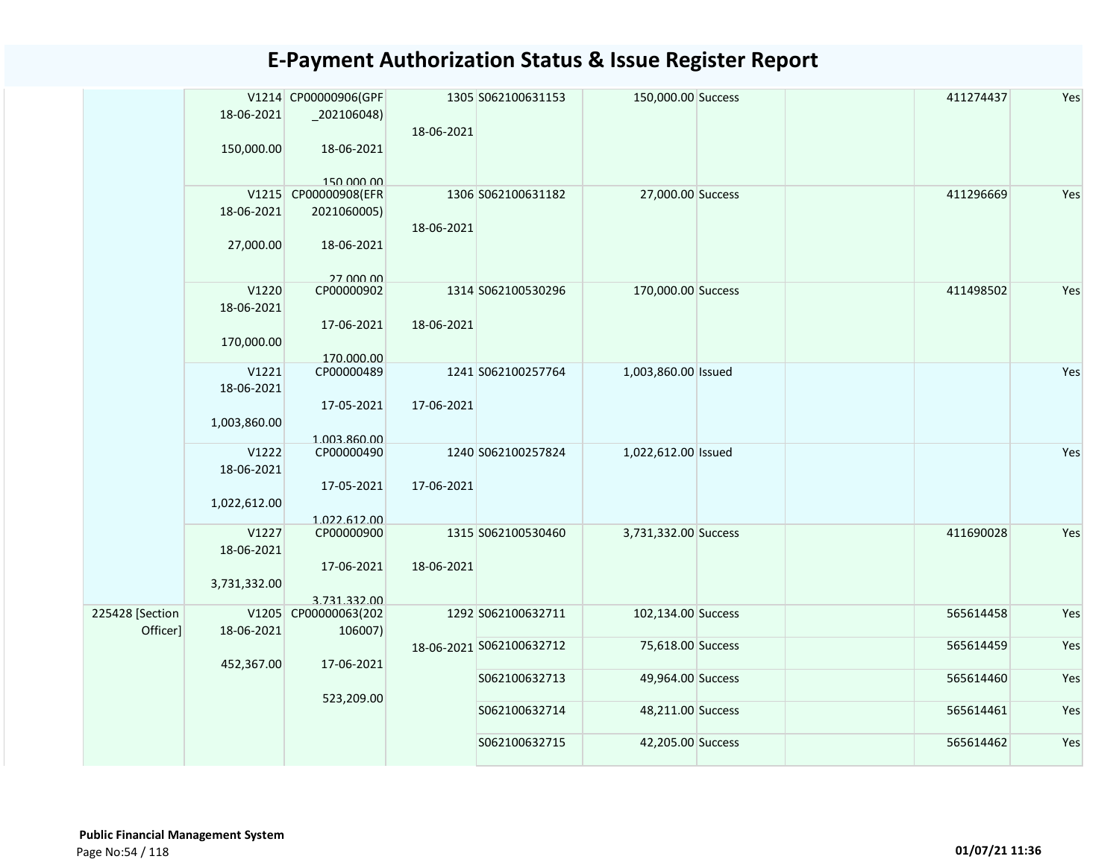|                 |              | V1214 CP00000906(GPF       |            | 1305 S062100631153       | 150,000.00 Success   | 411274437 | Yes |
|-----------------|--------------|----------------------------|------------|--------------------------|----------------------|-----------|-----|
|                 | 18-06-2021   | $_2$ 02106048)             |            |                          |                      |           |     |
|                 |              |                            | 18-06-2021 |                          |                      |           |     |
|                 | 150,000.00   | 18-06-2021                 |            |                          |                      |           |     |
|                 |              |                            |            |                          |                      |           |     |
|                 |              | 150.000.00                 |            |                          |                      |           |     |
|                 |              | V1215 CP00000908(EFR       |            | 1306 S062100631182       | 27,000.00 Success    | 411296669 | Yes |
|                 | 18-06-2021   | 2021060005)                |            |                          |                      |           |     |
|                 |              |                            | 18-06-2021 |                          |                      |           |     |
|                 | 27,000.00    | 18-06-2021                 |            |                          |                      |           |     |
|                 |              |                            |            |                          |                      |           |     |
|                 | V1220        | 27,000,00                  |            |                          |                      |           | Yes |
|                 |              | CP00000902                 |            | 1314 S062100530296       | 170,000.00 Success   | 411498502 |     |
|                 | 18-06-2021   |                            |            |                          |                      |           |     |
|                 |              | 17-06-2021                 | 18-06-2021 |                          |                      |           |     |
|                 | 170,000.00   |                            |            |                          |                      |           |     |
|                 | V1221        | 170.000.00<br>CP00000489   |            | 1241 S062100257764       | 1,003,860.00 Issued  |           | Yes |
|                 |              |                            |            |                          |                      |           |     |
|                 | 18-06-2021   |                            |            |                          |                      |           |     |
|                 |              | 17-05-2021                 | 17-06-2021 |                          |                      |           |     |
|                 | 1,003,860.00 |                            |            |                          |                      |           |     |
|                 | V1222        | 1.003.860.00<br>CP00000490 |            | 1240 S062100257824       | 1,022,612.00 Issued  |           | Yes |
|                 | 18-06-2021   |                            |            |                          |                      |           |     |
|                 |              | 17-05-2021                 | 17-06-2021 |                          |                      |           |     |
|                 | 1,022,612.00 |                            |            |                          |                      |           |     |
|                 |              | 1.022.612.00               |            |                          |                      |           |     |
|                 | V1227        | CP00000900                 |            | 1315 S062100530460       | 3,731,332.00 Success | 411690028 | Yes |
|                 | 18-06-2021   |                            |            |                          |                      |           |     |
|                 |              | 17-06-2021                 | 18-06-2021 |                          |                      |           |     |
|                 | 3,731,332.00 |                            |            |                          |                      |           |     |
|                 |              | 3.731.332.00               |            |                          |                      |           |     |
| 225428 [Section |              | V1205 CP00000063(202       |            | 1292 S062100632711       | 102,134.00 Success   | 565614458 | Yes |
| Officer]        | 18-06-2021   | 106007)                    |            |                          |                      |           |     |
|                 |              |                            |            | 18-06-2021 S062100632712 | 75,618.00 Success    | 565614459 | Yes |
|                 | 452,367.00   | 17-06-2021                 |            |                          |                      |           |     |
|                 |              |                            |            | S062100632713            | 49,964.00 Success    | 565614460 | Yes |
|                 |              | 523,209.00                 |            |                          |                      |           |     |
|                 |              |                            |            | S062100632714            | 48,211.00 Success    | 565614461 | Yes |
|                 |              |                            |            |                          |                      |           |     |
|                 |              |                            |            | S062100632715            | 42,205.00 Success    | 565614462 | Yes |
|                 |              |                            |            |                          |                      |           |     |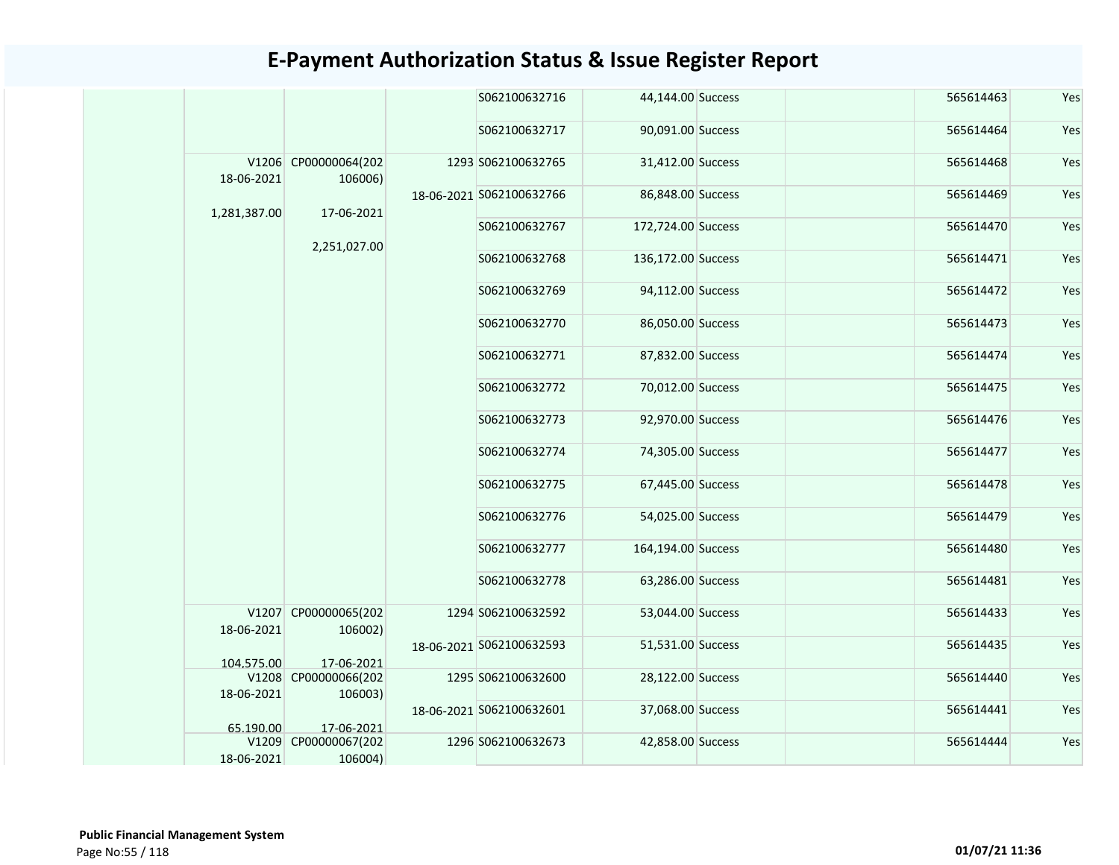|                     |                                 | S062100632716            | 44,144.00 Success  | 565614463 | Yes |
|---------------------|---------------------------------|--------------------------|--------------------|-----------|-----|
|                     |                                 | S062100632717            | 90,091.00 Success  | 565614464 | Yes |
| 18-06-2021          | V1206 CP00000064(202<br>106006) | 1293 S062100632765       | 31,412.00 Success  | 565614468 | Yes |
| 1,281,387.00        | 17-06-2021                      | 18-06-2021 S062100632766 | 86,848.00 Success  | 565614469 | Yes |
|                     | 2,251,027.00                    | S062100632767            | 172,724.00 Success | 565614470 | Yes |
|                     |                                 | S062100632768            | 136,172.00 Success | 565614471 | Yes |
|                     |                                 | S062100632769            | 94,112.00 Success  | 565614472 | Yes |
|                     |                                 | S062100632770            | 86,050.00 Success  | 565614473 | Yes |
|                     |                                 | S062100632771            | 87,832.00 Success  | 565614474 | Yes |
|                     |                                 | S062100632772            | 70,012.00 Success  | 565614475 | Yes |
|                     |                                 | S062100632773            | 92,970.00 Success  | 565614476 | Yes |
|                     |                                 | S062100632774            | 74,305.00 Success  | 565614477 | Yes |
|                     |                                 | S062100632775            | 67,445.00 Success  | 565614478 | Yes |
|                     |                                 | S062100632776            | 54,025.00 Success  | 565614479 | Yes |
|                     |                                 | S062100632777            | 164,194.00 Success | 565614480 | Yes |
|                     |                                 | S062100632778            | 63,286.00 Success  | 565614481 | Yes |
| 18-06-2021          | V1207 CP00000065(202<br>106002) | 1294 S062100632592       | 53,044.00 Success  | 565614433 | Yes |
| 104.575.00          | 17-06-2021                      | 18-06-2021 S062100632593 | 51,531.00 Success  | 565614435 | Yes |
| 18-06-2021          | V1208 CP00000066(202<br>106003) | 1295 S062100632600       | 28,122.00 Success  | 565614440 | Yes |
| 65.190.00           | 17-06-2021                      | 18-06-2021 S062100632601 | 37,068.00 Success  | 565614441 | Yes |
| V1209<br>18-06-2021 | CP00000067(202<br>106004)       | 1296 S062100632673       | 42,858.00 Success  | 565614444 | Yes |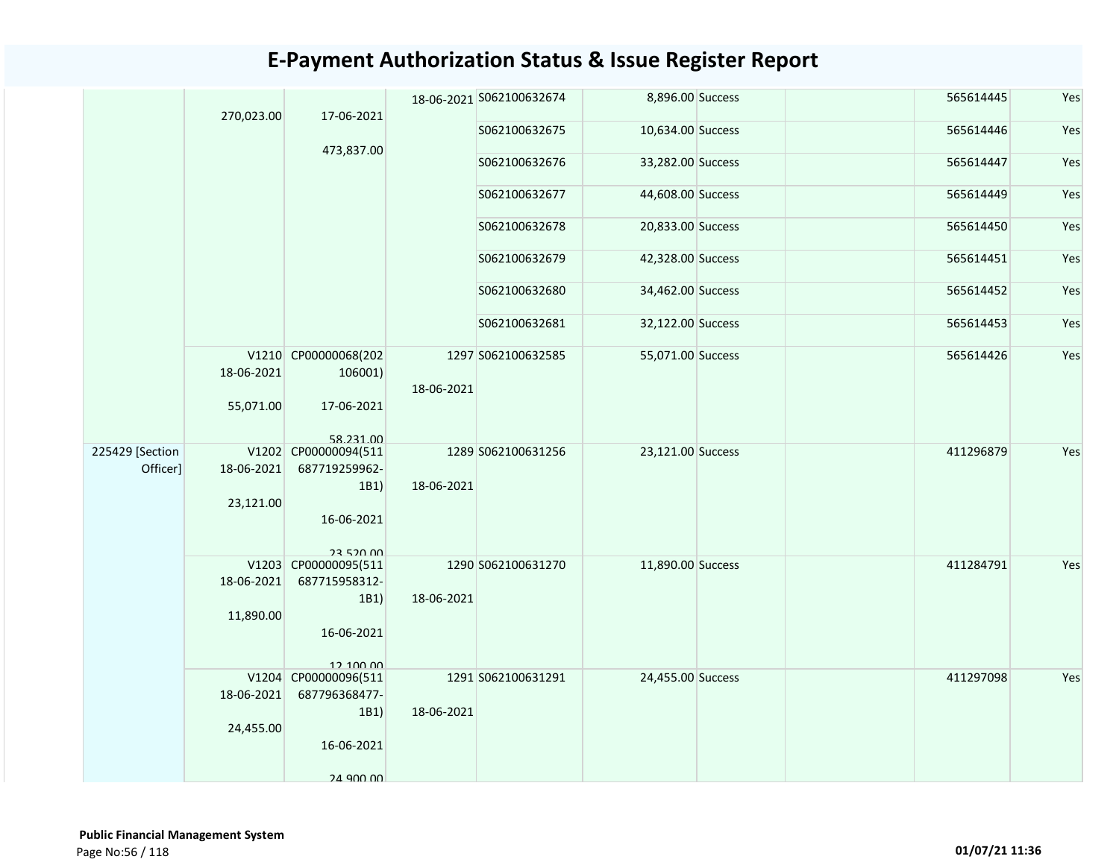|                 | 270,023.00 | 17-06-2021                        |            | 18-06-2021 S062100632674 | 8,896.00 Success  | 565614445 | Yes |
|-----------------|------------|-----------------------------------|------------|--------------------------|-------------------|-----------|-----|
|                 |            |                                   |            | S062100632675            | 10,634.00 Success | 565614446 | Yes |
|                 |            | 473,837.00                        |            | S062100632676            | 33,282.00 Success | 565614447 | Yes |
|                 |            |                                   |            | S062100632677            | 44,608.00 Success | 565614449 | Yes |
|                 |            |                                   |            | S062100632678            | 20,833.00 Success | 565614450 | Yes |
|                 |            |                                   |            | S062100632679            | 42,328.00 Success | 565614451 | Yes |
|                 |            |                                   |            | S062100632680            | 34,462.00 Success | 565614452 | Yes |
|                 |            |                                   |            | S062100632681            | 32,122.00 Success | 565614453 | Yes |
|                 | 18-06-2021 | V1210 CP00000068(202<br>106001)   | 18-06-2021 | 1297 S062100632585       | 55,071.00 Success | 565614426 | Yes |
|                 | 55,071.00  | 17-06-2021                        |            |                          |                   |           |     |
| 225429 [Section |            | 58 231 00<br>V1202 CP00000094(511 |            | 1289 S062100631256       | 23,121.00 Success | 411296879 | Yes |
| Officer]        | 18-06-2021 | 687719259962-<br>1B1              | 18-06-2021 |                          |                   |           |     |
|                 | 23,121.00  |                                   |            |                          |                   |           |     |
|                 |            | 16-06-2021                        |            |                          |                   |           |     |
|                 |            | 23 520 00<br>V1203 CP00000095(511 |            | 1290 S062100631270       | 11,890.00 Success | 411284791 | Yes |
|                 | 18-06-2021 | 687715958312-                     |            |                          |                   |           |     |
|                 |            | 1B1                               | 18-06-2021 |                          |                   |           |     |
|                 | 11,890.00  |                                   |            |                          |                   |           |     |
|                 |            | 16-06-2021                        |            |                          |                   |           |     |
|                 |            | 12.100.00                         |            |                          |                   |           |     |
|                 |            | V1204 CP00000096(511              |            | 1291 S062100631291       | 24,455.00 Success | 411297098 | Yes |
|                 | 18-06-2021 | 687796368477-                     |            |                          |                   |           |     |
|                 | 24,455.00  | 1B1                               | 18-06-2021 |                          |                   |           |     |
|                 |            | 16-06-2021                        |            |                          |                   |           |     |
|                 |            | $24$ ann nn                       |            |                          |                   |           |     |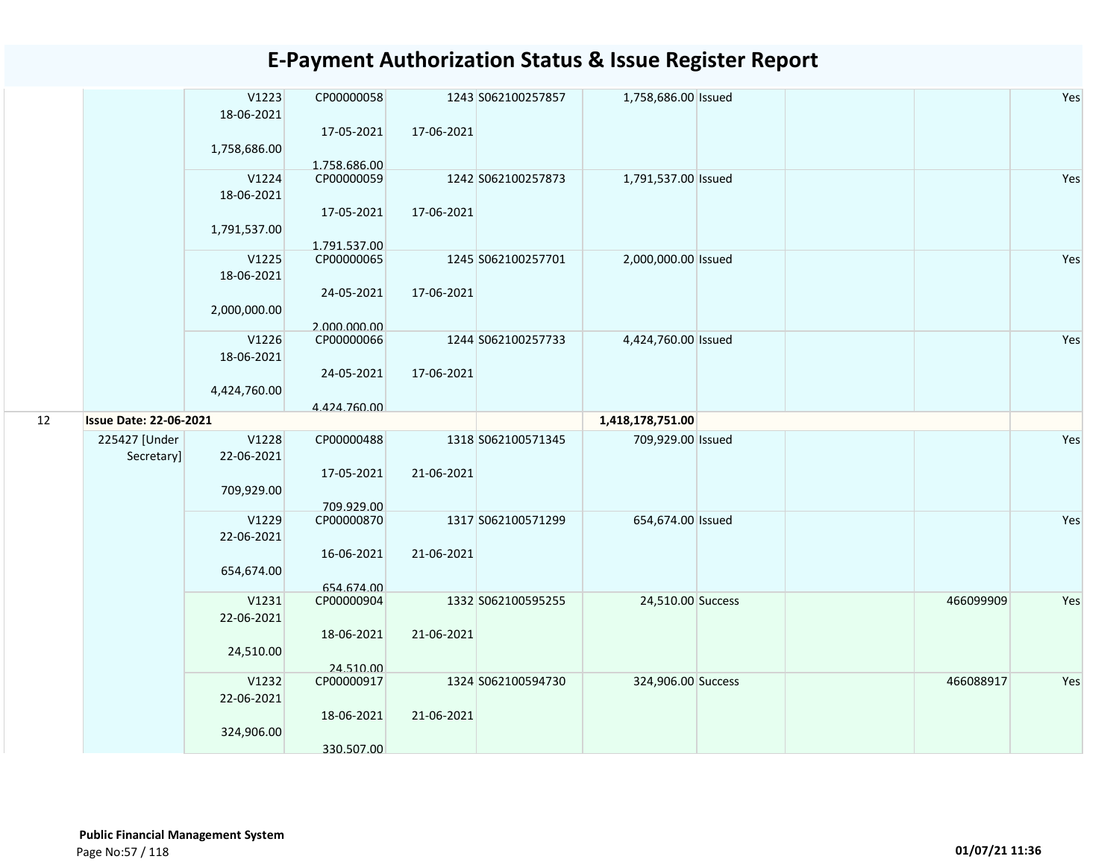|    |                               | V1223<br>18-06-2021<br>1,758,686.00 | CP00000058<br>17-05-2021<br>1.758.686.00 | 17-06-2021 | 1243 S062100257857 | 1,758,686.00 Issued |  |           | Yes |
|----|-------------------------------|-------------------------------------|------------------------------------------|------------|--------------------|---------------------|--|-----------|-----|
|    |                               | V1224<br>18-06-2021<br>1,791,537.00 | CP00000059<br>17-05-2021<br>1.791.537.00 | 17-06-2021 | 1242 S062100257873 | 1,791,537.00 Issued |  |           | Yes |
|    |                               | V1225<br>18-06-2021<br>2,000,000.00 | CP00000065<br>24-05-2021<br>2.000.000.00 | 17-06-2021 | 1245 S062100257701 | 2,000,000.00 Issued |  |           | Yes |
|    |                               | V1226<br>18-06-2021<br>4,424,760.00 | CP00000066<br>24-05-2021<br>4.424.760.00 | 17-06-2021 | 1244 S062100257733 | 4,424,760.00 Issued |  |           | Yes |
| 12 | <b>Issue Date: 22-06-2021</b> |                                     |                                          |            |                    | 1,418,178,751.00    |  |           |     |
|    | 225427 [Under<br>Secretary]   | V1228<br>22-06-2021<br>709,929.00   | CP00000488<br>17-05-2021<br>709.929.00   | 21-06-2021 | 1318 S062100571345 | 709,929.00 Issued   |  |           | Yes |
|    |                               | V1229<br>22-06-2021<br>654,674.00   | CP00000870<br>16-06-2021<br>654.674.00   | 21-06-2021 | 1317 S062100571299 | 654,674.00 Issued   |  |           | Yes |
|    |                               | V1231<br>22-06-2021<br>24,510.00    | CP00000904<br>18-06-2021<br>24.510.00    | 21-06-2021 | 1332 S062100595255 | 24,510.00 Success   |  | 466099909 | Yes |
|    |                               | V1232<br>22-06-2021<br>324,906.00   | CP00000917<br>18-06-2021<br>330.507.00   | 21-06-2021 | 1324 S062100594730 | 324,906.00 Success  |  | 466088917 | Yes |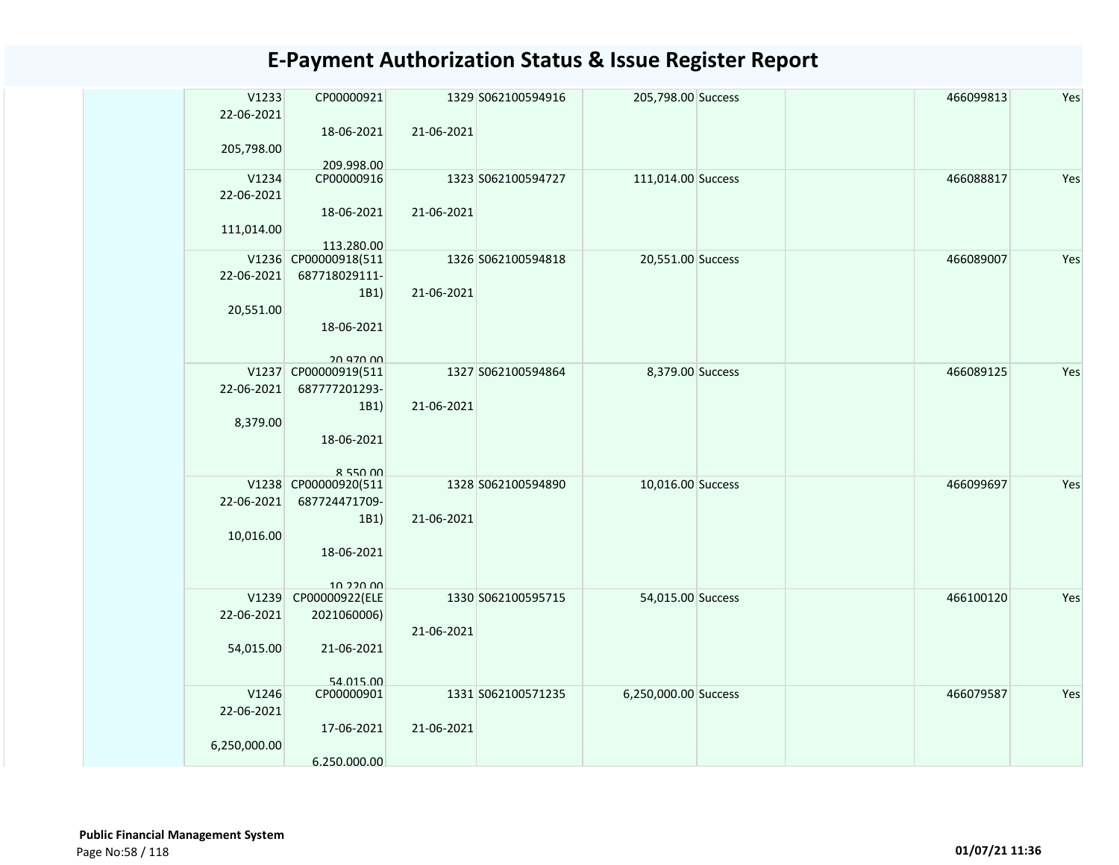| V1233<br>22-06-2021 | CP00000921                           |            | 1329 S062100594916 | 205,798.00 Success   | 466099813 | Yes |
|---------------------|--------------------------------------|------------|--------------------|----------------------|-----------|-----|
|                     | 18-06-2021                           | 21-06-2021 |                    |                      |           |     |
| 205,798.00          | 209.998.00                           |            |                    |                      |           |     |
| V1234               | CP00000916                           |            | 1323 S062100594727 | 111,014.00 Success   | 466088817 | Yes |
| 22-06-2021          |                                      |            |                    |                      |           |     |
|                     | 18-06-2021                           | 21-06-2021 |                    |                      |           |     |
| 111,014.00          |                                      |            |                    |                      |           |     |
|                     | 113.280.00                           |            |                    |                      |           |     |
|                     | V1236 CP00000918(511                 |            | 1326 S062100594818 | 20,551.00 Success    | 466089007 | Yes |
| 22-06-2021          | 687718029111-                        |            |                    |                      |           |     |
|                     | 1B1)                                 | 21-06-2021 |                    |                      |           |     |
| 20,551.00           |                                      |            |                    |                      |           |     |
|                     | 18-06-2021                           |            |                    |                      |           |     |
|                     |                                      |            |                    |                      |           |     |
|                     | 20.970.00                            |            |                    |                      |           |     |
|                     | V1237 CP00000919(511                 |            | 1327 S062100594864 | 8,379.00 Success     | 466089125 | Yes |
| 22-06-2021          | 687777201293-                        |            |                    |                      |           |     |
|                     | 1B1)                                 | 21-06-2021 |                    |                      |           |     |
| 8,379.00            |                                      |            |                    |                      |           |     |
|                     | 18-06-2021                           |            |                    |                      |           |     |
|                     |                                      |            |                    |                      |           |     |
|                     | $R$ 550 $00$<br>V1238 CP00000920(511 |            | 1328 S062100594890 | 10,016.00 Success    | 466099697 | Yes |
| 22-06-2021          | 687724471709-                        |            |                    |                      |           |     |
|                     | 1B1)                                 | 21-06-2021 |                    |                      |           |     |
| 10,016.00           |                                      |            |                    |                      |           |     |
|                     | 18-06-2021                           |            |                    |                      |           |     |
|                     |                                      |            |                    |                      |           |     |
|                     | 10.220.00                            |            |                    |                      |           |     |
| V1239               | CP00000922(ELE                       |            | 1330 S062100595715 | 54,015.00 Success    | 466100120 | Yes |
| 22-06-2021          | 2021060006)                          |            |                    |                      |           |     |
|                     |                                      | 21-06-2021 |                    |                      |           |     |
| 54,015.00           | 21-06-2021                           |            |                    |                      |           |     |
|                     |                                      |            |                    |                      |           |     |
|                     | 54 015 00                            |            |                    |                      |           |     |
| V1246               | CP00000901                           |            | 1331 S062100571235 | 6,250,000.00 Success | 466079587 | Yes |
| 22-06-2021          |                                      |            |                    |                      |           |     |
|                     | 17-06-2021                           | 21-06-2021 |                    |                      |           |     |
| 6,250,000.00        |                                      |            |                    |                      |           |     |
|                     | 6.250.000.00                         |            |                    |                      |           |     |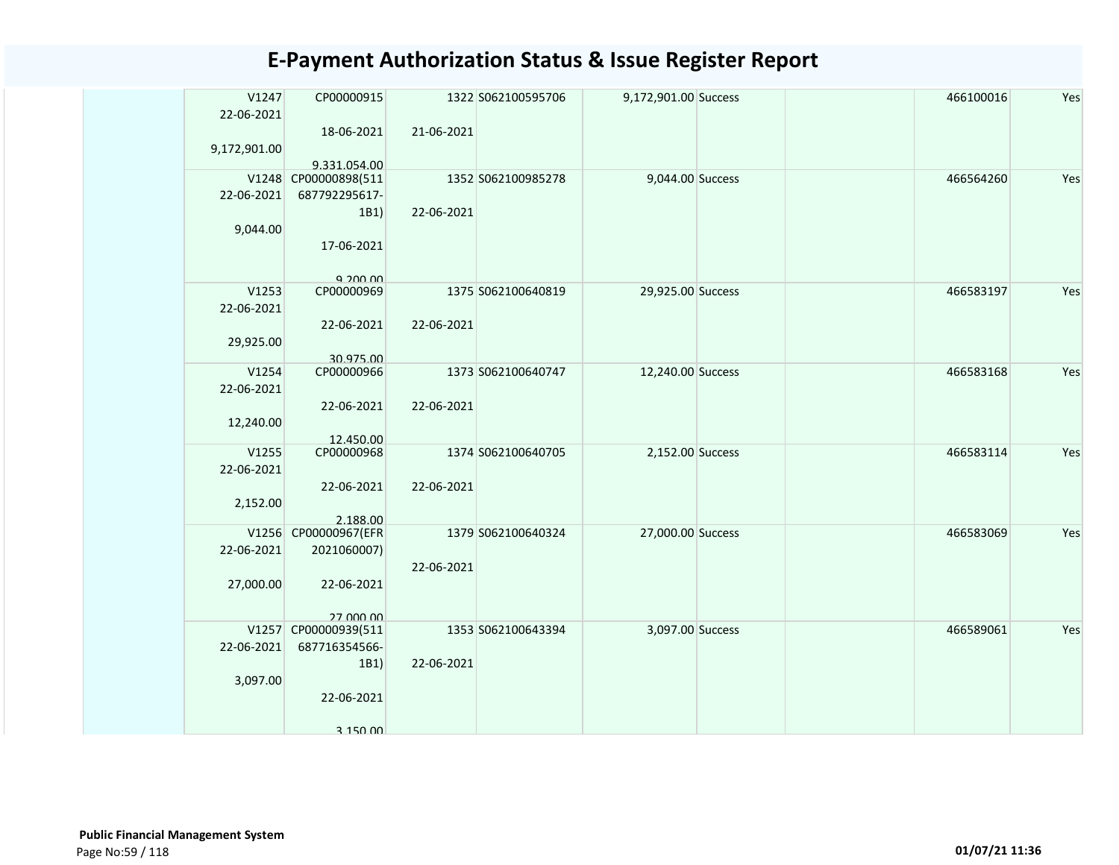| V1247<br>22-06-2021 | CP00000915                            |            | 1322 S062100595706 | 9,172,901.00 Success |  | 466100016 | Yes |
|---------------------|---------------------------------------|------------|--------------------|----------------------|--|-----------|-----|
|                     | 18-06-2021                            | 21-06-2021 |                    |                      |  |           |     |
| 9,172,901.00        |                                       |            |                    |                      |  |           |     |
|                     | 9.331.054.00                          |            |                    |                      |  |           |     |
| 22-06-2021          | V1248 CP00000898(511<br>687792295617- |            | 1352 S062100985278 | 9,044.00 Success     |  | 466564260 | Yes |
|                     | 1B1)                                  | 22-06-2021 |                    |                      |  |           |     |
| 9,044.00            |                                       |            |                    |                      |  |           |     |
|                     | 17-06-2021                            |            |                    |                      |  |           |     |
|                     | $Q$ 200 $Q$                           |            |                    |                      |  |           |     |
| V1253               | CP00000969                            |            | 1375 S062100640819 | 29,925.00 Success    |  | 466583197 | Yes |
| 22-06-2021          | 22-06-2021                            | 22-06-2021 |                    |                      |  |           |     |
| 29,925.00           |                                       |            |                    |                      |  |           |     |
|                     | 30.975.00                             |            |                    |                      |  |           |     |
| V1254               | CP00000966                            |            | 1373 S062100640747 | 12,240.00 Success    |  | 466583168 | Yes |
| 22-06-2021          | 22-06-2021                            | 22-06-2021 |                    |                      |  |           |     |
| 12,240.00           |                                       |            |                    |                      |  |           |     |
|                     | 12.450.00                             |            |                    |                      |  |           |     |
| V1255               | CP00000968                            |            | 1374 S062100640705 | 2,152.00 Success     |  | 466583114 | Yes |
| 22-06-2021          | 22-06-2021                            | 22-06-2021 |                    |                      |  |           |     |
| 2,152.00            |                                       |            |                    |                      |  |           |     |
|                     | 2.188.00                              |            |                    |                      |  |           |     |
|                     | V1256 CP00000967(EFR                  |            | 1379 S062100640324 | 27,000.00 Success    |  | 466583069 | Yes |
| 22-06-2021          | 2021060007)                           | 22-06-2021 |                    |                      |  |           |     |
| 27,000.00           | 22-06-2021                            |            |                    |                      |  |           |     |
|                     |                                       |            |                    |                      |  |           |     |
|                     | 27.000.00                             |            |                    |                      |  |           |     |
| V1257<br>22-06-2021 | CP00000939(511<br>687716354566-       |            | 1353 S062100643394 | 3,097.00 Success     |  | 466589061 | Yes |
|                     | 1B1)                                  | 22-06-2021 |                    |                      |  |           |     |
| 3,097.00            |                                       |            |                    |                      |  |           |     |
|                     | 22-06-2021                            |            |                    |                      |  |           |     |
|                     | 3,150,00                              |            |                    |                      |  |           |     |
|                     |                                       |            |                    |                      |  |           |     |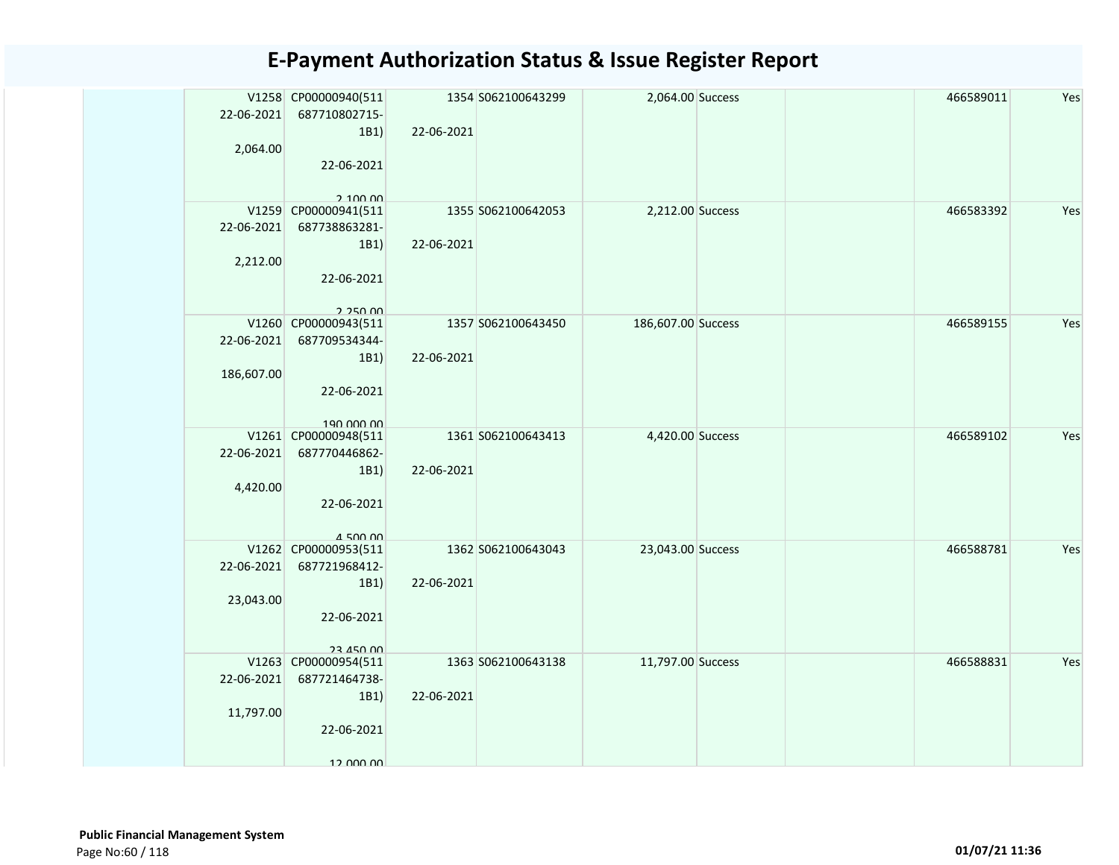| 22-06-2021<br>2,064.00   | V1258 CP00000940(511<br>687710802715-<br>1B1)<br>22-06-2021                         | 22-06-2021 | 1354 S062100643299 | 2,064.00 Success   |  | 466589011 | Yes |
|--------------------------|-------------------------------------------------------------------------------------|------------|--------------------|--------------------|--|-----------|-----|
| 22-06-2021<br>2,212.00   | 2,100,00<br>V1259 CP00000941(511<br>687738863281-<br>1B1)<br>22-06-2021<br>2.250.00 | 22-06-2021 | 1355 S062100642053 | 2,212.00 Success   |  | 466583392 | Yes |
| 22-06-2021<br>186,607.00 | V1260 CP00000943(511<br>687709534344-<br>1B1)<br>22-06-2021<br>190.000.00           | 22-06-2021 | 1357 S062100643450 | 186,607.00 Success |  | 466589155 | Yes |
| 22-06-2021<br>4,420.00   | V1261 CP00000948(511<br>687770446862-<br>1B1)<br>22-06-2021<br>$A$ 500 00           | 22-06-2021 | 1361 S062100643413 | 4,420.00 Success   |  | 466589102 | Yes |
| 22-06-2021<br>23,043.00  | V1262 CP00000953(511<br>687721968412-<br>1B1)<br>22-06-2021<br>23 450 00            | 22-06-2021 | 1362 S062100643043 | 23,043.00 Success  |  | 466588781 | Yes |
| 22-06-2021<br>11,797.00  | V1263 CP00000954(511<br>687721464738-<br>1B1)<br>22-06-2021<br>12 000 00            | 22-06-2021 | 1363 S062100643138 | 11,797.00 Success  |  | 466588831 | Yes |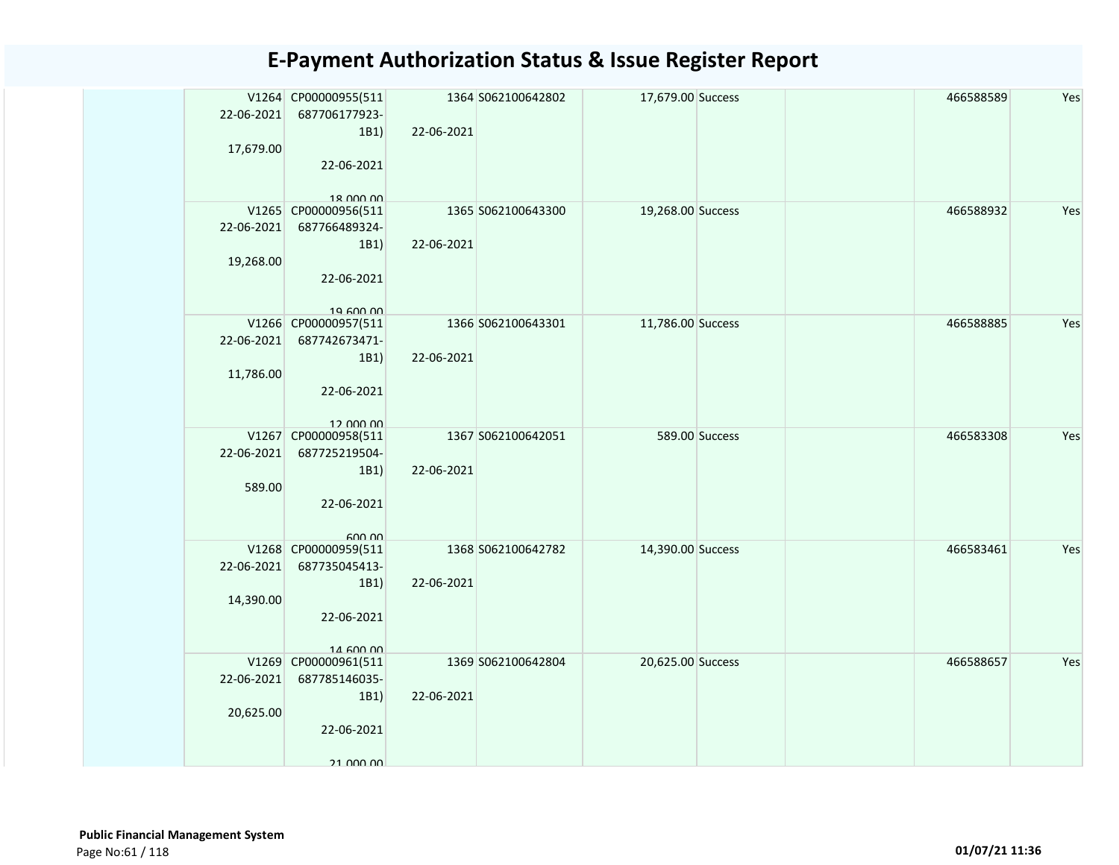| 22-06-2021<br>17,679.00 | V1264 CP00000955(511<br>687706177923-<br>1B1)<br>22-06-2021<br>18 000 00 | 22-06-2021 | 1364 S062100642802 | 17,679.00 Success |                | 466588589 | Yes |
|-------------------------|--------------------------------------------------------------------------|------------|--------------------|-------------------|----------------|-----------|-----|
| 22-06-2021<br>19,268.00 | V1265 CP00000956(511<br>687766489324-<br>1B1)<br>22-06-2021<br>19.600.00 | 22-06-2021 | 1365 S062100643300 | 19,268.00 Success |                | 466588932 | Yes |
| 22-06-2021<br>11,786.00 | V1266 CP00000957(511<br>687742673471-<br>1B1)<br>22-06-2021<br>12 000 00 | 22-06-2021 | 1366 S062100643301 | 11,786.00 Success |                | 466588885 | Yes |
| 22-06-2021<br>589.00    | V1267 CP00000958(511<br>687725219504-<br>1B1)<br>22-06-2021<br>600.00    | 22-06-2021 | 1367 S062100642051 |                   | 589.00 Success | 466583308 | Yes |
| 22-06-2021<br>14,390.00 | V1268 CP00000959(511<br>687735045413-<br>1B1)<br>22-06-2021<br>14 600 00 | 22-06-2021 | 1368 S062100642782 | 14,390.00 Success |                | 466583461 | Yes |
| 22-06-2021<br>20,625.00 | V1269 CP00000961(511<br>687785146035-<br>1B1)<br>22-06-2021<br>21 000 00 | 22-06-2021 | 1369 S062100642804 | 20,625.00 Success |                | 466588657 | Yes |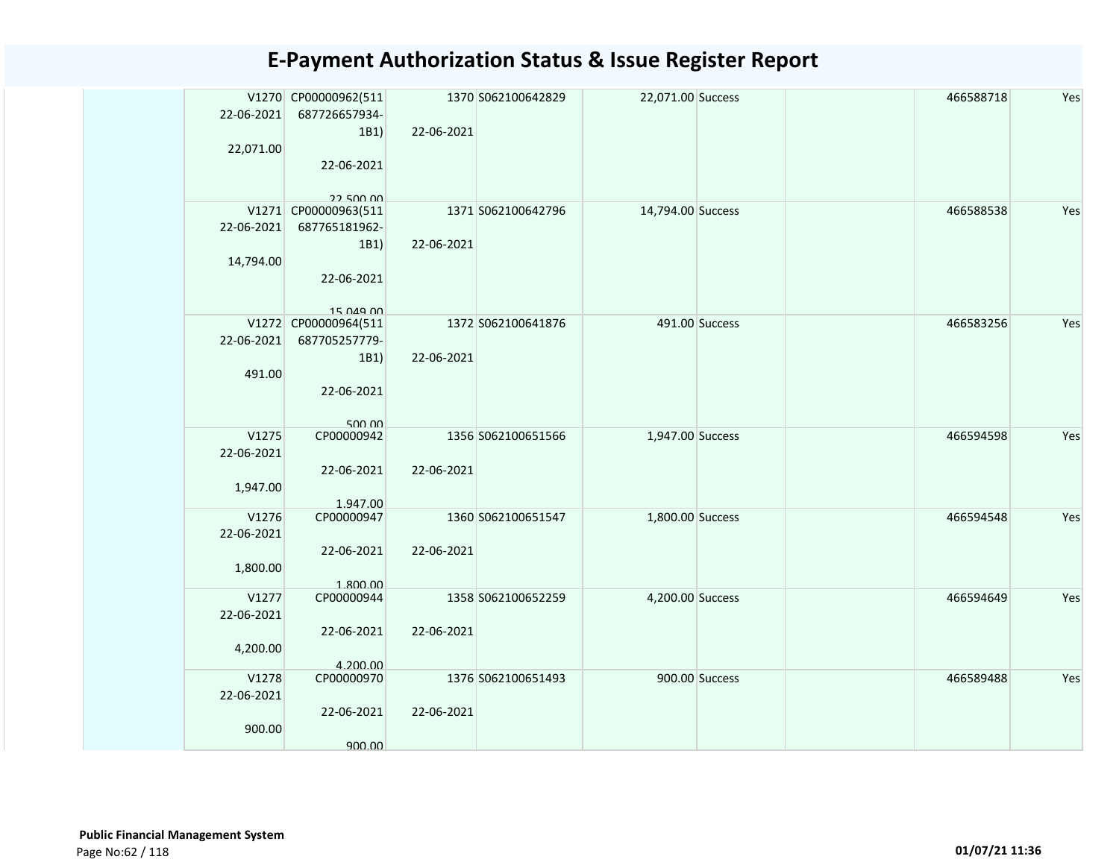| 22-06-2021          | V1270 CP00000962(511<br>687726657934-<br>1B1) | 22-06-2021 | 1370 S062100642829 | 22,071.00 Success |                | 466588718 | Yes |
|---------------------|-----------------------------------------------|------------|--------------------|-------------------|----------------|-----------|-----|
| 22,071.00           | 22-06-2021                                    |            |                    |                   |                |           |     |
|                     | 22 500 00<br>V1271 CP00000963(511             |            | 1371 S062100642796 | 14,794.00 Success |                | 466588538 | Yes |
| 22-06-2021          | 687765181962-                                 |            |                    |                   |                |           |     |
|                     | 1B1)                                          | 22-06-2021 |                    |                   |                |           |     |
| 14,794.00           | 22-06-2021                                    |            |                    |                   |                |           |     |
|                     | 15 049 00                                     |            |                    |                   |                |           |     |
|                     | V1272 CP00000964(511                          |            | 1372 S062100641876 |                   | 491.00 Success | 466583256 | Yes |
| 22-06-2021          | 687705257779-                                 | 22-06-2021 |                    |                   |                |           |     |
| 491.00              | 1B1)                                          |            |                    |                   |                |           |     |
|                     | 22-06-2021                                    |            |                    |                   |                |           |     |
| V1275               | 500.00<br>CP00000942                          |            | 1356 S062100651566 | 1,947.00 Success  |                | 466594598 | Yes |
| 22-06-2021          |                                               |            |                    |                   |                |           |     |
|                     | 22-06-2021                                    | 22-06-2021 |                    |                   |                |           |     |
| 1,947.00            |                                               |            |                    |                   |                |           |     |
|                     | 1.947.00                                      |            |                    |                   |                |           |     |
| V1276<br>22-06-2021 | CP00000947                                    |            | 1360 S062100651547 | 1,800.00 Success  |                | 466594548 | Yes |
|                     | 22-06-2021                                    | 22-06-2021 |                    |                   |                |           |     |
| 1,800.00            |                                               |            |                    |                   |                |           |     |
|                     | 1.800.00                                      |            |                    |                   |                |           |     |
| V1277               | CP00000944                                    |            | 1358 S062100652259 | 4,200.00 Success  |                | 466594649 | Yes |
| 22-06-2021          |                                               |            |                    |                   |                |           |     |
|                     | 22-06-2021                                    | 22-06-2021 |                    |                   |                |           |     |
| 4,200.00            | 4.200.00                                      |            |                    |                   |                |           |     |
| V1278               | CP00000970                                    |            | 1376 S062100651493 |                   | 900.00 Success | 466589488 | Yes |
| 22-06-2021          |                                               |            |                    |                   |                |           |     |
|                     | 22-06-2021                                    | 22-06-2021 |                    |                   |                |           |     |
| 900.00              |                                               |            |                    |                   |                |           |     |
|                     | 900.00                                        |            |                    |                   |                |           |     |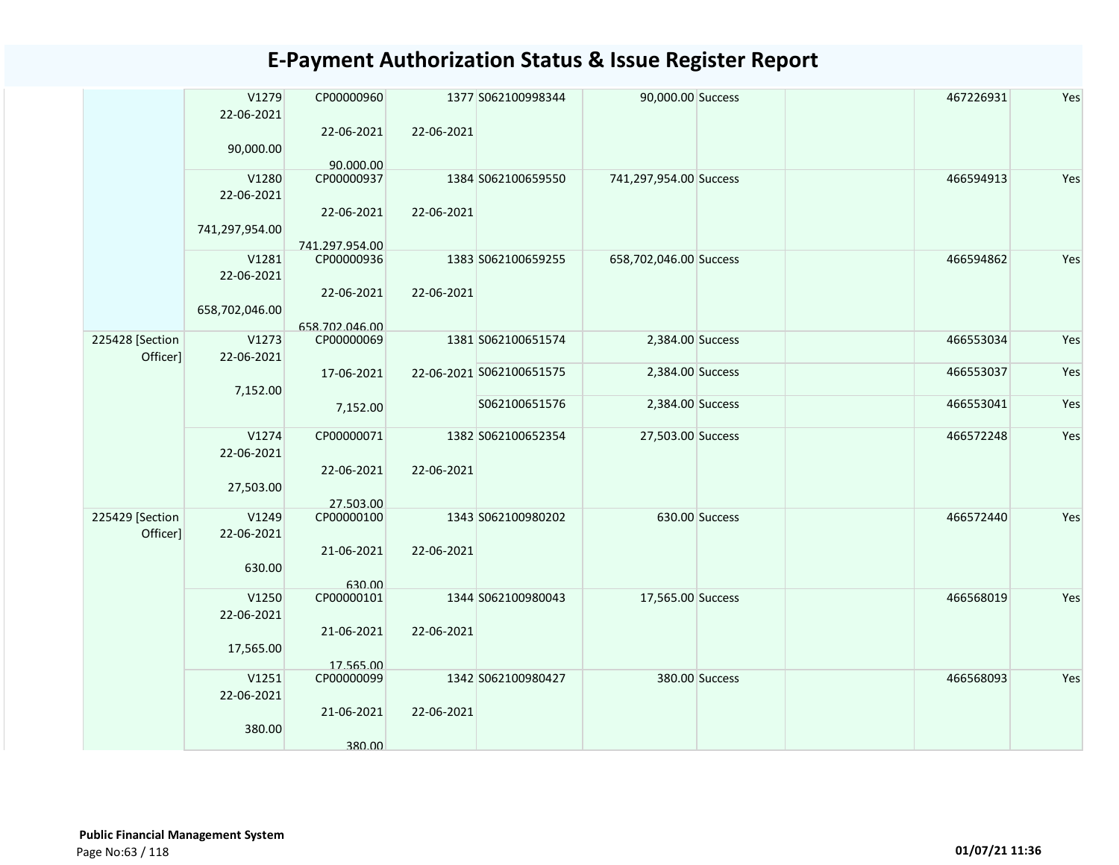|                             | V1279<br>22-06-2021<br>90,000.00 | CP00000960<br>22-06-2021              | 22-06-2021 | 1377 S062100998344       | 90,000.00 Success      |                | 467226931 | Yes |
|-----------------------------|----------------------------------|---------------------------------------|------------|--------------------------|------------------------|----------------|-----------|-----|
|                             | V1280<br>22-06-2021              | 90.000.00<br>CP00000937<br>22-06-2021 | 22-06-2021 | 1384 S062100659550       | 741,297,954.00 Success |                | 466594913 | Yes |
|                             | 741,297,954.00                   | 741.297.954.00                        |            |                          |                        |                |           |     |
|                             | V1281<br>22-06-2021              | CP00000936                            |            | 1383 S062100659255       | 658,702,046.00 Success |                | 466594862 | Yes |
|                             | 658,702,046.00                   | 22-06-2021<br>658.702.046.00          | 22-06-2021 |                          |                        |                |           |     |
| 225428 [Section<br>Officer] | V1273<br>22-06-2021              | CP00000069                            |            | 1381 S062100651574       | 2,384.00 Success       |                | 466553034 | Yes |
|                             | 7,152.00                         | 17-06-2021                            |            | 22-06-2021 S062100651575 | 2,384.00 Success       |                | 466553037 | Yes |
|                             |                                  | 7,152.00                              |            | S062100651576            | 2,384.00 Success       |                | 466553041 | Yes |
|                             | V1274<br>22-06-2021              | CP00000071<br>22-06-2021              | 22-06-2021 | 1382 S062100652354       | 27,503.00 Success      |                | 466572248 | Yes |
|                             | 27,503.00                        | 27.503.00                             |            |                          |                        |                |           |     |
| 225429 [Section<br>Officer] | V1249<br>22-06-2021              | CP00000100                            |            | 1343 S062100980202       |                        | 630.00 Success | 466572440 | Yes |
|                             | 630.00                           | 21-06-2021<br>630.00                  | 22-06-2021 |                          |                        |                |           |     |
|                             | V1250<br>22-06-2021              | CP00000101                            |            | 1344 S062100980043       | 17,565.00 Success      |                | 466568019 | Yes |
|                             | 17,565.00                        | 21-06-2021<br>17.565.00               | 22-06-2021 |                          |                        |                |           |     |
|                             | V1251<br>22-06-2021              | CP00000099                            |            | 1342 S062100980427       |                        | 380.00 Success | 466568093 | Yes |
|                             | 380.00                           | 21-06-2021                            | 22-06-2021 |                          |                        |                |           |     |
|                             |                                  | 380.00                                |            |                          |                        |                |           |     |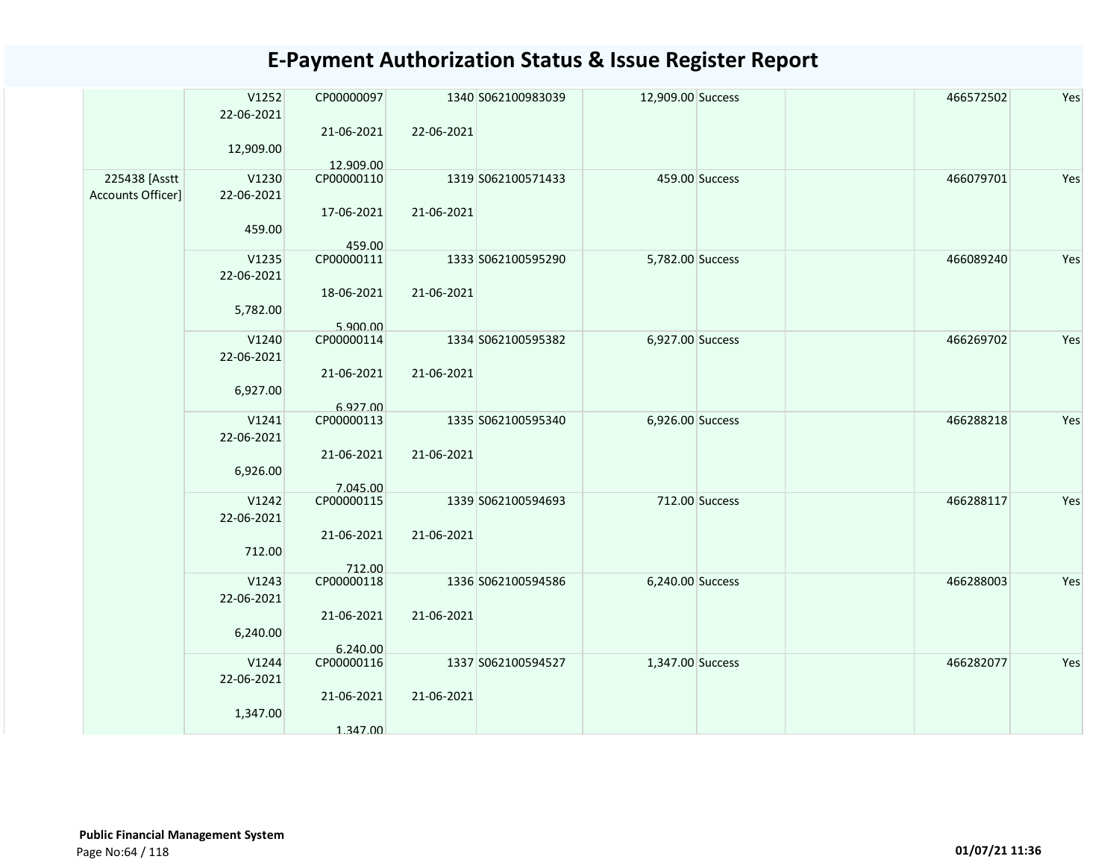|                                    | V1252<br>22-06-2021 | CP00000097              |            | 1340 S062100983039 | 12,909.00 Success | 466572502 | Yes |
|------------------------------------|---------------------|-------------------------|------------|--------------------|-------------------|-----------|-----|
|                                    | 12,909.00           | 21-06-2021<br>12.909.00 | 22-06-2021 |                    |                   |           |     |
| 225438 [Asstt<br>Accounts Officer] | V1230<br>22-06-2021 | CP00000110              |            | 1319 S062100571433 | 459.00 Success    | 466079701 | Yes |
|                                    | 459.00              | 17-06-2021              | 21-06-2021 |                    |                   |           |     |
|                                    | V1235               | 459.00<br>CP00000111    |            | 1333 S062100595290 |                   | 466089240 | Yes |
|                                    | 22-06-2021          |                         |            |                    | 5,782.00 Success  |           |     |
|                                    | 5,782.00            | 18-06-2021              | 21-06-2021 |                    |                   |           |     |
|                                    |                     | 5.900.00                |            |                    |                   |           |     |
|                                    | V1240               | CP00000114              |            | 1334 S062100595382 | 6,927.00 Success  | 466269702 | Yes |
|                                    | 22-06-2021          |                         |            |                    |                   |           |     |
|                                    |                     | 21-06-2021              | 21-06-2021 |                    |                   |           |     |
|                                    | 6,927.00            |                         |            |                    |                   |           |     |
|                                    | V1241               | 6.927.00<br>CP00000113  |            | 1335 S062100595340 | 6,926.00 Success  | 466288218 | Yes |
|                                    | 22-06-2021          |                         |            |                    |                   |           |     |
|                                    |                     | 21-06-2021              | 21-06-2021 |                    |                   |           |     |
|                                    | 6,926.00            |                         |            |                    |                   |           |     |
|                                    |                     | 7.045.00                |            |                    |                   |           |     |
|                                    | V1242               | CP00000115              |            | 1339 S062100594693 | 712.00 Success    | 466288117 | Yes |
|                                    | 22-06-2021          |                         |            |                    |                   |           |     |
|                                    |                     | 21-06-2021              | 21-06-2021 |                    |                   |           |     |
|                                    | 712.00              |                         |            |                    |                   |           |     |
|                                    |                     | 712.00                  |            |                    |                   |           |     |
|                                    | V1243               | CP00000118              |            | 1336 S062100594586 | 6,240.00 Success  | 466288003 | Yes |
|                                    | 22-06-2021          |                         |            |                    |                   |           |     |
|                                    |                     | 21-06-2021              | 21-06-2021 |                    |                   |           |     |
|                                    | 6,240.00            |                         |            |                    |                   |           |     |
|                                    | V1244               | 6.240.00<br>CP00000116  |            | 1337 S062100594527 | 1,347.00 Success  | 466282077 | Yes |
|                                    | 22-06-2021          |                         |            |                    |                   |           |     |
|                                    |                     | 21-06-2021              | 21-06-2021 |                    |                   |           |     |
|                                    | 1,347.00            |                         |            |                    |                   |           |     |
|                                    |                     | 1.347.00                |            |                    |                   |           |     |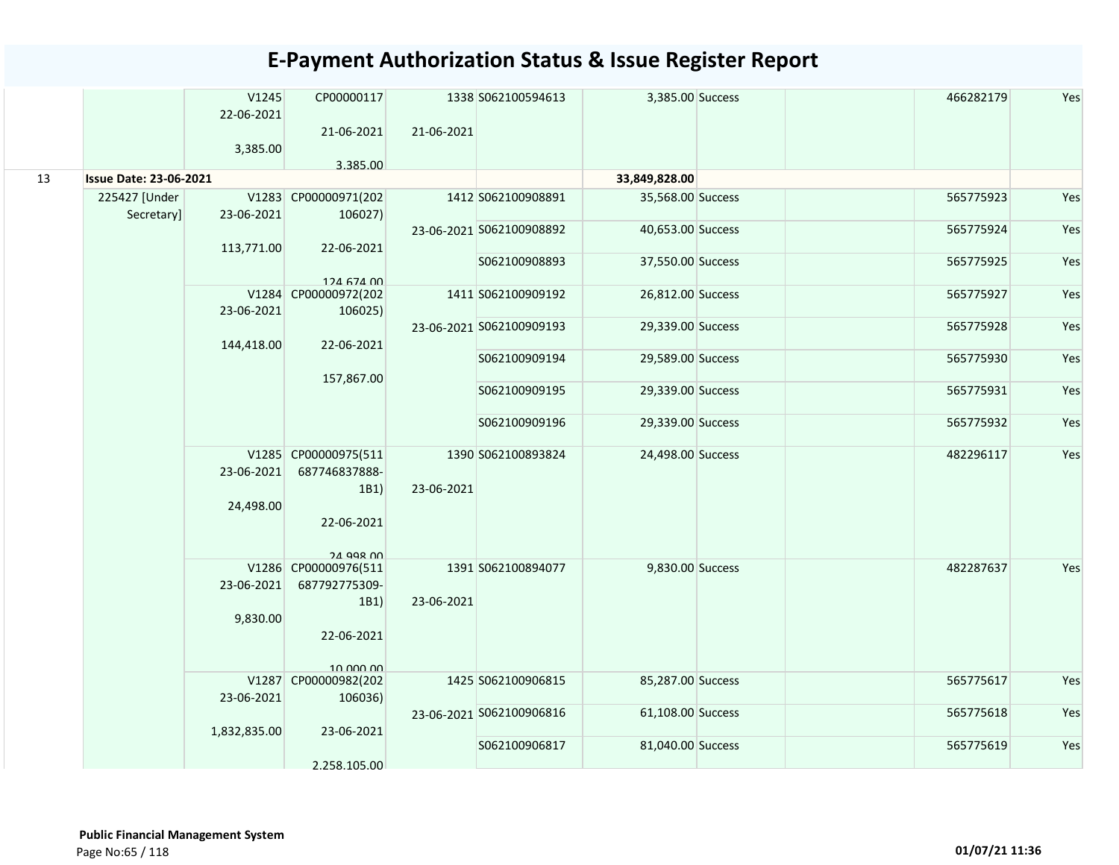|    |                               | V1245<br>22-06-2021<br>3,385.00 | CP00000117<br>21-06-2021<br>3.385.00          | 21-06-2021 | 1338 S062100594613       | 3,385.00 Success  | 466282179 | Yes |
|----|-------------------------------|---------------------------------|-----------------------------------------------|------------|--------------------------|-------------------|-----------|-----|
| 13 | <b>Issue Date: 23-06-2021</b> |                                 |                                               |            |                          | 33,849,828.00     |           |     |
|    | 225427 [Under<br>Secretary]   | 23-06-2021                      | V1283 CP00000971(202<br>106027)               |            | 1412 S062100908891       | 35,568.00 Success | 565775923 | Yes |
|    |                               | 113,771.00                      | 22-06-2021                                    |            | 23-06-2021 S062100908892 | 40,653.00 Success | 565775924 | Yes |
|    |                               |                                 | 124 674 00                                    |            | S062100908893            | 37,550.00 Success | 565775925 | Yes |
|    |                               | 23-06-2021                      | V1284 CP00000972(202<br>106025)               |            | 1411 S062100909192       | 26,812.00 Success | 565775927 | Yes |
|    |                               | 144,418.00                      | 22-06-2021                                    |            | 23-06-2021 S062100909193 | 29,339.00 Success | 565775928 | Yes |
|    |                               |                                 | 157,867.00                                    |            | S062100909194            | 29,589.00 Success | 565775930 | Yes |
|    |                               |                                 |                                               |            | S062100909195            | 29,339.00 Success | 565775931 | Yes |
|    |                               |                                 |                                               |            | S062100909196            | 29,339.00 Success | 565775932 | Yes |
|    |                               | 23-06-2021                      | V1285 CP00000975(511<br>687746837888-<br>1B1) | 23-06-2021 | 1390 S062100893824       | 24,498.00 Success | 482296117 | Yes |
|    |                               | 24,498.00                       | 22-06-2021                                    |            |                          |                   |           |     |
|    |                               |                                 | <b>24 998 00</b><br>V1286 CP00000976(511      |            | 1391 S062100894077       | 9,830.00 Success  | 482287637 | Yes |
|    |                               | 23-06-2021                      | 687792775309-                                 |            |                          |                   |           |     |
|    |                               |                                 | 1B1)                                          | 23-06-2021 |                          |                   |           |     |
|    |                               | 9,830.00                        |                                               |            |                          |                   |           |     |
|    |                               |                                 | 22-06-2021                                    |            |                          |                   |           |     |
|    |                               |                                 | 10.000.00                                     |            |                          |                   |           |     |
|    |                               |                                 | V1287 CP00000982(202                          |            | 1425 S062100906815       | 85,287.00 Success | 565775617 | Yes |
|    |                               | 23-06-2021                      | 106036)                                       |            |                          |                   |           |     |
|    |                               | 1,832,835.00                    | 23-06-2021                                    |            | 23-06-2021 S062100906816 | 61,108.00 Success | 565775618 | Yes |
|    |                               |                                 |                                               |            | S062100906817            | 81,040.00 Success | 565775619 | Yes |
|    |                               |                                 | 2.258.105.00                                  |            |                          |                   |           |     |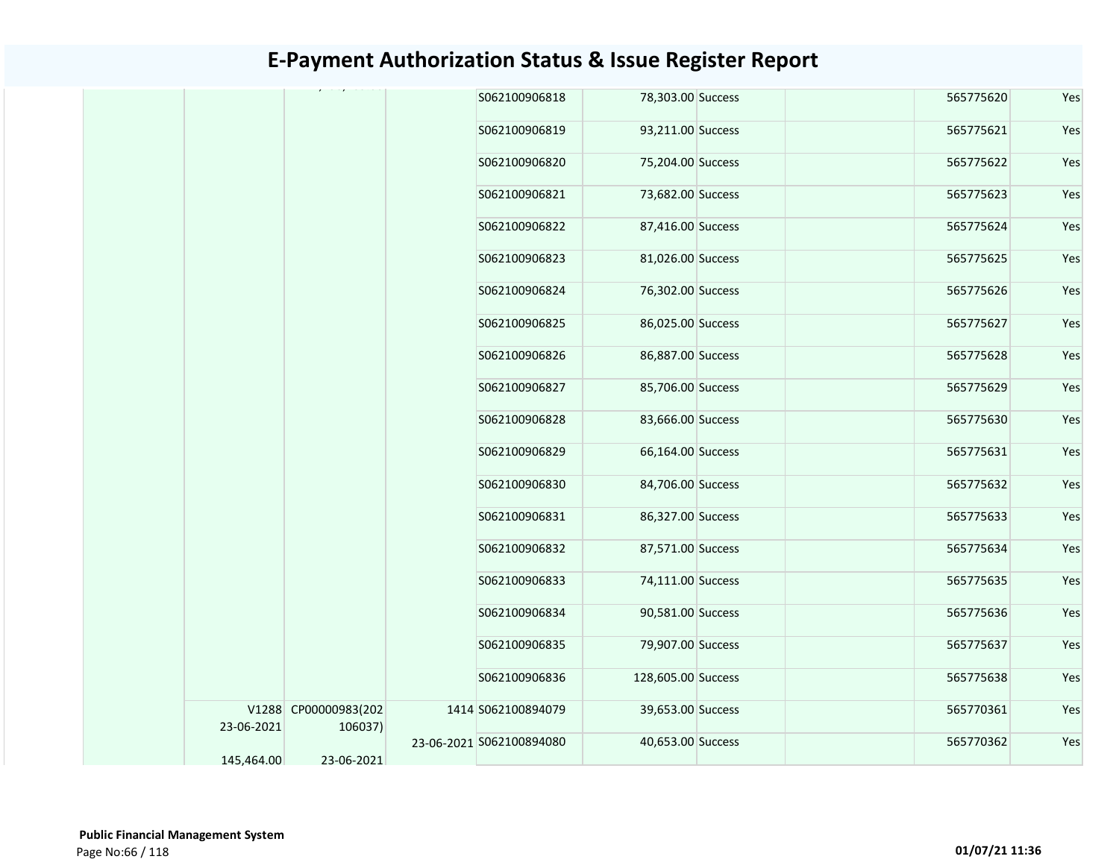|  |            |                                 | S062100906818            | 78,303.00 Success  | 565775620 | Yes |
|--|------------|---------------------------------|--------------------------|--------------------|-----------|-----|
|  |            |                                 | S062100906819            | 93,211.00 Success  | 565775621 | Yes |
|  |            |                                 | S062100906820            | 75,204.00 Success  | 565775622 | Yes |
|  |            |                                 | S062100906821            | 73,682.00 Success  | 565775623 | Yes |
|  |            |                                 | S062100906822            | 87,416.00 Success  | 565775624 | Yes |
|  |            |                                 | S062100906823            | 81,026.00 Success  | 565775625 | Yes |
|  |            |                                 | S062100906824            | 76,302.00 Success  | 565775626 | Yes |
|  |            |                                 | S062100906825            | 86,025.00 Success  | 565775627 | Yes |
|  |            |                                 | S062100906826            | 86,887.00 Success  | 565775628 | Yes |
|  |            |                                 | S062100906827            | 85,706.00 Success  | 565775629 | Yes |
|  |            |                                 | S062100906828            | 83,666.00 Success  | 565775630 | Yes |
|  |            |                                 | S062100906829            | 66,164.00 Success  | 565775631 | Yes |
|  |            |                                 | S062100906830            | 84,706.00 Success  | 565775632 | Yes |
|  |            |                                 | S062100906831            | 86,327.00 Success  | 565775633 | Yes |
|  |            |                                 | S062100906832            | 87,571.00 Success  | 565775634 | Yes |
|  |            |                                 | S062100906833            | 74,111.00 Success  | 565775635 | Yes |
|  |            |                                 | S062100906834            | 90,581.00 Success  | 565775636 | Yes |
|  |            |                                 | S062100906835            | 79,907.00 Success  | 565775637 | Yes |
|  |            |                                 | S062100906836            | 128,605.00 Success | 565775638 | Yes |
|  | 23-06-2021 | V1288 CP00000983(202<br>106037) | 1414 S062100894079       | 39,653.00 Success  | 565770361 | Yes |
|  | 145,464.00 | 23-06-2021                      | 23-06-2021 S062100894080 | 40,653.00 Success  | 565770362 | Yes |
|  |            |                                 |                          |                    |           |     |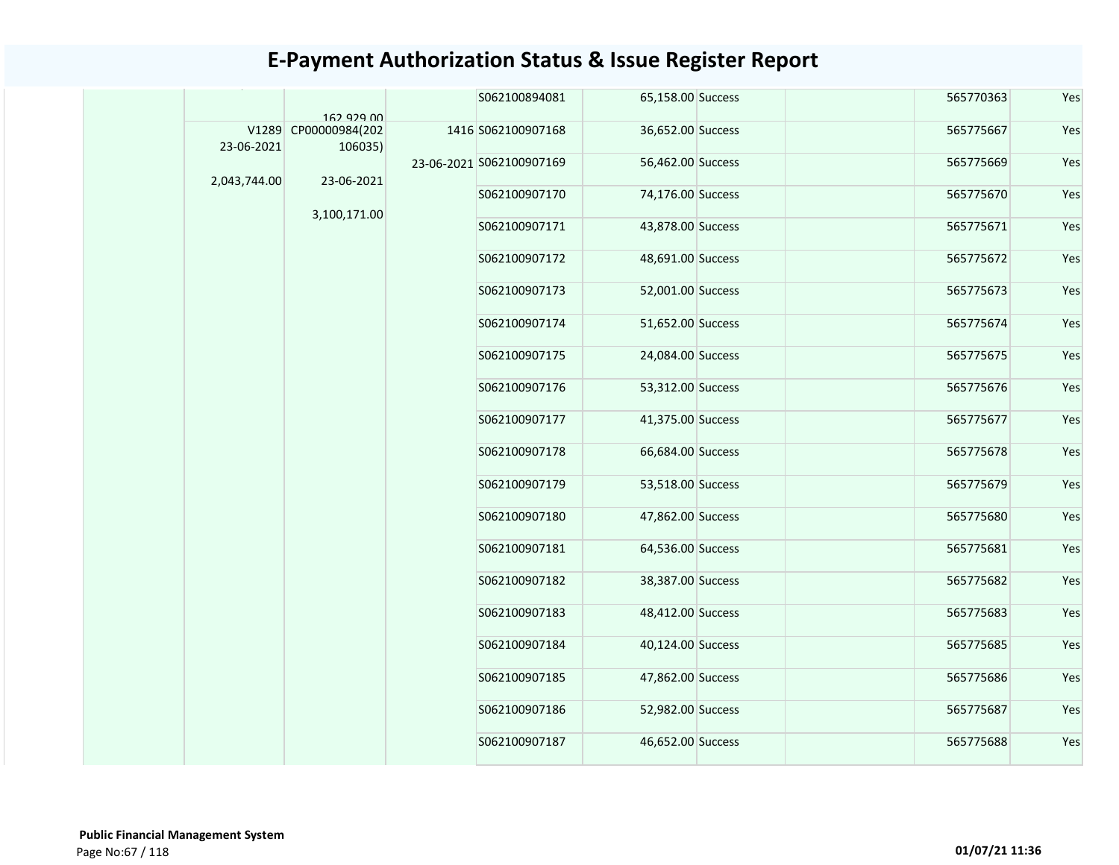|              |                                    | S062100894081            | 65,158.00 Success | 565770363 | Yes |
|--------------|------------------------------------|--------------------------|-------------------|-----------|-----|
|              | 162 929 00<br>V1289 CP00000984(202 | 1416 S062100907168       | 36,652.00 Success | 565775667 | Yes |
| 23-06-2021   | 106035)                            |                          |                   |           |     |
| 2,043,744.00 | 23-06-2021                         | 23-06-2021 S062100907169 | 56,462.00 Success | 565775669 | Yes |
|              |                                    | S062100907170            | 74,176.00 Success | 565775670 | Yes |
|              | 3,100,171.00                       | S062100907171            | 43,878.00 Success | 565775671 | Yes |
|              |                                    | S062100907172            | 48,691.00 Success | 565775672 | Yes |
|              |                                    | S062100907173            | 52,001.00 Success | 565775673 | Yes |
|              |                                    | S062100907174            | 51,652.00 Success | 565775674 | Yes |
|              |                                    | S062100907175            | 24,084.00 Success | 565775675 | Yes |
|              |                                    | S062100907176            | 53,312.00 Success | 565775676 | Yes |
|              |                                    | S062100907177            | 41,375.00 Success | 565775677 | Yes |
|              |                                    | S062100907178            | 66,684.00 Success | 565775678 | Yes |
|              |                                    | S062100907179            | 53,518.00 Success | 565775679 | Yes |
|              |                                    | S062100907180            | 47,862.00 Success | 565775680 | Yes |
|              |                                    | S062100907181            | 64,536.00 Success | 565775681 | Yes |
|              |                                    | S062100907182            | 38,387.00 Success | 565775682 | Yes |
|              |                                    | S062100907183            | 48,412.00 Success | 565775683 | Yes |
|              |                                    | S062100907184            | 40,124.00 Success | 565775685 | Yes |
|              |                                    | S062100907185            | 47,862.00 Success | 565775686 | Yes |
|              |                                    | S062100907186            | 52,982.00 Success | 565775687 | Yes |
|              |                                    | S062100907187            | 46,652.00 Success | 565775688 | Yes |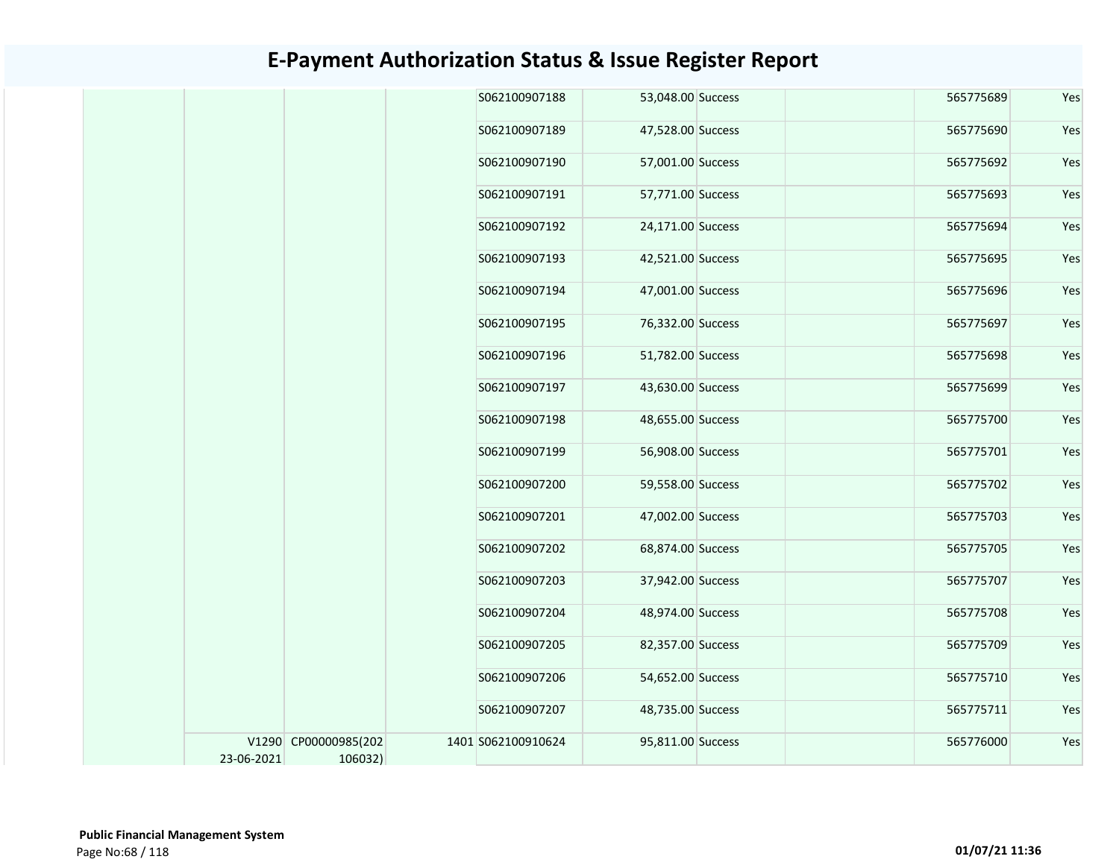|            |                                 | S062100907188      | 53,048.00 Success | 565775689 | Yes |
|------------|---------------------------------|--------------------|-------------------|-----------|-----|
|            |                                 | S062100907189      | 47,528.00 Success | 565775690 | Yes |
|            |                                 | S062100907190      | 57,001.00 Success | 565775692 | Yes |
|            |                                 | S062100907191      | 57,771.00 Success | 565775693 | Yes |
|            |                                 | S062100907192      | 24,171.00 Success | 565775694 | Yes |
|            |                                 | S062100907193      | 42,521.00 Success | 565775695 | Yes |
|            |                                 | S062100907194      | 47,001.00 Success | 565775696 | Yes |
|            |                                 | S062100907195      | 76,332.00 Success | 565775697 | Yes |
|            |                                 | S062100907196      | 51,782.00 Success | 565775698 | Yes |
|            |                                 | S062100907197      | 43,630.00 Success | 565775699 | Yes |
|            |                                 | S062100907198      | 48,655.00 Success | 565775700 | Yes |
|            |                                 | S062100907199      | 56,908.00 Success | 565775701 | Yes |
|            |                                 | S062100907200      | 59,558.00 Success | 565775702 | Yes |
|            |                                 | S062100907201      | 47,002.00 Success | 565775703 | Yes |
|            |                                 | S062100907202      | 68,874.00 Success | 565775705 | Yes |
|            |                                 | S062100907203      | 37,942.00 Success | 565775707 | Yes |
|            |                                 | S062100907204      | 48,974.00 Success | 565775708 | Yes |
|            |                                 | S062100907205      | 82,357.00 Success | 565775709 | Yes |
|            |                                 | S062100907206      | 54,652.00 Success | 565775710 | Yes |
|            |                                 | S062100907207      | 48,735.00 Success | 565775711 | Yes |
| 23-06-2021 | V1290 CP00000985(202<br>106032) | 1401 S062100910624 | 95,811.00 Success | 565776000 | Yes |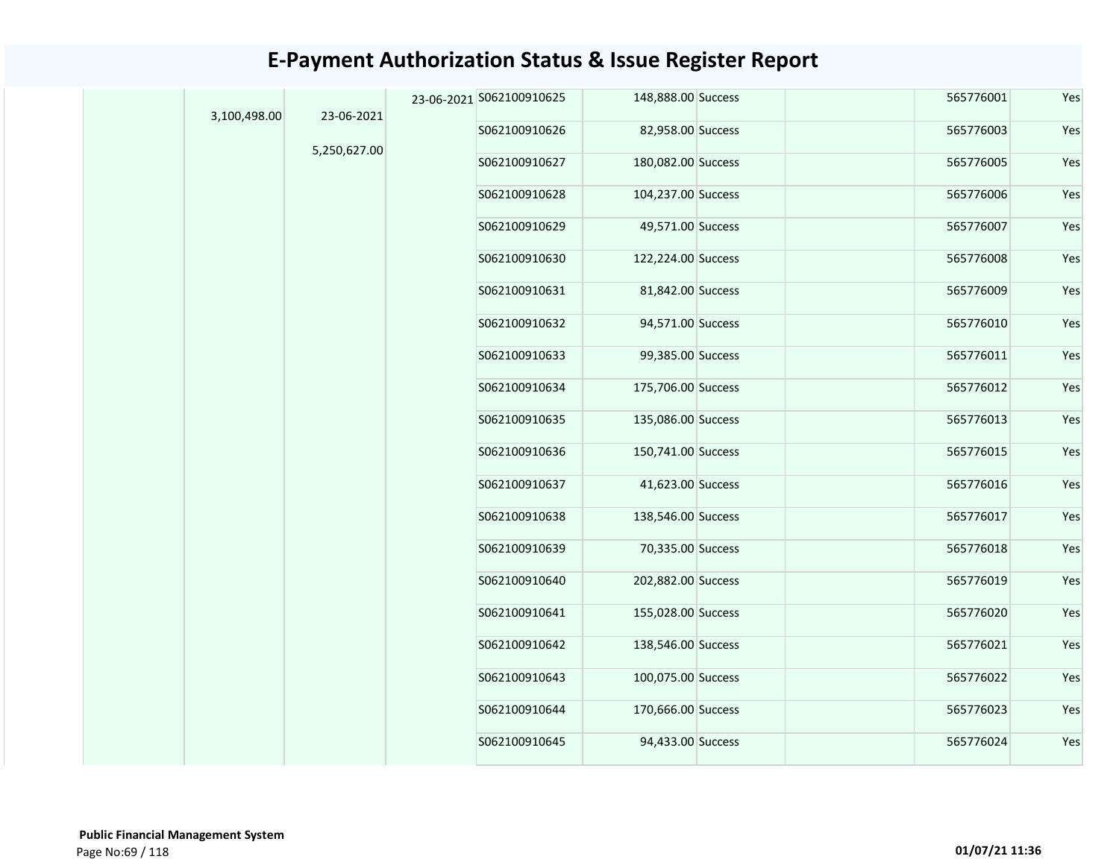| 3,100,498.00 | 23-06-2021   | 23-06-2021 S062100910625 | 148,888.00 Success | 565776001 | Yes |
|--------------|--------------|--------------------------|--------------------|-----------|-----|
|              |              | S062100910626            | 82,958.00 Success  | 565776003 | Yes |
|              | 5,250,627.00 | S062100910627            | 180,082.00 Success | 565776005 | Yes |
|              |              | S062100910628            | 104,237.00 Success | 565776006 | Yes |
|              |              | S062100910629            | 49,571.00 Success  | 565776007 | Yes |
|              |              | S062100910630            | 122,224.00 Success | 565776008 | Yes |
|              |              | S062100910631            | 81,842.00 Success  | 565776009 | Yes |
|              |              | S062100910632            | 94,571.00 Success  | 565776010 | Yes |
|              |              | S062100910633            | 99,385.00 Success  | 565776011 | Yes |
|              |              | S062100910634            | 175,706.00 Success | 565776012 | Yes |
|              |              | S062100910635            | 135,086.00 Success | 565776013 | Yes |
|              |              | S062100910636            | 150,741.00 Success | 565776015 | Yes |
|              |              | S062100910637            | 41,623.00 Success  | 565776016 | Yes |
|              |              | S062100910638            | 138,546.00 Success | 565776017 | Yes |
|              |              | S062100910639            | 70,335.00 Success  | 565776018 | Yes |
|              |              | S062100910640            | 202,882.00 Success | 565776019 | Yes |
|              |              | S062100910641            | 155,028.00 Success | 565776020 | Yes |
|              |              | S062100910642            | 138,546.00 Success | 565776021 | Yes |
|              |              | S062100910643            | 100,075.00 Success | 565776022 | Yes |
|              |              | S062100910644            | 170,666.00 Success | 565776023 | Yes |
|              |              | S062100910645            | 94,433.00 Success  | 565776024 | Yes |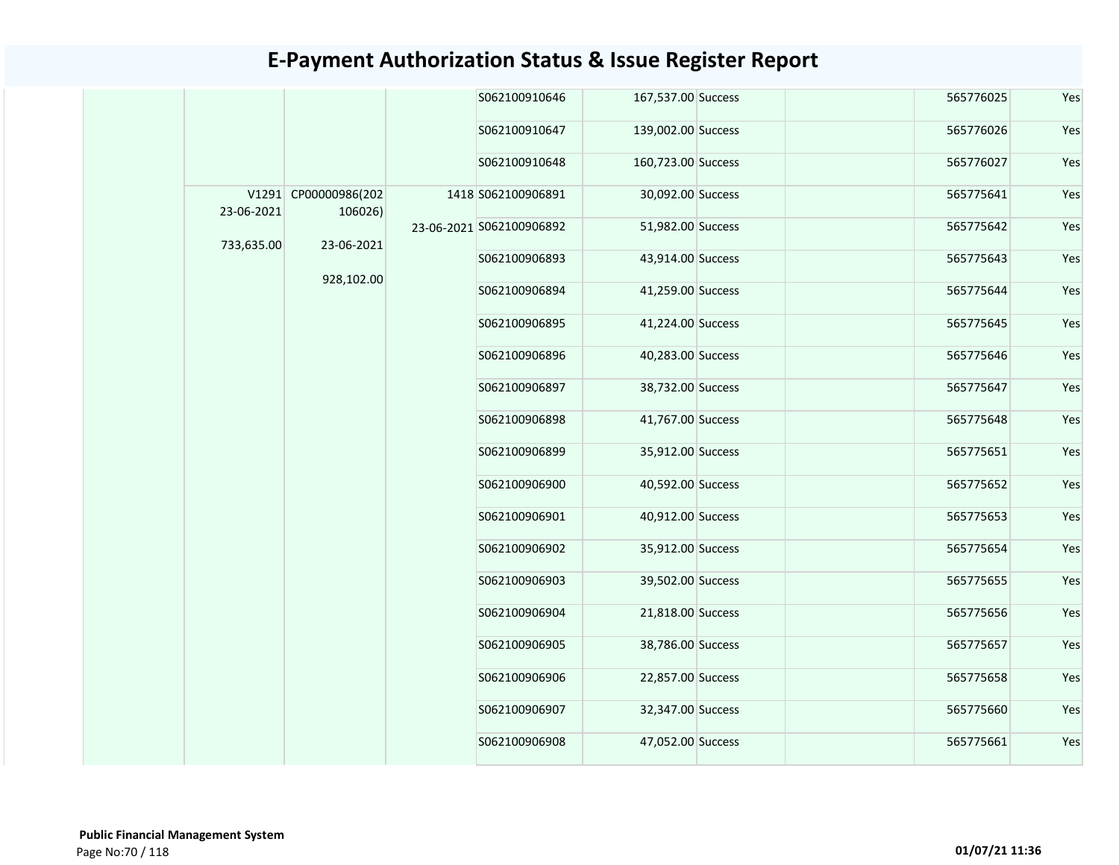|            |                                 | S062100910646            | 167,537.00 Success | 565776025 | Yes |
|------------|---------------------------------|--------------------------|--------------------|-----------|-----|
|            |                                 | S062100910647            | 139,002.00 Success | 565776026 | Yes |
|            |                                 | S062100910648            | 160,723.00 Success | 565776027 | Yes |
| 23-06-2021 | V1291 CP00000986(202<br>106026) | 1418 S062100906891       | 30,092.00 Success  | 565775641 | Yes |
| 733,635.00 | 23-06-2021                      | 23-06-2021 S062100906892 | 51,982.00 Success  | 565775642 | Yes |
|            | 928,102.00                      | S062100906893            | 43,914.00 Success  | 565775643 | Yes |
|            |                                 | S062100906894            | 41,259.00 Success  | 565775644 | Yes |
|            |                                 | S062100906895            | 41,224.00 Success  | 565775645 | Yes |
|            |                                 | S062100906896            | 40,283.00 Success  | 565775646 | Yes |
|            |                                 | S062100906897            | 38,732.00 Success  | 565775647 | Yes |
|            |                                 | S062100906898            | 41,767.00 Success  | 565775648 | Yes |
|            |                                 | S062100906899            | 35,912.00 Success  | 565775651 | Yes |
|            |                                 | S062100906900            | 40,592.00 Success  | 565775652 | Yes |
|            |                                 | S062100906901            | 40,912.00 Success  | 565775653 | Yes |
|            |                                 | S062100906902            | 35,912.00 Success  | 565775654 | Yes |
|            |                                 | S062100906903            | 39,502.00 Success  | 565775655 | Yes |
|            |                                 | S062100906904            | 21,818.00 Success  | 565775656 | Yes |
|            |                                 | S062100906905            | 38,786.00 Success  | 565775657 | Yes |
|            |                                 | S062100906906            | 22,857.00 Success  | 565775658 | Yes |
|            |                                 | S062100906907            | 32,347.00 Success  | 565775660 | Yes |
|            |                                 | S062100906908            | 47,052.00 Success  | 565775661 | Yes |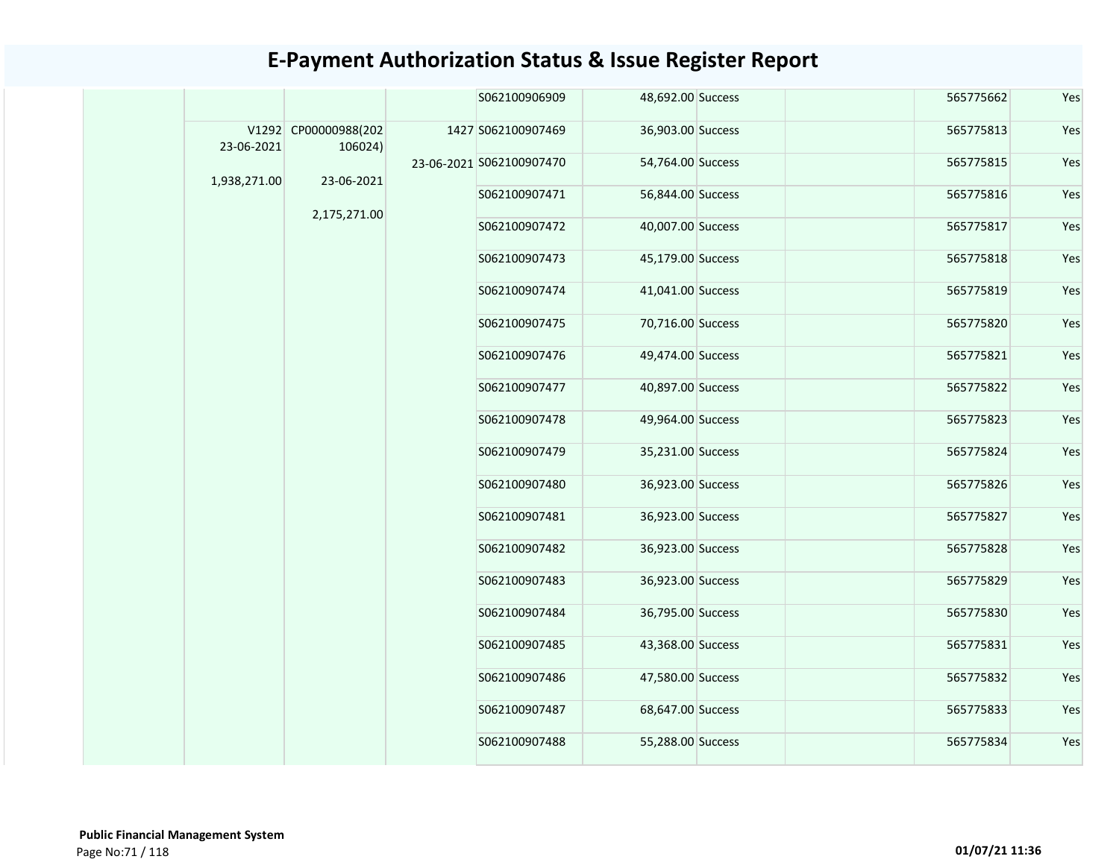|              |                                 | S062100906909            | 48,692.00 Success | 565775662 | Yes |
|--------------|---------------------------------|--------------------------|-------------------|-----------|-----|
| 23-06-2021   | V1292 CP00000988(202<br>106024) | 1427 S062100907469       | 36,903.00 Success | 565775813 | Yes |
| 1,938,271.00 | 23-06-2021                      | 23-06-2021 S062100907470 | 54,764.00 Success | 565775815 | Yes |
|              |                                 | S062100907471            | 56,844.00 Success | 565775816 | Yes |
|              | 2,175,271.00                    | S062100907472            | 40,007.00 Success | 565775817 | Yes |
|              |                                 | S062100907473            | 45,179.00 Success | 565775818 | Yes |
|              |                                 | S062100907474            | 41,041.00 Success | 565775819 | Yes |
|              |                                 | S062100907475            | 70,716.00 Success | 565775820 | Yes |
|              |                                 | S062100907476            | 49,474.00 Success | 565775821 | Yes |
|              |                                 | S062100907477            | 40,897.00 Success | 565775822 | Yes |
|              |                                 | S062100907478            | 49,964.00 Success | 565775823 | Yes |
|              |                                 | S062100907479            | 35,231.00 Success | 565775824 | Yes |
|              |                                 | S062100907480            | 36,923.00 Success | 565775826 | Yes |
|              |                                 | S062100907481            | 36,923.00 Success | 565775827 | Yes |
|              |                                 | S062100907482            | 36,923.00 Success | 565775828 | Yes |
|              |                                 | S062100907483            | 36,923.00 Success | 565775829 | Yes |
|              |                                 | S062100907484            | 36,795.00 Success | 565775830 | Yes |
|              |                                 | S062100907485            | 43,368.00 Success | 565775831 | Yes |
|              |                                 | S062100907486            | 47,580.00 Success | 565775832 | Yes |
|              |                                 | S062100907487            | 68,647.00 Success | 565775833 | Yes |
|              |                                 | S062100907488            | 55,288.00 Success | 565775834 | Yes |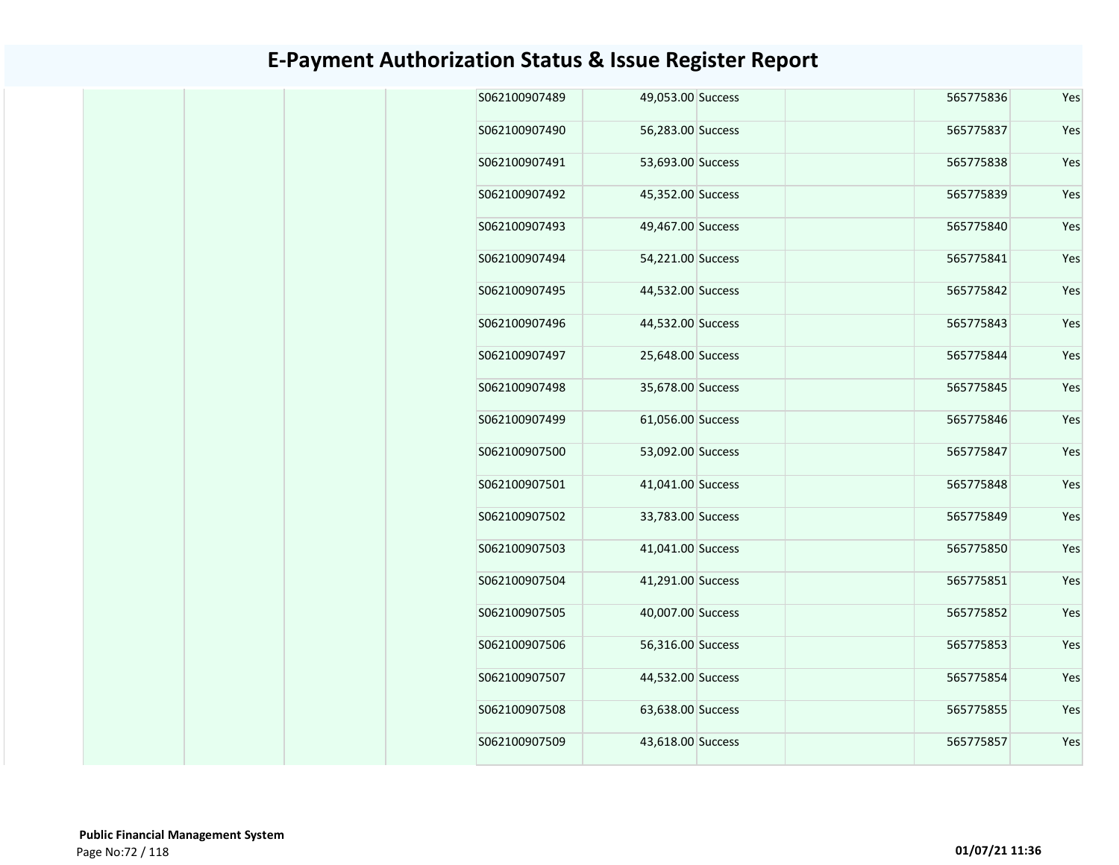| Yes | 565775836 | 49,053.00 Success | S062100907489 |
|-----|-----------|-------------------|---------------|
| Yes | 565775837 | 56,283.00 Success | S062100907490 |
| Yes | 565775838 | 53,693.00 Success | S062100907491 |
| Yes | 565775839 | 45,352.00 Success | S062100907492 |
| Yes | 565775840 | 49,467.00 Success | S062100907493 |
| Yes | 565775841 | 54,221.00 Success | S062100907494 |
| Yes | 565775842 | 44,532.00 Success | S062100907495 |
| Yes | 565775843 | 44,532.00 Success | S062100907496 |
| Yes | 565775844 | 25,648.00 Success | S062100907497 |
| Yes | 565775845 | 35,678.00 Success | S062100907498 |
| Yes | 565775846 | 61,056.00 Success | S062100907499 |
| Yes | 565775847 | 53,092.00 Success | S062100907500 |
| Yes | 565775848 | 41,041.00 Success | S062100907501 |
| Yes | 565775849 | 33,783.00 Success | S062100907502 |
| Yes | 565775850 | 41,041.00 Success | S062100907503 |
| Yes | 565775851 | 41,291.00 Success | S062100907504 |
| Yes | 565775852 | 40,007.00 Success | S062100907505 |
| Yes | 565775853 | 56,316.00 Success | S062100907506 |
| Yes | 565775854 | 44,532.00 Success | S062100907507 |
| Yes | 565775855 | 63,638.00 Success | S062100907508 |
| Yes | 565775857 | 43,618.00 Success | S062100907509 |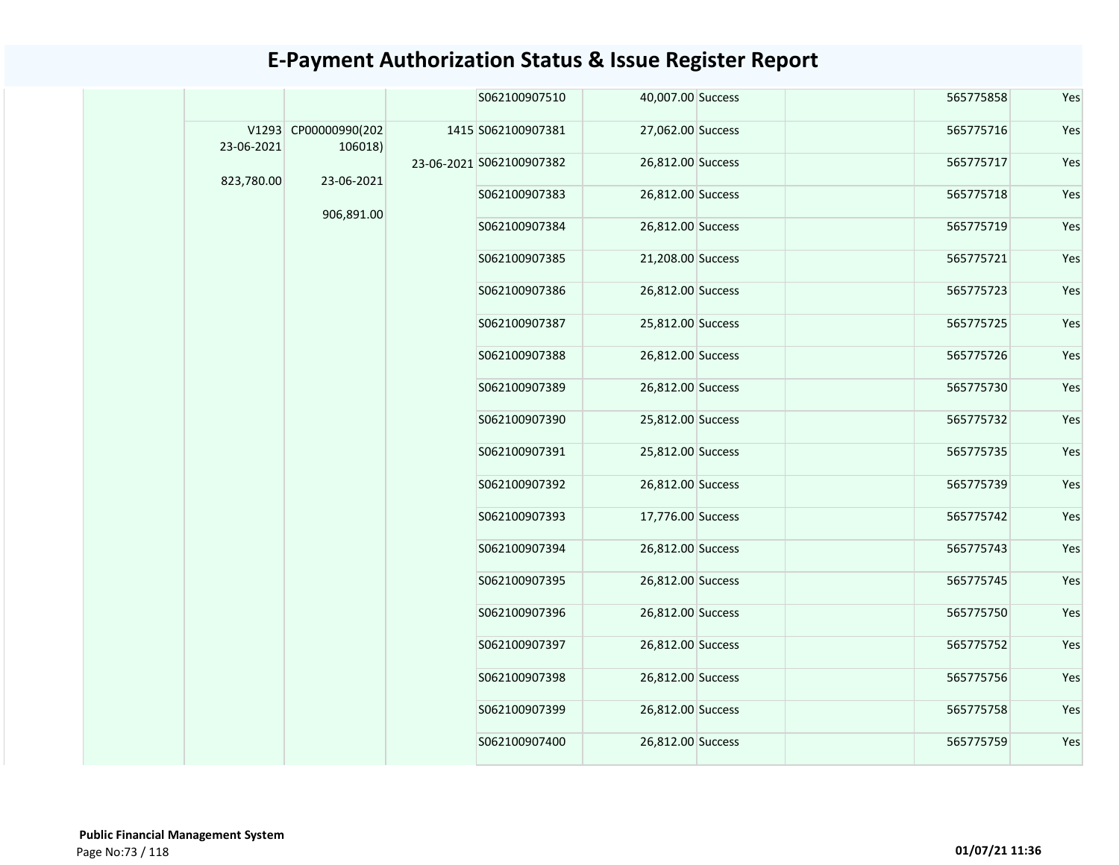|            |                                 | S062100907510            | 40,007.00 Success | 565775858 | Yes |
|------------|---------------------------------|--------------------------|-------------------|-----------|-----|
| 23-06-2021 | V1293 CP00000990(202<br>106018) | 1415 S062100907381       | 27,062.00 Success | 565775716 | Yes |
|            |                                 | 23-06-2021 S062100907382 | 26,812.00 Success | 565775717 | Yes |
| 823,780.00 | 23-06-2021                      | S062100907383            | 26,812.00 Success | 565775718 | Yes |
|            | 906,891.00                      | S062100907384            | 26,812.00 Success | 565775719 | Yes |
|            |                                 | S062100907385            | 21,208.00 Success | 565775721 | Yes |
|            |                                 | S062100907386            | 26,812.00 Success | 565775723 | Yes |
|            |                                 | S062100907387            | 25,812.00 Success | 565775725 | Yes |
|            |                                 | S062100907388            | 26,812.00 Success | 565775726 | Yes |
|            |                                 | S062100907389            | 26,812.00 Success | 565775730 | Yes |
|            |                                 | S062100907390            | 25,812.00 Success | 565775732 | Yes |
|            |                                 | S062100907391            | 25,812.00 Success | 565775735 | Yes |
|            |                                 | S062100907392            | 26,812.00 Success | 565775739 | Yes |
|            |                                 | S062100907393            | 17,776.00 Success | 565775742 | Yes |
|            |                                 | S062100907394            | 26,812.00 Success | 565775743 | Yes |
|            |                                 | S062100907395            | 26,812.00 Success | 565775745 | Yes |
|            |                                 | S062100907396            | 26,812.00 Success | 565775750 | Yes |
|            |                                 | S062100907397            | 26,812.00 Success | 565775752 | Yes |
|            |                                 | S062100907398            | 26,812.00 Success | 565775756 | Yes |
|            |                                 | S062100907399            | 26,812.00 Success | 565775758 | Yes |
|            |                                 | S062100907400            | 26,812.00 Success | 565775759 | Yes |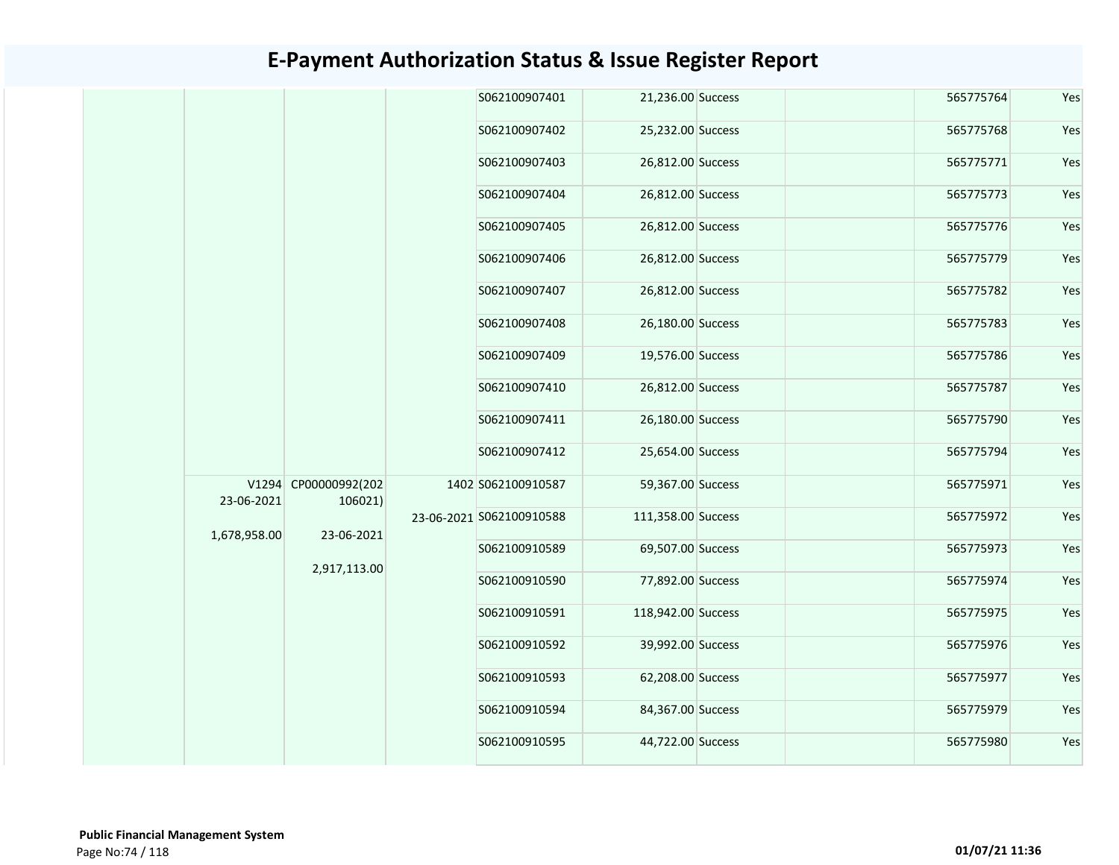|  |                            |                                                               | S062100907401 |                                                |                                                                                                                                                                                                                                                                                                                                                                                                                                                         | 565775764 | Yes |
|--|----------------------------|---------------------------------------------------------------|---------------|------------------------------------------------|---------------------------------------------------------------------------------------------------------------------------------------------------------------------------------------------------------------------------------------------------------------------------------------------------------------------------------------------------------------------------------------------------------------------------------------------------------|-----------|-----|
|  |                            |                                                               | S062100907402 |                                                |                                                                                                                                                                                                                                                                                                                                                                                                                                                         | 565775768 | Yes |
|  |                            |                                                               | S062100907403 |                                                |                                                                                                                                                                                                                                                                                                                                                                                                                                                         | 565775771 | Yes |
|  |                            |                                                               | S062100907404 |                                                |                                                                                                                                                                                                                                                                                                                                                                                                                                                         | 565775773 | Yes |
|  |                            |                                                               | S062100907405 |                                                |                                                                                                                                                                                                                                                                                                                                                                                                                                                         | 565775776 | Yes |
|  |                            |                                                               | S062100907406 |                                                |                                                                                                                                                                                                                                                                                                                                                                                                                                                         | 565775779 | Yes |
|  |                            |                                                               | S062100907407 |                                                |                                                                                                                                                                                                                                                                                                                                                                                                                                                         | 565775782 | Yes |
|  |                            |                                                               | S062100907408 |                                                |                                                                                                                                                                                                                                                                                                                                                                                                                                                         | 565775783 | Yes |
|  |                            |                                                               | S062100907409 |                                                |                                                                                                                                                                                                                                                                                                                                                                                                                                                         | 565775786 | Yes |
|  |                            |                                                               | S062100907410 |                                                |                                                                                                                                                                                                                                                                                                                                                                                                                                                         | 565775787 | Yes |
|  |                            |                                                               | S062100907411 |                                                |                                                                                                                                                                                                                                                                                                                                                                                                                                                         | 565775790 | Yes |
|  |                            |                                                               | S062100907412 |                                                |                                                                                                                                                                                                                                                                                                                                                                                                                                                         | 565775794 | Yes |
|  |                            |                                                               |               |                                                |                                                                                                                                                                                                                                                                                                                                                                                                                                                         | 565775971 | Yes |
|  |                            |                                                               |               |                                                | 565775972                                                                                                                                                                                                                                                                                                                                                                                                                                               | Yes       |     |
|  |                            |                                                               | S062100910589 |                                                |                                                                                                                                                                                                                                                                                                                                                                                                                                                         | 565775973 | Yes |
|  |                            |                                                               | S062100910590 |                                                |                                                                                                                                                                                                                                                                                                                                                                                                                                                         | 565775974 | Yes |
|  |                            |                                                               | S062100910591 |                                                |                                                                                                                                                                                                                                                                                                                                                                                                                                                         | 565775975 | Yes |
|  |                            |                                                               | S062100910592 |                                                |                                                                                                                                                                                                                                                                                                                                                                                                                                                         | 565775976 | Yes |
|  |                            |                                                               | S062100910593 |                                                |                                                                                                                                                                                                                                                                                                                                                                                                                                                         | 565775977 | Yes |
|  |                            |                                                               | S062100910594 |                                                |                                                                                                                                                                                                                                                                                                                                                                                                                                                         | 565775979 | Yes |
|  |                            |                                                               | S062100910595 |                                                |                                                                                                                                                                                                                                                                                                                                                                                                                                                         | 565775980 | Yes |
|  | 23-06-2021<br>1,678,958.00 | V1294 CP00000992(202<br>106021)<br>23-06-2021<br>2,917,113.00 |               | 1402 S062100910587<br>23-06-2021 S062100910588 | 21,236.00 Success<br>25,232.00 Success<br>26,812.00 Success<br>26,812.00 Success<br>26,812.00 Success<br>26,812.00 Success<br>26,812.00 Success<br>26,180.00 Success<br>19,576.00 Success<br>26,812.00 Success<br>26,180.00 Success<br>25,654.00 Success<br>59,367.00 Success<br>111,358.00 Success<br>69,507.00 Success<br>77,892.00 Success<br>118,942.00 Success<br>39,992.00 Success<br>62,208.00 Success<br>84,367.00 Success<br>44,722.00 Success |           |     |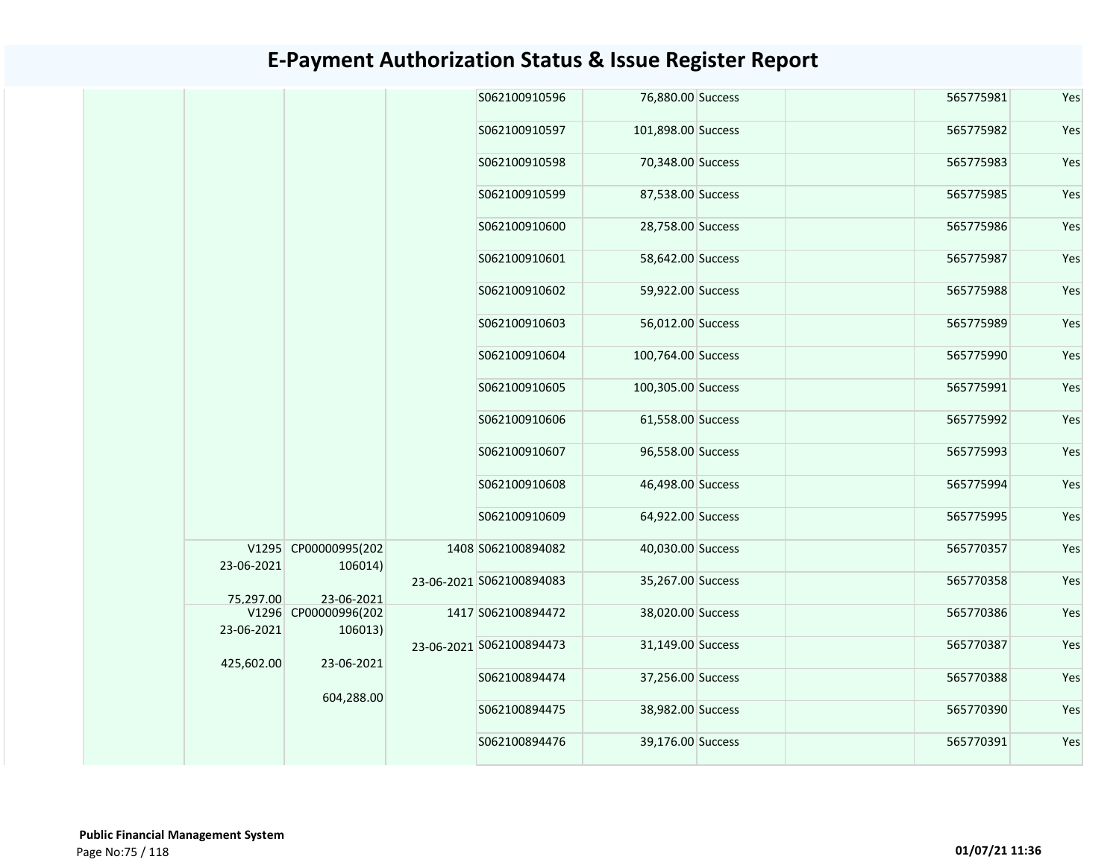|  |            |                                 | S062100910596            | 76,880.00 Success  | 565775981 | Yes |
|--|------------|---------------------------------|--------------------------|--------------------|-----------|-----|
|  |            |                                 | S062100910597            | 101,898.00 Success | 565775982 | Yes |
|  |            |                                 | S062100910598            | 70,348.00 Success  | 565775983 | Yes |
|  |            |                                 | S062100910599            | 87,538.00 Success  | 565775985 | Yes |
|  |            |                                 | S062100910600            | 28,758.00 Success  | 565775986 | Yes |
|  |            |                                 | S062100910601            | 58,642.00 Success  | 565775987 | Yes |
|  |            |                                 | S062100910602            | 59,922.00 Success  | 565775988 | Yes |
|  |            |                                 | S062100910603            | 56,012.00 Success  | 565775989 | Yes |
|  |            |                                 | S062100910604            | 100,764.00 Success | 565775990 | Yes |
|  |            |                                 | S062100910605            | 100,305.00 Success | 565775991 | Yes |
|  |            |                                 | S062100910606            | 61,558.00 Success  | 565775992 | Yes |
|  |            |                                 | S062100910607            | 96,558.00 Success  | 565775993 | Yes |
|  |            |                                 | S062100910608            | 46,498.00 Success  | 565775994 | Yes |
|  |            |                                 | S062100910609            | 64,922.00 Success  | 565775995 | Yes |
|  | 23-06-2021 | V1295 CP00000995(202<br>106014) | 1408 S062100894082       | 40,030.00 Success  | 565770357 | Yes |
|  | 75.297.00  | 23-06-2021                      | 23-06-2021 S062100894083 | 35,267.00 Success  | 565770358 | Yes |
|  | 23-06-2021 | V1296 CP00000996(202<br>106013) | 1417 S062100894472       | 38,020.00 Success  | 565770386 | Yes |
|  |            |                                 | 23-06-2021 S062100894473 | 31,149.00 Success  | 565770387 | Yes |
|  | 425,602.00 | 23-06-2021                      | S062100894474            | 37,256.00 Success  | 565770388 | Yes |
|  |            | 604,288.00                      | S062100894475            | 38,982.00 Success  | 565770390 | Yes |
|  |            |                                 | S062100894476            | 39,176.00 Success  | 565770391 | Yes |
|  |            |                                 |                          |                    |           |     |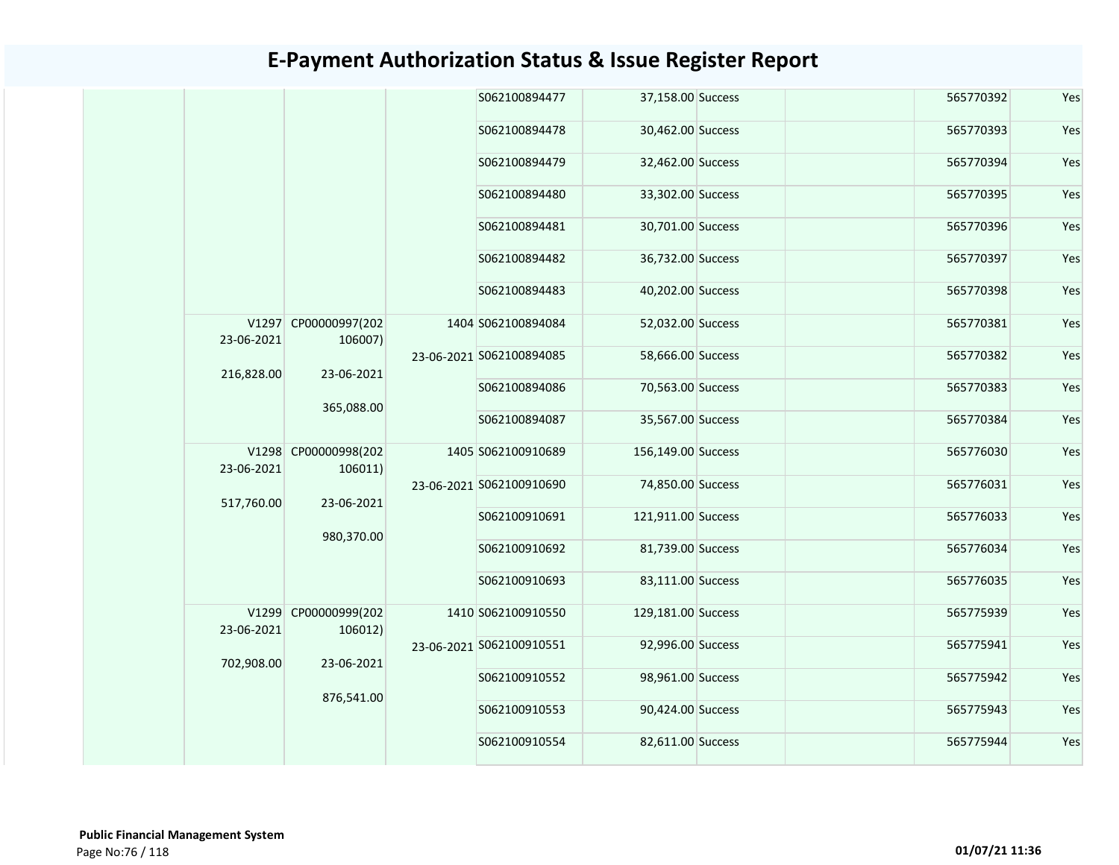|            |                                 | S062100894477            | 37,158.00 Success  | 565770392         | Yes       |     |  |  |  |  |               |                   |           |     |
|------------|---------------------------------|--------------------------|--------------------|-------------------|-----------|-----|--|--|--|--|---------------|-------------------|-----------|-----|
|            |                                 | S062100894478            | 30,462.00 Success  | 565770393         | Yes       |     |  |  |  |  |               |                   |           |     |
|            |                                 | S062100894479            | 32,462.00 Success  | 565770394         | Yes       |     |  |  |  |  |               |                   |           |     |
|            |                                 | S062100894480            | 33,302.00 Success  | 565770395         | Yes       |     |  |  |  |  |               |                   |           |     |
|            |                                 | S062100894481            | 30,701.00 Success  | 565770396         | Yes       |     |  |  |  |  |               |                   |           |     |
|            |                                 | S062100894482            | 36,732.00 Success  | 565770397         | Yes       |     |  |  |  |  |               |                   |           |     |
|            |                                 | S062100894483            | 40,202.00 Success  | 565770398         | Yes       |     |  |  |  |  |               |                   |           |     |
| 23-06-2021 | V1297 CP00000997(202<br>106007) | 1404 S062100894084       | 52,032.00 Success  | 565770381         | Yes       |     |  |  |  |  |               |                   |           |     |
| 216,828.00 | 23-06-2021                      | 23-06-2021 S062100894085 | 58,666.00 Success  | 565770382         | Yes       |     |  |  |  |  |               |                   |           |     |
|            | 365,088.00                      | S062100894086            | 70,563.00 Success  | 565770383         | Yes       |     |  |  |  |  |               |                   |           |     |
|            |                                 |                          | S062100894087      | 35,567.00 Success | 565770384 | Yes |  |  |  |  |               |                   |           |     |
| 23-06-2021 | V1298 CP00000998(202<br>106011) | 1405 S062100910689       | 156,149.00 Success | 565776030         | Yes       |     |  |  |  |  |               |                   |           |     |
| 517,760.00 | 23-06-2021                      | 23-06-2021 S062100910690 | 74,850.00 Success  | 565776031         | Yes       |     |  |  |  |  |               |                   |           |     |
|            | 980,370.00                      | S062100910691            | 121,911.00 Success | 565776033         | Yes       |     |  |  |  |  |               |                   |           |     |
|            |                                 |                          |                    |                   |           |     |  |  |  |  | S062100910692 | 81,739.00 Success | 565776034 | Yes |
|            |                                 | S062100910693            | 83,111.00 Success  | 565776035         | Yes       |     |  |  |  |  |               |                   |           |     |
| 23-06-2021 | V1299 CP00000999(202<br>106012) | 1410 S062100910550       | 129,181.00 Success | 565775939         | Yes       |     |  |  |  |  |               |                   |           |     |
| 702,908.00 | 23-06-2021                      | 23-06-2021 S062100910551 | 92,996.00 Success  | 565775941         | Yes       |     |  |  |  |  |               |                   |           |     |
|            | 876,541.00                      | S062100910552            | 98,961.00 Success  | 565775942         | Yes       |     |  |  |  |  |               |                   |           |     |
|            |                                 | S062100910553            | 90,424.00 Success  | 565775943         | Yes       |     |  |  |  |  |               |                   |           |     |
|            |                                 | S062100910554            | 82,611.00 Success  | 565775944         | Yes       |     |  |  |  |  |               |                   |           |     |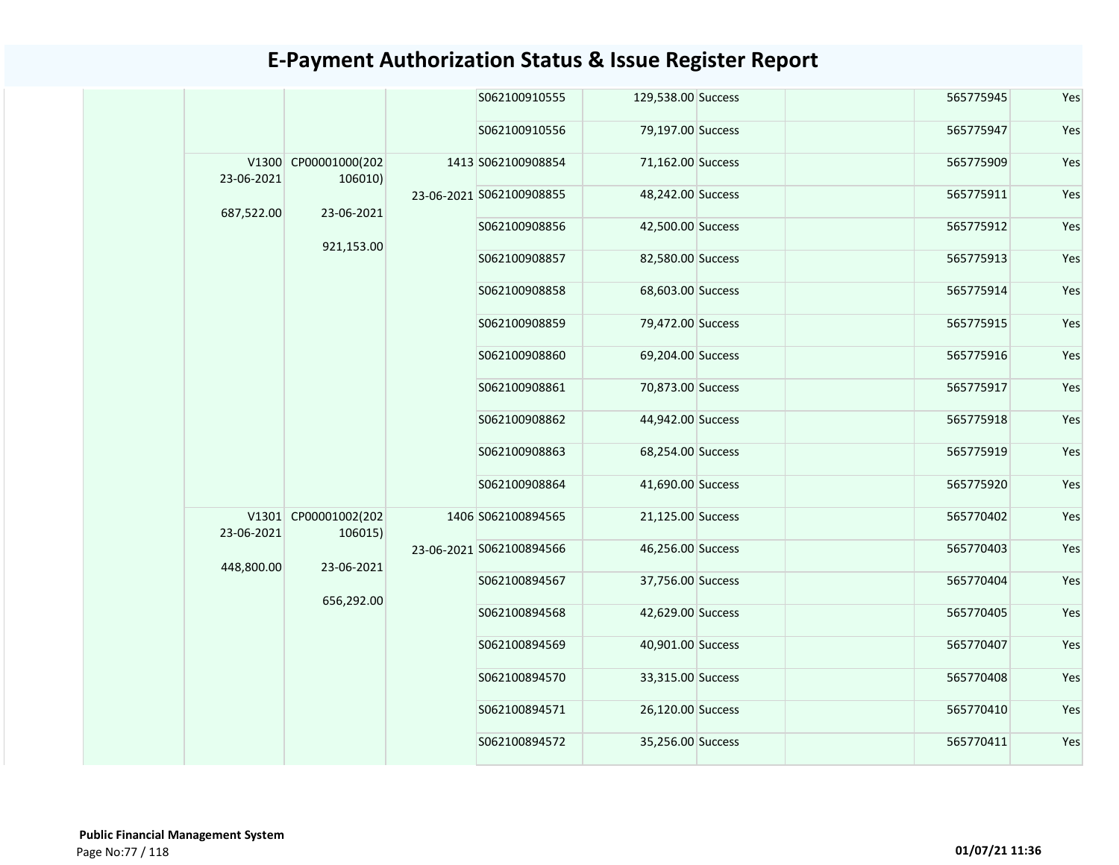|            |                                 |  | S062100910555            | 129,538.00 Success |                   | 565775945 | Yes       |     |
|------------|---------------------------------|--|--------------------------|--------------------|-------------------|-----------|-----------|-----|
|            |                                 |  | S062100910556            | 79,197.00 Success  |                   | 565775947 | Yes       |     |
| 23-06-2021 | V1300 CP00001000(202<br>106010) |  | 1413 S062100908854       | 71,162.00 Success  |                   | 565775909 | Yes       |     |
| 687,522.00 | 23-06-2021                      |  | 23-06-2021 S062100908855 | 48,242.00 Success  |                   | 565775911 | Yes       |     |
|            | 921,153.00                      |  | S062100908856            | 42,500.00 Success  |                   | 565775912 | Yes       |     |
|            |                                 |  | S062100908857            | 82,580.00 Success  |                   | 565775913 | Yes       |     |
|            |                                 |  |                          | S062100908858      | 68,603.00 Success |           | 565775914 | Yes |
|            |                                 |  | S062100908859            | 79,472.00 Success  |                   | 565775915 | Yes       |     |
|            |                                 |  | S062100908860            | 69,204.00 Success  |                   | 565775916 | Yes       |     |
|            |                                 |  |                          | S062100908861      | 70,873.00 Success |           | 565775917 | Yes |
|            |                                 |  | S062100908862            | 44,942.00 Success  |                   | 565775918 | Yes       |     |
|            |                                 |  |                          | S062100908863      | 68,254.00 Success |           | 565775919 | Yes |
|            |                                 |  | S062100908864            | 41,690.00 Success  |                   | 565775920 | Yes       |     |
| 23-06-2021 | V1301 CP00001002(202<br>106015) |  | 1406 S062100894565       | 21,125.00 Success  |                   | 565770402 | Yes       |     |
| 448,800.00 | 23-06-2021                      |  | 23-06-2021 S062100894566 | 46,256.00 Success  |                   | 565770403 | Yes       |     |
|            |                                 |  | S062100894567            | 37,756.00 Success  |                   | 565770404 | Yes       |     |
|            | 656,292.00                      |  | S062100894568            | 42,629.00 Success  |                   | 565770405 | Yes       |     |
|            |                                 |  | S062100894569            | 40,901.00 Success  |                   | 565770407 | Yes       |     |
|            |                                 |  | S062100894570            | 33,315.00 Success  |                   | 565770408 | Yes       |     |
|            |                                 |  | S062100894571            | 26,120.00 Success  |                   | 565770410 | Yes       |     |
|            |                                 |  | S062100894572            | 35,256.00 Success  |                   | 565770411 | Yes       |     |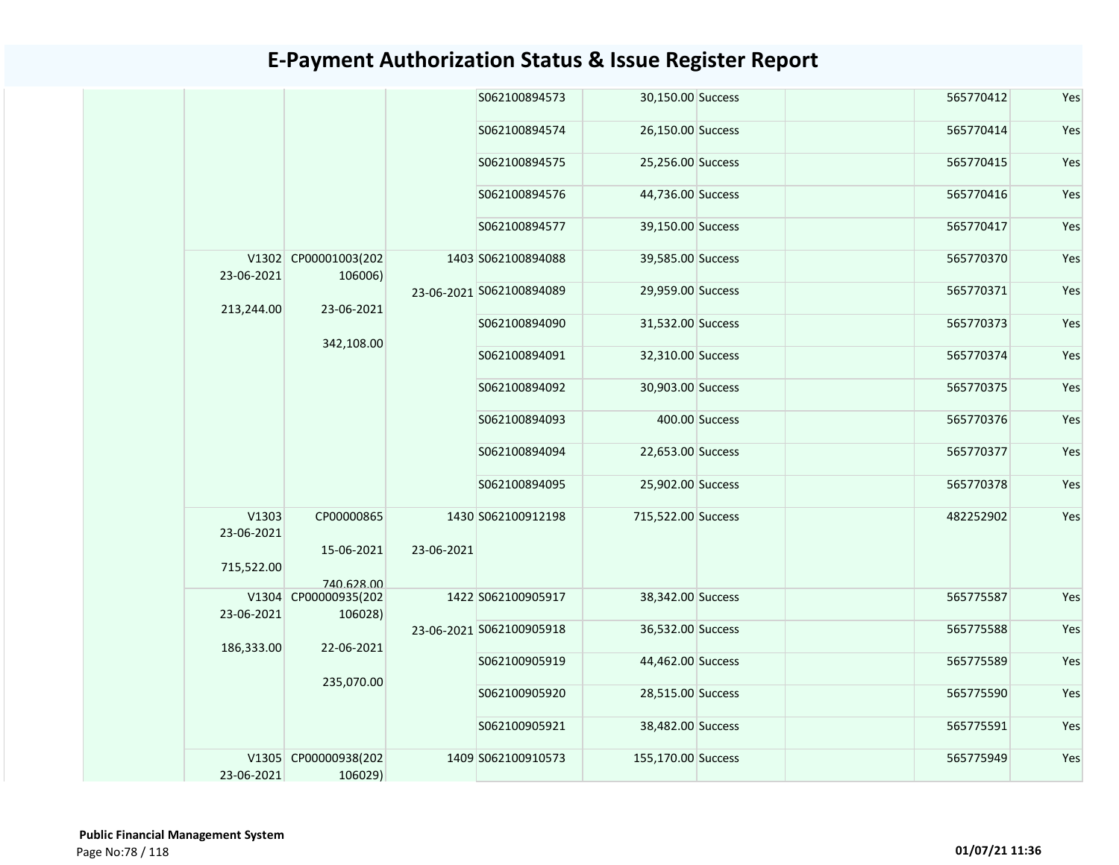|                                   |                                        |            | S062100894573            | 30,150.00 Success  |                   | 565770412         | Yes       |           |     |               |                   |  |           |     |
|-----------------------------------|----------------------------------------|------------|--------------------------|--------------------|-------------------|-------------------|-----------|-----------|-----|---------------|-------------------|--|-----------|-----|
|                                   |                                        |            | S062100894574            | 26,150.00 Success  |                   | 565770414         | Yes       |           |     |               |                   |  |           |     |
|                                   |                                        |            | S062100894575            | 25,256.00 Success  |                   | 565770415         | Yes       |           |     |               |                   |  |           |     |
|                                   |                                        |            | S062100894576            | 44,736.00 Success  |                   | 565770416         | Yes       |           |     |               |                   |  |           |     |
|                                   |                                        |            | S062100894577            | 39,150.00 Success  |                   | 565770417         | Yes       |           |     |               |                   |  |           |     |
| 23-06-2021                        | V1302 CP00001003(202<br>106006)        |            | 1403 S062100894088       | 39,585.00 Success  |                   | 565770370         | Yes       |           |     |               |                   |  |           |     |
| 213,244.00                        | 23-06-2021                             |            | 23-06-2021 S062100894089 | 29,959.00 Success  |                   | 565770371         | Yes       |           |     |               |                   |  |           |     |
|                                   | 342,108.00                             |            |                          |                    |                   |                   |           |           |     | S062100894090 | 31,532.00 Success |  | 565770373 | Yes |
|                                   |                                        |            |                          |                    | S062100894091     | 32,310.00 Success |           | 565770374 | Yes |               |                   |  |           |     |
|                                   |                                        |            |                          | S062100894092      | 30,903.00 Success |                   | 565770375 | Yes       |     |               |                   |  |           |     |
|                                   |                                        |            | S062100894093            |                    | 400.00 Success    | 565770376         | Yes       |           |     |               |                   |  |           |     |
|                                   |                                        |            |                          | S062100894094      | 22,653.00 Success |                   | 565770377 | Yes       |     |               |                   |  |           |     |
|                                   |                                        |            | S062100894095            | 25,902.00 Success  |                   | 565770378         | Yes       |           |     |               |                   |  |           |     |
| V1303<br>23-06-2021<br>715,522.00 | CP00000865<br>15-06-2021<br>740.628.00 | 23-06-2021 | 1430 S062100912198       | 715,522.00 Success |                   | 482252902         | Yes       |           |     |               |                   |  |           |     |
| 23-06-2021                        | V1304 CP00000935(202<br>106028)        |            | 1422 S062100905917       | 38,342.00 Success  |                   | 565775587         | Yes       |           |     |               |                   |  |           |     |
| 186,333.00                        |                                        |            | 23-06-2021 S062100905918 | 36,532.00 Success  |                   | 565775588         | Yes       |           |     |               |                   |  |           |     |
|                                   |                                        | 22-06-2021 | S062100905919            | 44,462.00 Success  |                   | 565775589         | Yes       |           |     |               |                   |  |           |     |
|                                   | 235,070.00                             |            | S062100905920            | 28,515.00 Success  |                   | 565775590         | Yes       |           |     |               |                   |  |           |     |
|                                   |                                        |            | S062100905921            | 38,482.00 Success  |                   | 565775591         | Yes       |           |     |               |                   |  |           |     |
| 23-06-2021                        | V1305 CP00000938(202<br>106029)        |            | 1409 S062100910573       | 155,170.00 Success |                   | 565775949         | Yes       |           |     |               |                   |  |           |     |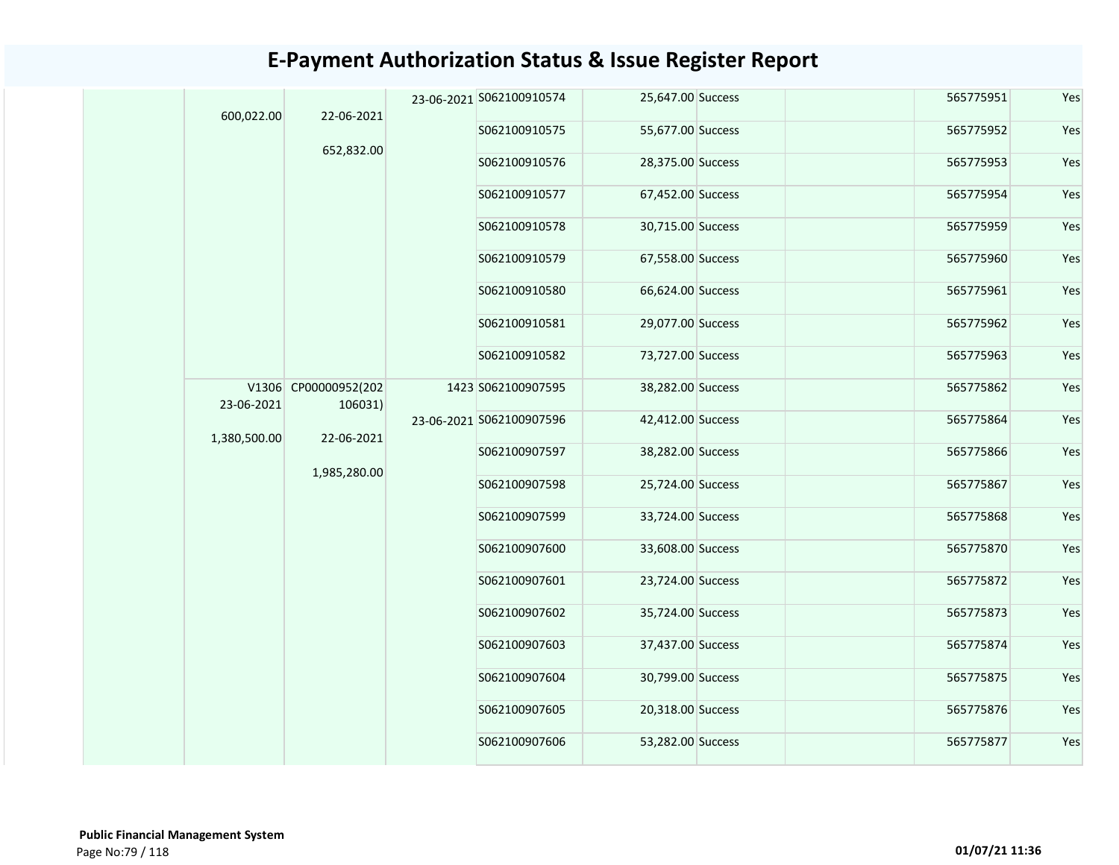| 600,022.00   | 22-06-2021                      |  | 23-06-2021 S062100910574 | 25,647.00 Success | 565775951 | Yes |
|--------------|---------------------------------|--|--------------------------|-------------------|-----------|-----|
|              |                                 |  | S062100910575            | 55,677.00 Success | 565775952 | Yes |
|              | 652,832.00                      |  | S062100910576            | 28,375.00 Success | 565775953 | Yes |
|              |                                 |  | S062100910577            | 67,452.00 Success | 565775954 | Yes |
|              |                                 |  | S062100910578            | 30,715.00 Success | 565775959 | Yes |
|              |                                 |  | S062100910579            | 67,558.00 Success | 565775960 | Yes |
|              |                                 |  | S062100910580            | 66,624.00 Success | 565775961 | Yes |
|              |                                 |  | S062100910581            | 29,077.00 Success | 565775962 | Yes |
|              |                                 |  | S062100910582            | 73,727.00 Success | 565775963 | Yes |
| 23-06-2021   | V1306 CP00000952(202<br>106031) |  | 1423 S062100907595       | 38,282.00 Success | 565775862 | Yes |
| 1,380,500.00 | 22-06-2021                      |  | 23-06-2021 S062100907596 | 42,412.00 Success | 565775864 | Yes |
|              |                                 |  | S062100907597            | 38,282.00 Success | 565775866 | Yes |
|              | 1,985,280.00                    |  | S062100907598            | 25,724.00 Success | 565775867 | Yes |
|              |                                 |  | S062100907599            | 33,724.00 Success | 565775868 | Yes |
|              |                                 |  | S062100907600            | 33,608.00 Success | 565775870 | Yes |
|              |                                 |  | S062100907601            | 23,724.00 Success | 565775872 | Yes |
|              |                                 |  | S062100907602            | 35,724.00 Success | 565775873 | Yes |
|              |                                 |  | S062100907603            | 37,437.00 Success | 565775874 | Yes |
|              |                                 |  | S062100907604            | 30,799.00 Success | 565775875 | Yes |
|              |                                 |  | S062100907605            | 20,318.00 Success | 565775876 | Yes |
|              |                                 |  | S062100907606            | 53,282.00 Success | 565775877 | Yes |
|              |                                 |  |                          |                   |           |     |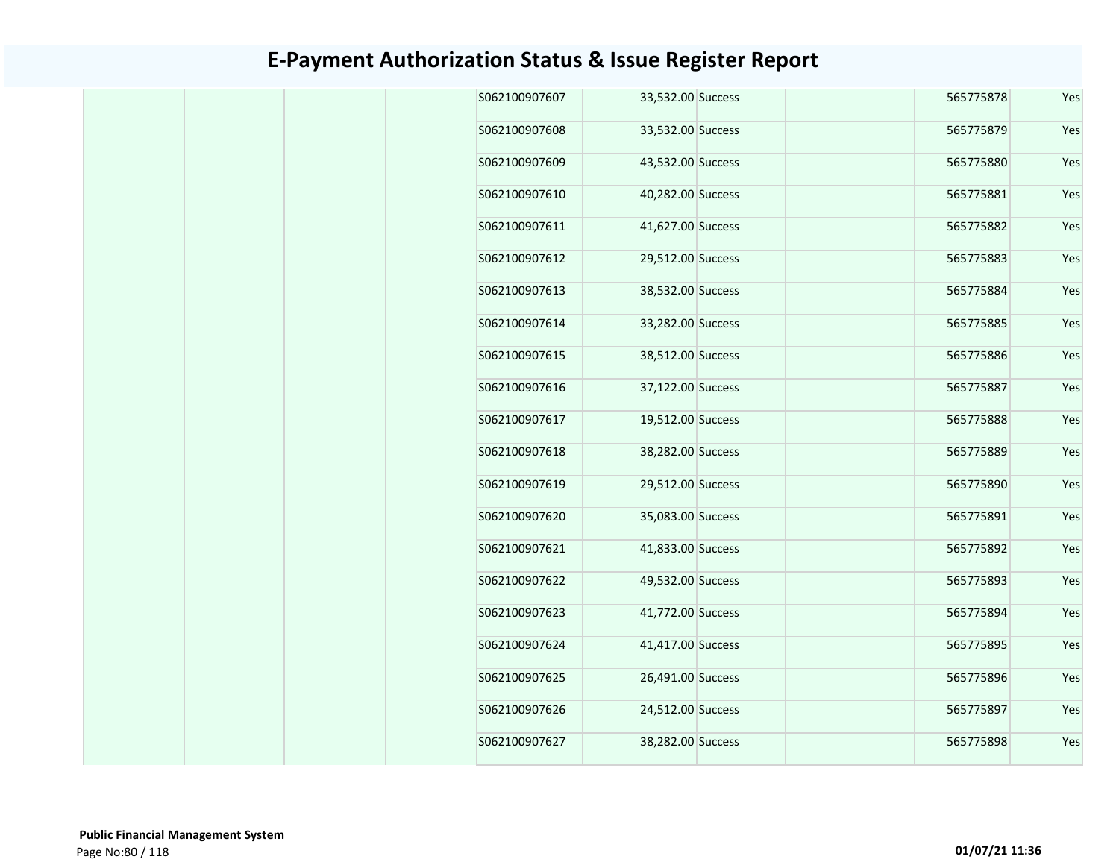| Yes | 565775878 | 33,532.00 Success | S062100907607 |
|-----|-----------|-------------------|---------------|
| Yes | 565775879 | 33,532.00 Success | S062100907608 |
| Yes | 565775880 | 43,532.00 Success | S062100907609 |
| Yes | 565775881 | 40,282.00 Success | S062100907610 |
| Yes | 565775882 | 41,627.00 Success | S062100907611 |
| Yes | 565775883 | 29,512.00 Success | S062100907612 |
| Yes | 565775884 | 38,532.00 Success | S062100907613 |
| Yes | 565775885 | 33,282.00 Success | S062100907614 |
| Yes | 565775886 | 38,512.00 Success | S062100907615 |
| Yes | 565775887 | 37,122.00 Success | S062100907616 |
| Yes | 565775888 | 19,512.00 Success | S062100907617 |
| Yes | 565775889 | 38,282.00 Success | S062100907618 |
| Yes | 565775890 | 29,512.00 Success | S062100907619 |
| Yes | 565775891 | 35,083.00 Success | S062100907620 |
| Yes | 565775892 | 41,833.00 Success | S062100907621 |
| Yes | 565775893 | 49,532.00 Success | S062100907622 |
| Yes | 565775894 | 41,772.00 Success | S062100907623 |
| Yes | 565775895 | 41,417.00 Success | S062100907624 |
| Yes | 565775896 | 26,491.00 Success | S062100907625 |
| Yes | 565775897 | 24,512.00 Success | S062100907626 |
| Yes | 565775898 | 38,282.00 Success | S062100907627 |
|     |           |                   |               |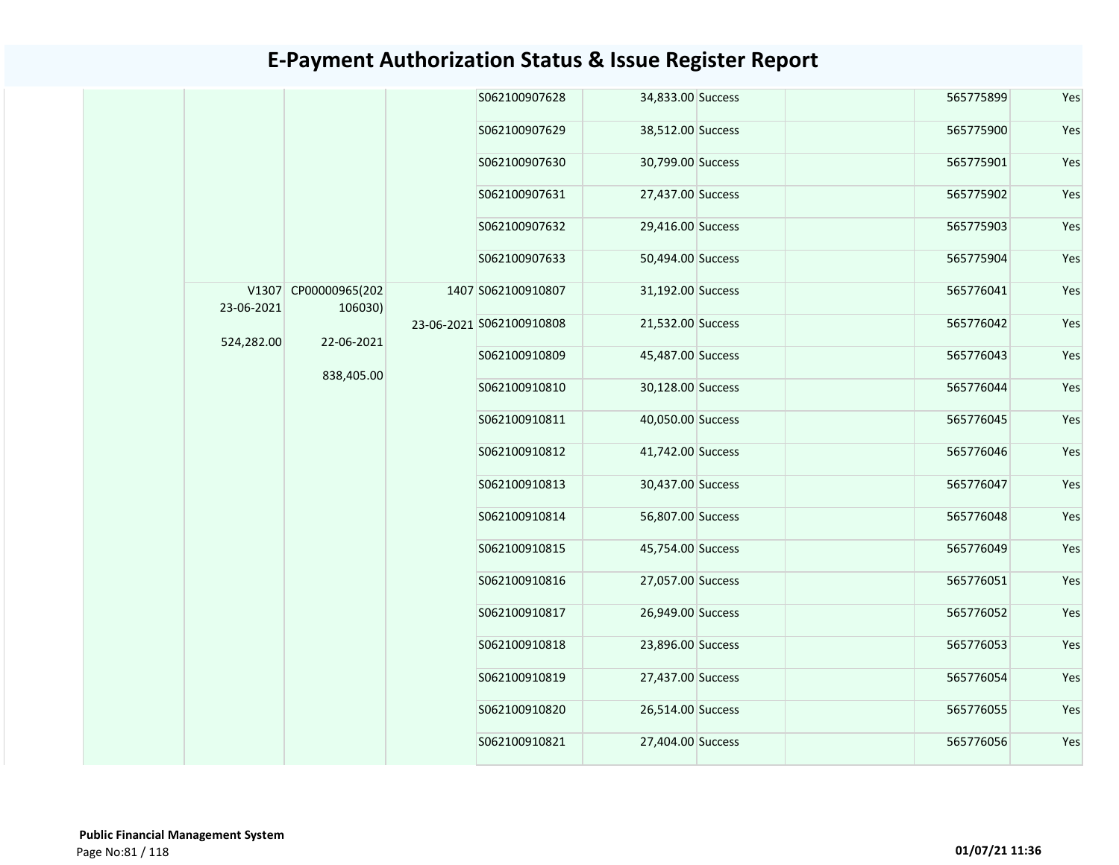|  |                          |                                 |                          | S062100907628      | 34,833.00 Success |               | 565775899         | Yes |           |     |
|--|--------------------------|---------------------------------|--------------------------|--------------------|-------------------|---------------|-------------------|-----|-----------|-----|
|  |                          |                                 |                          | S062100907629      | 38,512.00 Success |               | 565775900         | Yes |           |     |
|  |                          |                                 |                          | S062100907630      | 30,799.00 Success |               | 565775901         | Yes |           |     |
|  |                          |                                 |                          | S062100907631      | 27,437.00 Success |               | 565775902         | Yes |           |     |
|  |                          |                                 |                          | S062100907632      | 29,416.00 Success |               | 565775903         | Yes |           |     |
|  |                          |                                 |                          | S062100907633      | 50,494.00 Success |               | 565775904         | Yes |           |     |
|  | 23-06-2021               | V1307 CP00000965(202<br>106030) |                          | 1407 S062100910807 | 31,192.00 Success |               | 565776041         | Yes |           |     |
|  | 524,282.00<br>22-06-2021 |                                 | 23-06-2021 S062100910808 | 21,532.00 Success  |                   | 565776042     | Yes               |     |           |     |
|  |                          |                                 | 838,405.00               |                    |                   | S062100910809 | 45,487.00 Success |     | 565776043 | Yes |
|  |                          |                                 |                          |                    |                   | S062100910810 | 30,128.00 Success |     | 565776044 | Yes |
|  |                          |                                 |                          | S062100910811      | 40,050.00 Success |               | 565776045         | Yes |           |     |
|  |                          |                                 |                          |                    |                   | S062100910812 | 41,742.00 Success |     | 565776046 | Yes |
|  |                          |                                 |                          | S062100910813      | 30,437.00 Success |               | 565776047         | Yes |           |     |
|  |                          |                                 |                          | S062100910814      | 56,807.00 Success |               | 565776048         | Yes |           |     |
|  |                          |                                 |                          | S062100910815      | 45,754.00 Success |               | 565776049         | Yes |           |     |
|  |                          |                                 |                          | S062100910816      | 27,057.00 Success |               | 565776051         | Yes |           |     |
|  |                          |                                 |                          | S062100910817      | 26,949.00 Success |               | 565776052         | Yes |           |     |
|  |                          |                                 |                          | S062100910818      | 23,896.00 Success |               | 565776053         | Yes |           |     |
|  |                          |                                 |                          | S062100910819      | 27,437.00 Success |               | 565776054         | Yes |           |     |
|  |                          |                                 |                          | S062100910820      | 26,514.00 Success |               | 565776055         | Yes |           |     |
|  |                          |                                 |                          | S062100910821      | 27,404.00 Success |               | 565776056         | Yes |           |     |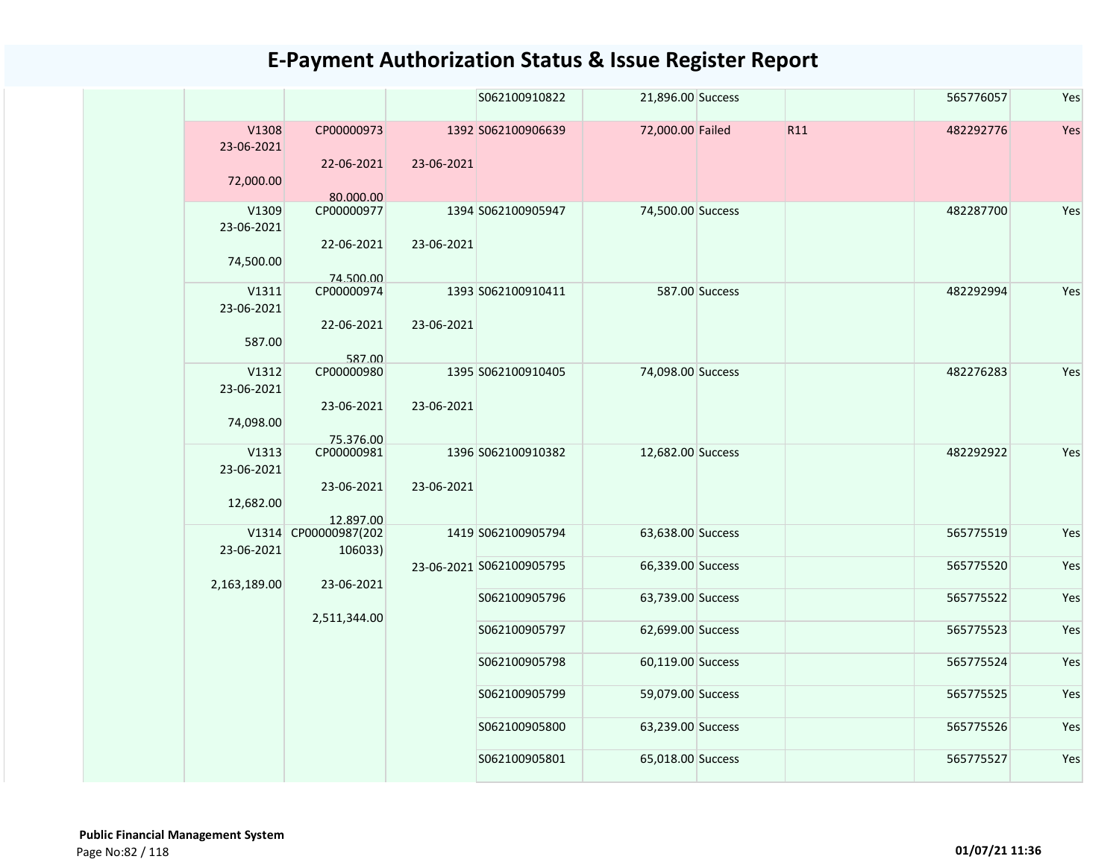|                                  |                                       |            | S062100910822                  | 21,896.00 Success                      |                |     | 565776057              | Yes        |
|----------------------------------|---------------------------------------|------------|--------------------------------|----------------------------------------|----------------|-----|------------------------|------------|
| V1308<br>23-06-2021<br>72,000.00 | CP00000973<br>22-06-2021<br>80.000.00 | 23-06-2021 | 1392 S062100906639             | 72,000.00 Failed                       |                | R11 | 482292776              | Yes        |
| V1309<br>23-06-2021<br>74,500.00 | CP00000977<br>22-06-2021<br>74.500.00 | 23-06-2021 | 1394 S062100905947             | 74,500.00 Success                      |                |     | 482287700              | Yes        |
| V1311<br>23-06-2021<br>587.00    | CP00000974<br>22-06-2021<br>587.00    | 23-06-2021 | 1393 S062100910411             |                                        | 587.00 Success |     | 482292994              | Yes        |
| V1312<br>23-06-2021<br>74,098.00 | CP00000980<br>23-06-2021<br>75.376.00 | 23-06-2021 | 1395 S062100910405             | 74,098.00 Success                      |                |     | 482276283              | Yes        |
| V1313<br>23-06-2021<br>12,682.00 | CP00000981<br>23-06-2021<br>12.897.00 | 23-06-2021 | 1396 S062100910382             | 12,682.00 Success                      |                |     | 482292922              | Yes        |
| 23-06-2021                       | V1314 CP00000987(202<br>106033)       |            | 1419 S062100905794             | 63,638.00 Success                      |                |     | 565775519              | Yes        |
| 2,163,189.00                     | 23-06-2021                            |            | 23-06-2021 S062100905795       | 66,339.00 Success                      |                |     | 565775520              | Yes        |
|                                  | 2,511,344.00                          |            | S062100905796<br>S062100905797 | 63,739.00 Success<br>62,699.00 Success |                |     | 565775522<br>565775523 | Yes<br>Yes |
|                                  |                                       |            | S062100905798                  | 60,119.00 Success                      |                |     | 565775524              | Yes        |
|                                  |                                       |            | S062100905799                  | 59,079.00 Success                      |                |     | 565775525              | Yes        |
|                                  |                                       |            | S062100905800                  | 63,239.00 Success                      |                |     | 565775526              | Yes        |
|                                  |                                       |            | S062100905801                  | 65,018.00 Success                      |                |     | 565775527              | Yes        |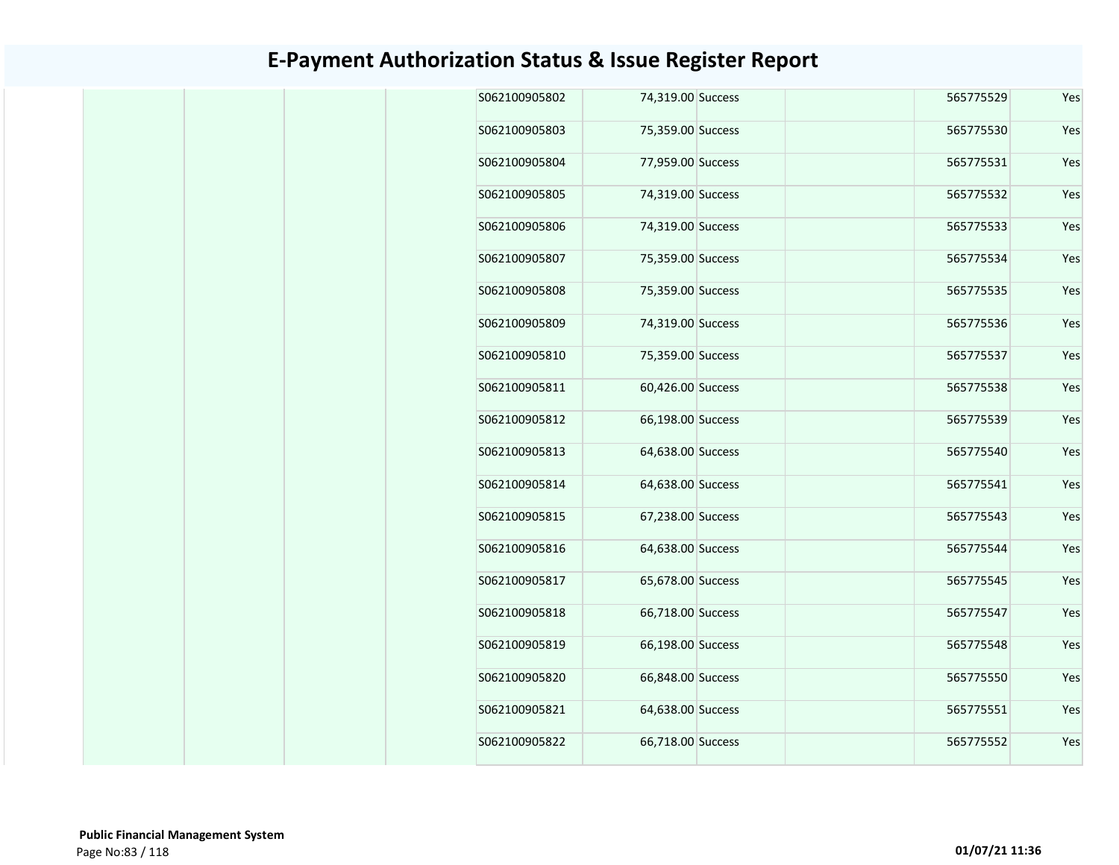| Yes | 565775529 | 74,319.00 Success | S062100905802 |
|-----|-----------|-------------------|---------------|
| Yes | 565775530 | 75,359.00 Success | S062100905803 |
| Yes | 565775531 | 77,959.00 Success | S062100905804 |
| Yes | 565775532 | 74,319.00 Success | S062100905805 |
| Yes | 565775533 | 74,319.00 Success | S062100905806 |
| Yes | 565775534 | 75,359.00 Success | S062100905807 |
| Yes | 565775535 | 75,359.00 Success | S062100905808 |
| Yes | 565775536 | 74,319.00 Success | S062100905809 |
| Yes | 565775537 | 75,359.00 Success | S062100905810 |
| Yes | 565775538 | 60,426.00 Success | S062100905811 |
| Yes | 565775539 | 66,198.00 Success | S062100905812 |
| Yes | 565775540 | 64,638.00 Success | S062100905813 |
| Yes | 565775541 | 64,638.00 Success | S062100905814 |
| Yes | 565775543 | 67,238.00 Success | S062100905815 |
| Yes | 565775544 | 64,638.00 Success | S062100905816 |
| Yes | 565775545 | 65,678.00 Success | S062100905817 |
| Yes | 565775547 | 66,718.00 Success | S062100905818 |
| Yes | 565775548 | 66,198.00 Success | S062100905819 |
| Yes | 565775550 | 66,848.00 Success | S062100905820 |
| Yes | 565775551 | 64,638.00 Success | S062100905821 |
| Yes | 565775552 | 66,718.00 Success | S062100905822 |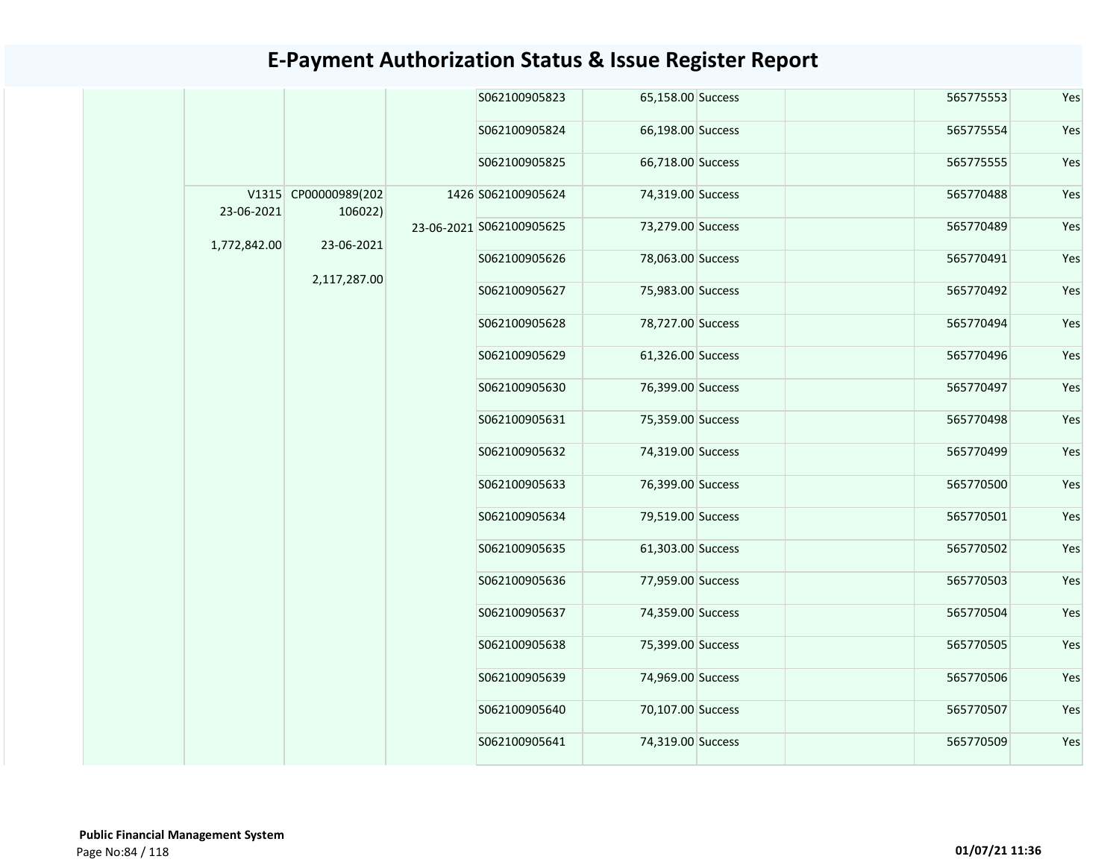|              |                                 |  | S062100905823            | 65,158.00 Success | 565775553 | Yes |
|--------------|---------------------------------|--|--------------------------|-------------------|-----------|-----|
|              |                                 |  | S062100905824            | 66,198.00 Success | 565775554 | Yes |
|              |                                 |  | S062100905825            | 66,718.00 Success | 565775555 | Yes |
| 23-06-2021   | V1315 CP00000989(202<br>106022) |  | 1426 S062100905624       | 74,319.00 Success | 565770488 | Yes |
| 1,772,842.00 | 23-06-2021                      |  | 23-06-2021 S062100905625 | 73,279.00 Success | 565770489 | Yes |
|              |                                 |  | S062100905626            | 78,063.00 Success | 565770491 | Yes |
|              | 2,117,287.00                    |  | S062100905627            | 75,983.00 Success | 565770492 | Yes |
|              |                                 |  | S062100905628            | 78,727.00 Success | 565770494 | Yes |
|              |                                 |  | S062100905629            | 61,326.00 Success | 565770496 | Yes |
|              |                                 |  | S062100905630            | 76,399.00 Success | 565770497 | Yes |
|              |                                 |  | S062100905631            | 75,359.00 Success | 565770498 | Yes |
|              |                                 |  | S062100905632            | 74,319.00 Success | 565770499 | Yes |
|              |                                 |  | S062100905633            | 76,399.00 Success | 565770500 | Yes |
|              |                                 |  | S062100905634            | 79,519.00 Success | 565770501 | Yes |
|              |                                 |  | S062100905635            | 61,303.00 Success | 565770502 | Yes |
|              |                                 |  | S062100905636            | 77,959.00 Success | 565770503 | Yes |
|              |                                 |  | S062100905637            | 74,359.00 Success | 565770504 | Yes |
|              |                                 |  | S062100905638            | 75,399.00 Success | 565770505 | Yes |
|              |                                 |  | S062100905639            | 74,969.00 Success | 565770506 | Yes |
|              |                                 |  | S062100905640            | 70,107.00 Success | 565770507 | Yes |
|              |                                 |  | S062100905641            | 74,319.00 Success | 565770509 | Yes |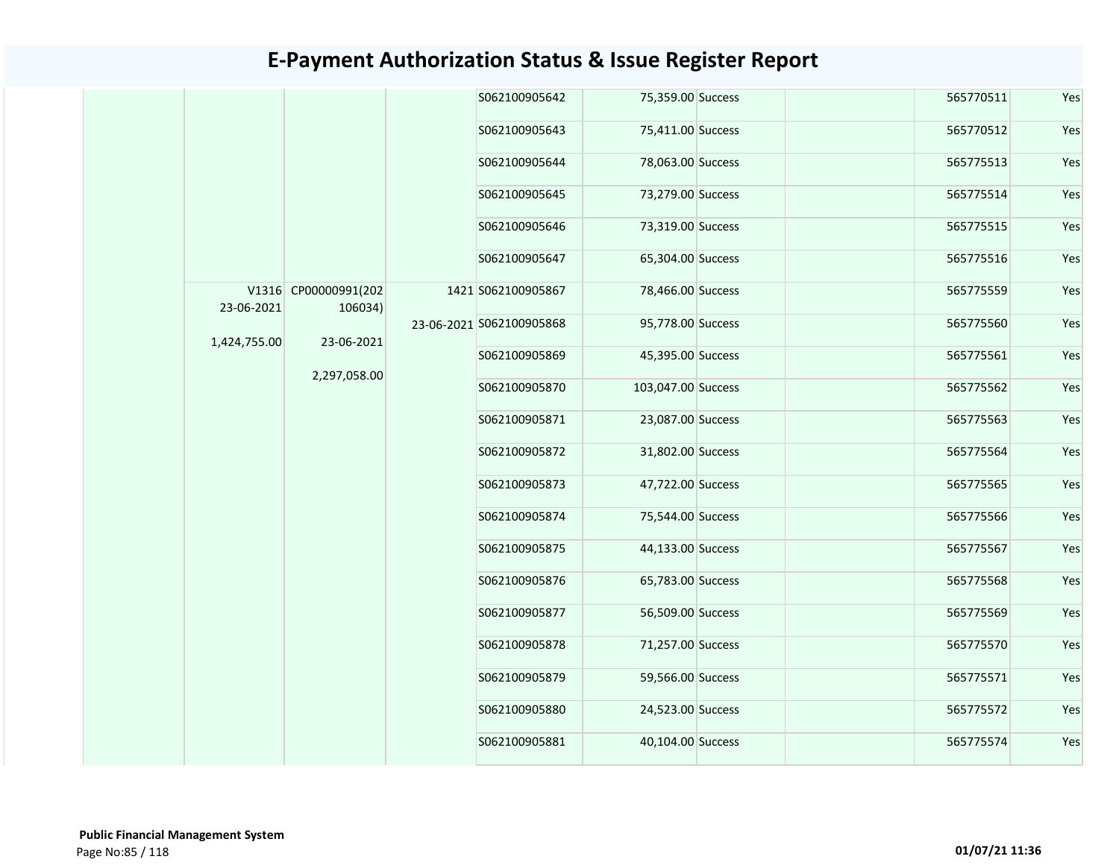|  |              |                                 |               | S062100905642            | 75,359.00 Success  |                   | 565770511 | Yes       |               |                   |  |           |     |  |  |               |                   |  |           |     |  |               |                   |  |           |     |
|--|--------------|---------------------------------|---------------|--------------------------|--------------------|-------------------|-----------|-----------|---------------|-------------------|--|-----------|-----|--|--|---------------|-------------------|--|-----------|-----|--|---------------|-------------------|--|-----------|-----|
|  |              |                                 |               | S062100905643            | 75,411.00 Success  |                   | 565770512 | Yes       |               |                   |  |           |     |  |  |               |                   |  |           |     |  |               |                   |  |           |     |
|  |              |                                 |               | S062100905644            | 78,063.00 Success  |                   | 565775513 | Yes       |               |                   |  |           |     |  |  |               |                   |  |           |     |  |               |                   |  |           |     |
|  |              |                                 |               | S062100905645            | 73,279.00 Success  |                   | 565775514 | Yes       |               |                   |  |           |     |  |  |               |                   |  |           |     |  |               |                   |  |           |     |
|  |              |                                 |               | S062100905646            | 73,319.00 Success  |                   | 565775515 | Yes       |               |                   |  |           |     |  |  |               |                   |  |           |     |  |               |                   |  |           |     |
|  |              |                                 |               | S062100905647            | 65,304.00 Success  |                   | 565775516 | Yes       |               |                   |  |           |     |  |  |               |                   |  |           |     |  |               |                   |  |           |     |
|  | 23-06-2021   | V1316 CP00000991(202<br>106034) |               | 1421 S062100905867       | 78,466.00 Success  |                   | 565775559 | Yes       |               |                   |  |           |     |  |  |               |                   |  |           |     |  |               |                   |  |           |     |
|  | 1,424,755.00 | 23-06-2021                      |               | 23-06-2021 S062100905868 | 95,778.00 Success  |                   | 565775560 | Yes       |               |                   |  |           |     |  |  |               |                   |  |           |     |  |               |                   |  |           |     |
|  | 2,297,058.00 |                                 | S062100905869 | 45,395.00 Success        |                    | 565775561         | Yes       |           |               |                   |  |           |     |  |  |               |                   |  |           |     |  |               |                   |  |           |     |
|  |              |                                 |               | S062100905870            | 103,047.00 Success |                   | 565775562 | Yes       |               |                   |  |           |     |  |  |               |                   |  |           |     |  |               |                   |  |           |     |
|  |              |                                 |               |                          | S062100905871      | 23,087.00 Success |           | 565775563 | Yes           |                   |  |           |     |  |  |               |                   |  |           |     |  |               |                   |  |           |     |
|  |              |                                 |               |                          | S062100905872      | 31,802.00 Success |           | 565775564 | Yes           |                   |  |           |     |  |  |               |                   |  |           |     |  |               |                   |  |           |     |
|  |              |                                 |               | S062100905873            | 47,722.00 Success  |                   | 565775565 | Yes       |               |                   |  |           |     |  |  |               |                   |  |           |     |  |               |                   |  |           |     |
|  |              |                                 |               | S062100905874            | 75,544.00 Success  |                   | 565775566 | Yes       |               |                   |  |           |     |  |  |               |                   |  |           |     |  |               |                   |  |           |     |
|  |              |                                 |               |                          |                    |                   |           |           |               |                   |  |           |     |  |  |               |                   |  |           |     |  | S062100905875 | 44,133.00 Success |  | 565775567 | Yes |
|  |              |                                 |               | S062100905876            | 65,783.00 Success  |                   | 565775568 | Yes       |               |                   |  |           |     |  |  |               |                   |  |           |     |  |               |                   |  |           |     |
|  |              |                                 |               |                          |                    |                   |           |           |               |                   |  |           |     |  |  | S062100905877 | 56,509.00 Success |  | 565775569 | Yes |  |               |                   |  |           |     |
|  |              |                                 | S062100905878 | 71,257.00 Success        |                    | 565775570         | Yes       |           |               |                   |  |           |     |  |  |               |                   |  |           |     |  |               |                   |  |           |     |
|  |              |                                 |               |                          |                    |                   |           |           | S062100905879 | 59,566.00 Success |  | 565775571 | Yes |  |  |               |                   |  |           |     |  |               |                   |  |           |     |
|  |              |                                 |               |                          |                    |                   |           |           | S062100905880 | 24,523.00 Success |  | 565775572 | Yes |  |  |               |                   |  |           |     |  |               |                   |  |           |     |
|  |              |                                 |               | S062100905881            | 40,104.00 Success  |                   | 565775574 | Yes       |               |                   |  |           |     |  |  |               |                   |  |           |     |  |               |                   |  |           |     |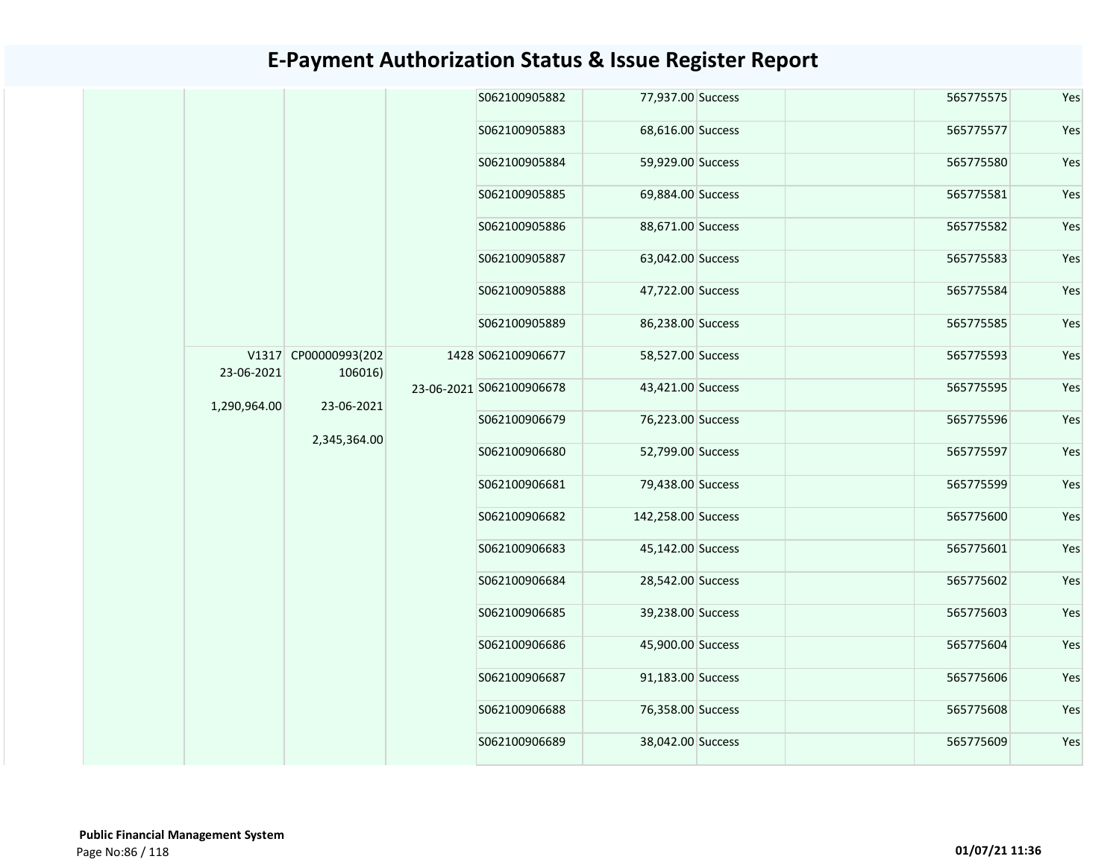|              |                                                               | S062100905882            | 77,937.00 Success  | 565775575         | Yes           |                   |           |     |
|--------------|---------------------------------------------------------------|--------------------------|--------------------|-------------------|---------------|-------------------|-----------|-----|
|              | V1317 CP00000993(202<br>106016)<br>23-06-2021<br>2,345,364.00 | S062100905883            | 68,616.00 Success  | 565775577         | Yes           |                   |           |     |
|              |                                                               | S062100905884            | 59,929.00 Success  | 565775580         | Yes           |                   |           |     |
|              |                                                               | S062100905885            | 69,884.00 Success  | 565775581         | Yes           |                   |           |     |
|              |                                                               | S062100905886            | 88,671.00 Success  | 565775582         | Yes           |                   |           |     |
|              |                                                               | S062100905887            | 63,042.00 Success  | 565775583         | Yes           |                   |           |     |
|              |                                                               | S062100905888            | 47,722.00 Success  | 565775584         | Yes           |                   |           |     |
|              |                                                               | S062100905889            | 86,238.00 Success  | 565775585         | Yes           |                   |           |     |
| 23-06-2021   |                                                               |                          | 1428 S062100906677 | 58,527.00 Success | 565775593     | Yes               |           |     |
|              |                                                               | 23-06-2021 S062100906678 | 43,421.00 Success  | 565775595         | Yes           |                   |           |     |
| 1,290,964.00 |                                                               |                          |                    |                   | S062100906679 | 76,223.00 Success | 565775596 | Yes |
|              |                                                               | S062100906680            | 52,799.00 Success  | 565775597         | Yes           |                   |           |     |
|              |                                                               | S062100906681            | 79,438.00 Success  | 565775599         | Yes           |                   |           |     |
|              |                                                               | S062100906682            | 142,258.00 Success | 565775600         | Yes           |                   |           |     |
|              |                                                               | S062100906683            | 45,142.00 Success  | 565775601         | Yes           |                   |           |     |
|              |                                                               | S062100906684            | 28,542.00 Success  | 565775602         | Yes           |                   |           |     |
|              |                                                               | S062100906685            | 39,238.00 Success  | 565775603         | Yes           |                   |           |     |
|              |                                                               | S062100906686            | 45,900.00 Success  | 565775604         | Yes           |                   |           |     |
|              |                                                               | S062100906687            | 91,183.00 Success  | 565775606         | Yes           |                   |           |     |
|              |                                                               | S062100906688            | 76,358.00 Success  | 565775608         | Yes           |                   |           |     |
|              |                                                               | S062100906689            | 38,042.00 Success  | 565775609         | Yes           |                   |           |     |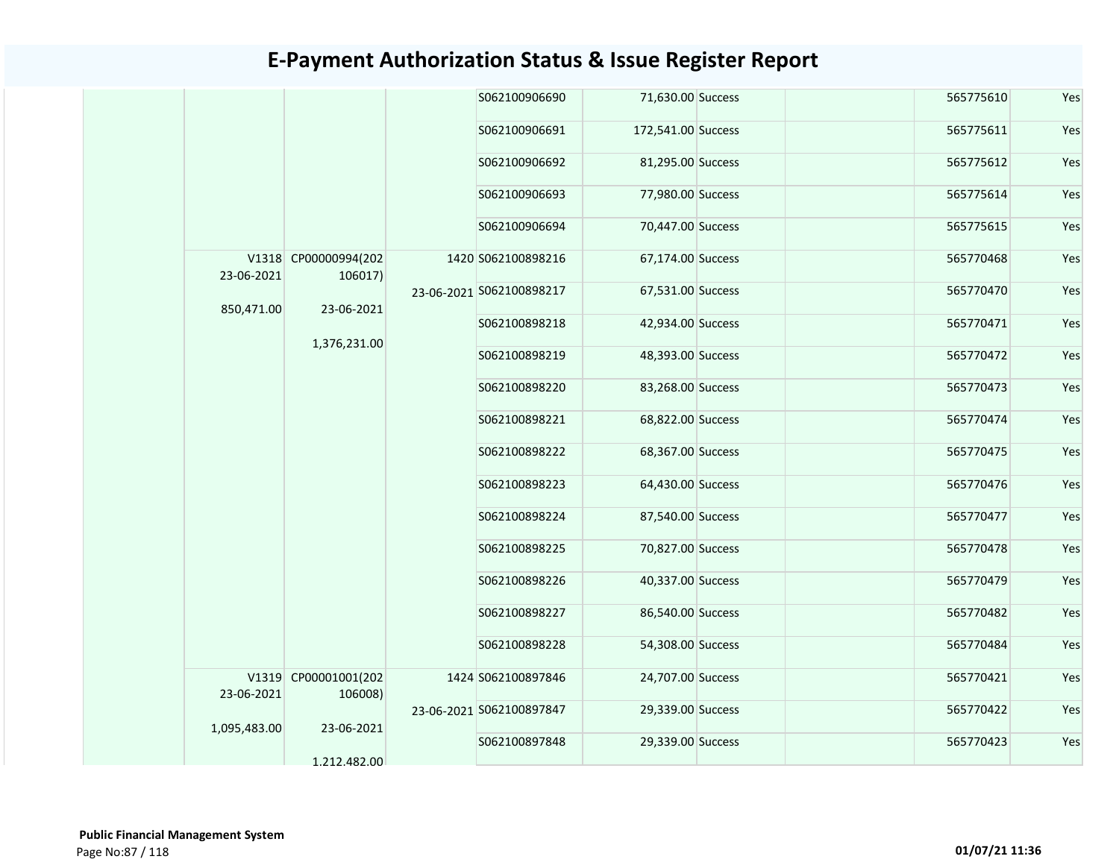|              |                                 |              | S062100906690            | 71,630.00 Success  |  | 565775610 | Yes |
|--------------|---------------------------------|--------------|--------------------------|--------------------|--|-----------|-----|
|              |                                 |              | S062100906691            | 172,541.00 Success |  | 565775611 | Yes |
|              |                                 |              | S062100906692            | 81,295.00 Success  |  | 565775612 | Yes |
|              |                                 |              | S062100906693            | 77,980.00 Success  |  | 565775614 | Yes |
|              |                                 |              | S062100906694            | 70,447.00 Success  |  | 565775615 | Yes |
| 23-06-2021   | V1318 CP00000994(202<br>106017) |              | 1420 S062100898216       | 67,174.00 Success  |  | 565770468 | Yes |
| 850,471.00   | 23-06-2021                      |              | 23-06-2021 S062100898217 | 67,531.00 Success  |  | 565770470 | Yes |
|              |                                 |              | S062100898218            | 42,934.00 Success  |  | 565770471 | Yes |
|              |                                 | 1,376,231.00 | S062100898219            | 48,393.00 Success  |  | 565770472 | Yes |
|              |                                 |              | S062100898220            | 83,268.00 Success  |  | 565770473 | Yes |
|              |                                 |              | S062100898221            | 68,822.00 Success  |  | 565770474 | Yes |
|              |                                 |              | S062100898222            | 68,367.00 Success  |  | 565770475 | Yes |
|              |                                 |              | S062100898223            | 64,430.00 Success  |  | 565770476 | Yes |
|              |                                 |              | S062100898224            | 87,540.00 Success  |  | 565770477 | Yes |
|              |                                 |              | S062100898225            | 70,827.00 Success  |  | 565770478 | Yes |
|              |                                 |              | S062100898226            | 40,337.00 Success  |  | 565770479 | Yes |
|              |                                 |              | S062100898227            | 86,540.00 Success  |  | 565770482 | Yes |
|              |                                 |              | S062100898228            | 54,308.00 Success  |  | 565770484 | Yes |
| 23-06-2021   | V1319 CP00001001(202<br>106008) |              | 1424 S062100897846       | 24,707.00 Success  |  | 565770421 | Yes |
| 1,095,483.00 | 23-06-2021                      |              | 23-06-2021 S062100897847 | 29,339.00 Success  |  | 565770422 | Yes |
|              | 1.212.482.00                    |              | S062100897848            | 29,339.00 Success  |  | 565770423 | Yes |
|              |                                 |              |                          |                    |  |           |     |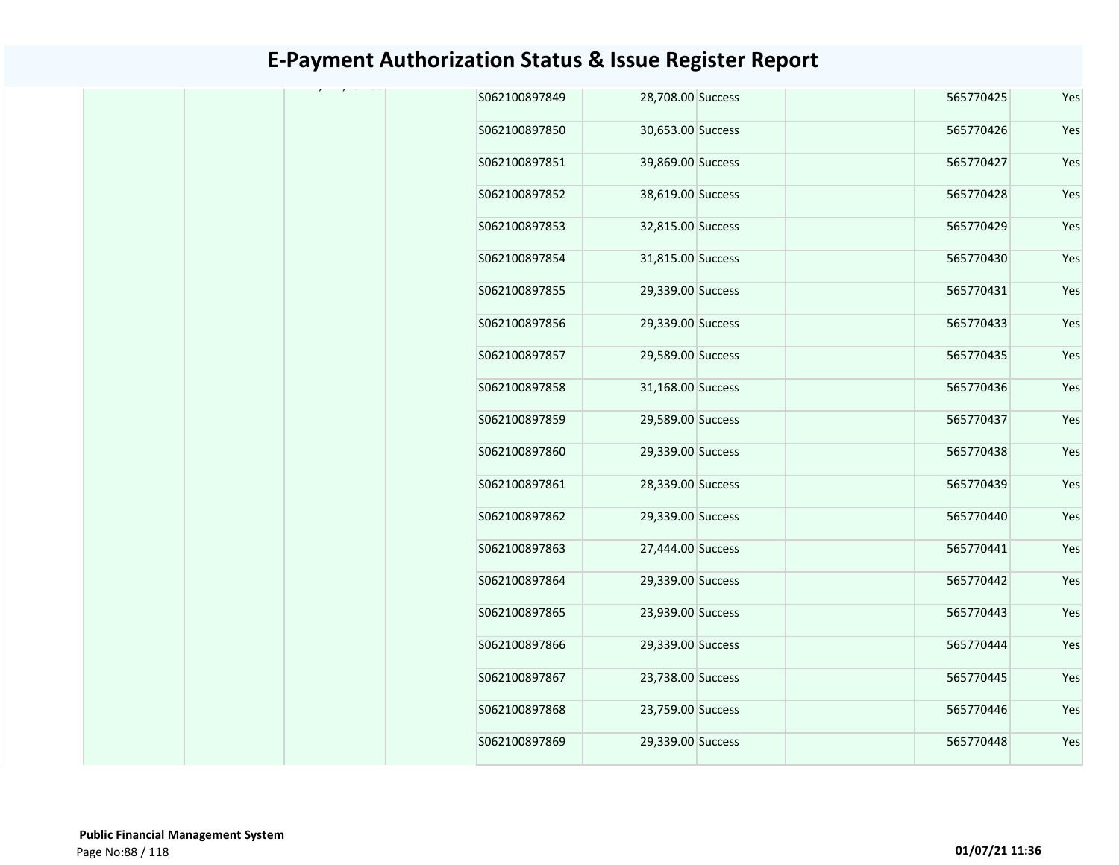|  | S062100897849 | 28,708.00 Success | 565770425 | Yes |
|--|---------------|-------------------|-----------|-----|
|  | S062100897850 | 30,653.00 Success | 565770426 | Yes |
|  | S062100897851 | 39,869.00 Success | 565770427 | Yes |
|  | S062100897852 | 38,619.00 Success | 565770428 | Yes |
|  | S062100897853 | 32,815.00 Success | 565770429 | Yes |
|  | S062100897854 | 31,815.00 Success | 565770430 | Yes |
|  | S062100897855 | 29,339.00 Success | 565770431 | Yes |
|  | S062100897856 | 29,339.00 Success | 565770433 | Yes |
|  | S062100897857 | 29,589.00 Success | 565770435 | Yes |
|  | S062100897858 | 31,168.00 Success | 565770436 | Yes |
|  | S062100897859 | 29,589.00 Success | 565770437 | Yes |
|  | S062100897860 | 29,339.00 Success | 565770438 | Yes |
|  | S062100897861 | 28,339.00 Success | 565770439 | Yes |
|  | S062100897862 | 29,339.00 Success | 565770440 | Yes |
|  | S062100897863 | 27,444.00 Success | 565770441 | Yes |
|  | S062100897864 | 29,339.00 Success | 565770442 | Yes |
|  | S062100897865 | 23,939.00 Success | 565770443 | Yes |
|  | S062100897866 | 29,339.00 Success | 565770444 | Yes |
|  | S062100897867 | 23,738.00 Success | 565770445 | Yes |
|  | S062100897868 | 23,759.00 Success | 565770446 | Yes |
|  | S062100897869 | 29,339.00 Success | 565770448 | Yes |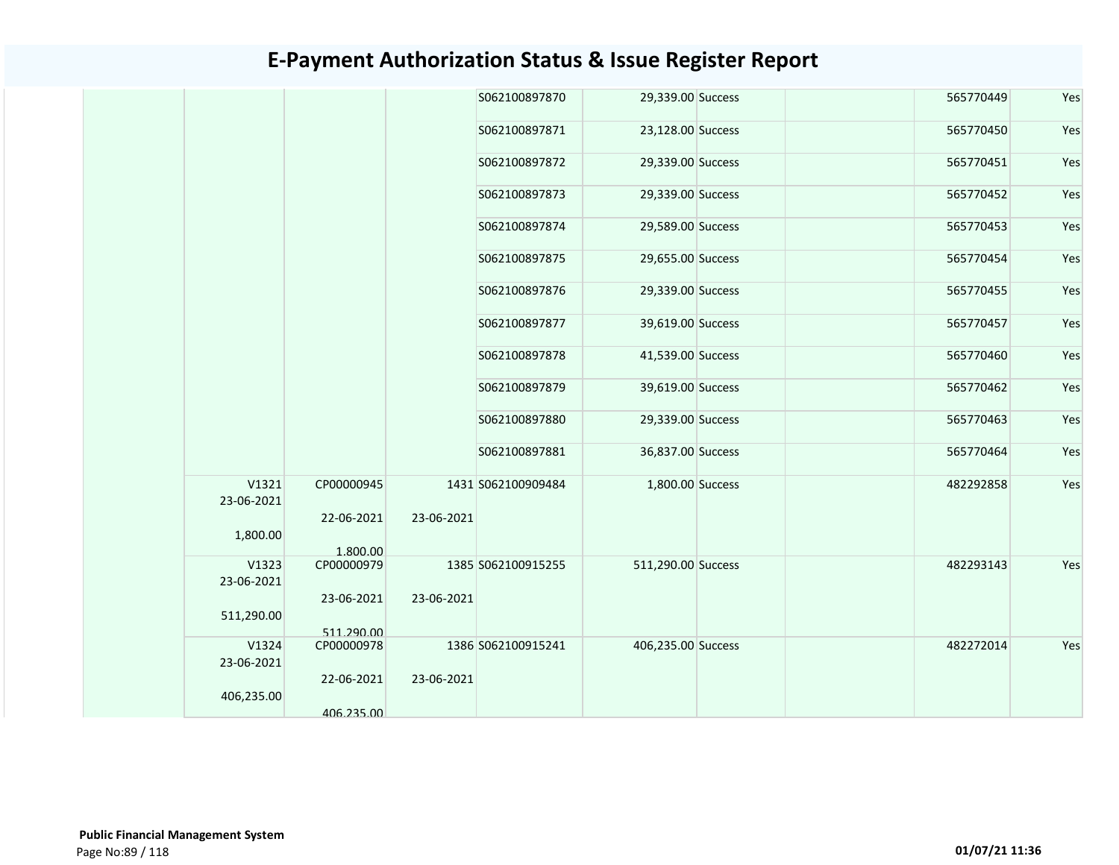|                     |                          |            | S062100897870      | 29,339.00 Success  | 565770449 | Yes |
|---------------------|--------------------------|------------|--------------------|--------------------|-----------|-----|
|                     |                          |            | S062100897871      | 23,128.00 Success  | 565770450 | Yes |
|                     |                          |            | S062100897872      | 29,339.00 Success  | 565770451 | Yes |
|                     |                          |            | S062100897873      | 29,339.00 Success  | 565770452 | Yes |
|                     |                          |            | S062100897874      | 29,589.00 Success  | 565770453 | Yes |
|                     |                          |            | S062100897875      | 29,655.00 Success  | 565770454 | Yes |
|                     |                          |            | S062100897876      | 29,339.00 Success  | 565770455 | Yes |
|                     |                          |            | S062100897877      | 39,619.00 Success  | 565770457 | Yes |
|                     |                          |            | S062100897878      | 41,539.00 Success  | 565770460 | Yes |
|                     |                          |            | S062100897879      | 39,619.00 Success  | 565770462 | Yes |
|                     |                          |            | S062100897880      | 29,339.00 Success  | 565770463 | Yes |
|                     |                          |            | S062100897881      | 36,837.00 Success  | 565770464 | Yes |
| V1321<br>23-06-2021 | CP00000945               |            | 1431 S062100909484 | 1,800.00 Success   | 482292858 | Yes |
| 1,800.00            | 22-06-2021<br>1.800.00   | 23-06-2021 |                    |                    |           |     |
| V1323<br>23-06-2021 | CP00000979               |            | 1385 S062100915255 | 511,290.00 Success | 482293143 | Yes |
| 511,290.00          | 23-06-2021<br>511.290.00 | 23-06-2021 |                    |                    |           |     |
| V1324               | CP00000978               |            | 1386 S062100915241 | 406,235.00 Success | 482272014 | Yes |
| 23-06-2021          |                          |            |                    |                    |           |     |
| 406,235.00          | 22-06-2021<br>406.235.00 | 23-06-2021 |                    |                    |           |     |
|                     |                          |            |                    |                    |           |     |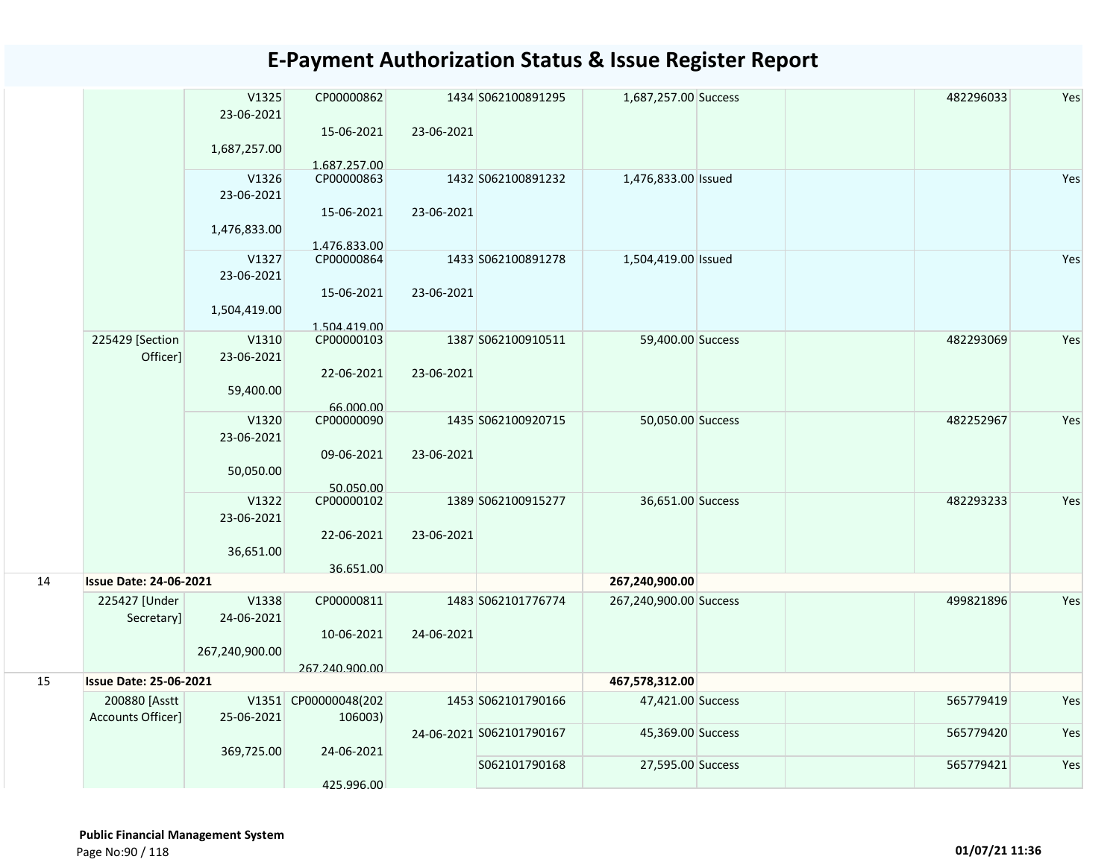|    |                               | V1325          | CP00000862                 |            | 1434 S062100891295       | 1,687,257.00 Success   | 482296033 | Yes |
|----|-------------------------------|----------------|----------------------------|------------|--------------------------|------------------------|-----------|-----|
|    |                               | 23-06-2021     |                            |            |                          |                        |           |     |
|    |                               |                | 15-06-2021                 | 23-06-2021 |                          |                        |           |     |
|    |                               | 1,687,257.00   | 1.687.257.00               |            |                          |                        |           |     |
|    |                               | V1326          | CP00000863                 |            | 1432 S062100891232       | 1,476,833.00 Issued    |           | Yes |
|    |                               | 23-06-2021     |                            |            |                          |                        |           |     |
|    |                               |                | 15-06-2021                 | 23-06-2021 |                          |                        |           |     |
|    |                               | 1,476,833.00   |                            |            |                          |                        |           |     |
|    |                               | V1327          | 1.476.833.00<br>CP00000864 |            | 1433 S062100891278       | 1,504,419.00 Issued    |           | Yes |
|    |                               | 23-06-2021     |                            |            |                          |                        |           |     |
|    |                               |                | 15-06-2021                 | 23-06-2021 |                          |                        |           |     |
|    |                               | 1,504,419.00   |                            |            |                          |                        |           |     |
|    |                               |                | 1.504.419.00               |            |                          |                        |           |     |
|    | 225429 [Section               | V1310          | CP00000103                 |            | 1387 S062100910511       | 59,400.00 Success      | 482293069 | Yes |
|    | Officer]                      | 23-06-2021     |                            |            |                          |                        |           |     |
|    |                               |                | 22-06-2021                 | 23-06-2021 |                          |                        |           |     |
|    |                               | 59,400.00      | 66.000.00                  |            |                          |                        |           |     |
|    |                               | V1320          | CP00000090                 |            | 1435 S062100920715       | 50,050.00 Success      | 482252967 | Yes |
|    |                               | 23-06-2021     |                            |            |                          |                        |           |     |
|    |                               |                | 09-06-2021                 | 23-06-2021 |                          |                        |           |     |
|    |                               | 50,050.00      |                            |            |                          |                        |           |     |
|    |                               | V1322          | 50.050.00<br>CP00000102    |            | 1389 S062100915277       | 36,651.00 Success      | 482293233 | Yes |
|    |                               | 23-06-2021     |                            |            |                          |                        |           |     |
|    |                               |                | 22-06-2021                 | 23-06-2021 |                          |                        |           |     |
|    |                               | 36,651.00      |                            |            |                          |                        |           |     |
|    |                               |                | 36.651.00                  |            |                          |                        |           |     |
| 14 | <b>Issue Date: 24-06-2021</b> |                |                            |            |                          | 267,240,900.00         |           |     |
|    | 225427 [Under                 | V1338          | CP00000811                 |            | 1483 S062101776774       | 267,240,900.00 Success | 499821896 | Yes |
|    | Secretary                     | 24-06-2021     |                            |            |                          |                        |           |     |
|    |                               |                | 10-06-2021                 | 24-06-2021 |                          |                        |           |     |
|    |                               | 267,240,900.00 | 267.240.900.00             |            |                          |                        |           |     |
| 15 | <b>Issue Date: 25-06-2021</b> |                |                            |            |                          | 467,578,312.00         |           |     |
|    | 200880 [Asstt                 |                | V1351 CP00000048(202       |            | 1453 S062101790166       | 47,421.00 Success      | 565779419 | Yes |
|    | Accounts Officer]             | 25-06-2021     | 106003)                    |            |                          |                        |           |     |
|    |                               |                |                            |            | 24-06-2021 S062101790167 | 45,369.00 Success      | 565779420 | Yes |
|    |                               | 369,725.00     | 24-06-2021                 |            |                          |                        |           |     |
|    |                               |                |                            |            | S062101790168            | 27,595.00 Success      | 565779421 | Yes |
|    |                               |                | 425.996.00                 |            |                          |                        |           |     |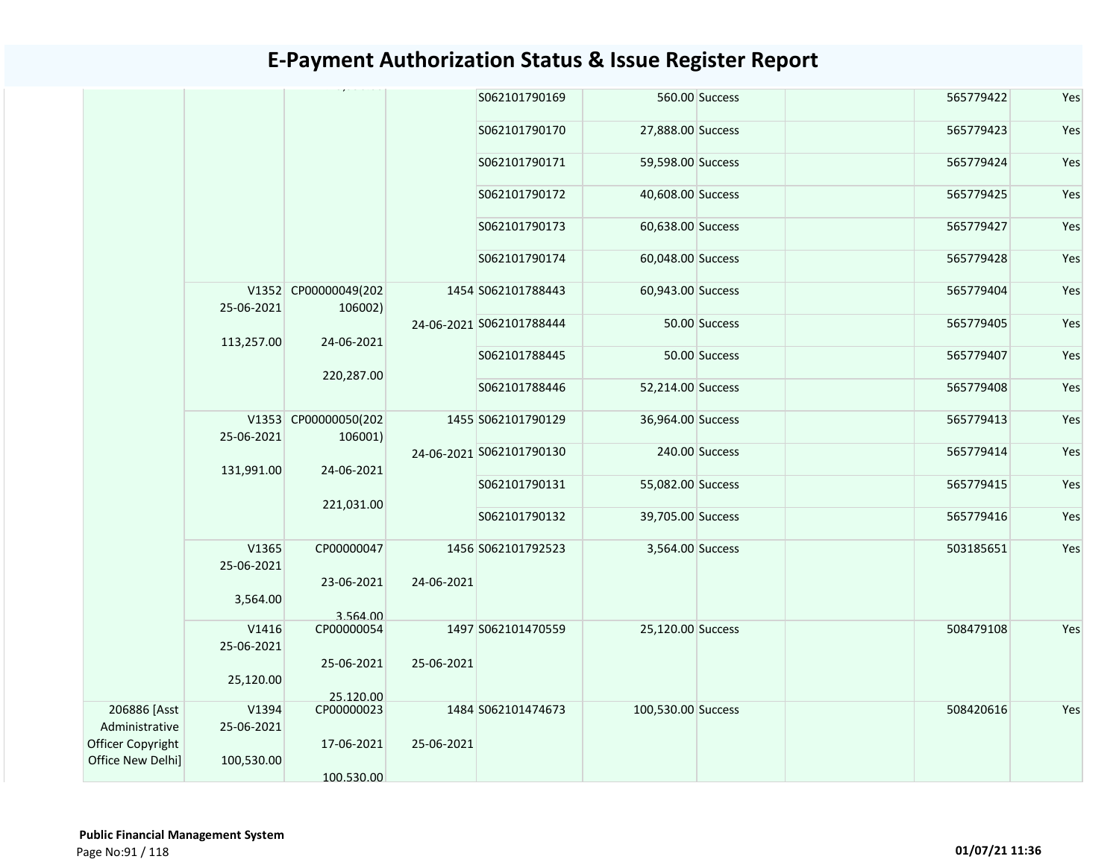|                   |                     |                                 |            | S062101790169            |                    | 560.00 Success | 565779422 | Yes |
|-------------------|---------------------|---------------------------------|------------|--------------------------|--------------------|----------------|-----------|-----|
|                   |                     |                                 |            | S062101790170            | 27,888.00 Success  |                | 565779423 | Yes |
|                   |                     |                                 |            | S062101790171            | 59,598.00 Success  |                | 565779424 | Yes |
|                   |                     |                                 |            | S062101790172            | 40,608.00 Success  |                | 565779425 | Yes |
|                   |                     |                                 |            | S062101790173            | 60,638.00 Success  |                | 565779427 | Yes |
|                   |                     |                                 |            | S062101790174            | 60,048.00 Success  |                | 565779428 | Yes |
|                   | 25-06-2021          | V1352 CP00000049(202<br>106002) |            | 1454 S062101788443       | 60,943.00 Success  |                | 565779404 | Yes |
|                   | 113,257.00          | 24-06-2021                      |            | 24-06-2021 S062101788444 |                    | 50.00 Success  | 565779405 | Yes |
|                   |                     | 220,287.00                      |            | S062101788445            |                    | 50.00 Success  | 565779407 | Yes |
|                   |                     |                                 |            | S062101788446            | 52,214.00 Success  |                | 565779408 | Yes |
|                   | 25-06-2021          | V1353 CP00000050(202<br>106001) |            | 1455 S062101790129       | 36,964.00 Success  |                | 565779413 | Yes |
|                   | 131,991.00          | 24-06-2021                      |            | 24-06-2021 5062101790130 |                    | 240.00 Success | 565779414 | Yes |
|                   |                     | 221,031.00                      |            | S062101790131            | 55,082.00 Success  |                | 565779415 | Yes |
|                   |                     |                                 |            | S062101790132            | 39,705.00 Success  |                | 565779416 | Yes |
|                   | V1365<br>25-06-2021 | CP00000047                      |            | 1456 S062101792523       | 3,564.00 Success   |                | 503185651 | Yes |
|                   | 3,564.00            | 23-06-2021                      | 24-06-2021 |                          |                    |                |           |     |
|                   | V1416               | 3.564.00<br>CP00000054          |            | 1497 S062101470559       | 25,120.00 Success  |                | 508479108 | Yes |
|                   | 25-06-2021          |                                 |            |                          |                    |                |           |     |
|                   |                     | 25-06-2021                      | 25-06-2021 |                          |                    |                |           |     |
|                   | 25,120.00           |                                 |            |                          |                    |                |           |     |
|                   |                     | 25.120.00                       |            |                          |                    |                |           |     |
| 206886 [Asst      | V1394               | CP00000023                      |            | 1484 S062101474673       | 100,530.00 Success |                | 508420616 | Yes |
| Administrative    | 25-06-2021          |                                 |            |                          |                    |                |           |     |
| Officer Copyright |                     | 17-06-2021                      | 25-06-2021 |                          |                    |                |           |     |
| Office New Delhi] | 100,530.00          |                                 |            |                          |                    |                |           |     |
|                   |                     | 100.530.00                      |            |                          |                    |                |           |     |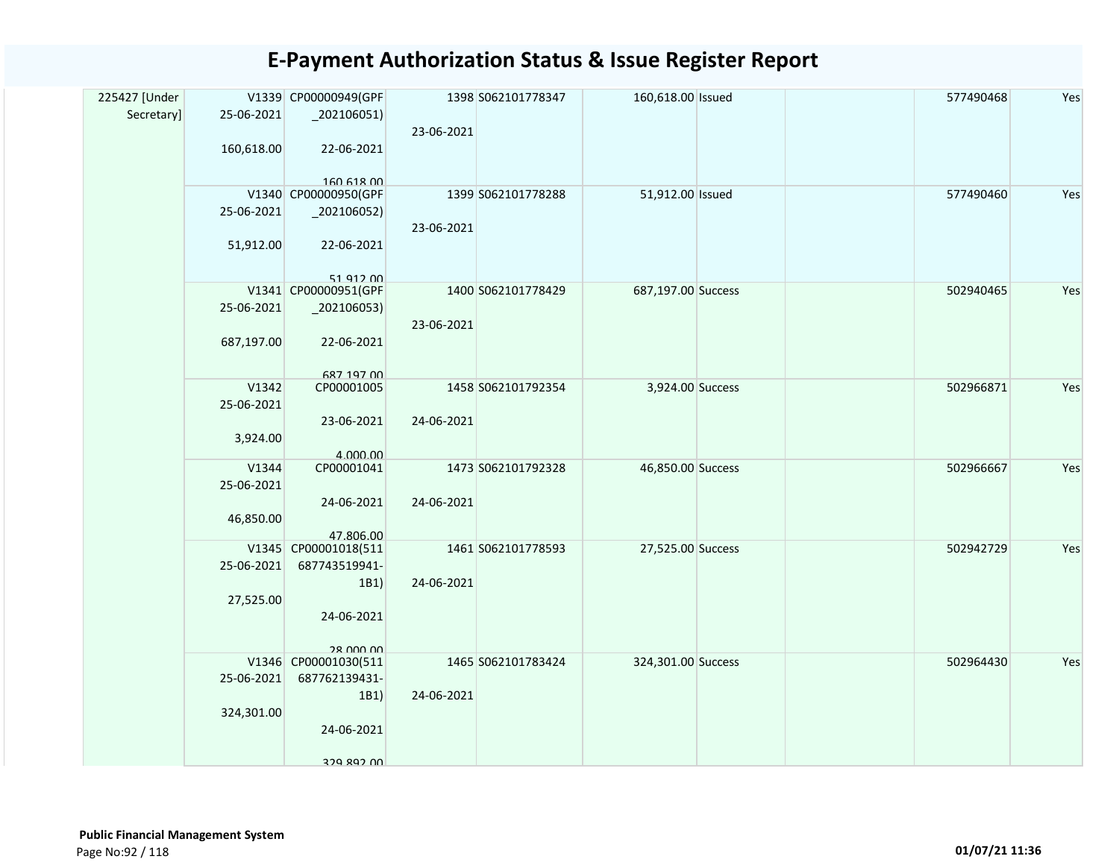| 225427 [Under<br>Secretary] | 25-06-2021 | V1339 CP00000949(GPF<br>$_2$ 02106051) | 23-06-2021 | 1398 S062101778347 | 160,618.00 Issued  | 577490468 | Yes |
|-----------------------------|------------|----------------------------------------|------------|--------------------|--------------------|-----------|-----|
|                             | 160,618.00 | 22-06-2021<br>160 618 00               |            |                    |                    |           |     |
|                             |            | V1340 CP00000950(GPF                   |            | 1399 S062101778288 | 51,912.00 Issued   | 577490460 | Yes |
|                             | 25-06-2021 | $_2$ 02106052)                         | 23-06-2021 |                    |                    |           |     |
|                             | 51,912.00  | 22-06-2021                             |            |                    |                    |           |     |
|                             |            | 51 912 00                              |            |                    |                    |           |     |
|                             |            | V1341 CP00000951(GPF                   |            | 1400 S062101778429 | 687,197.00 Success | 502940465 | Yes |
|                             | 25-06-2021 | $_2$ 02106053)                         |            |                    |                    |           |     |
|                             |            |                                        | 23-06-2021 |                    |                    |           |     |
|                             | 687,197.00 | 22-06-2021                             |            |                    |                    |           |     |
|                             |            |                                        |            |                    |                    |           |     |
|                             | V1342      | 687 197 00<br>CP00001005               |            | 1458 S062101792354 | 3,924.00 Success   | 502966871 | Yes |
|                             | 25-06-2021 |                                        |            |                    |                    |           |     |
|                             |            | 23-06-2021                             | 24-06-2021 |                    |                    |           |     |
|                             | 3,924.00   |                                        |            |                    |                    |           |     |
|                             |            | 4.000.00                               |            |                    |                    |           |     |
|                             | V1344      | CP00001041                             |            | 1473 S062101792328 | 46,850.00 Success  | 502966667 | Yes |
|                             | 25-06-2021 |                                        |            |                    |                    |           |     |
|                             |            | 24-06-2021                             | 24-06-2021 |                    |                    |           |     |
|                             | 46,850.00  |                                        |            |                    |                    |           |     |
|                             |            | 47.806.00                              |            |                    |                    |           |     |
|                             |            | V1345 CP00001018(511                   |            | 1461 S062101778593 | 27,525.00 Success  | 502942729 | Yes |
|                             | 25-06-2021 | 687743519941-                          |            |                    |                    |           |     |
|                             |            | 1B1)                                   | 24-06-2021 |                    |                    |           |     |
|                             | 27,525.00  |                                        |            |                    |                    |           |     |
|                             |            | 24-06-2021                             |            |                    |                    |           |     |
|                             |            | 28 UUU UU                              |            |                    |                    |           |     |
|                             |            | V1346 CP00001030(511                   |            | 1465 S062101783424 | 324,301.00 Success | 502964430 | Yes |
|                             | 25-06-2021 | 687762139431-                          |            |                    |                    |           |     |
|                             |            | 1B1)                                   | 24-06-2021 |                    |                    |           |     |
|                             | 324,301.00 |                                        |            |                    |                    |           |     |
|                             |            | 24-06-2021                             |            |                    |                    |           |     |
|                             |            | 379 897 NO                             |            |                    |                    |           |     |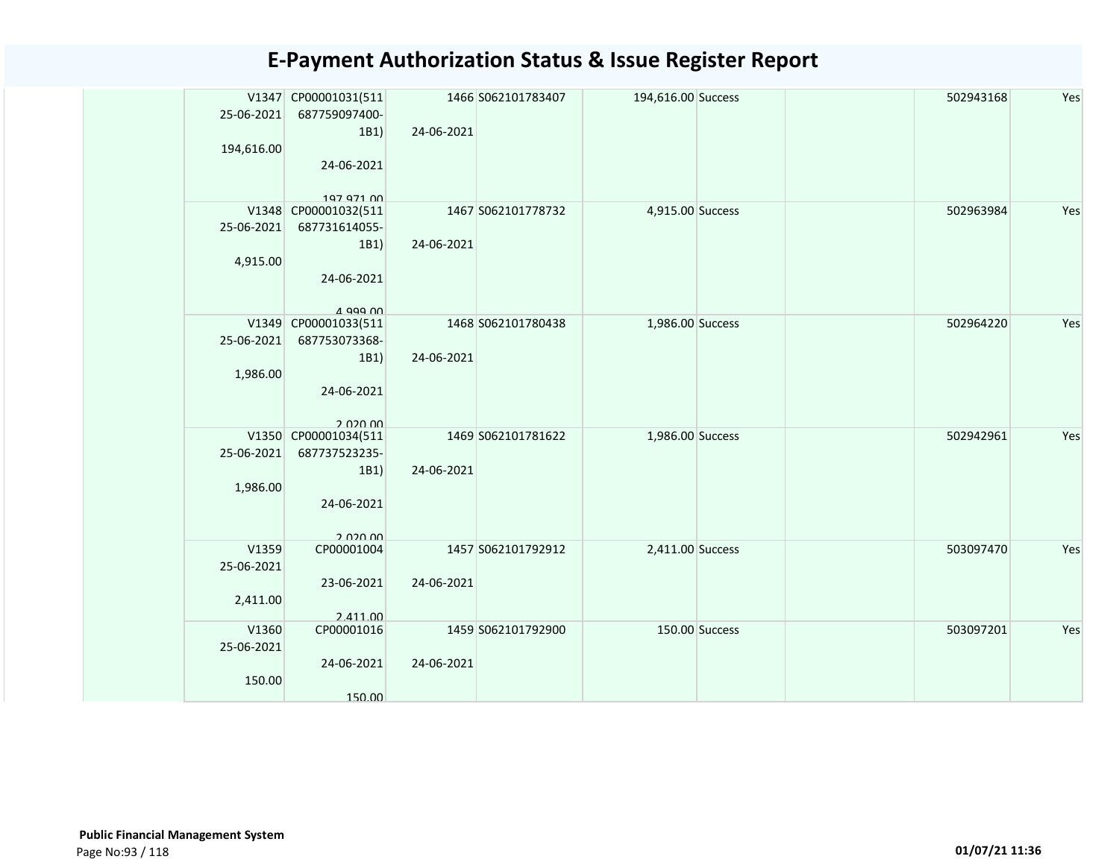| 25-06-2021<br>194,616.00        | V1347 CP00001031(511<br>687759097400-<br>1B1)<br>24-06-2021                           | 24-06-2021 | 1466 S062101783407 | 194,616.00 Success |                | 502943168 | Yes |
|---------------------------------|---------------------------------------------------------------------------------------|------------|--------------------|--------------------|----------------|-----------|-----|
| 25-06-2021<br>4,915.00          | 197 971 00<br>V1348 CP00001032(511<br>687731614055-<br>1B1)<br>24-06-2021<br>A 999 00 | 24-06-2021 | 1467 S062101778732 | 4,915.00 Success   |                | 502963984 | Yes |
| V1349<br>25-06-2021<br>1,986.00 | CP00001033(511<br>687753073368-<br>1B1)<br>24-06-2021<br>2.020.00                     | 24-06-2021 | 1468 S062101780438 | 1,986.00 Success   |                | 502964220 | Yes |
| 25-06-2021<br>1,986.00          | V1350 CP00001034(511<br>687737523235-<br>1B1)<br>24-06-2021<br>2.020.00               | 24-06-2021 | 1469 S062101781622 | 1,986.00 Success   |                | 502942961 | Yes |
| V1359<br>25-06-2021<br>2,411.00 | CP00001004<br>23-06-2021<br>2.411.00                                                  | 24-06-2021 | 1457 S062101792912 | 2,411.00 Success   |                | 503097470 | Yes |
| V1360<br>25-06-2021<br>150.00   | CP00001016<br>24-06-2021<br>150.00                                                    | 24-06-2021 | 1459 S062101792900 |                    | 150.00 Success | 503097201 | Yes |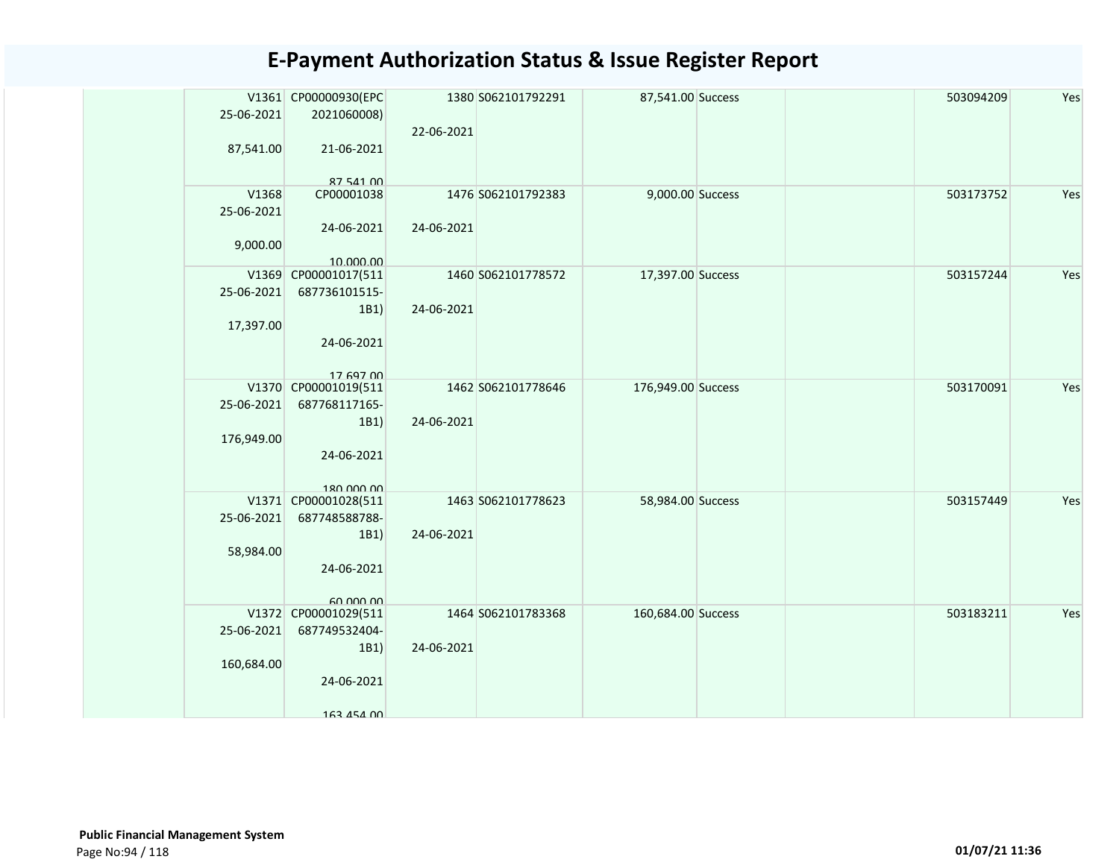| 25-06-2021          | V1361 CP00000930(EPC<br>2021060008)           | 22-06-2021 | 1380 S062101792291 | 87,541.00 Success  |  | 503094209 | Yes |
|---------------------|-----------------------------------------------|------------|--------------------|--------------------|--|-----------|-----|
| 87,541.00           | 21-06-2021<br>87 541 00                       |            |                    |                    |  |           |     |
| V1368<br>25-06-2021 | CP00001038<br>24-06-2021                      | 24-06-2021 | 1476 S062101792383 | 9,000.00 Success   |  | 503173752 | Yes |
| 9,000.00            | 10.000.00                                     |            |                    |                    |  |           |     |
| 25-06-2021          | V1369 CP00001017(511<br>687736101515-<br>1B1) | 24-06-2021 | 1460 S062101778572 | 17,397.00 Success  |  | 503157244 | Yes |
| 17,397.00           | 24-06-2021<br>17 697 00                       |            |                    |                    |  |           |     |
| 25-06-2021          | V1370 CP00001019(511<br>687768117165-<br>1B1) | 24-06-2021 | 1462 S062101778646 | 176,949.00 Success |  | 503170091 | Yes |
| 176,949.00          | 24-06-2021<br>180 000 00                      |            |                    |                    |  |           |     |
| 25-06-2021          | V1371 CP00001028(511<br>687748588788-         |            | 1463 S062101778623 | 58,984.00 Success  |  | 503157449 | Yes |
| 58,984.00           | 1B1)<br>24-06-2021<br>GO OOO OO               | 24-06-2021 |                    |                    |  |           |     |
|                     | V1372 CP00001029(511                          |            | 1464 S062101783368 | 160,684.00 Success |  | 503183211 | Yes |
| 25-06-2021          | 687749532404-                                 |            |                    |                    |  |           |     |
| 160,684.00          | 1B1)<br>24-06-2021                            | 24-06-2021 |                    |                    |  |           |     |
|                     | 163 454 00                                    |            |                    |                    |  |           |     |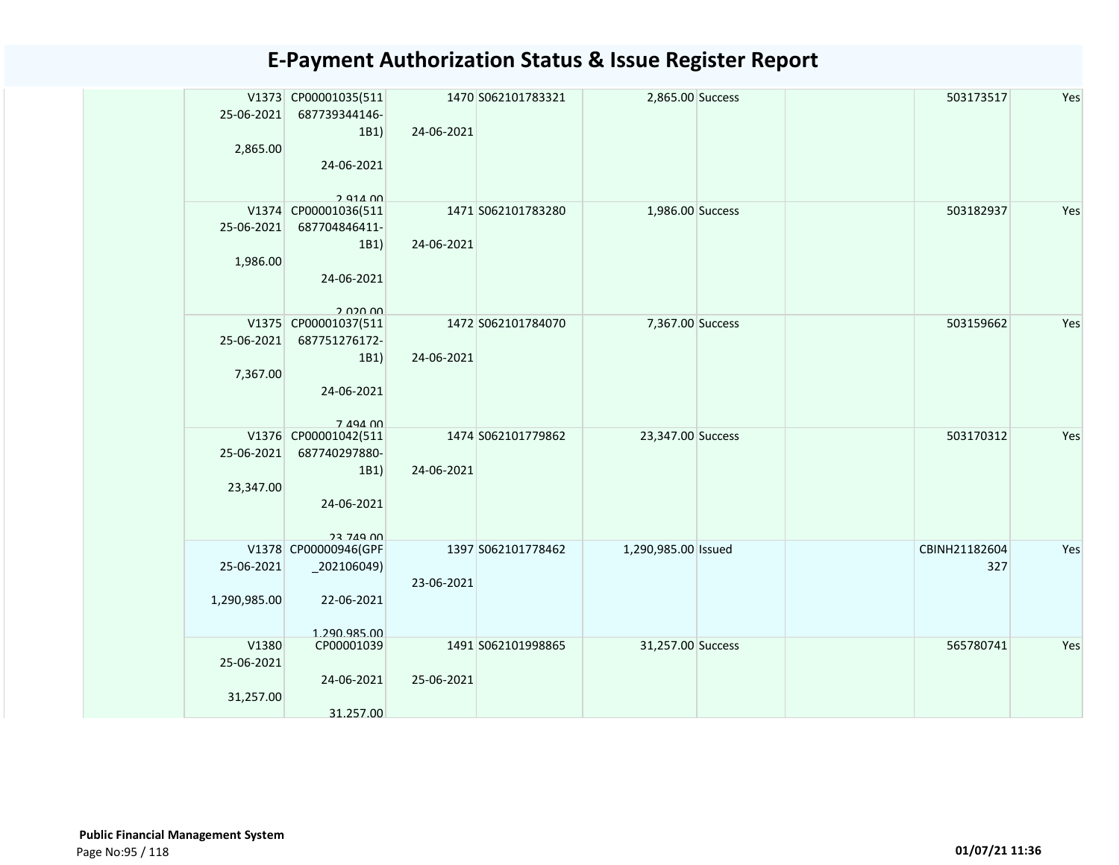| 25-06-2021<br>2,865.00           | V1373 CP00001035(511<br>687739344146-<br>1B1)<br>24-06-2021<br>2 914 00         | 24-06-2021 | 1470 S062101783321 | 2,865.00 Success    |  | 503173517            | Yes |
|----------------------------------|---------------------------------------------------------------------------------|------------|--------------------|---------------------|--|----------------------|-----|
| 25-06-2021<br>1,986.00           | V1374 CP00001036(511<br>687704846411-<br>1B1)<br>24-06-2021<br>חח חכח כ         | 24-06-2021 | 1471 S062101783280 | 1,986.00 Success    |  | 503182937            | Yes |
| 25-06-2021<br>7,367.00           | V1375 CP00001037(511<br>687751276172-<br>1B1)<br>24-06-2021<br>7 494 00         | 24-06-2021 | 1472 S062101784070 | 7,367.00 Success    |  | 503159662            | Yes |
| 25-06-2021<br>23,347.00          | V1376 CP00001042(511<br>687740297880-<br>1B1)<br>24-06-2021<br><b>23 749 00</b> | 24-06-2021 | 1474 S062101779862 | 23,347.00 Success   |  | 503170312            | Yes |
| 25-06-2021<br>1,290,985.00       | V1378 CP00000946(GPF<br>202106049<br>22-06-2021<br>1 290 985 00                 | 23-06-2021 | 1397 S062101778462 | 1,290,985.00 Issued |  | CBINH21182604<br>327 | Yes |
| V1380<br>25-06-2021<br>31,257.00 | CP00001039<br>24-06-2021<br>31.257.00                                           | 25-06-2021 | 1491 S062101998865 | 31,257.00 Success   |  | 565780741            | Yes |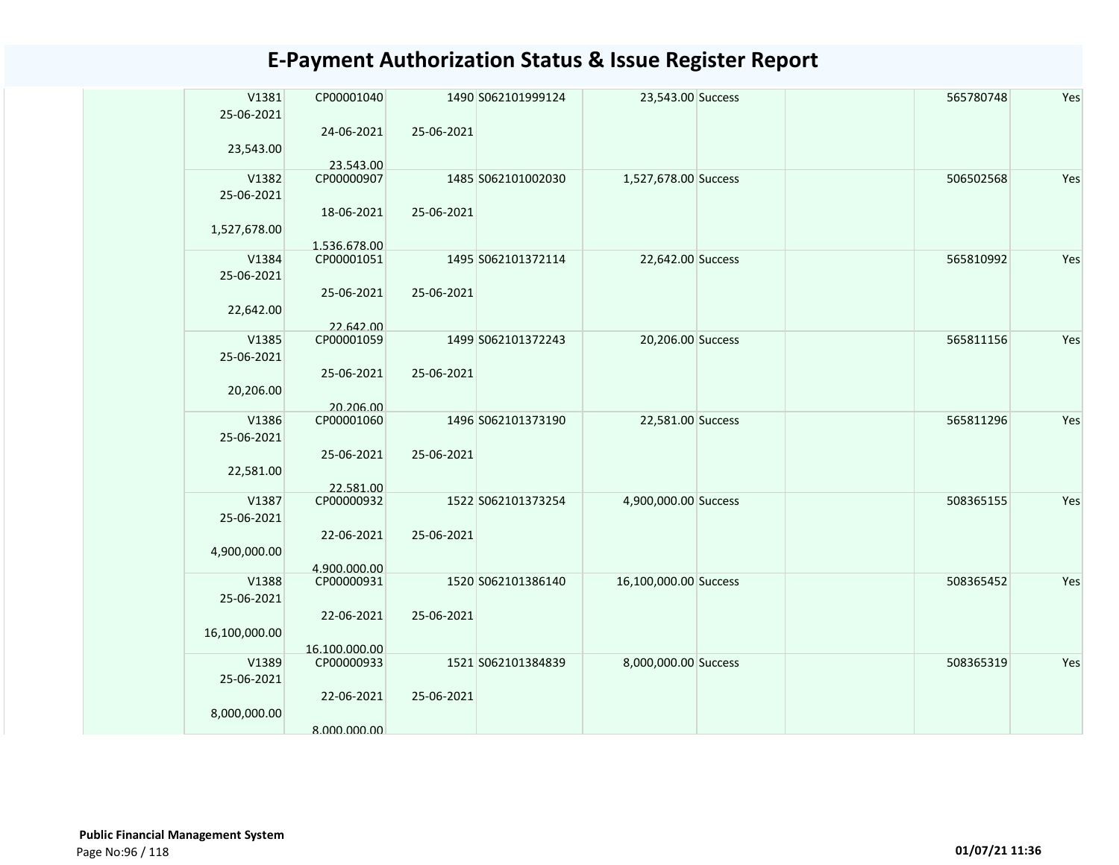| V1381               | CP00001040                 |            | 1490 S062101999124 | 23,543.00 Success     |  | 565780748 | Yes |
|---------------------|----------------------------|------------|--------------------|-----------------------|--|-----------|-----|
| 25-06-2021          | 24-06-2021                 | 25-06-2021 |                    |                       |  |           |     |
| 23,543.00           |                            |            |                    |                       |  |           |     |
|                     | 23.543.00                  |            |                    |                       |  |           |     |
| V1382               | CP00000907                 |            | 1485 S062101002030 | 1,527,678.00 Success  |  | 506502568 | Yes |
| 25-06-2021          |                            |            |                    |                       |  |           |     |
|                     | 18-06-2021                 | 25-06-2021 |                    |                       |  |           |     |
| 1,527,678.00        |                            |            |                    |                       |  |           |     |
| V1384               | 1.536.678.00<br>CP00001051 |            | 1495 S062101372114 | 22,642.00 Success     |  | 565810992 | Yes |
| 25-06-2021          |                            |            |                    |                       |  |           |     |
|                     | 25-06-2021                 | 25-06-2021 |                    |                       |  |           |     |
| 22,642.00           |                            |            |                    |                       |  |           |     |
|                     | 22.642.00                  |            |                    |                       |  |           |     |
| V1385               | CP00001059                 |            | 1499 S062101372243 | 20,206.00 Success     |  | 565811156 | Yes |
| 25-06-2021          |                            |            |                    |                       |  |           |     |
|                     | 25-06-2021                 | 25-06-2021 |                    |                       |  |           |     |
| 20,206.00           |                            |            |                    |                       |  |           |     |
| V1386               | 20.206.00<br>CP00001060    |            | 1496 S062101373190 | 22,581.00 Success     |  | 565811296 | Yes |
| 25-06-2021          |                            |            |                    |                       |  |           |     |
|                     | 25-06-2021                 | 25-06-2021 |                    |                       |  |           |     |
| 22,581.00           |                            |            |                    |                       |  |           |     |
|                     | 22.581.00                  |            |                    |                       |  |           |     |
| V1387               | CP00000932                 |            | 1522 S062101373254 | 4,900,000.00 Success  |  | 508365155 | Yes |
| 25-06-2021          |                            |            |                    |                       |  |           |     |
| 4,900,000.00        | 22-06-2021                 | 25-06-2021 |                    |                       |  |           |     |
|                     | 4.900.000.00               |            |                    |                       |  |           |     |
| V1388               | CP00000931                 |            | 1520 S062101386140 | 16,100,000.00 Success |  | 508365452 | Yes |
| 25-06-2021          |                            |            |                    |                       |  |           |     |
|                     | 22-06-2021                 | 25-06-2021 |                    |                       |  |           |     |
| 16,100,000.00       |                            |            |                    |                       |  |           |     |
|                     | 16.100.000.00              |            |                    |                       |  |           |     |
| V1389<br>25-06-2021 | CP00000933                 |            | 1521 S062101384839 | 8,000,000.00 Success  |  | 508365319 | Yes |
|                     | 22-06-2021                 | 25-06-2021 |                    |                       |  |           |     |
| 8,000,000.00        |                            |            |                    |                       |  |           |     |
|                     | 8.000.000.00               |            |                    |                       |  |           |     |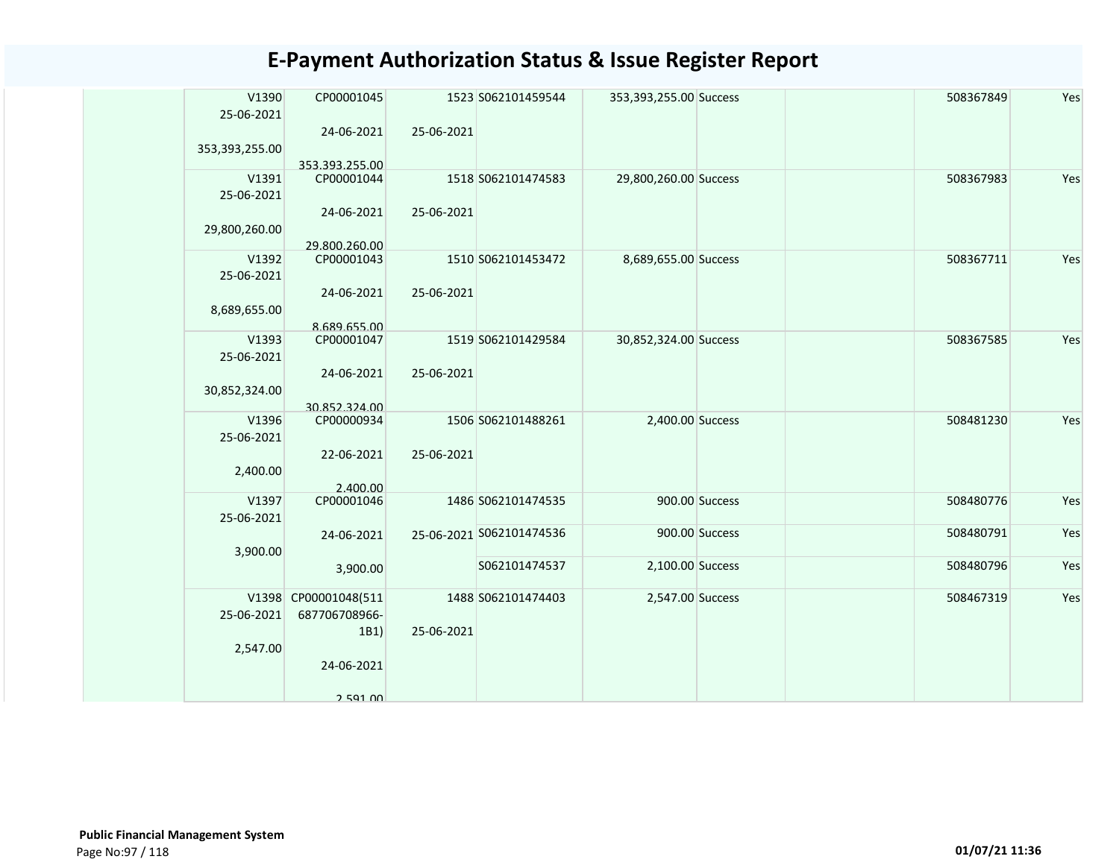| V1390<br>25-06-2021 | CP00001045                   |            | 1523 S062101459544       | 353,393,255.00 Success |                | 508367849 | Yes |
|---------------------|------------------------------|------------|--------------------------|------------------------|----------------|-----------|-----|
| 353,393,255.00      | 24-06-2021<br>353.393.255.00 | 25-06-2021 |                          |                        |                |           |     |
| V1391<br>25-06-2021 | CP00001044                   |            | 1518 S062101474583       | 29,800,260.00 Success  |                | 508367983 | Yes |
| 29,800,260.00       | 24-06-2021<br>29.800.260.00  | 25-06-2021 |                          |                        |                |           |     |
| V1392<br>25-06-2021 | CP00001043                   |            | 1510 S062101453472       | 8,689,655.00 Success   |                | 508367711 | Yes |
| 8,689,655.00        | 24-06-2021                   | 25-06-2021 |                          |                        |                |           |     |
|                     | 8.689.655.00                 |            |                          |                        |                |           | Yes |
| V1393               | CP00001047                   |            | 1519 S062101429584       | 30,852,324.00 Success  |                | 508367585 |     |
| 25-06-2021          |                              |            |                          |                        |                |           |     |
|                     | 24-06-2021                   | 25-06-2021 |                          |                        |                |           |     |
| 30,852,324.00       |                              |            |                          |                        |                |           |     |
|                     | 30.852.324.00                |            |                          |                        |                |           |     |
| V1396<br>25-06-2021 | CP00000934                   |            | 1506 S062101488261       | 2,400.00 Success       |                | 508481230 | Yes |
|                     | 22-06-2021                   | 25-06-2021 |                          |                        |                |           |     |
| 2,400.00            |                              |            |                          |                        |                |           |     |
|                     | 2.400.00                     |            |                          |                        |                |           |     |
| V1397               | CP00001046                   |            | 1486 S062101474535       |                        | 900.00 Success | 508480776 | Yes |
| 25-06-2021          |                              |            |                          |                        |                |           |     |
|                     | 24-06-2021                   |            | 25-06-2021 S062101474536 |                        | 900.00 Success | 508480791 | Yes |
| 3,900.00            |                              |            |                          |                        |                |           |     |
|                     | 3,900.00                     |            | S062101474537            | 2,100.00 Success       |                | 508480796 | Yes |
|                     | V1398 CP00001048(511         |            | 1488 S062101474403       | 2,547.00 Success       |                | 508467319 | Yes |
| 25-06-2021          | 687706708966-                |            |                          |                        |                |           |     |
|                     | 1B1)                         | 25-06-2021 |                          |                        |                |           |     |
| 2,547.00            |                              |            |                          |                        |                |           |     |
|                     | 24-06-2021                   |            |                          |                        |                |           |     |
|                     | 2 591 NO                     |            |                          |                        |                |           |     |
|                     |                              |            |                          |                        |                |           |     |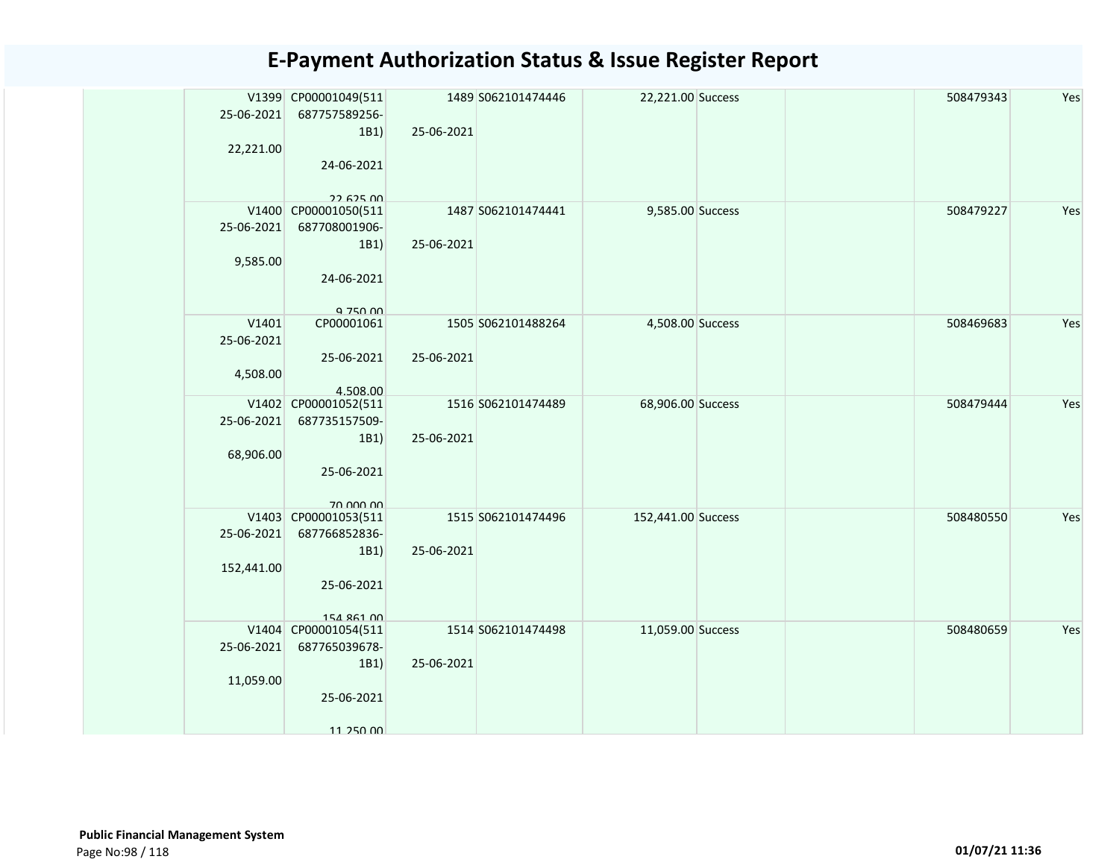|            | V1399 CP00001049(511               |            | 1489 S062101474446 | 22,221.00 Success  |  | 508479343 | Yes |
|------------|------------------------------------|------------|--------------------|--------------------|--|-----------|-----|
| 25-06-2021 | 687757589256-<br>1B1)              | 25-06-2021 |                    |                    |  |           |     |
| 22,221.00  |                                    |            |                    |                    |  |           |     |
|            | 24-06-2021                         |            |                    |                    |  |           |     |
|            |                                    |            |                    |                    |  |           |     |
|            | 22.625.00<br>V1400 CP00001050(511  |            | 1487 S062101474441 | 9,585.00 Success   |  | 508479227 | Yes |
| 25-06-2021 | 687708001906-                      |            |                    |                    |  |           |     |
|            | 1B1)                               | 25-06-2021 |                    |                    |  |           |     |
| 9,585.00   |                                    |            |                    |                    |  |           |     |
|            | 24-06-2021                         |            |                    |                    |  |           |     |
|            |                                    |            |                    |                    |  |           |     |
| V1401      | Q 750 00<br>CP00001061             |            | 1505 S062101488264 | 4,508.00 Success   |  | 508469683 | Yes |
| 25-06-2021 |                                    |            |                    |                    |  |           |     |
|            | 25-06-2021                         | 25-06-2021 |                    |                    |  |           |     |
| 4,508.00   |                                    |            |                    |                    |  |           |     |
|            | 4.508.00<br>V1402 CP00001052(511   |            | 1516 S062101474489 | 68,906.00 Success  |  | 508479444 | Yes |
| 25-06-2021 | 687735157509-                      |            |                    |                    |  |           |     |
|            | 1B1)                               | 25-06-2021 |                    |                    |  |           |     |
| 68,906.00  |                                    |            |                    |                    |  |           |     |
|            | 25-06-2021                         |            |                    |                    |  |           |     |
|            | 70.000.00                          |            |                    |                    |  |           |     |
|            | V1403 CP00001053(511               |            | 1515 S062101474496 | 152,441.00 Success |  | 508480550 | Yes |
| 25-06-2021 | 687766852836-                      |            |                    |                    |  |           |     |
| 152,441.00 | 1B1)                               | 25-06-2021 |                    |                    |  |           |     |
|            | 25-06-2021                         |            |                    |                    |  |           |     |
|            |                                    |            |                    |                    |  |           |     |
|            | 154 861 00<br>V1404 CP00001054(511 |            | 1514 S062101474498 | 11,059.00 Success  |  | 508480659 | Yes |
| 25-06-2021 | 687765039678-                      |            |                    |                    |  |           |     |
|            | 1B1)                               | 25-06-2021 |                    |                    |  |           |     |
| 11,059.00  |                                    |            |                    |                    |  |           |     |
|            | 25-06-2021                         |            |                    |                    |  |           |     |
|            |                                    |            |                    |                    |  |           |     |
|            | 11 250 00                          |            |                    |                    |  |           |     |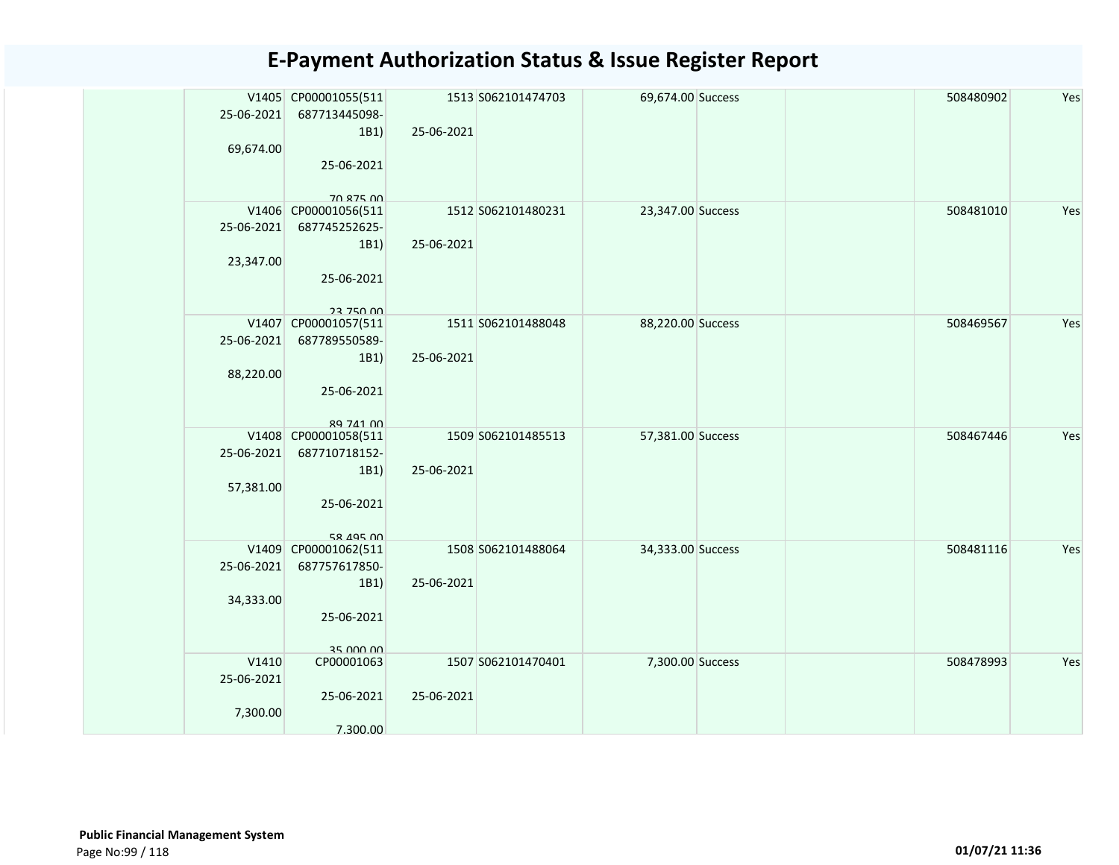| 25-06-2021<br>69,674.00         | V1405 CP00001055(511<br>687713445098-<br>1B1)<br>25-06-2021<br>70 875 00 | 25-06-2021 | 1513 S062101474703 | 69,674.00 Success |  | 508480902 | Yes |
|---------------------------------|--------------------------------------------------------------------------|------------|--------------------|-------------------|--|-----------|-----|
| 25-06-2021<br>23,347.00         | V1406 CP00001056(511<br>687745252625-<br>1B1)<br>25-06-2021<br>23 750 00 | 25-06-2021 | 1512 S062101480231 | 23,347.00 Success |  | 508481010 | Yes |
| 25-06-2021<br>88,220.00         | V1407 CP00001057(511<br>687789550589-<br>1B1)<br>25-06-2021<br>89 741 00 | 25-06-2021 | 1511 S062101488048 | 88,220.00 Success |  | 508469567 | Yes |
| 25-06-2021<br>57,381.00         | V1408 CP00001058(511<br>687710718152-<br>1B1)<br>25-06-2021<br>58 495 00 | 25-06-2021 | 1509 S062101485513 | 57,381.00 Success |  | 508467446 | Yes |
| 25-06-2021<br>34,333.00         | V1409 CP00001062(511<br>687757617850-<br>1B1)<br>25-06-2021<br>35 000 00 | 25-06-2021 | 1508 S062101488064 | 34,333.00 Success |  | 508481116 | Yes |
| V1410<br>25-06-2021<br>7,300.00 | CP00001063<br>25-06-2021<br>7.300.00                                     | 25-06-2021 | 1507 S062101470401 | 7,300.00 Success  |  | 508478993 | Yes |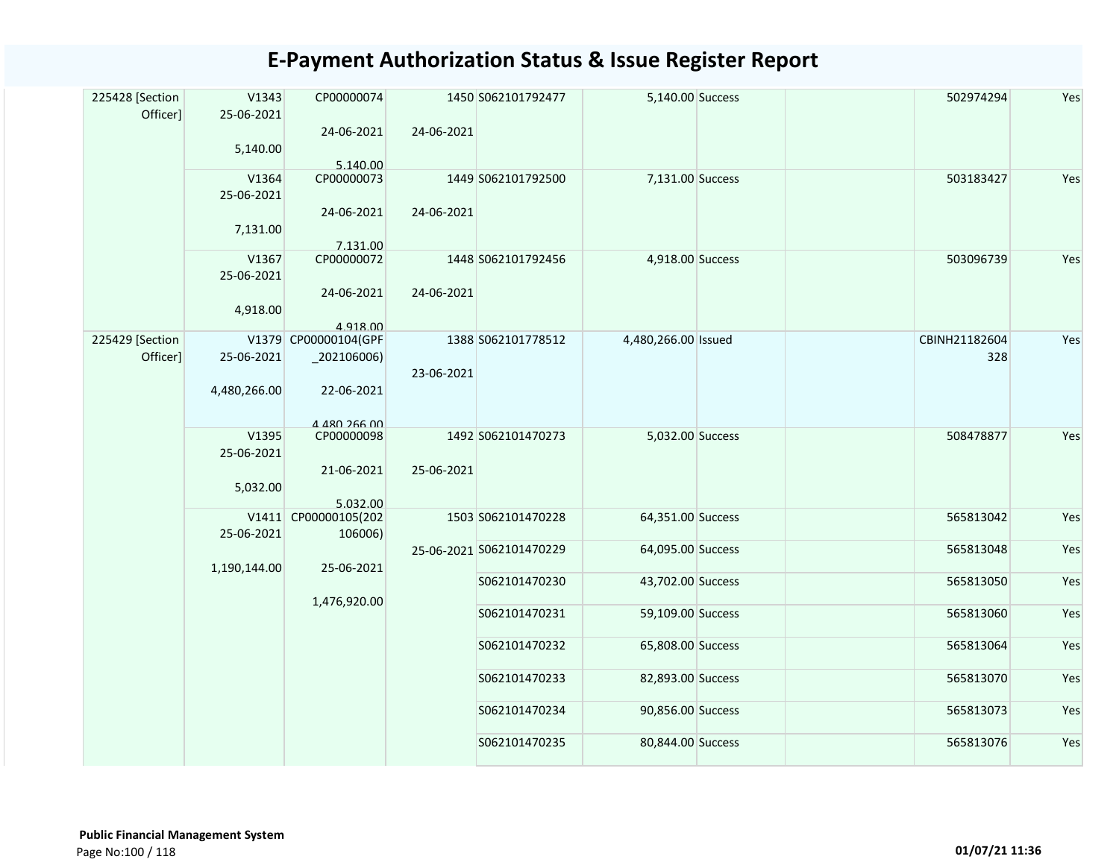| 225428 [Section<br>Officer] | V1343<br>25-06-2021<br>5,140.00 | CP00000074<br>24-06-2021<br>5.140.00                                           | 24-06-2021 | 1450 S062101792477                             | 5,140.00 Success                       | 502974294              | Yes        |
|-----------------------------|---------------------------------|--------------------------------------------------------------------------------|------------|------------------------------------------------|----------------------------------------|------------------------|------------|
|                             | V1364<br>25-06-2021<br>7,131.00 | CP00000073<br>24-06-2021<br>7.131.00                                           | 24-06-2021 | 1449 S062101792500                             | 7,131.00 Success                       | 503183427              | Yes        |
|                             | V1367<br>25-06-2021<br>4,918.00 | CP00000072<br>24-06-2021<br>4.918.00                                           | 24-06-2021 | 1448 S062101792456                             | 4,918.00 Success                       | 503096739              | Yes        |
| 225429 [Section<br>Officer] | 25-06-2021<br>4,480,266.00      | V1379 CP00000104(GPF<br>$\left[202106006\right)$<br>22-06-2021<br>4 480 266 00 | 23-06-2021 | 1388 S062101778512                             | 4,480,266.00 Issued                    | CBINH21182604<br>328   | Yes        |
|                             | V1395<br>25-06-2021<br>5,032.00 | CP00000098<br>21-06-2021<br>5.032.00                                           | 25-06-2021 | 1492 S062101470273                             | 5,032.00 Success                       | 508478877              | Yes        |
|                             | 25-06-2021                      | V1411 CP00000105(202<br>106006)                                                |            | 1503 S062101470228<br>25-06-2021 S062101470229 | 64,351.00 Success<br>64,095.00 Success | 565813042<br>565813048 | Yes<br>Yes |
|                             | 1,190,144.00                    | 25-06-2021                                                                     |            | S062101470230                                  | 43,702.00 Success                      | 565813050              | Yes        |
|                             |                                 | 1,476,920.00                                                                   |            | S062101470231                                  | 59,109.00 Success                      | 565813060              | Yes        |
|                             |                                 |                                                                                |            | S062101470232                                  | 65,808.00 Success                      | 565813064              | Yes        |
|                             |                                 |                                                                                |            | S062101470233                                  | 82,893.00 Success                      | 565813070              | Yes        |
|                             |                                 |                                                                                |            | S062101470234                                  | 90,856.00 Success                      | 565813073              | Yes        |
|                             |                                 |                                                                                |            | S062101470235                                  | 80,844.00 Success                      | 565813076              | Yes        |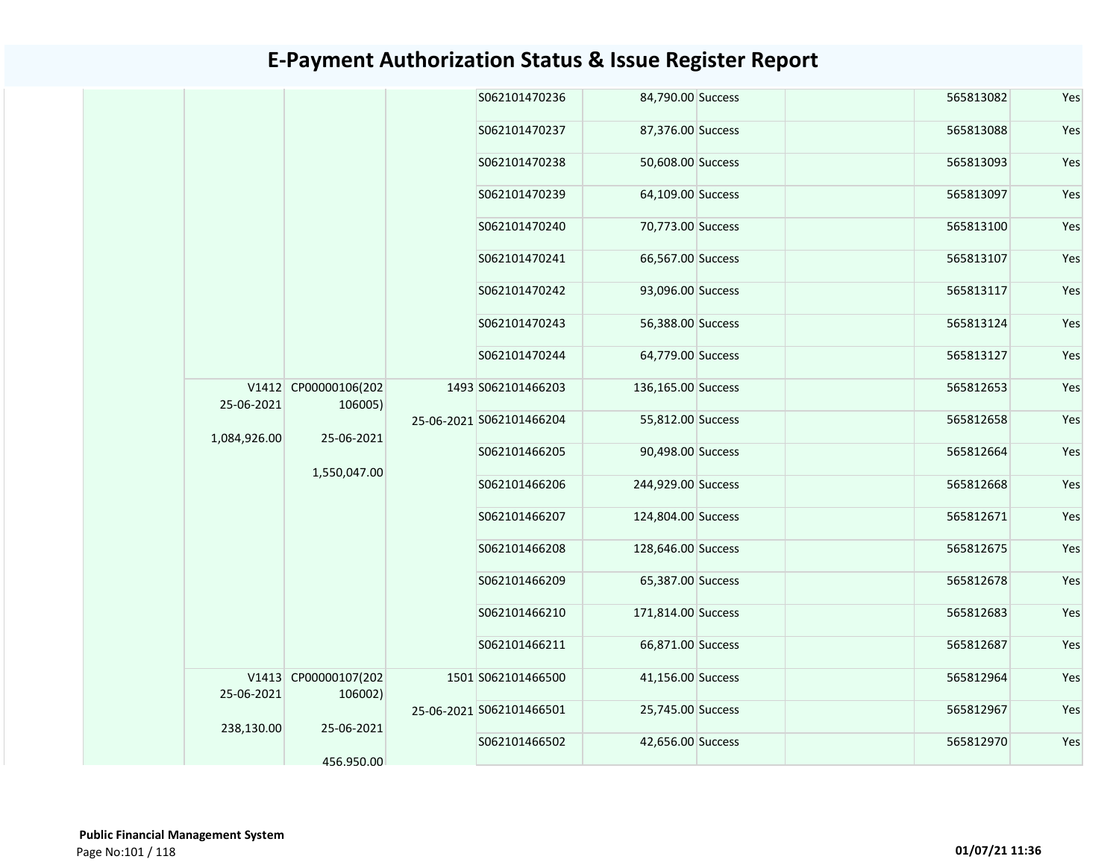|                                               |                            | S062101470236            | 84,790.00 Success  | 565813082 | Yes |
|-----------------------------------------------|----------------------------|--------------------------|--------------------|-----------|-----|
|                                               |                            | S062101470237            | 87,376.00 Success  | 565813088 | Yes |
|                                               |                            | S062101470238            | 50,608.00 Success  | 565813093 | Yes |
|                                               |                            | S062101470239            | 64,109.00 Success  | 565813097 | Yes |
|                                               |                            | S062101470240            | 70,773.00 Success  | 565813100 | Yes |
|                                               |                            | S062101470241            | 66,567.00 Success  | 565813107 | Yes |
|                                               |                            | S062101470242            | 93,096.00 Success  | 565813117 | Yes |
|                                               |                            | S062101470243            | 56,388.00 Success  | 565813124 | Yes |
|                                               |                            | S062101470244            | 64,779.00 Success  | 565813127 | Yes |
| V1412 CP00000106(202<br>25-06-2021<br>106005) |                            | 1493 S062101466203       | 136,165.00 Success | 565812653 | Yes |
| 1,084,926.00                                  | 25-06-2021<br>1,550,047.00 | 25-06-2021 S062101466204 | 55,812.00 Success  | 565812658 | Yes |
|                                               |                            | S062101466205            | 90,498.00 Success  | 565812664 | Yes |
|                                               |                            | S062101466206            | 244,929.00 Success | 565812668 | Yes |
|                                               |                            | S062101466207            | 124,804.00 Success | 565812671 | Yes |
|                                               |                            | S062101466208            | 128,646.00 Success | 565812675 | Yes |
|                                               |                            | S062101466209            | 65,387.00 Success  | 565812678 | Yes |
|                                               |                            | S062101466210            | 171,814.00 Success | 565812683 | Yes |
|                                               |                            | S062101466211            | 66,871.00 Success  | 565812687 | Yes |
| V1413 CP00000107(202<br>25-06-2021<br>106002) |                            | 1501 S062101466500       | 41,156.00 Success  | 565812964 | Yes |
| 238,130.00<br>25-06-2021                      |                            | 25-06-2021 S062101466501 | 25,745.00 Success  | 565812967 | Yes |
| 456.950.00                                    |                            | S062101466502            | 42,656.00 Success  | 565812970 | Yes |
|                                               |                            |                          |                    |           |     |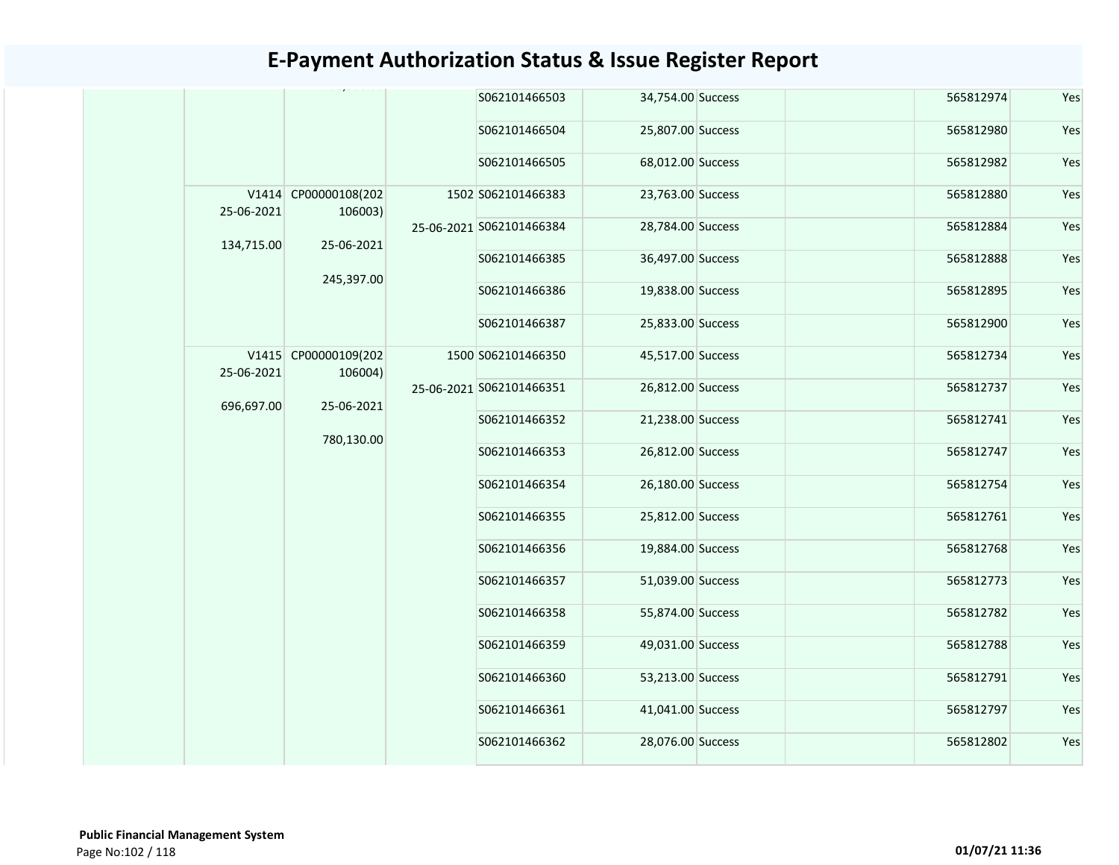|            |                                 | S062101466503            | 34,754.00 Success | 565812974 | Yes |
|------------|---------------------------------|--------------------------|-------------------|-----------|-----|
|            |                                 | S062101466504            | 25,807.00 Success | 565812980 | Yes |
|            |                                 | S062101466505            | 68,012.00 Success | 565812982 | Yes |
| 25-06-2021 | V1414 CP00000108(202<br>106003) | 1502 S062101466383       | 23,763.00 Success | 565812880 | Yes |
| 134,715.00 | 25-06-2021                      | 25-06-2021 S062101466384 | 28,784.00 Success | 565812884 | Yes |
|            |                                 | S062101466385            | 36,497.00 Success | 565812888 | Yes |
|            | 245,397.00                      | S062101466386            | 19,838.00 Success | 565812895 | Yes |
|            |                                 | S062101466387            | 25,833.00 Success | 565812900 | Yes |
| 25-06-2021 | V1415 CP00000109(202<br>106004) | 1500 S062101466350       | 45,517.00 Success | 565812734 | Yes |
| 696,697.00 | 25-06-2021                      | 25-06-2021 S062101466351 | 26,812.00 Success | 565812737 | Yes |
|            |                                 | S062101466352            | 21,238.00 Success | 565812741 | Yes |
|            | 780,130.00                      | S062101466353            | 26,812.00 Success | 565812747 | Yes |
|            |                                 | S062101466354            | 26,180.00 Success | 565812754 | Yes |
|            |                                 | S062101466355            | 25,812.00 Success | 565812761 | Yes |
|            |                                 | S062101466356            | 19,884.00 Success | 565812768 | Yes |
|            |                                 | S062101466357            | 51,039.00 Success | 565812773 | Yes |
|            |                                 | S062101466358            | 55,874.00 Success | 565812782 | Yes |
|            |                                 | S062101466359            | 49,031.00 Success | 565812788 | Yes |
|            |                                 | S062101466360            | 53,213.00 Success | 565812791 | Yes |
|            |                                 | S062101466361            | 41,041.00 Success | 565812797 | Yes |
|            |                                 | S062101466362            | 28,076.00 Success | 565812802 | Yes |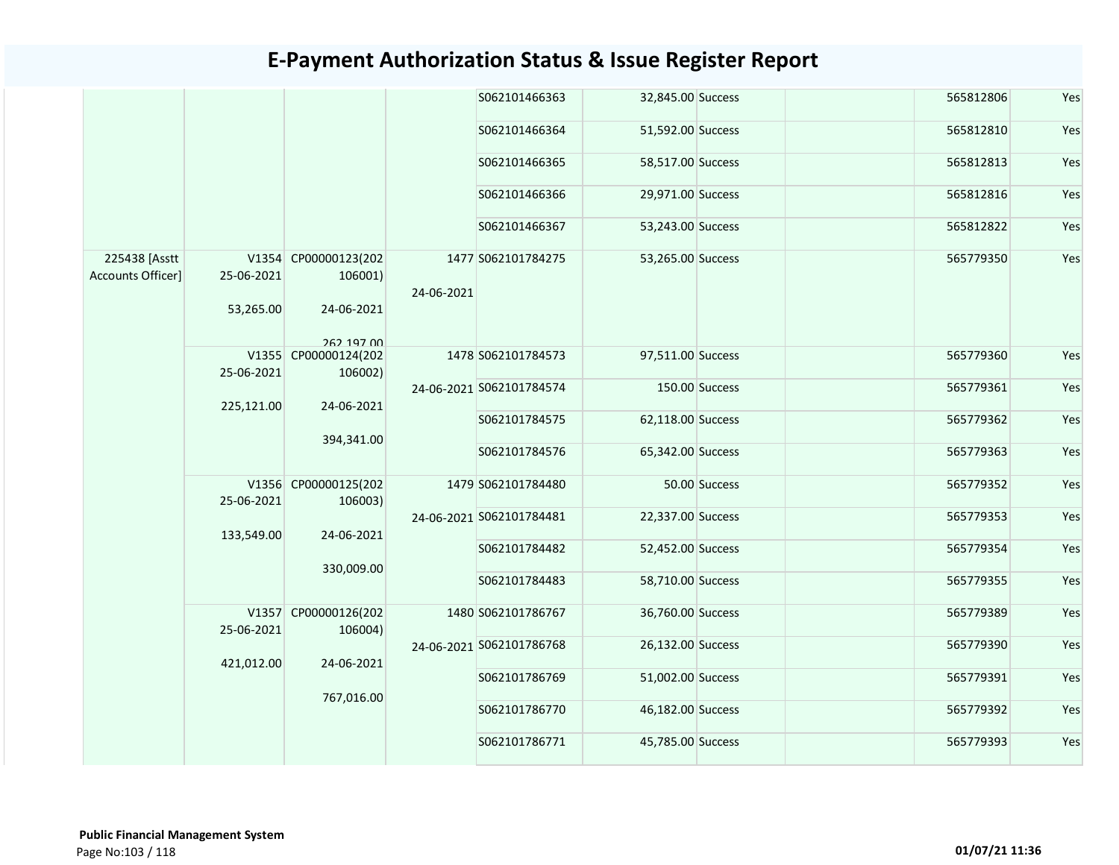|                                    |                         |                                               |            | S062101466363            | 32,845.00 Success | 565812806 | Yes |
|------------------------------------|-------------------------|-----------------------------------------------|------------|--------------------------|-------------------|-----------|-----|
|                                    |                         |                                               |            | S062101466364            | 51,592.00 Success | 565812810 | Yes |
|                                    |                         |                                               |            | S062101466365            | 58,517.00 Success | 565812813 | Yes |
|                                    |                         |                                               |            | S062101466366            | 29,971.00 Success | 565812816 | Yes |
|                                    |                         |                                               |            | S062101466367            | 53,243.00 Success | 565812822 | Yes |
| 225438 [Asstt<br>Accounts Officer] | 25-06-2021<br>53,265.00 | V1354 CP00000123(202<br>106001)<br>24-06-2021 | 24-06-2021 | 1477 S062101784275       | 53,265.00 Success | 565779350 | Yes |
|                                    |                         | 262 197 00                                    |            |                          |                   |           |     |
|                                    | 25-06-2021              | V1355 CP00000124(202<br>106002)               |            | 1478 S062101784573       | 97,511.00 Success | 565779360 | Yes |
|                                    |                         | 24-06-2021                                    |            | 24-06-2021 S062101784574 | 150.00 Success    | 565779361 | Yes |
|                                    | 225,121.00              |                                               |            | S062101784575            | 62,118.00 Success | 565779362 | Yes |
|                                    |                         | 394,341.00                                    |            | S062101784576            | 65,342.00 Success | 565779363 | Yes |
|                                    | 25-06-2021              | V1356 CP00000125(202<br>106003)               |            | 1479 S062101784480       | 50.00 Success     | 565779352 | Yes |
|                                    |                         |                                               |            | 24-06-2021 S062101784481 | 22,337.00 Success | 565779353 | Yes |
|                                    | 133,549.00              | 24-06-2021<br>330,009.00                      |            | S062101784482            | 52,452.00 Success | 565779354 | Yes |
|                                    |                         |                                               |            | S062101784483            | 58,710.00 Success | 565779355 | Yes |
|                                    | 25-06-2021              | V1357 CP00000126(202<br>106004)               |            | 1480 S062101786767       | 36,760.00 Success | 565779389 | Yes |
|                                    |                         |                                               |            | 24-06-2021 S062101786768 | 26,132.00 Success | 565779390 | Yes |
|                                    | 421,012.00              | 24-06-2021                                    |            | S062101786769            | 51,002.00 Success | 565779391 | Yes |
|                                    |                         | 767,016.00                                    |            | S062101786770            | 46,182.00 Success | 565779392 | Yes |
|                                    |                         |                                               |            | S062101786771            | 45,785.00 Success | 565779393 | Yes |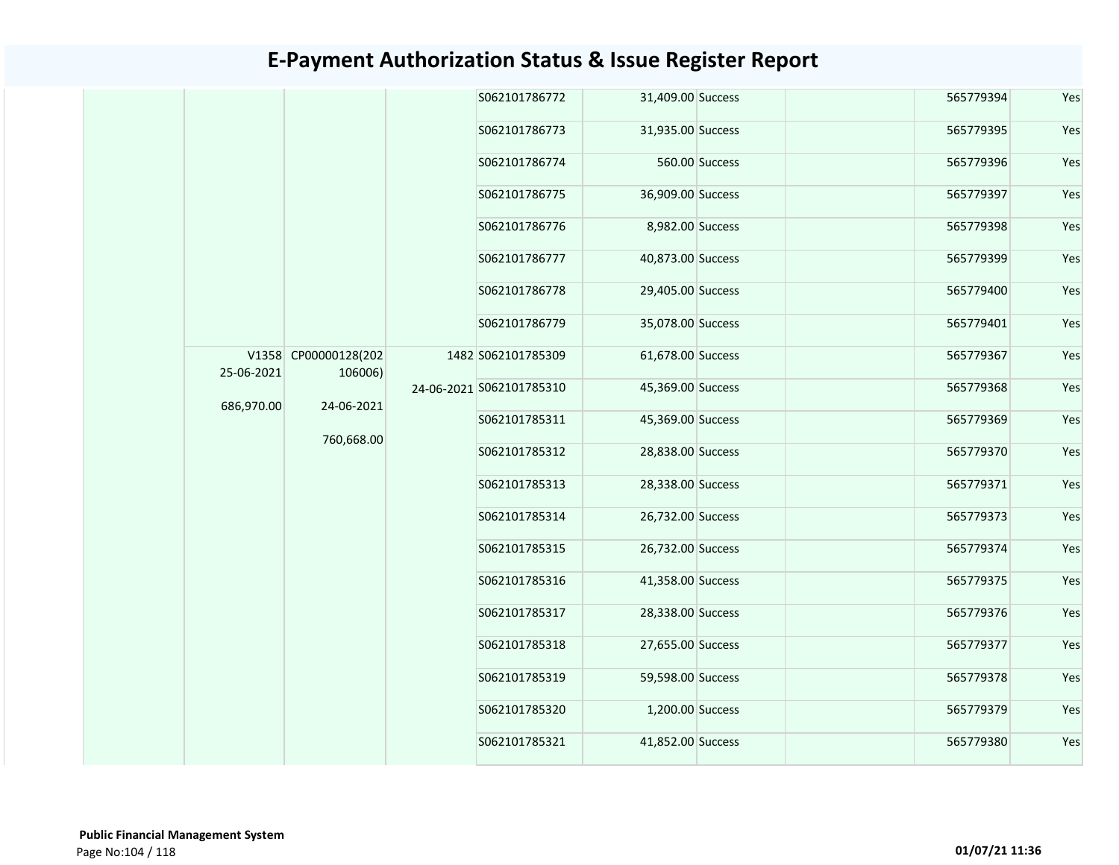|  |                                                                                         |  | S062101786772            | 31,409.00 Success  |                   | 565779394        | Yes       |           |
|--|-----------------------------------------------------------------------------------------|--|--------------------------|--------------------|-------------------|------------------|-----------|-----------|
|  |                                                                                         |  | S062101786773            | 31,935.00 Success  |                   | 565779395        | Yes       |           |
|  |                                                                                         |  | S062101786774            |                    | 560.00 Success    | 565779396        | Yes       |           |
|  |                                                                                         |  | S062101786775            | 36,909.00 Success  |                   | 565779397        | Yes       |           |
|  |                                                                                         |  | S062101786776            | 8,982.00 Success   |                   | 565779398        | Yes       |           |
|  | V1358 CP00000128(202<br>25-06-2021<br>106006)<br>686,970.00<br>24-06-2021<br>760,668.00 |  | S062101786777            | 40,873.00 Success  |                   | 565779399        | Yes       |           |
|  |                                                                                         |  | S062101786778            | 29,405.00 Success  |                   | 565779400        | Yes       |           |
|  |                                                                                         |  |                          | S062101786779      | 35,078.00 Success |                  | 565779401 | Yes       |
|  |                                                                                         |  |                          | 1482 S062101785309 | 61,678.00 Success |                  | 565779367 | Yes       |
|  |                                                                                         |  | 24-06-2021 S062101785310 | 45,369.00 Success  |                   | 565779368        | Yes       |           |
|  |                                                                                         |  |                          | S062101785311      | 45,369.00 Success |                  | 565779369 | Yes       |
|  |                                                                                         |  |                          | S062101785312      | 28,838.00 Success |                  | 565779370 | Yes       |
|  |                                                                                         |  | S062101785313            | 28,338.00 Success  |                   | 565779371        | Yes       |           |
|  |                                                                                         |  | S062101785314            | 26,732.00 Success  |                   | 565779373        | Yes       |           |
|  |                                                                                         |  | S062101785315            | 26,732.00 Success  |                   | 565779374        | Yes       |           |
|  |                                                                                         |  | S062101785316            | 41,358.00 Success  |                   | 565779375        | Yes       |           |
|  |                                                                                         |  | S062101785317            | 28,338.00 Success  |                   | 565779376        | Yes       |           |
|  |                                                                                         |  | S062101785318            | 27,655.00 Success  |                   | 565779377        | Yes       |           |
|  |                                                                                         |  | S062101785319            | 59,598.00 Success  |                   | 565779378        | Yes       |           |
|  |                                                                                         |  |                          |                    | S062101785320     | 1,200.00 Success |           | 565779379 |
|  |                                                                                         |  | S062101785321            | 41,852.00 Success  |                   | 565779380        | Yes       |           |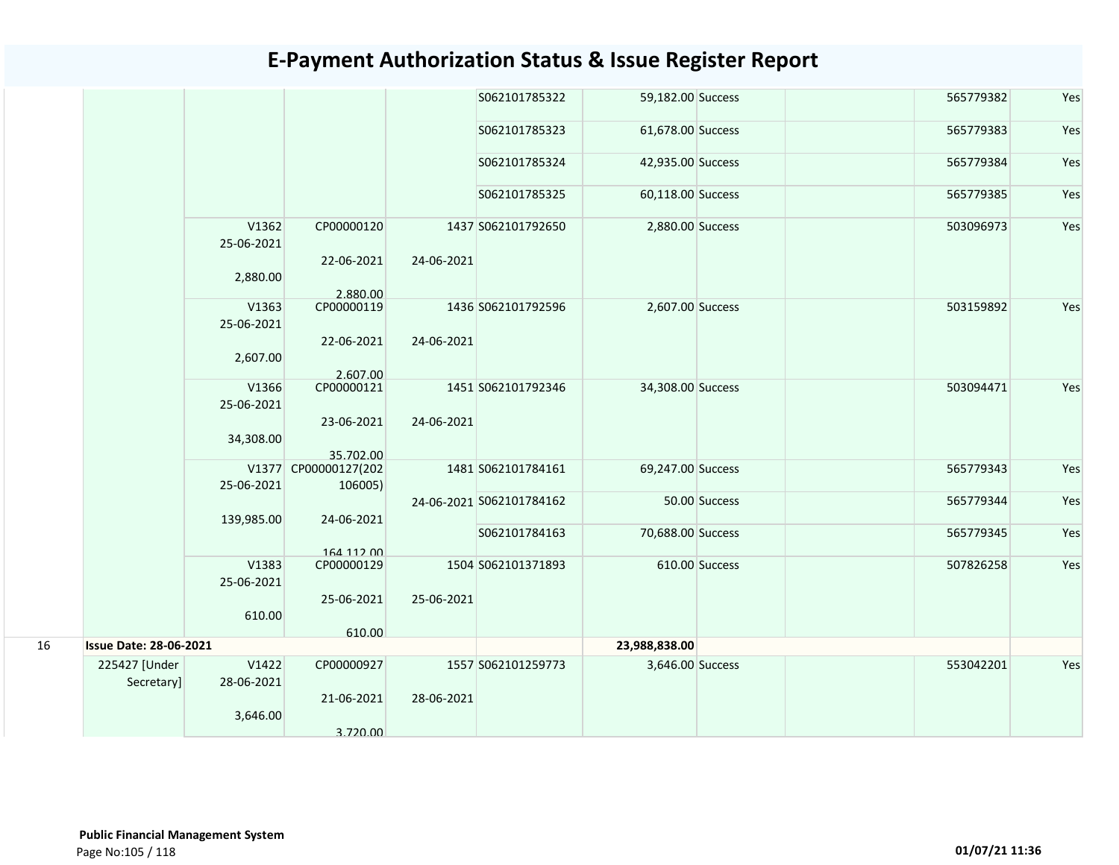|    |                               |                     |                                 |            | S062101785322            | 59,182.00 Success |                | 565779382 | Yes |
|----|-------------------------------|---------------------|---------------------------------|------------|--------------------------|-------------------|----------------|-----------|-----|
|    |                               |                     |                                 |            | S062101785323            | 61,678.00 Success |                | 565779383 | Yes |
|    |                               |                     |                                 |            | S062101785324            | 42,935.00 Success |                | 565779384 | Yes |
|    |                               |                     |                                 |            | S062101785325            | 60,118.00 Success |                | 565779385 | Yes |
|    |                               | V1362<br>25-06-2021 | CP00000120                      |            | 1437 S062101792650       | 2,880.00 Success  |                | 503096973 | Yes |
|    |                               | 2,880.00            | 22-06-2021<br>2.880.00          | 24-06-2021 |                          |                   |                |           |     |
|    |                               | V1363<br>25-06-2021 | CP00000119                      |            | 1436 S062101792596       | 2,607.00 Success  |                | 503159892 | Yes |
|    |                               | 2,607.00            | 22-06-2021<br>2.607.00          | 24-06-2021 |                          |                   |                |           |     |
|    |                               | V1366<br>25-06-2021 | CP00000121                      |            | 1451 S062101792346       | 34,308.00 Success |                | 503094471 | Yes |
|    |                               | 34,308.00           | 23-06-2021<br>35.702.00         | 24-06-2021 |                          |                   |                |           |     |
|    |                               | 25-06-2021          | V1377 CP00000127(202<br>106005) |            | 1481 S062101784161       | 69,247.00 Success |                | 565779343 | Yes |
|    |                               |                     | 24-06-2021                      |            | 24-06-2021 S062101784162 |                   | 50.00 Success  | 565779344 | Yes |
|    |                               | 139,985.00          | 164 112 00                      |            | S062101784163            | 70,688.00 Success |                | 565779345 | Yes |
|    |                               | V1383<br>25-06-2021 | CP00000129                      |            | 1504 S062101371893       |                   | 610.00 Success | 507826258 | Yes |
|    |                               | 610.00              | 25-06-2021                      | 25-06-2021 |                          |                   |                |           |     |
| 16 | <b>Issue Date: 28-06-2021</b> |                     | 610.00                          |            |                          | 23,988,838.00     |                |           |     |
|    | 225427 [Under                 | V1422               | CP00000927                      |            | 1557 S062101259773       | 3,646.00 Success  |                | 553042201 | Yes |
|    | Secretary]                    | 28-06-2021          |                                 | 28-06-2021 |                          |                   |                |           |     |
|    |                               | 3,646.00            | 21-06-2021<br>3.720.00          |            |                          |                   |                |           |     |
|    |                               |                     |                                 |            |                          |                   |                |           |     |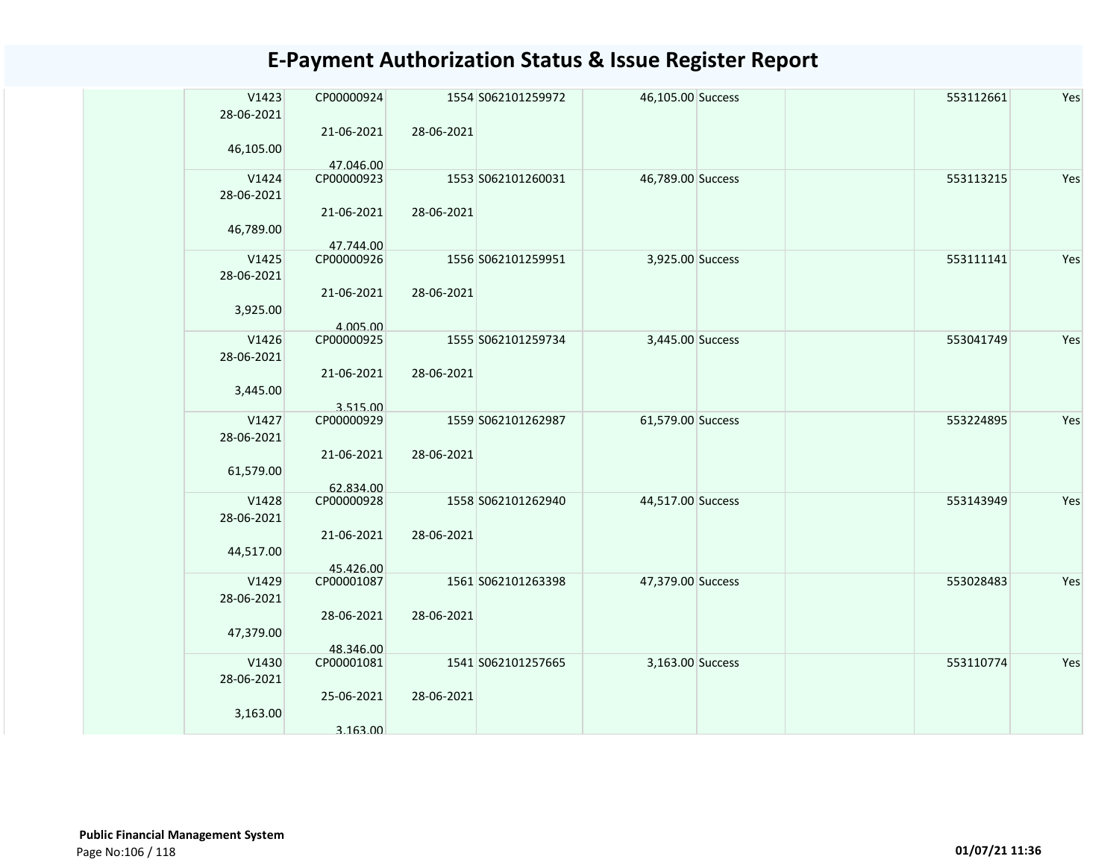| 21-06-2021<br>28-06-2021<br>46,105.00<br>47.046.00<br>V1424<br>CP00000923<br>1553 S062101260031<br>Yes<br>46,789.00 Success<br>553113215<br>28-06-2021<br>21-06-2021<br>28-06-2021<br>46,789.00<br>47.744.00<br>Yes<br>V1425<br>1556 S062101259951<br>3,925.00 Success<br>553111141<br>CP00000926<br>28-06-2021<br>21-06-2021<br>28-06-2021<br>3,925.00<br>4.005.00<br>V1426<br>CP00000925<br>1555 S062101259734<br>3,445.00 Success<br>Yes<br>553041749<br>28-06-2021<br>28-06-2021<br>21-06-2021<br>3,445.00<br>3.515.00<br>V1427<br>Yes<br>CP00000929<br>1559 S062101262987<br>61,579.00 Success<br>553224895<br>28-06-2021<br>21-06-2021<br>28-06-2021<br>61,579.00<br>62.834.00<br>V1428<br>CP00000928<br>1558 S062101262940<br>44,517.00 Success<br>553143949<br>Yes<br>28-06-2021<br>21-06-2021<br>28-06-2021 |
|----------------------------------------------------------------------------------------------------------------------------------------------------------------------------------------------------------------------------------------------------------------------------------------------------------------------------------------------------------------------------------------------------------------------------------------------------------------------------------------------------------------------------------------------------------------------------------------------------------------------------------------------------------------------------------------------------------------------------------------------------------------------------------------------------------------------|
|                                                                                                                                                                                                                                                                                                                                                                                                                                                                                                                                                                                                                                                                                                                                                                                                                      |
|                                                                                                                                                                                                                                                                                                                                                                                                                                                                                                                                                                                                                                                                                                                                                                                                                      |
|                                                                                                                                                                                                                                                                                                                                                                                                                                                                                                                                                                                                                                                                                                                                                                                                                      |
|                                                                                                                                                                                                                                                                                                                                                                                                                                                                                                                                                                                                                                                                                                                                                                                                                      |
|                                                                                                                                                                                                                                                                                                                                                                                                                                                                                                                                                                                                                                                                                                                                                                                                                      |
|                                                                                                                                                                                                                                                                                                                                                                                                                                                                                                                                                                                                                                                                                                                                                                                                                      |
|                                                                                                                                                                                                                                                                                                                                                                                                                                                                                                                                                                                                                                                                                                                                                                                                                      |
|                                                                                                                                                                                                                                                                                                                                                                                                                                                                                                                                                                                                                                                                                                                                                                                                                      |
|                                                                                                                                                                                                                                                                                                                                                                                                                                                                                                                                                                                                                                                                                                                                                                                                                      |
|                                                                                                                                                                                                                                                                                                                                                                                                                                                                                                                                                                                                                                                                                                                                                                                                                      |
| 44,517.00<br>45.426.00                                                                                                                                                                                                                                                                                                                                                                                                                                                                                                                                                                                                                                                                                                                                                                                               |
| V1429<br>CP00001087<br>1561 S062101263398<br>47,379.00 Success<br>Yes<br>553028483<br>28-06-2021                                                                                                                                                                                                                                                                                                                                                                                                                                                                                                                                                                                                                                                                                                                     |
| 28-06-2021<br>28-06-2021<br>47,379.00<br>48.346.00                                                                                                                                                                                                                                                                                                                                                                                                                                                                                                                                                                                                                                                                                                                                                                   |
| Yes<br>V1430<br>1541 S062101257665<br>3,163.00 Success<br>553110774<br>CP00001081<br>28-06-2021                                                                                                                                                                                                                                                                                                                                                                                                                                                                                                                                                                                                                                                                                                                      |
| 28-06-2021<br>25-06-2021<br>3,163.00<br>3.163.00                                                                                                                                                                                                                                                                                                                                                                                                                                                                                                                                                                                                                                                                                                                                                                     |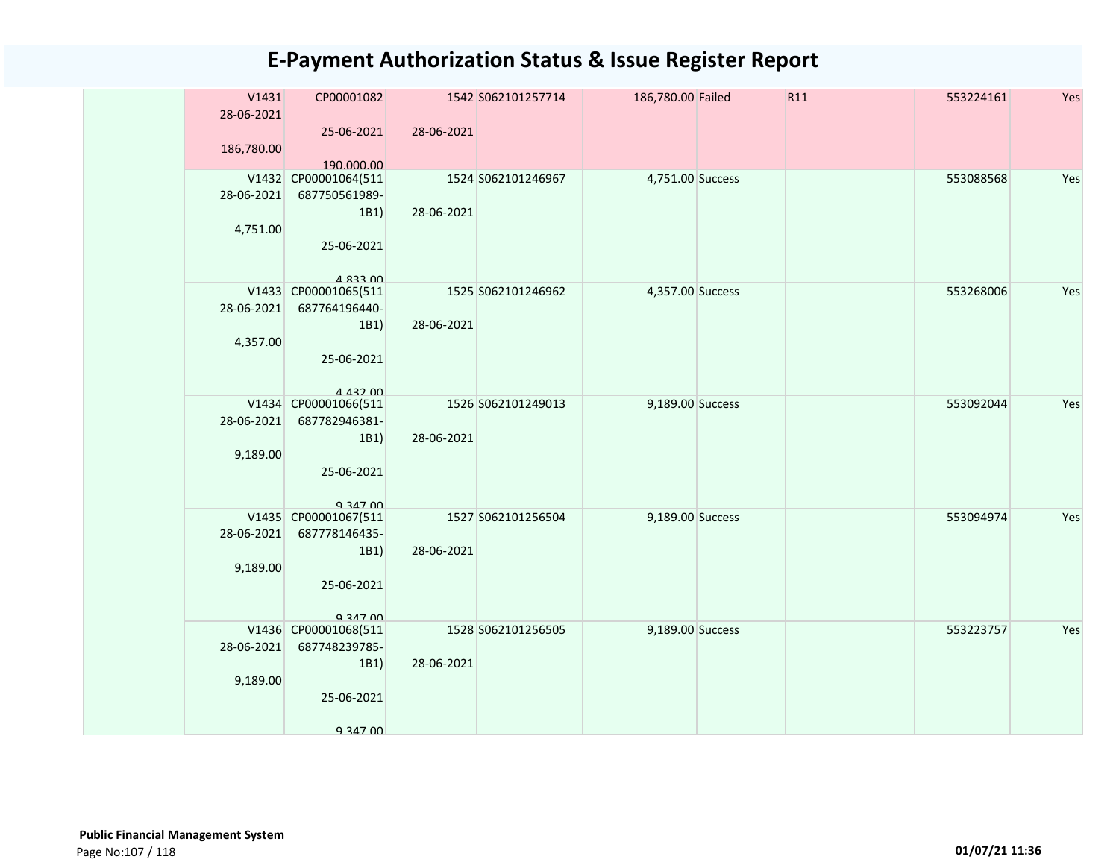| V1431<br>28-06-2021<br>186,780.00 | CP00001082<br>25-06-2021                                                       | 28-06-2021 | 1542 S062101257714 | 186,780.00 Failed | R11 | 553224161 | Yes |
|-----------------------------------|--------------------------------------------------------------------------------|------------|--------------------|-------------------|-----|-----------|-----|
|                                   | 190.000.00                                                                     |            |                    |                   |     |           |     |
| 28-06-2021<br>4,751.00            | V1432 CP00001064(511<br>687750561989-<br>1B1)<br>25-06-2021<br><b>4 833 UU</b> | 28-06-2021 | 1524 S062101246967 | 4,751.00 Success  |     | 553088568 | Yes |
| 28-06-2021<br>4,357.00            | V1433 CP00001065(511<br>687764196440-<br>1B1)<br>25-06-2021<br>A 432 00        | 28-06-2021 | 1525 S062101246962 | 4,357.00 Success  |     | 553268006 | Yes |
| 28-06-2021<br>9,189.00            | V1434 CP00001066(511<br>687782946381-<br>1B1)<br>25-06-2021<br>Q 347 00        | 28-06-2021 | 1526 S062101249013 | 9,189.00 Success  |     | 553092044 | Yes |
| 28-06-2021<br>9,189.00            | V1435 CP00001067(511<br>687778146435-<br>1B1)<br>25-06-2021<br>9 347 00        | 28-06-2021 | 1527 S062101256504 | 9,189.00 Success  |     | 553094974 | Yes |
| 28-06-2021<br>9,189.00            | V1436 CP00001068(511<br>687748239785-<br>1B1)<br>25-06-2021<br>9 347 00        | 28-06-2021 | 1528 S062101256505 | 9,189.00 Success  |     | 553223757 | Yes |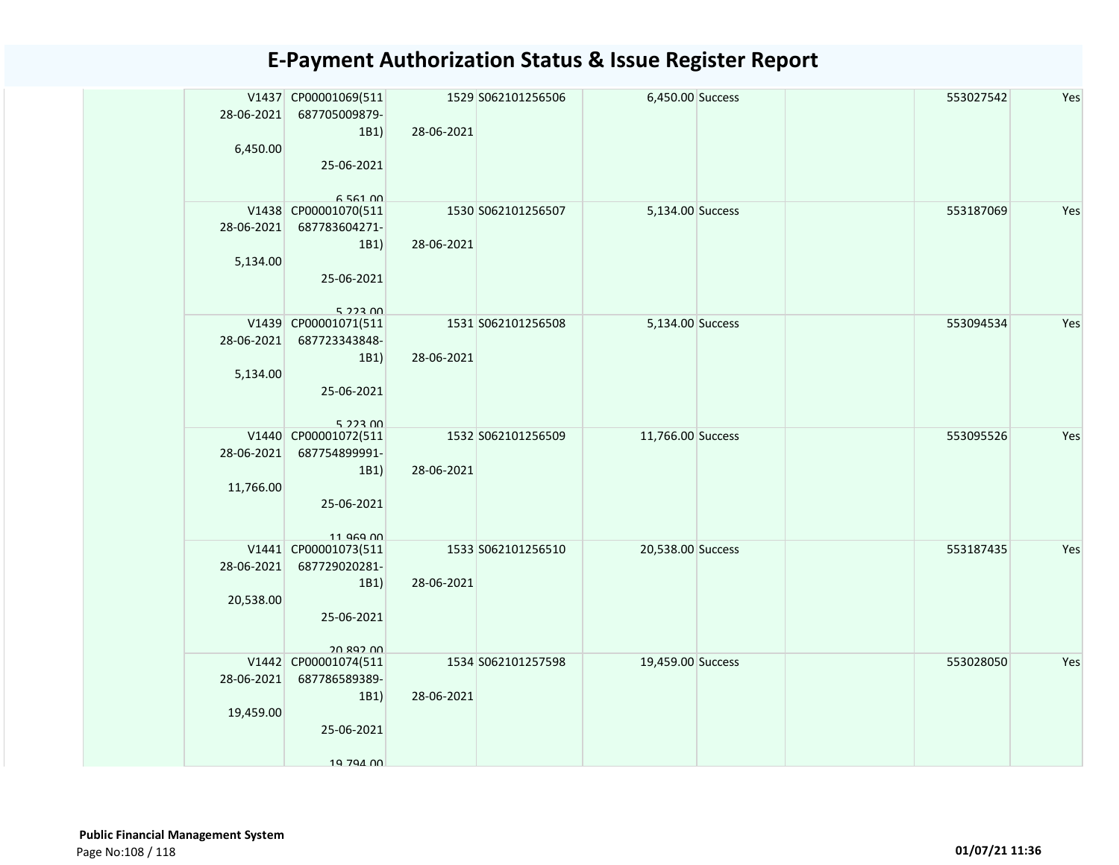| 28-06-2021<br>6,450.00  | V1437 CP00001069(511<br>687705009879-<br>1B1)<br>25-06-2021<br>6 561 00     | 28-06-2021 | 1529 S062101256506 | 6,450.00 Success  |  | 553027542 | Yes |
|-------------------------|-----------------------------------------------------------------------------|------------|--------------------|-------------------|--|-----------|-----|
| 28-06-2021<br>5,134.00  | V1438 CP00001070(511<br>687783604271-<br>1B1)<br>25-06-2021<br>$5.223$ $00$ | 28-06-2021 | 1530 S062101256507 | 5,134.00 Success  |  | 553187069 | Yes |
| 28-06-2021<br>5,134.00  | V1439 CP00001071(511<br>687723343848-<br>1B1)<br>25-06-2021<br>5.22300      | 28-06-2021 | 1531 S062101256508 | 5,134.00 Success  |  | 553094534 | Yes |
| 28-06-2021<br>11,766.00 | V1440 CP00001072(511<br>687754899991-<br>1B1)<br>25-06-2021<br>11 969 00    | 28-06-2021 | 1532 S062101256509 | 11,766.00 Success |  | 553095526 | Yes |
| 28-06-2021<br>20,538.00 | V1441 CP00001073(511<br>687729020281-<br>1B1)<br>25-06-2021<br>20 892 00    | 28-06-2021 | 1533 S062101256510 | 20,538.00 Success |  | 553187435 | Yes |
| 28-06-2021<br>19,459.00 | V1442 CP00001074(511<br>687786589389-<br>1B1)<br>25-06-2021<br>19 794 00    | 28-06-2021 | 1534 S062101257598 | 19,459.00 Success |  | 553028050 | Yes |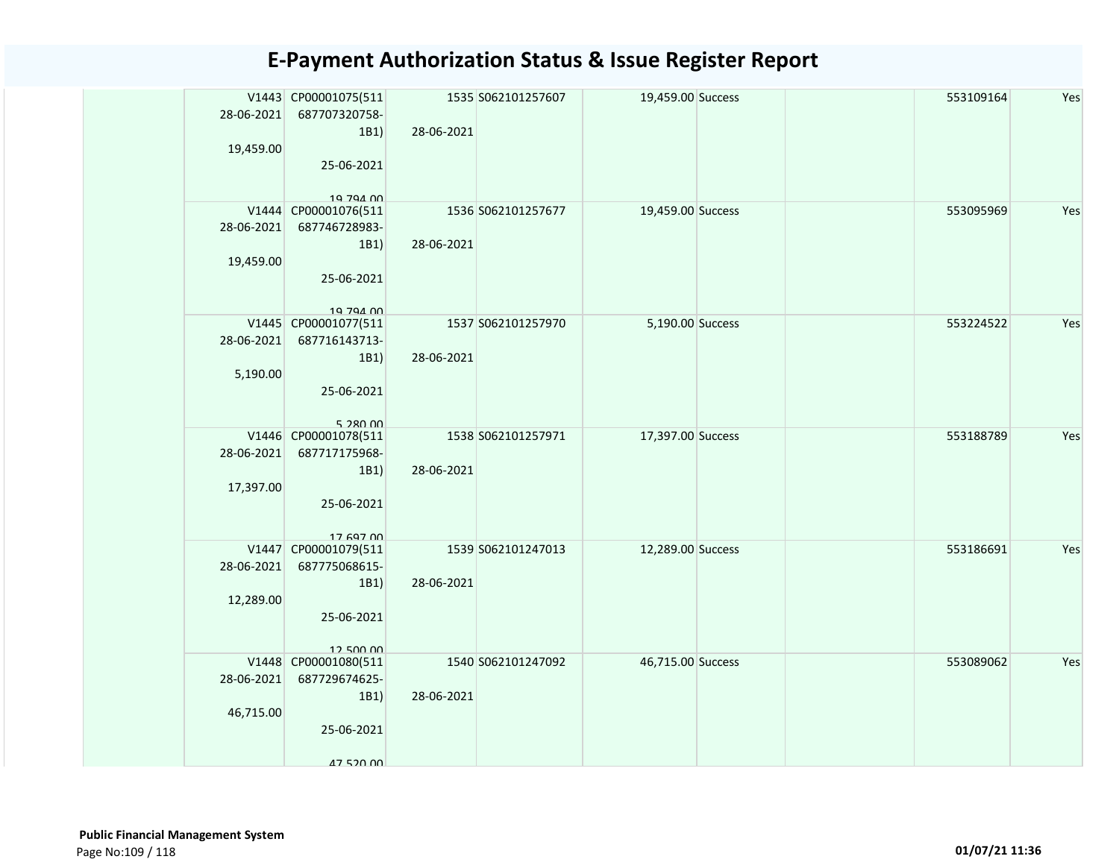| 28-06-2021<br>19,459.00 | V1443 CP00001075(511<br>687707320758-<br>1B1)<br>25-06-2021<br>10 704 00 | 28-06-2021 | 1535 S062101257607 | 19,459.00 Success |  | 553109164 | Yes |
|-------------------------|--------------------------------------------------------------------------|------------|--------------------|-------------------|--|-----------|-----|
| 28-06-2021<br>19,459.00 | V1444 CP00001076(511<br>687746728983-<br>1B1)<br>25-06-2021<br>10 704 00 | 28-06-2021 | 1536 S062101257677 | 19,459.00 Success |  | 553095969 | Yes |
| 28-06-2021<br>5,190.00  | V1445 CP00001077(511<br>687716143713-<br>1B1)<br>25-06-2021<br>5 280 00  | 28-06-2021 | 1537 S062101257970 | 5,190.00 Success  |  | 553224522 | Yes |
| 28-06-2021<br>17,397.00 | V1446 CP00001078(511<br>687717175968-<br>1B1)<br>25-06-2021<br>17 697 00 | 28-06-2021 | 1538 S062101257971 | 17,397.00 Success |  | 553188789 | Yes |
| 28-06-2021<br>12,289.00 | V1447 CP00001079(511<br>687775068615-<br>1B1)<br>25-06-2021<br>12.500.00 | 28-06-2021 | 1539 S062101247013 | 12,289.00 Success |  | 553186691 | Yes |
| 28-06-2021<br>46,715.00 | V1448 CP00001080(511<br>687729674625-<br>1B1)<br>25-06-2021<br>47 520 00 | 28-06-2021 | 1540 S062101247092 | 46,715.00 Success |  | 553089062 | Yes |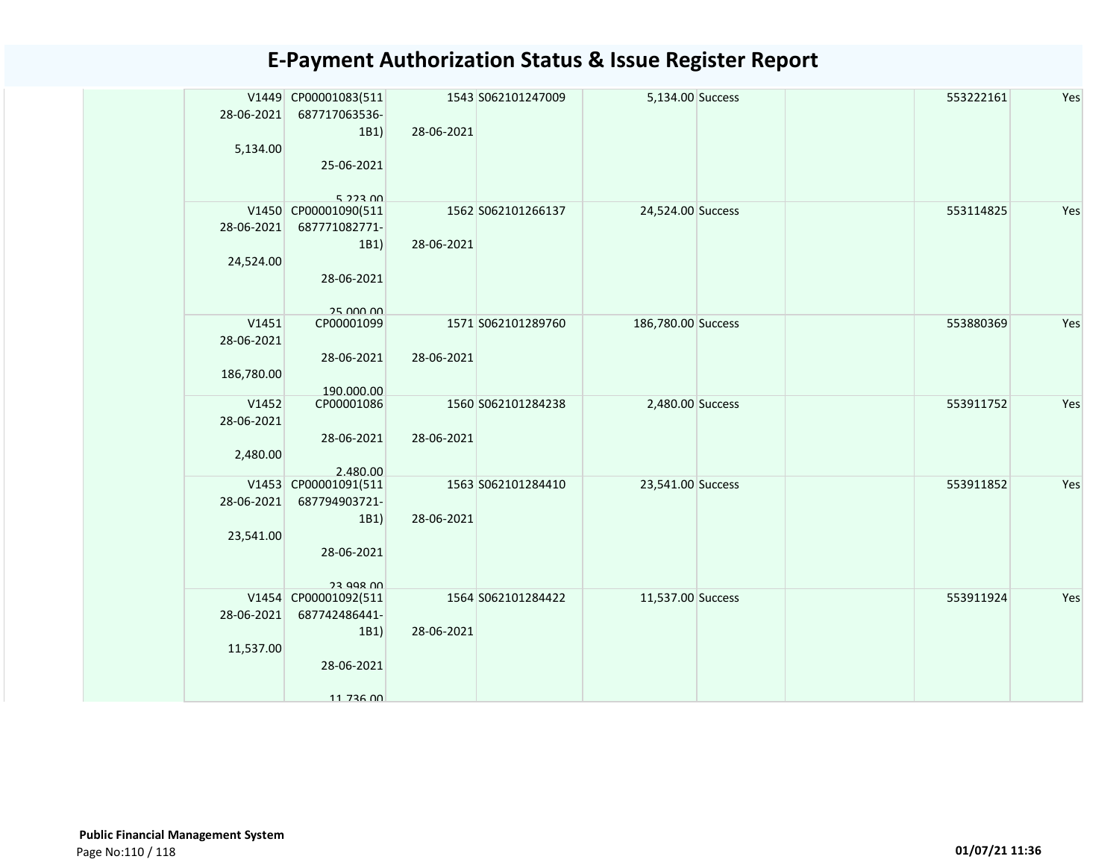| 28-06-2021 | V1449 CP00001083(511<br>687717063536-    |            | 1543 S062101247009 | 5,134.00 Success   |  | 553222161 | Yes |
|------------|------------------------------------------|------------|--------------------|--------------------|--|-----------|-----|
| 5,134.00   | 1B1)                                     | 28-06-2021 |                    |                    |  |           |     |
|            | 25-06-2021<br>$5.223$ $00$               |            |                    |                    |  |           |     |
|            | V1450 CP00001090(511                     |            | 1562 S062101266137 | 24,524.00 Success  |  | 553114825 | Yes |
| 28-06-2021 | 687771082771-                            |            |                    |                    |  |           |     |
|            | 1B1)                                     | 28-06-2021 |                    |                    |  |           |     |
| 24,524.00  |                                          |            |                    |                    |  |           |     |
|            | 28-06-2021                               |            |                    |                    |  |           |     |
| V1451      | 25 000 00<br>CP00001099                  |            | 1571 S062101289760 | 186,780.00 Success |  | 553880369 | Yes |
| 28-06-2021 |                                          |            |                    |                    |  |           |     |
|            | 28-06-2021                               | 28-06-2021 |                    |                    |  |           |     |
| 186,780.00 |                                          |            |                    |                    |  |           |     |
| V1452      | 190.000.00<br>CP00001086                 |            | 1560 S062101284238 | 2,480.00 Success   |  | 553911752 | Yes |
| 28-06-2021 |                                          |            |                    |                    |  |           |     |
|            | 28-06-2021                               | 28-06-2021 |                    |                    |  |           |     |
| 2,480.00   |                                          |            |                    |                    |  |           |     |
|            | 2.480.00<br>V1453 CP00001091(511         |            | 1563 S062101284410 |                    |  |           | Yes |
| 28-06-2021 | 687794903721-                            |            |                    | 23,541.00 Success  |  | 553911852 |     |
|            | 1B1)                                     | 28-06-2021 |                    |                    |  |           |     |
| 23,541.00  |                                          |            |                    |                    |  |           |     |
|            | 28-06-2021                               |            |                    |                    |  |           |     |
|            |                                          |            |                    |                    |  |           |     |
|            | <b>23 008 UU</b><br>V1454 CP00001092(511 |            | 1564 S062101284422 | 11,537.00 Success  |  | 553911924 | Yes |
| 28-06-2021 | 687742486441-                            |            |                    |                    |  |           |     |
|            | 1B1)                                     | 28-06-2021 |                    |                    |  |           |     |
| 11,537.00  |                                          |            |                    |                    |  |           |     |
|            | 28-06-2021                               |            |                    |                    |  |           |     |
|            | 11 736 00                                |            |                    |                    |  |           |     |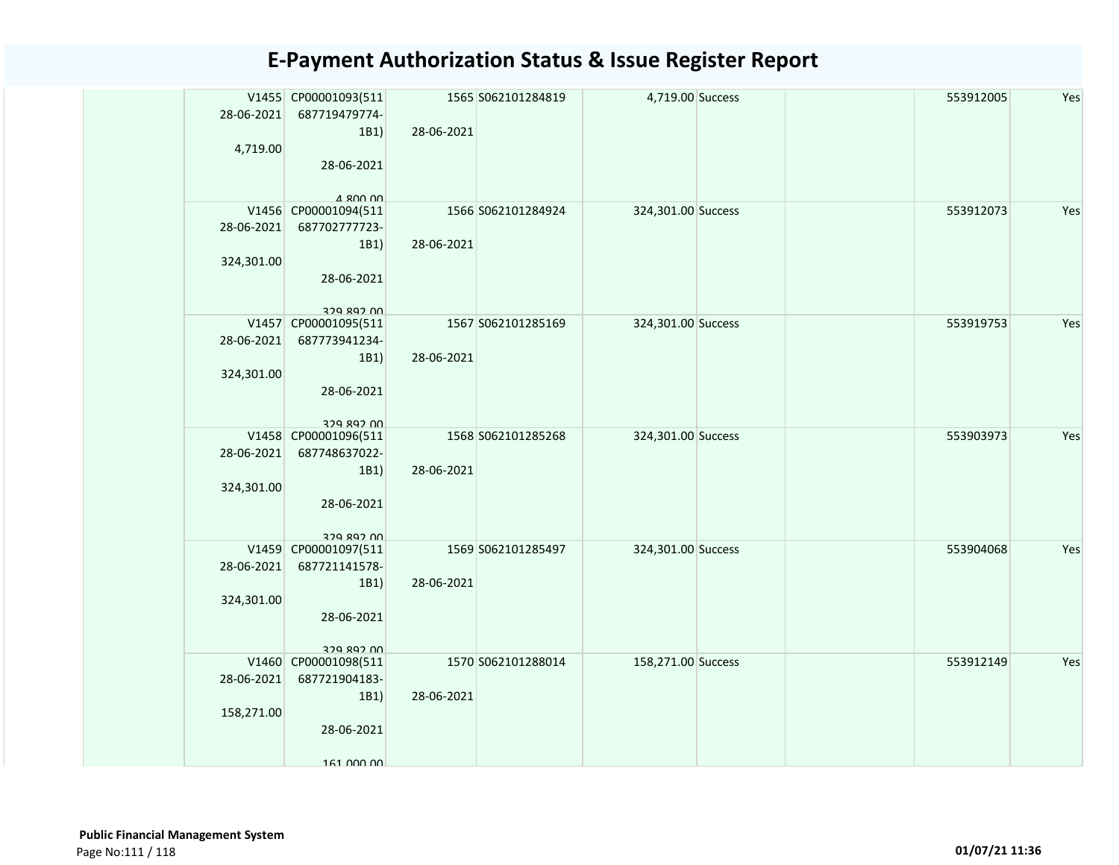|            | V1455 CP00001093(511                  |            | 1565 S062101284819 | 4,719.00 Success   |  | 553912005 | Yes |
|------------|---------------------------------------|------------|--------------------|--------------------|--|-----------|-----|
| 28-06-2021 | 687719479774-                         |            |                    |                    |  |           |     |
|            | 1B1)                                  | 28-06-2021 |                    |                    |  |           |     |
| 4,719.00   |                                       |            |                    |                    |  |           |     |
|            | 28-06-2021                            |            |                    |                    |  |           |     |
|            | $A$ 800 00                            |            |                    |                    |  |           |     |
|            | V1456 CP00001094(511                  |            | 1566 S062101284924 | 324,301.00 Success |  | 553912073 | Yes |
| 28-06-2021 | 687702777723-                         |            |                    |                    |  |           |     |
|            | 1B1)                                  | 28-06-2021 |                    |                    |  |           |     |
| 324,301.00 |                                       |            |                    |                    |  |           |     |
|            | 28-06-2021                            |            |                    |                    |  |           |     |
|            |                                       |            |                    |                    |  |           |     |
|            | 329 892 UU                            |            |                    |                    |  |           |     |
| 28-06-2021 | V1457 CP00001095(511<br>687773941234- |            | 1567 S062101285169 | 324,301.00 Success |  | 553919753 | Yes |
|            | 1B1)                                  | 28-06-2021 |                    |                    |  |           |     |
| 324,301.00 |                                       |            |                    |                    |  |           |     |
|            | 28-06-2021                            |            |                    |                    |  |           |     |
|            |                                       |            |                    |                    |  |           |     |
|            | 379 897 NN                            |            |                    |                    |  |           |     |
|            | V1458 CP00001096(511                  |            | 1568 S062101285268 | 324,301.00 Success |  | 553903973 | Yes |
| 28-06-2021 | 687748637022-                         |            |                    |                    |  |           |     |
|            | 1B1)                                  | 28-06-2021 |                    |                    |  |           |     |
| 324,301.00 |                                       |            |                    |                    |  |           |     |
|            | 28-06-2021                            |            |                    |                    |  |           |     |
|            | 379 897 NN                            |            |                    |                    |  |           |     |
|            | V1459 CP00001097(511                  |            | 1569 S062101285497 | 324,301.00 Success |  | 553904068 | Yes |
| 28-06-2021 | 687721141578-                         |            |                    |                    |  |           |     |
|            | 1B1)                                  | 28-06-2021 |                    |                    |  |           |     |
| 324,301.00 |                                       |            |                    |                    |  |           |     |
|            | 28-06-2021                            |            |                    |                    |  |           |     |
|            | 329 892 00                            |            |                    |                    |  |           |     |
|            | V1460 CP00001098(511                  |            | 1570 S062101288014 | 158,271.00 Success |  | 553912149 | Yes |
| 28-06-2021 | 687721904183-                         |            |                    |                    |  |           |     |
|            | 1B1)                                  | 28-06-2021 |                    |                    |  |           |     |
| 158,271.00 |                                       |            |                    |                    |  |           |     |
|            | 28-06-2021                            |            |                    |                    |  |           |     |
|            |                                       |            |                    |                    |  |           |     |
|            | 161 000 00                            |            |                    |                    |  |           |     |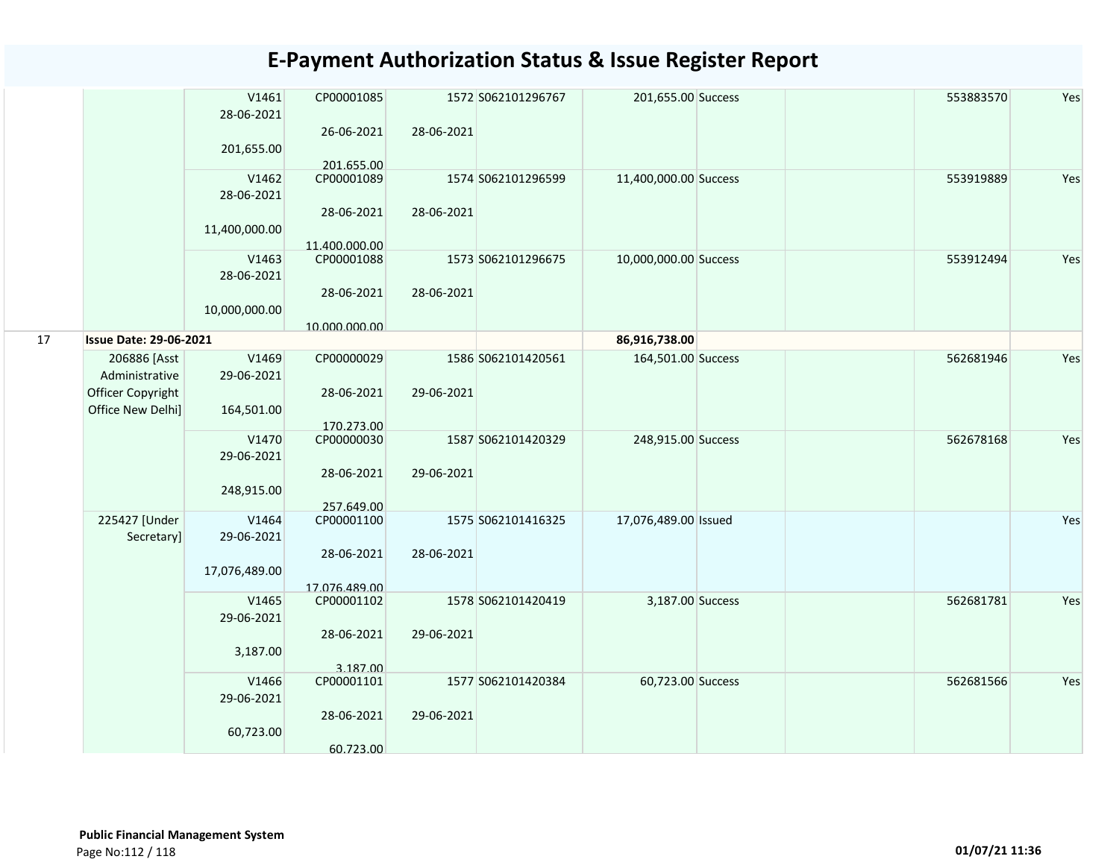|    |                                                                          | V1461<br>28-06-2021<br>201,655.00    | CP00001085<br>26-06-2021<br>201.655.00               | 28-06-2021 | 1572 S062101296767 | 201,655.00 Success    | 553883570 | Yes |
|----|--------------------------------------------------------------------------|--------------------------------------|------------------------------------------------------|------------|--------------------|-----------------------|-----------|-----|
|    |                                                                          | V1462<br>28-06-2021<br>11,400,000.00 | CP00001089<br>28-06-2021<br>11.400.000.00            | 28-06-2021 | 1574 S062101296599 | 11,400,000.00 Success | 553919889 | Yes |
|    |                                                                          | V1463<br>28-06-2021<br>10,000,000.00 | CP00001088<br>28-06-2021<br>10.000.000.00            | 28-06-2021 | 1573 S062101296675 | 10,000,000.00 Success | 553912494 | Yes |
| 17 | <b>Issue Date: 29-06-2021</b>                                            |                                      |                                                      |            |                    | 86,916,738.00         |           |     |
|    | 206886 [Asst<br>Administrative<br>Officer Copyright<br>Office New Delhi] | V1469<br>29-06-2021<br>164,501.00    | CP00000029<br>28-06-2021                             | 29-06-2021 | 1586 S062101420561 | 164,501.00 Success    | 562681946 | Yes |
|    |                                                                          | V1470<br>29-06-2021<br>248,915.00    | 170.273.00<br>CP00000030<br>28-06-2021<br>257.649.00 | 29-06-2021 | 1587 S062101420329 | 248,915.00 Success    | 562678168 | Yes |
|    | 225427 [Under<br>Secretary]                                              | V1464<br>29-06-2021<br>17,076,489.00 | CP00001100<br>28-06-2021<br>17.076.489.00            | 28-06-2021 | 1575 S062101416325 | 17,076,489.00 Issued  |           | Yes |
|    |                                                                          | V1465<br>29-06-2021<br>3,187.00      | CP00001102<br>28-06-2021<br>3.187.00                 | 29-06-2021 | 1578 S062101420419 | 3,187.00 Success      | 562681781 | Yes |
|    |                                                                          | V1466<br>29-06-2021<br>60,723.00     | CP00001101<br>28-06-2021<br>60.723.00                | 29-06-2021 | 1577 S062101420384 | 60,723.00 Success     | 562681566 | Yes |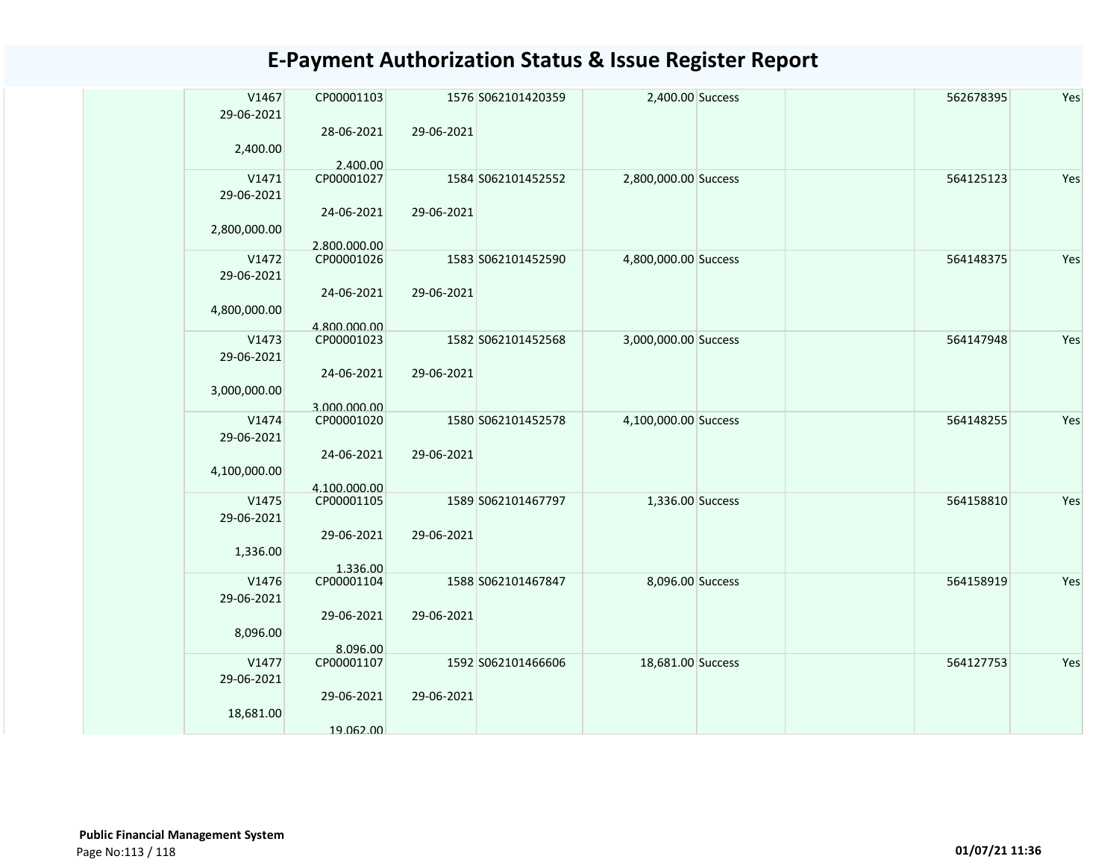| V1467<br>29-06-2021 | CP00001103                 |            | 1576 S062101420359 | 2,400.00 Success     | 562678395 | Yes |
|---------------------|----------------------------|------------|--------------------|----------------------|-----------|-----|
| 2,400.00            | 28-06-2021                 | 29-06-2021 |                    |                      |           |     |
|                     | 2.400.00                   |            |                    |                      |           |     |
| V1471               | CP00001027                 |            | 1584 S062101452552 | 2,800,000.00 Success | 564125123 | Yes |
| 29-06-2021          |                            |            |                    |                      |           |     |
| 2,800,000.00        | 24-06-2021                 | 29-06-2021 |                    |                      |           |     |
|                     | 2.800.000.00               |            |                    |                      |           |     |
| V1472               | CP00001026                 |            | 1583 S062101452590 | 4,800,000.00 Success | 564148375 | Yes |
| 29-06-2021          |                            |            |                    |                      |           |     |
| 4,800,000.00        | 24-06-2021                 | 29-06-2021 |                    |                      |           |     |
|                     |                            |            |                    |                      |           |     |
| V1473               | 4.800.000.00<br>CP00001023 |            | 1582 S062101452568 | 3,000,000.00 Success | 564147948 | Yes |
|                     |                            |            |                    |                      |           |     |
| 29-06-2021          |                            |            |                    |                      |           |     |
|                     | 24-06-2021                 | 29-06-2021 |                    |                      |           |     |
| 3,000,000.00        |                            |            |                    |                      |           |     |
|                     | 3.000.000.00               |            |                    |                      |           |     |
| V1474               | CP00001020                 |            | 1580 S062101452578 | 4,100,000.00 Success | 564148255 | Yes |
| 29-06-2021          |                            |            |                    |                      |           |     |
|                     | 24-06-2021                 | 29-06-2021 |                    |                      |           |     |
| 4,100,000.00        |                            |            |                    |                      |           |     |
|                     | 4.100.000.00               |            |                    |                      |           |     |
| V1475               | CP00001105                 |            | 1589 S062101467797 | 1,336.00 Success     | 564158810 | Yes |
| 29-06-2021          |                            |            |                    |                      |           |     |
|                     | 29-06-2021                 | 29-06-2021 |                    |                      |           |     |
|                     |                            |            |                    |                      |           |     |
| 1,336.00            |                            |            |                    |                      |           |     |
|                     | 1.336.00                   |            |                    |                      |           |     |
| V1476               | CP00001104                 |            | 1588 S062101467847 | 8,096.00 Success     | 564158919 | Yes |
| 29-06-2021          |                            |            |                    |                      |           |     |
|                     | 29-06-2021                 | 29-06-2021 |                    |                      |           |     |
| 8,096.00            |                            |            |                    |                      |           |     |
|                     | 8.096.00                   |            |                    |                      |           |     |
| V1477               | CP00001107                 |            | 1592 S062101466606 | 18,681.00 Success    | 564127753 | Yes |
| 29-06-2021          |                            |            |                    |                      |           |     |
|                     | 29-06-2021                 | 29-06-2021 |                    |                      |           |     |
| 18,681.00           |                            |            |                    |                      |           |     |
|                     | 19.062.00                  |            |                    |                      |           |     |
|                     |                            |            |                    |                      |           |     |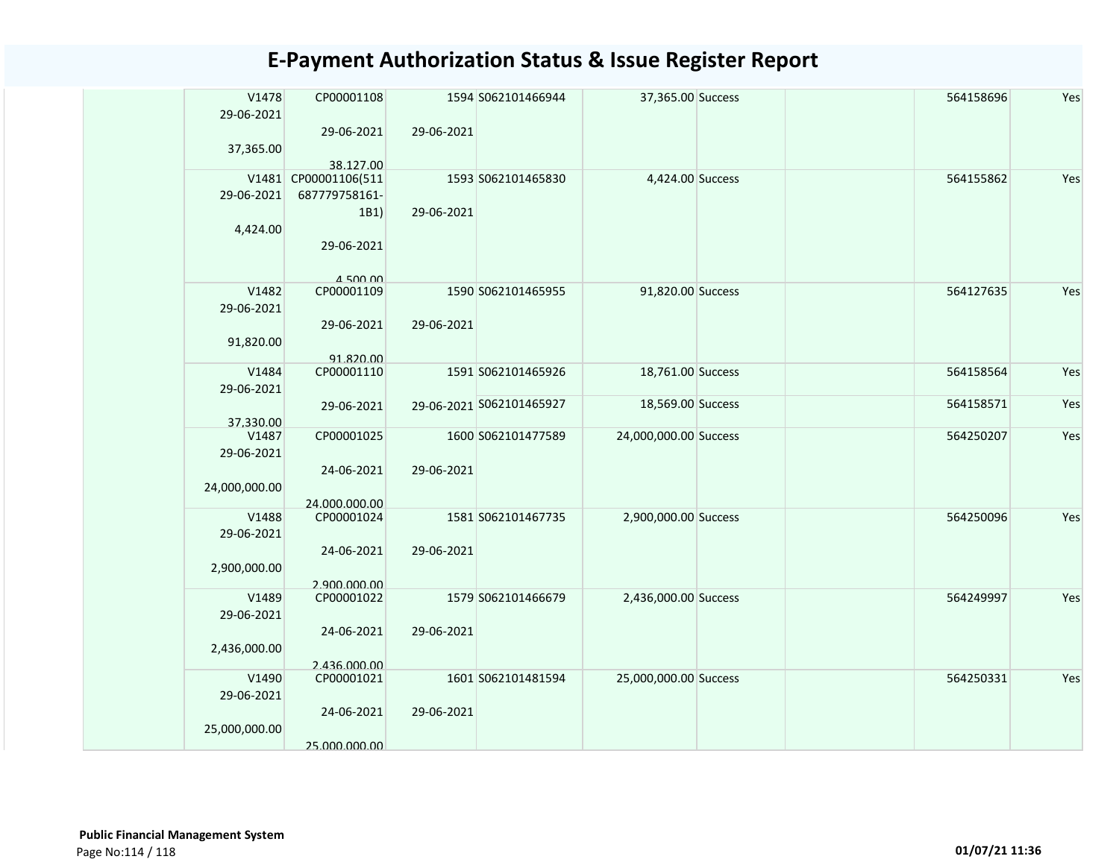| V1478<br>29-06-2021 | CP00001108                  |            | 1594 S062101466944       | 37,365.00 Success     |  | 564158696 | Yes |
|---------------------|-----------------------------|------------|--------------------------|-----------------------|--|-----------|-----|
|                     | 29-06-2021                  | 29-06-2021 |                          |                       |  |           |     |
| 37,365.00           |                             |            |                          |                       |  |           |     |
| V1481               | 38.127.00<br>CP00001106(511 |            | 1593 S062101465830       | 4,424.00 Success      |  | 564155862 | Yes |
| 29-06-2021          | 687779758161-               |            |                          |                       |  |           |     |
|                     | 1B1)                        | 29-06-2021 |                          |                       |  |           |     |
| 4,424.00            |                             |            |                          |                       |  |           |     |
|                     | 29-06-2021                  |            |                          |                       |  |           |     |
|                     |                             |            |                          |                       |  |           |     |
| V1482               | $A$ 500 00<br>CP00001109    |            | 1590 S062101465955       | 91,820.00 Success     |  | 564127635 | Yes |
| 29-06-2021          |                             |            |                          |                       |  |           |     |
|                     | 29-06-2021                  | 29-06-2021 |                          |                       |  |           |     |
| 91,820.00           |                             |            |                          |                       |  |           |     |
|                     | 91.820.00                   |            |                          |                       |  |           |     |
| V1484<br>29-06-2021 | CP00001110                  |            | 1591 S062101465926       | 18,761.00 Success     |  | 564158564 | Yes |
|                     | 29-06-2021                  |            | 29-06-2021 S062101465927 | 18,569.00 Success     |  | 564158571 | Yes |
| 37.330.00           |                             |            |                          |                       |  |           |     |
| V1487               | CP00001025                  |            | 1600 S062101477589       | 24,000,000.00 Success |  | 564250207 | Yes |
| 29-06-2021          |                             |            |                          |                       |  |           |     |
| 24,000,000.00       | 24-06-2021                  | 29-06-2021 |                          |                       |  |           |     |
|                     | 24.000.000.00               |            |                          |                       |  |           |     |
| V1488               | CP00001024                  |            | 1581 S062101467735       | 2,900,000.00 Success  |  | 564250096 | Yes |
| 29-06-2021          |                             |            |                          |                       |  |           |     |
|                     | 24-06-2021                  | 29-06-2021 |                          |                       |  |           |     |
| 2,900,000.00        | 2.900.000.00                |            |                          |                       |  |           |     |
| V1489               | CP00001022                  |            | 1579 S062101466679       | 2,436,000.00 Success  |  | 564249997 | Yes |
| 29-06-2021          |                             |            |                          |                       |  |           |     |
|                     | 24-06-2021                  | 29-06-2021 |                          |                       |  |           |     |
| 2,436,000.00        | 2.436.000.00                |            |                          |                       |  |           |     |
| V1490               | CP00001021                  |            | 1601 S062101481594       | 25,000,000.00 Success |  | 564250331 | Yes |
| 29-06-2021          |                             |            |                          |                       |  |           |     |
|                     | 24-06-2021                  | 29-06-2021 |                          |                       |  |           |     |
| 25,000,000.00       |                             |            |                          |                       |  |           |     |
|                     | 25.000.000.00               |            |                          |                       |  |           |     |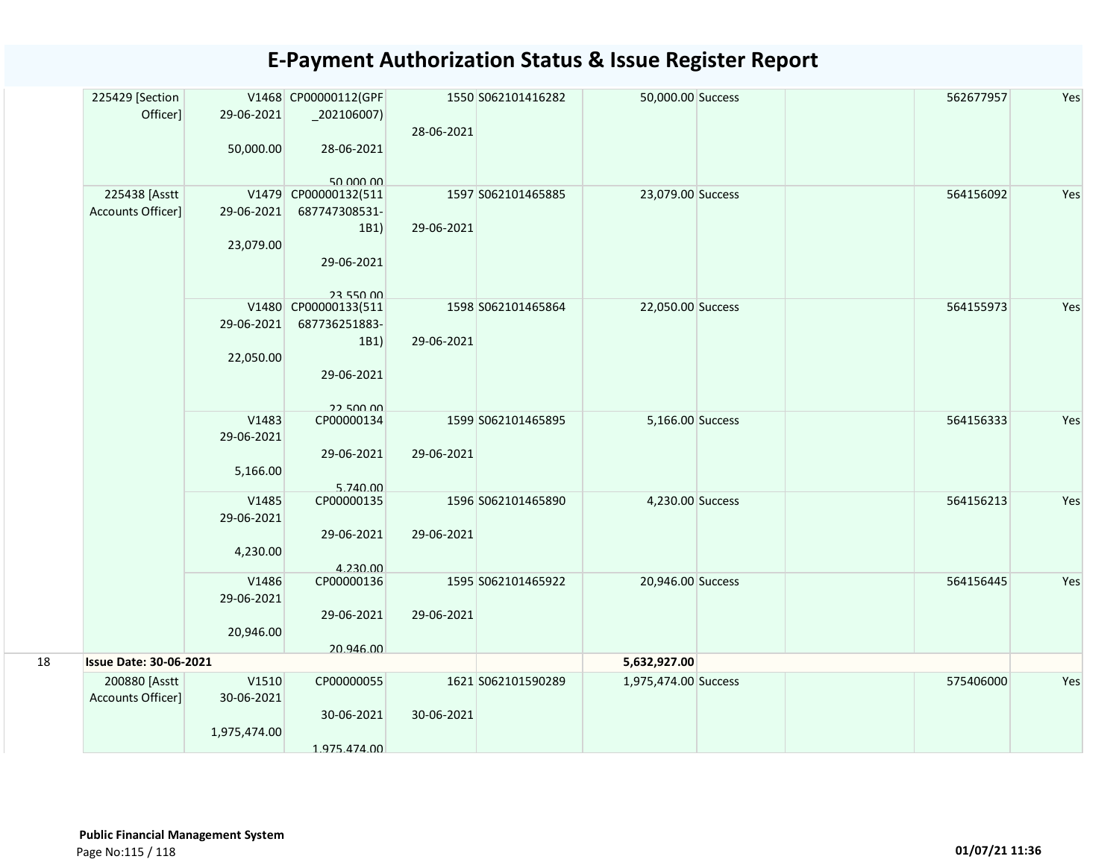|    | 225429 [Section<br>Officer]        | 29-06-2021          | V1468 CP00000112(GPF<br>$_2$ 02106007) | 28-06-2021 | 1550 S062101416282 | 50,000.00 Success    |  | 562677957 | Yes |
|----|------------------------------------|---------------------|----------------------------------------|------------|--------------------|----------------------|--|-----------|-----|
|    |                                    | 50,000.00           | 28-06-2021<br>50.000.00                |            |                    |                      |  |           |     |
|    | 225438 [Asstt                      |                     | V1479 CP00000132(511                   |            | 1597 S062101465885 | 23,079.00 Success    |  | 564156092 | Yes |
|    | Accounts Officer]                  | 29-06-2021          | 687747308531-                          |            |                    |                      |  |           |     |
|    |                                    |                     | 1B1)                                   | 29-06-2021 |                    |                      |  |           |     |
|    |                                    | 23,079.00           |                                        |            |                    |                      |  |           |     |
|    |                                    |                     | 29-06-2021                             |            |                    |                      |  |           |     |
|    |                                    |                     | 23 550 00                              |            |                    |                      |  |           |     |
|    |                                    |                     | V1480 CP00000133(511                   |            | 1598 S062101465864 | 22,050.00 Success    |  | 564155973 | Yes |
|    |                                    | 29-06-2021          | 687736251883-                          |            |                    |                      |  |           |     |
|    |                                    |                     | 1B1)                                   | 29-06-2021 |                    |                      |  |           |     |
|    |                                    | 22,050.00           |                                        |            |                    |                      |  |           |     |
|    |                                    |                     | 29-06-2021                             |            |                    |                      |  |           |     |
|    |                                    |                     | 22 500 00                              |            |                    |                      |  |           |     |
|    |                                    | V1483<br>29-06-2021 | CP00000134                             |            | 1599 S062101465895 | 5,166.00 Success     |  | 564156333 | Yes |
|    |                                    |                     | 29-06-2021                             | 29-06-2021 |                    |                      |  |           |     |
|    |                                    | 5,166.00            |                                        |            |                    |                      |  |           |     |
|    |                                    |                     | 5.740.00                               |            |                    |                      |  |           |     |
|    |                                    | V1485               | CP00000135                             |            | 1596 S062101465890 | 4,230.00 Success     |  | 564156213 | Yes |
|    |                                    | 29-06-2021          | 29-06-2021                             | 29-06-2021 |                    |                      |  |           |     |
|    |                                    | 4,230.00            |                                        |            |                    |                      |  |           |     |
|    |                                    |                     | 4.230.00                               |            |                    |                      |  |           |     |
|    |                                    | V1486               | CP00000136                             |            | 1595 S062101465922 | 20,946.00 Success    |  | 564156445 | Yes |
|    |                                    | 29-06-2021          |                                        |            |                    |                      |  |           |     |
|    |                                    |                     | 29-06-2021                             | 29-06-2021 |                    |                      |  |           |     |
|    |                                    | 20,946.00           |                                        |            |                    |                      |  |           |     |
|    | <b>Issue Date: 30-06-2021</b>      |                     | 20.946.00                              |            |                    |                      |  |           |     |
| 18 |                                    |                     |                                        |            |                    | 5,632,927.00         |  |           |     |
|    | 200880 [Asstt<br>Accounts Officer] | V1510               | CP00000055                             |            | 1621 S062101590289 | 1,975,474.00 Success |  | 575406000 | Yes |
|    |                                    | 30-06-2021          | 30-06-2021                             | 30-06-2021 |                    |                      |  |           |     |
|    |                                    | 1,975,474.00        |                                        |            |                    |                      |  |           |     |
|    |                                    |                     | 1.975.474.00                           |            |                    |                      |  |           |     |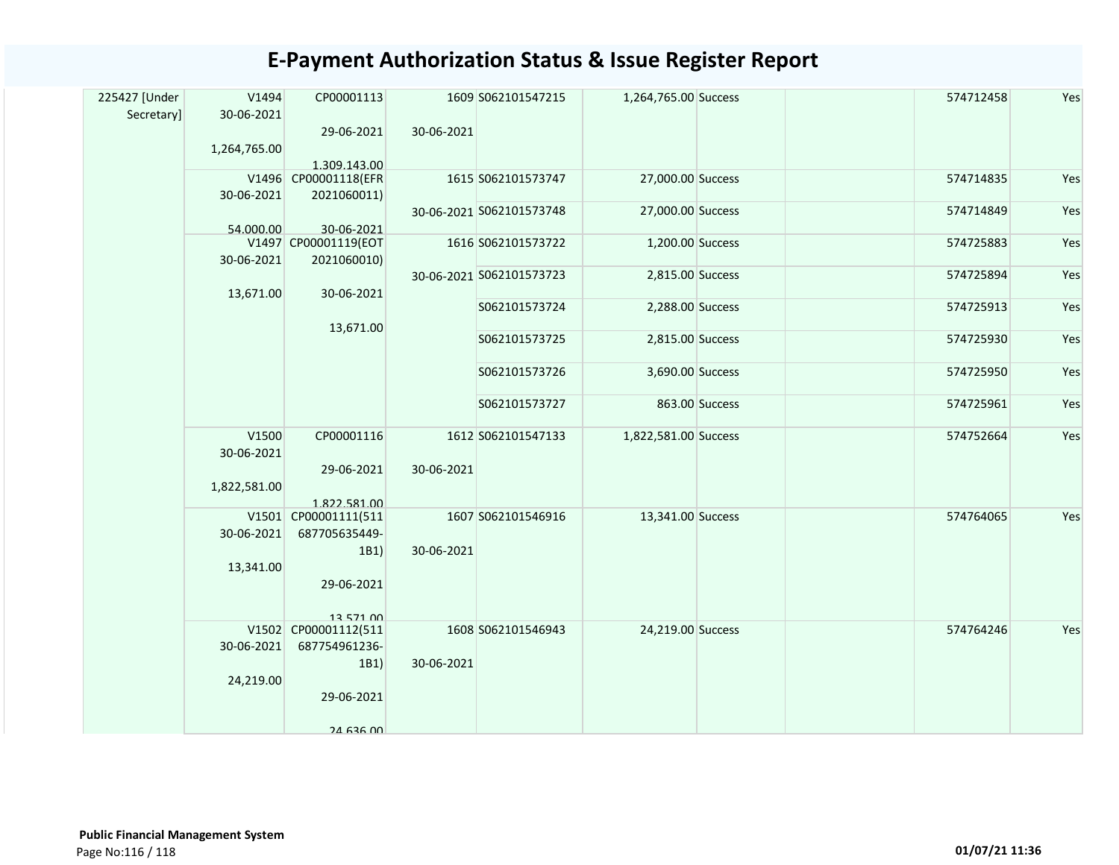| 225427 [Under | V1494        | CP00001113                            |            | 1609 S062101547215       | 1,264,765.00 Success |                | 574712458 | Yes |
|---------------|--------------|---------------------------------------|------------|--------------------------|----------------------|----------------|-----------|-----|
| Secretary]    | 30-06-2021   |                                       |            |                          |                      |                |           |     |
|               |              | 29-06-2021                            | 30-06-2021 |                          |                      |                |           |     |
|               | 1,264,765.00 |                                       |            |                          |                      |                |           |     |
|               |              | 1.309.143.00<br>V1496 CP00001118(EFR  |            | 1615 S062101573747       | 27,000.00 Success    |                | 574714835 | Yes |
|               | 30-06-2021   | 2021060011)                           |            |                          |                      |                |           |     |
|               |              |                                       |            | 30-06-2021 S062101573748 | 27,000.00 Success    |                | 574714849 | Yes |
|               | 54.000.00    | 30-06-2021                            |            |                          |                      |                |           |     |
|               |              | V1497 CP00001119(EOT                  |            | 1616 S062101573722       | 1,200.00 Success     |                | 574725883 | Yes |
|               | 30-06-2021   | 2021060010)                           |            |                          |                      |                |           |     |
|               |              |                                       |            | 30-06-2021 S062101573723 | 2,815.00 Success     |                | 574725894 | Yes |
|               | 13,671.00    | 30-06-2021                            |            |                          |                      |                |           |     |
|               |              |                                       |            | S062101573724            | 2,288.00 Success     |                | 574725913 | Yes |
|               |              | 13,671.00                             |            |                          |                      |                |           |     |
|               |              |                                       |            | S062101573725            | 2,815.00 Success     |                | 574725930 | Yes |
|               |              |                                       |            | S062101573726            | 3,690.00 Success     |                | 574725950 | Yes |
|               |              |                                       |            |                          |                      |                |           |     |
|               |              |                                       |            | S062101573727            |                      | 863.00 Success | 574725961 | Yes |
|               |              |                                       |            |                          |                      |                |           |     |
|               | V1500        | CP00001116                            |            | 1612 S062101547133       | 1,822,581.00 Success |                | 574752664 | Yes |
|               | 30-06-2021   |                                       |            |                          |                      |                |           |     |
|               |              | 29-06-2021                            | 30-06-2021 |                          |                      |                |           |     |
|               | 1,822,581.00 |                                       |            |                          |                      |                |           |     |
|               |              | 1.822.581.00                          |            |                          |                      |                |           |     |
|               | 30-06-2021   | V1501 CP00001111(511<br>687705635449- |            | 1607 S062101546916       | 13,341.00 Success    |                | 574764065 | Yes |
|               |              | 1B1)                                  | 30-06-2021 |                          |                      |                |           |     |
|               | 13,341.00    |                                       |            |                          |                      |                |           |     |
|               |              | 29-06-2021                            |            |                          |                      |                |           |     |
|               |              |                                       |            |                          |                      |                |           |     |
|               |              | 13 571 00                             |            |                          |                      |                |           |     |
|               |              | V1502 CP00001112(511                  |            | 1608 S062101546943       | 24,219.00 Success    |                | 574764246 | Yes |
|               | 30-06-2021   | 687754961236-                         |            |                          |                      |                |           |     |
|               |              | 1B1)                                  | 30-06-2021 |                          |                      |                |           |     |
|               | 24,219.00    |                                       |            |                          |                      |                |           |     |
|               |              | 29-06-2021                            |            |                          |                      |                |           |     |
|               |              |                                       |            |                          |                      |                |           |     |
|               |              | $24$ 636 00                           |            |                          |                      |                |           |     |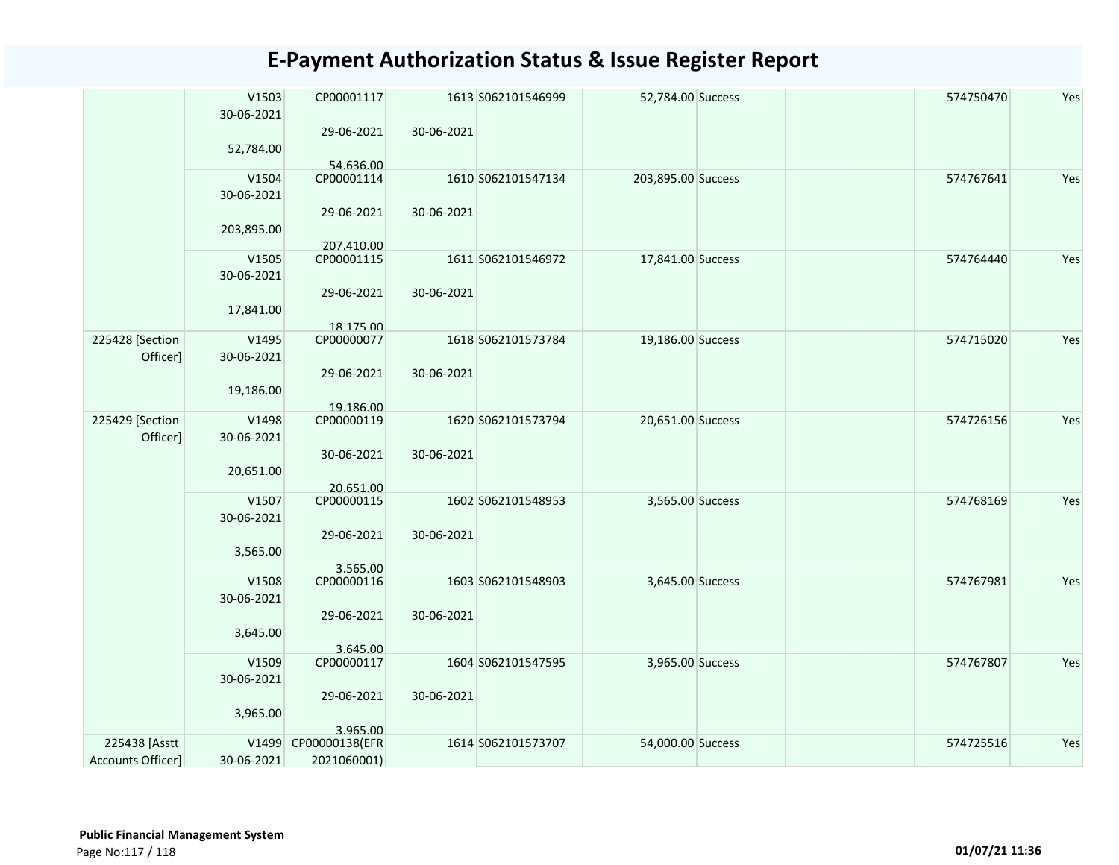|                   | V1503<br>30-06-2021 | CP00001117               | 1613 S062101546999 | 52,784.00 Success  | 574750470 | Yes |
|-------------------|---------------------|--------------------------|--------------------|--------------------|-----------|-----|
|                   | 52,784.00           | 29-06-2021               | 30-06-2021         |                    |           |     |
|                   |                     | 54.636.00                |                    |                    |           |     |
|                   | V1504               | CP00001114               | 1610 S062101547134 | 203,895.00 Success | 574767641 | Yes |
|                   | 30-06-2021          |                          |                    |                    |           |     |
|                   | 203,895.00          | 29-06-2021               | 30-06-2021         |                    |           |     |
|                   | V1505               | 207.410.00<br>CP00001115 | 1611 S062101546972 | 17,841.00 Success  | 574764440 | Yes |
|                   | 30-06-2021          |                          |                    |                    |           |     |
|                   |                     | 29-06-2021               | 30-06-2021         |                    |           |     |
|                   | 17,841.00           |                          |                    |                    |           |     |
|                   |                     | 18.175.00                |                    |                    |           |     |
| 225428 [Section   | V1495               | CP00000077               | 1618 S062101573784 | 19,186.00 Success  | 574715020 | Yes |
| Officer]          | 30-06-2021          |                          |                    |                    |           |     |
|                   |                     | 29-06-2021               | 30-06-2021         |                    |           |     |
|                   | 19,186.00           |                          |                    |                    |           |     |
|                   |                     | 19.186.00                |                    |                    |           |     |
| 225429 [Section   | V1498               | CP00000119               | 1620 S062101573794 | 20,651.00 Success  | 574726156 | Yes |
| Officer]          | 30-06-2021          |                          |                    |                    |           |     |
|                   |                     | 30-06-2021               | 30-06-2021         |                    |           |     |
|                   | 20,651.00           |                          |                    |                    |           |     |
|                   |                     | 20.651.00                |                    |                    |           |     |
|                   | V1507               | CP00000115               | 1602 S062101548953 | 3,565.00 Success   | 574768169 | Yes |
|                   | 30-06-2021          |                          |                    |                    |           |     |
|                   |                     | 29-06-2021               | 30-06-2021         |                    |           |     |
|                   | 3,565.00            |                          |                    |                    |           |     |
|                   |                     | 3.565.00                 |                    |                    |           |     |
|                   | V1508               | CP00000116               | 1603 S062101548903 | 3,645.00 Success   | 574767981 | Yes |
|                   | 30-06-2021          |                          |                    |                    |           |     |
|                   |                     | 29-06-2021               | 30-06-2021         |                    |           |     |
|                   | 3,645.00            |                          |                    |                    |           |     |
|                   |                     | 3.645.00                 |                    |                    |           |     |
|                   | V1509               | CP00000117               | 1604 S062101547595 | 3,965.00 Success   | 574767807 | Yes |
|                   | 30-06-2021          |                          |                    |                    |           |     |
|                   |                     | 29-06-2021               | 30-06-2021         |                    |           |     |
|                   | 3,965.00            |                          |                    |                    |           |     |
|                   |                     | 3.965.00                 |                    |                    |           |     |
| 225438 [Asstt     |                     | V1499 CP00000138(EFR     | 1614 S062101573707 | 54,000.00 Success  | 574725516 | Yes |
| Accounts Officer] | 30-06-2021          | 2021060001)              |                    |                    |           |     |